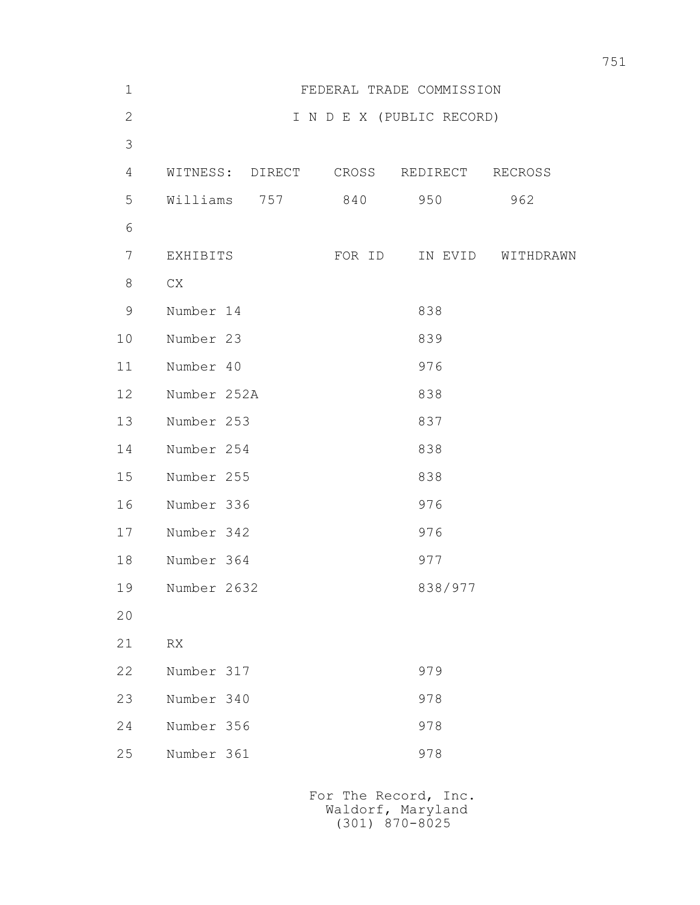| $\mathbf 1$  | FEDERAL TRADE COMMISSION               |                           |         |           |
|--------------|----------------------------------------|---------------------------|---------|-----------|
| $\mathbf{2}$ |                                        | I N D E X (PUBLIC RECORD) |         |           |
| 3            |                                        |                           |         |           |
| 4            | WITNESS: DIRECT CROSS REDIRECT RECROSS |                           |         |           |
| 5            | 757<br>Williams                        | 840                       | 950     | 962       |
| 6            |                                        |                           |         |           |
| 7            | EXHIBITS                               | FOR ID                    | IN EVID | WITHDRAWN |
| 8            | CX                                     |                           |         |           |
| $\mathsf 9$  | Number 14                              |                           | 838     |           |
| 10           | Number 23                              |                           | 839     |           |
| 11           | Number 40                              |                           | 976     |           |
| 12           | Number 252A                            |                           | 838     |           |
| 13           | Number 253                             |                           | 837     |           |
| 14           | Number 254                             |                           | 838     |           |
| 15           | Number 255                             |                           | 838     |           |
| 16           | Number 336                             |                           | 976     |           |
| 17           | Number 342                             |                           | 976     |           |
| 18           | Number 364                             |                           | 977     |           |
| 19           | Number 2632                            |                           | 838/977 |           |
| 20           |                                        |                           |         |           |
| 21           | ${\sf RX}$                             |                           |         |           |
| 22           | Number 317                             |                           | 979     |           |
| 23           | Number 340                             |                           | 978     |           |
| 24           | Number 356                             |                           | 978     |           |
| 25           | Number 361                             |                           | 978     |           |
|              |                                        |                           |         |           |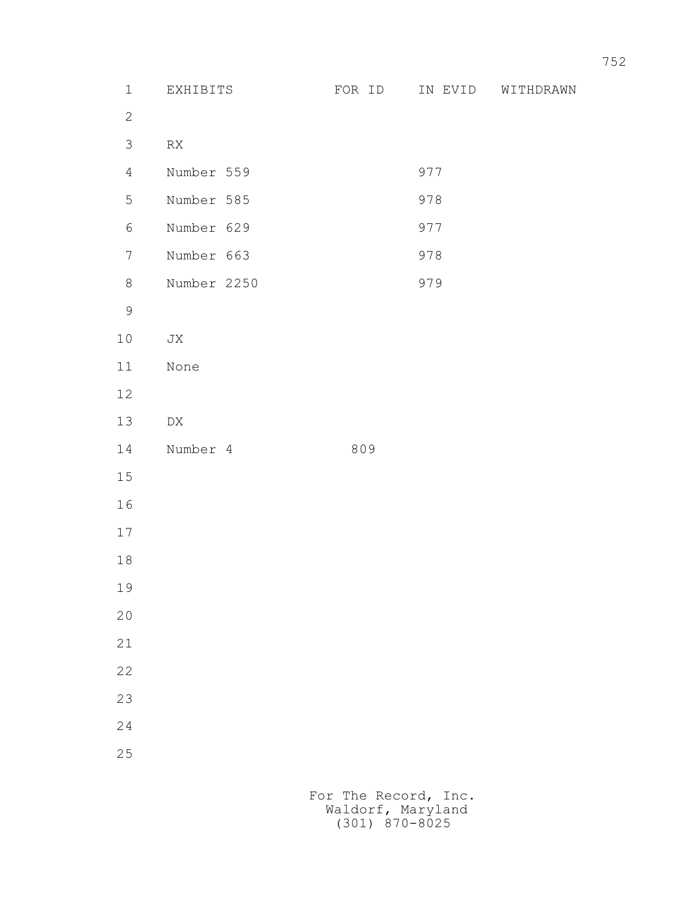- 2
	- 3 RX

| 4 Number 559 | 977 |
|--------------|-----|
| 5 Number 585 | 978 |
| 6 Number 629 | 977 |

- 7 Number 663 978
- 8 Number 2250 979
- 9
	- 10 JX
	- 11 None
	- 12
	- 13 DX
	- 14 Number 4 809
	- 15
	- 16
	- 17
	- 18
	- 19
	- 20
	-
	- 21
	- 22
	- 23
	- 24
	- 25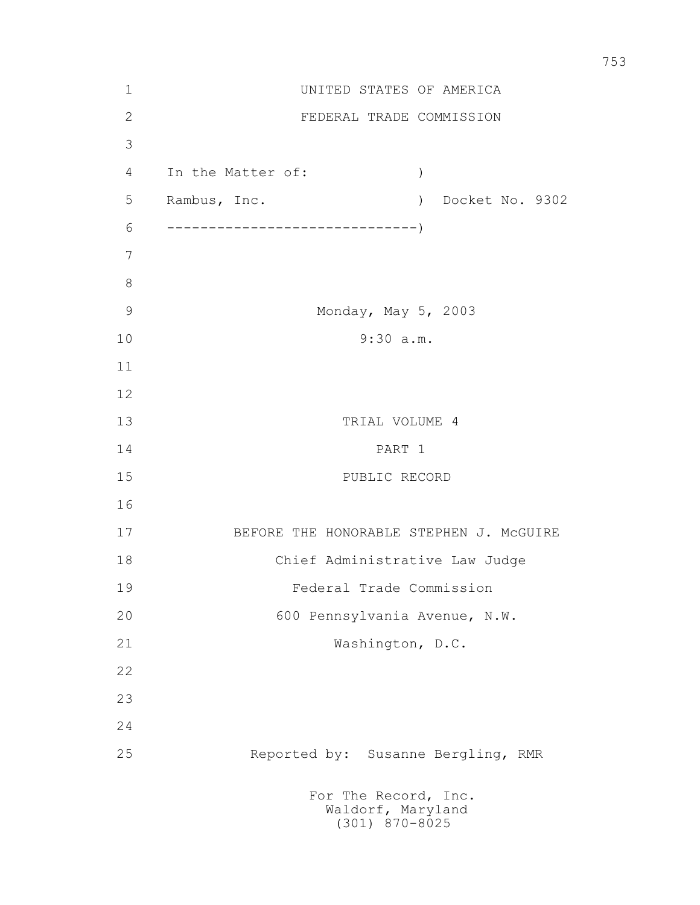| $1\,$          |                                         | UNITED STATES OF AMERICA                                          |  |  |
|----------------|-----------------------------------------|-------------------------------------------------------------------|--|--|
| $\mathbf{2}$   |                                         | FEDERAL TRADE COMMISSION                                          |  |  |
| 3              |                                         |                                                                   |  |  |
| $\overline{4}$ | In the Matter of:                       | $\left( \right)$                                                  |  |  |
| 5              | Rambus, Inc.                            | Docket No. 9302<br>$\rightarrow$                                  |  |  |
| 6              |                                         |                                                                   |  |  |
| 7              |                                         |                                                                   |  |  |
| $8\,$          |                                         |                                                                   |  |  |
| $\mathcal{G}$  |                                         | Monday, May 5, 2003                                               |  |  |
| 10             | 9:30 a.m.                               |                                                                   |  |  |
| 11             |                                         |                                                                   |  |  |
| 12             |                                         |                                                                   |  |  |
| 13             | TRIAL VOLUME 4                          |                                                                   |  |  |
| 14             | PART 1                                  |                                                                   |  |  |
| 15             | PUBLIC RECORD                           |                                                                   |  |  |
| 16             |                                         |                                                                   |  |  |
| 17             | BEFORE THE HONORABLE STEPHEN J. MCGUIRE |                                                                   |  |  |
| 18             | Chief Administrative Law Judge          |                                                                   |  |  |
| 19             | Federal Trade Commission                |                                                                   |  |  |
| 20             | 600 Pennsylvania Avenue, N.W.           |                                                                   |  |  |
| 21             |                                         | Washington, D.C.                                                  |  |  |
| 22             |                                         |                                                                   |  |  |
| 23             |                                         |                                                                   |  |  |
| 24             |                                         |                                                                   |  |  |
| 25             |                                         | Reported by: Susanne Bergling, RMR                                |  |  |
|                |                                         | For The Record, Inc.<br>Waldorf, Maryland<br>$(301)$ $870 - 8025$ |  |  |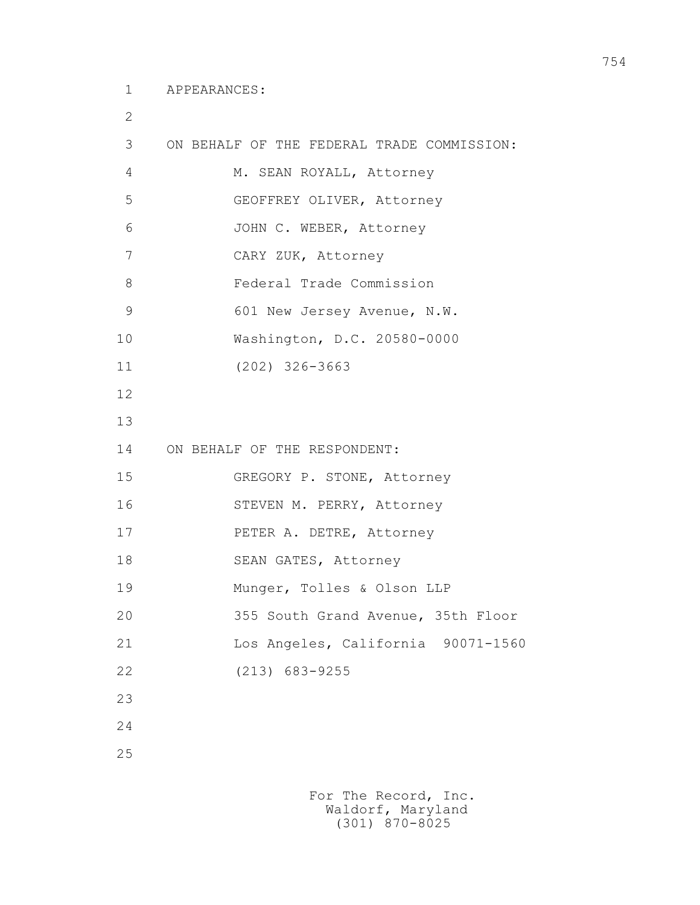```
 1 APPEARANCES:
```
2

```
 3 ON BEHALF OF THE FEDERAL TRADE COMMISSION: 
4 M. SEAN ROYALL, Attorney
 5 GEOFFREY OLIVER, Attorney
 6 JOHN C. WEBER, Attorney
 7 CARY ZUK, Attorney
 8 Federal Trade Commission
9 601 New Jersey Avenue, N.W.
 10 Washington, D.C. 20580-0000
 11 (202) 326-3663
 12
 13
 14 ON BEHALF OF THE RESPONDENT:
 15 GREGORY P. STONE, Attorney
 16 STEVEN M. PERRY, Attorney
 17 PETER A. DETRE, Attorney
 18 SEAN GATES, Attorney
 19 Munger, Tolles & Olson LLP
 20 355 South Grand Avenue, 35th Floor
 21 Los Angeles, California 90071-1560
 22 (213) 683-9255
 23
 24
 25
```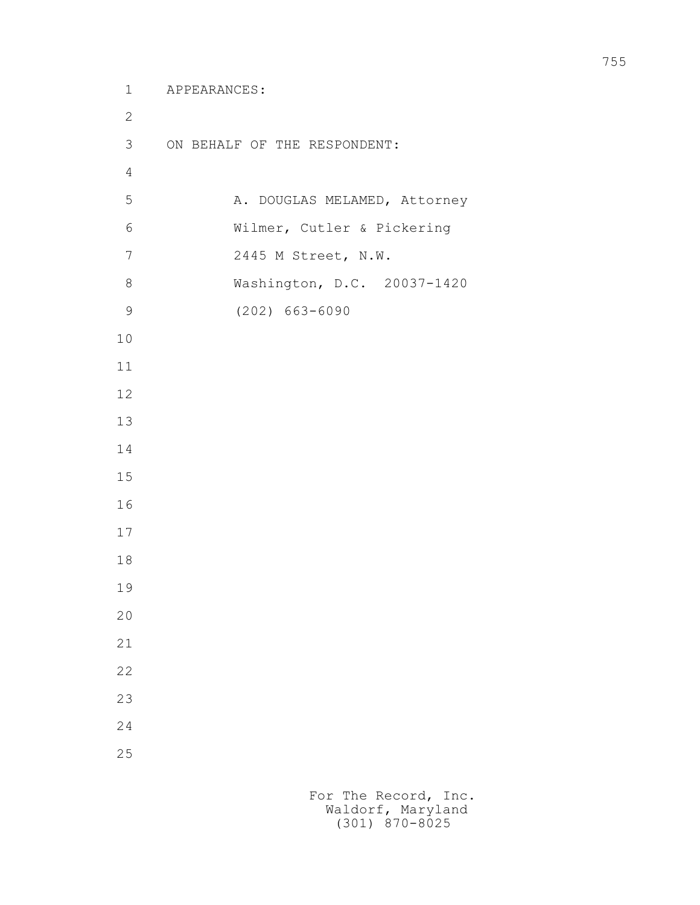```
 1 APPEARANCES:
 2
         3 ON BEHALF OF THE RESPONDENT:
 4
        5 A. DOUGLAS MELAMED, Attorney
         6 Wilmer, Cutler & Pickering
         7 2445 M Street, N.W.
         8 Washington, D.C. 20037-1420
         9 (202) 663-6090
        10
        11
        12
        13
        14
        15
        16
        17
        18
        19
        20
        21
        22
        23
        24
        25
```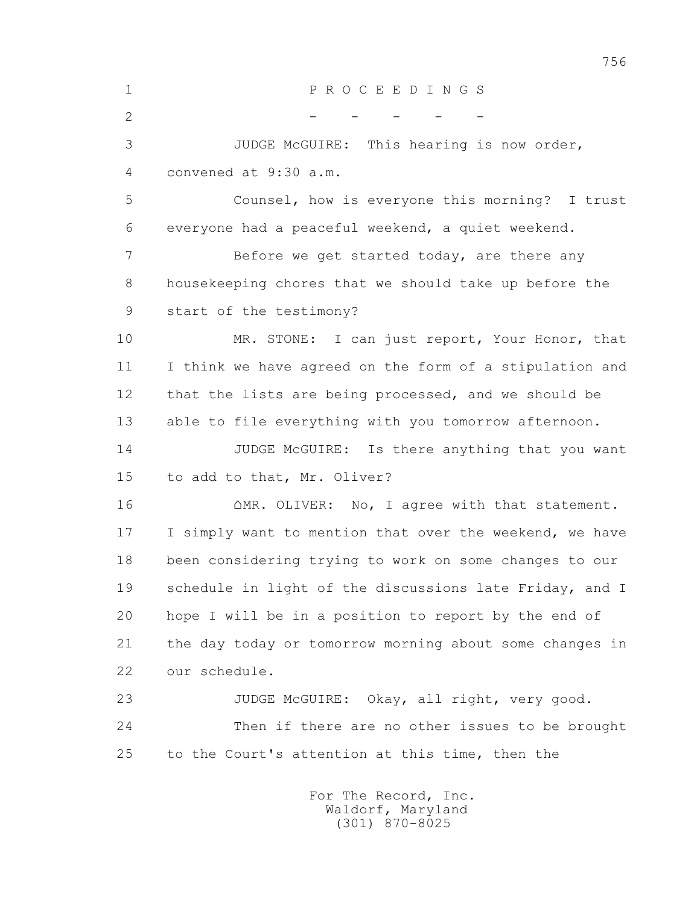1 P R O C E E D I N G S  $2$  - - - - - - - 3 JUDGE McGUIRE: This hearing is now order, 4 convened at 9:30 a.m. 5 Counsel, how is everyone this morning? I trust 6 everyone had a peaceful weekend, a quiet weekend. 7 Before we get started today, are there any 8 housekeeping chores that we should take up before the 9 start of the testimony? 10 MR. STONE: I can just report, Your Honor, that 11 I think we have agreed on the form of a stipulation and 12 that the lists are being processed, and we should be 13 able to file everything with you tomorrow afternoon. 14 JUDGE McGUIRE: Is there anything that you want 15 to add to that, Mr. Oliver?  $16$   $\Omega$ MR. OLIVER: No, I agree with that statement. 17 I simply want to mention that over the weekend, we have 18 been considering trying to work on some changes to our 19 schedule in light of the discussions late Friday, and I 20 hope I will be in a position to report by the end of 21 the day today or tomorrow morning about some changes in 22 our schedule. 23 JUDGE McGUIRE: Okay, all right, very good. 24 Then if there are no other issues to be brought 25 to the Court's attention at this time, then the For The Record, Inc.

 Waldorf, Maryland (301) 870-8025

756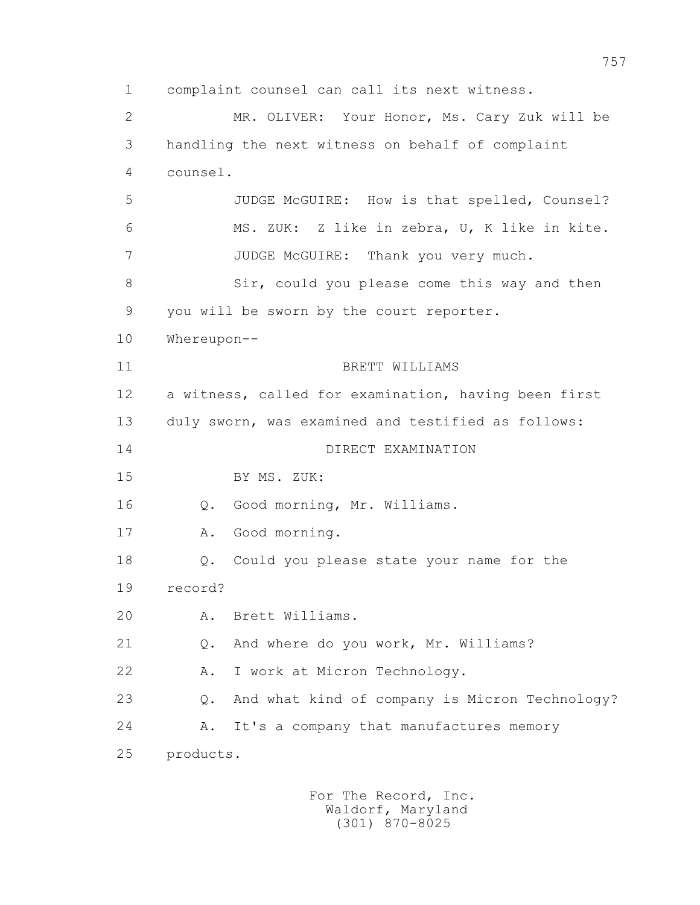1 complaint counsel can call its next witness. 2 MR. OLIVER: Your Honor, Ms. Cary Zuk will be 3 handling the next witness on behalf of complaint 4 counsel. 5 JUDGE McGUIRE: How is that spelled, Counsel? 6 MS. ZUK: Z like in zebra, U, K like in kite. 7 JUDGE McGUIRE: Thank you very much. 8 Sir, could you please come this way and then 9 you will be sworn by the court reporter. 10 Whereupon-- 11 BRETT WILLIAMS 12 a witness, called for examination, having been first 13 duly sworn, was examined and testified as follows: 14 DIRECT EXAMINATION 15 BY MS. ZUK: 16 Q. Good morning, Mr. Williams. 17 A. Good morning. 18 Q. Could you please state your name for the 19 record? 20 A. Brett Williams. 21 Q. And where do you work, Mr. Williams? 22 A. I work at Micron Technology. 23 Q. And what kind of company is Micron Technology? 24 A. It's a company that manufactures memory 25 products.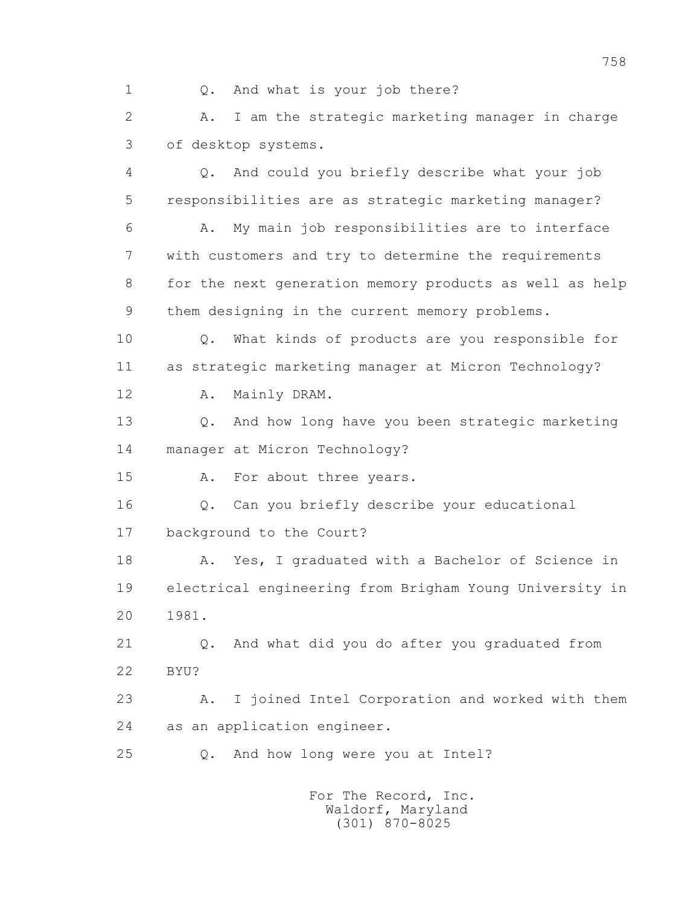1 Q. And what is your job there?

 2 A. I am the strategic marketing manager in charge 3 of desktop systems.

 4 Q. And could you briefly describe what your job 5 responsibilities are as strategic marketing manager?

 6 A. My main job responsibilities are to interface 7 with customers and try to determine the requirements 8 for the next generation memory products as well as help 9 them designing in the current memory problems.

 10 Q. What kinds of products are you responsible for 11 as strategic marketing manager at Micron Technology?

12 A. Mainly DRAM.

 13 Q. And how long have you been strategic marketing 14 manager at Micron Technology?

15 A. For about three years.

 16 Q. Can you briefly describe your educational 17 background to the Court?

 18 A. Yes, I graduated with a Bachelor of Science in 19 electrical engineering from Brigham Young University in 20 1981.

 21 Q. And what did you do after you graduated from 22 BYU?

 23 A. I joined Intel Corporation and worked with them 24 as an application engineer.

25 Q. And how long were you at Intel?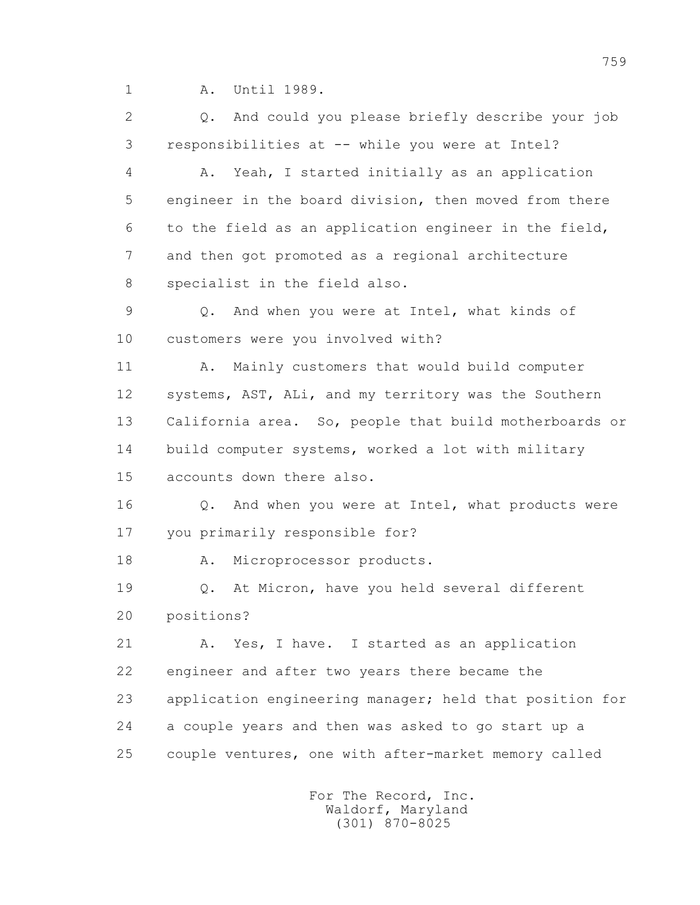1 A. Until 1989.

 2 Q. And could you please briefly describe your job 3 responsibilities at -- while you were at Intel?

 4 A. Yeah, I started initially as an application 5 engineer in the board division, then moved from there 6 to the field as an application engineer in the field, 7 and then got promoted as a regional architecture 8 specialist in the field also.

 9 Q. And when you were at Intel, what kinds of 10 customers were you involved with?

11 A. Mainly customers that would build computer 12 systems, AST, ALi, and my territory was the Southern 13 California area. So, people that build motherboards or 14 build computer systems, worked a lot with military 15 accounts down there also.

 16 Q. And when you were at Intel, what products were 17 you primarily responsible for?

18 A. Microprocessor products.

 19 Q. At Micron, have you held several different 20 positions?

21 A. Yes, I have. I started as an application 22 engineer and after two years there became the 23 application engineering manager; held that position for 24 a couple years and then was asked to go start up a 25 couple ventures, one with after-market memory called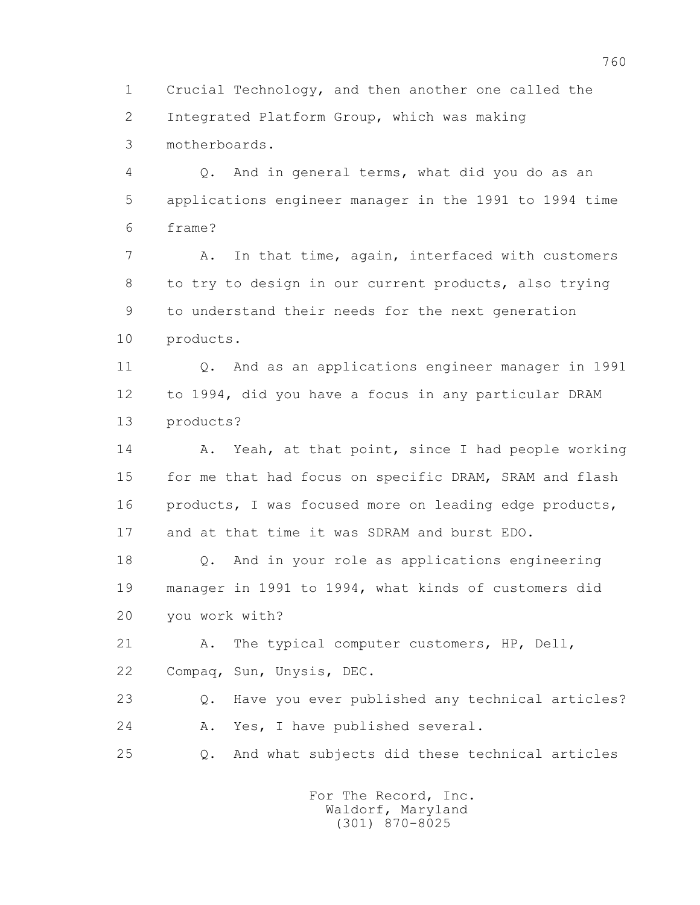1 Crucial Technology, and then another one called the 2 Integrated Platform Group, which was making 3 motherboards.

 4 Q. And in general terms, what did you do as an 5 applications engineer manager in the 1991 to 1994 time 6 frame?

 7 A. In that time, again, interfaced with customers 8 to try to design in our current products, also trying 9 to understand their needs for the next generation 10 products.

 11 Q. And as an applications engineer manager in 1991 12 to 1994, did you have a focus in any particular DRAM 13 products?

14 A. Yeah, at that point, since I had people working 15 for me that had focus on specific DRAM, SRAM and flash 16 products, I was focused more on leading edge products, 17 and at that time it was SDRAM and burst EDO.

 18 Q. And in your role as applications engineering 19 manager in 1991 to 1994, what kinds of customers did 20 you work with?

 21 A. The typical computer customers, HP, Dell, 22 Compaq, Sun, Unysis, DEC.

 23 Q. Have you ever published any technical articles? 24 A. Yes, I have published several.

25 Q. And what subjects did these technical articles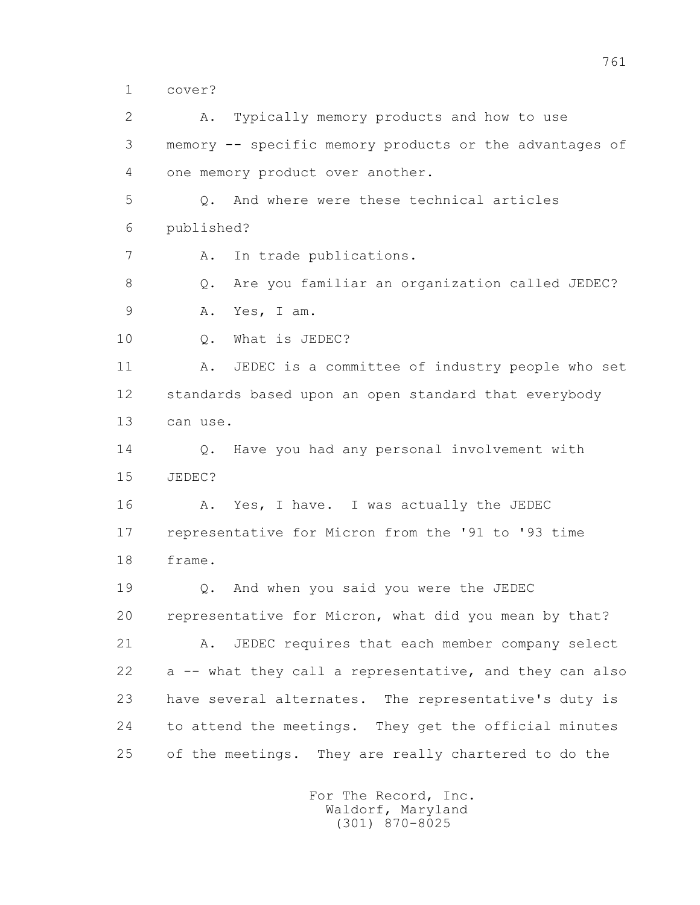1 cover?

 2 A. Typically memory products and how to use 3 memory -- specific memory products or the advantages of 4 one memory product over another. 5 Q. And where were these technical articles 6 published? 7 A. In trade publications. 8 Q. Are you familiar an organization called JEDEC? 9 A. Yes, I am. 10 Q. What is JEDEC? 11 A. JEDEC is a committee of industry people who set 12 standards based upon an open standard that everybody 13 can use. 14 Q. Have you had any personal involvement with 15 JEDEC? 16 A. Yes, I have. I was actually the JEDEC 17 representative for Micron from the '91 to '93 time 18 frame. 19 Q. And when you said you were the JEDEC 20 representative for Micron, what did you mean by that? 21 A. JEDEC requires that each member company select 22 a -- what they call a representative, and they can also 23 have several alternates. The representative's duty is 24 to attend the meetings. They get the official minutes 25 of the meetings. They are really chartered to do the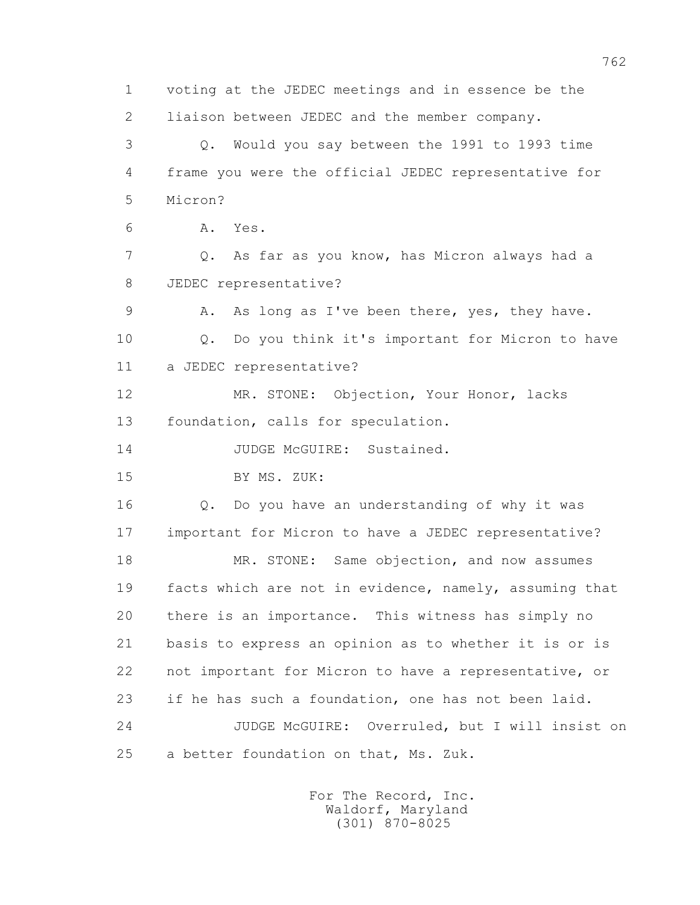1 voting at the JEDEC meetings and in essence be the 2 liaison between JEDEC and the member company. 3 Q. Would you say between the 1991 to 1993 time 4 frame you were the official JEDEC representative for 5 Micron? 6 A. Yes. 7 Q. As far as you know, has Micron always had a 8 JEDEC representative? 9 A. As long as I've been there, yes, they have. 10 Q. Do you think it's important for Micron to have 11 a JEDEC representative? 12 MR. STONE: Objection, Your Honor, lacks 13 foundation, calls for speculation. 14 JUDGE McGUIRE: Sustained. 15 BY MS. ZUK: 16 Q. Do you have an understanding of why it was 17 important for Micron to have a JEDEC representative? 18 MR. STONE: Same objection, and now assumes 19 facts which are not in evidence, namely, assuming that 20 there is an importance. This witness has simply no 21 basis to express an opinion as to whether it is or is 22 not important for Micron to have a representative, or 23 if he has such a foundation, one has not been laid. 24 JUDGE McGUIRE: Overruled, but I will insist on 25 a better foundation on that, Ms. Zuk.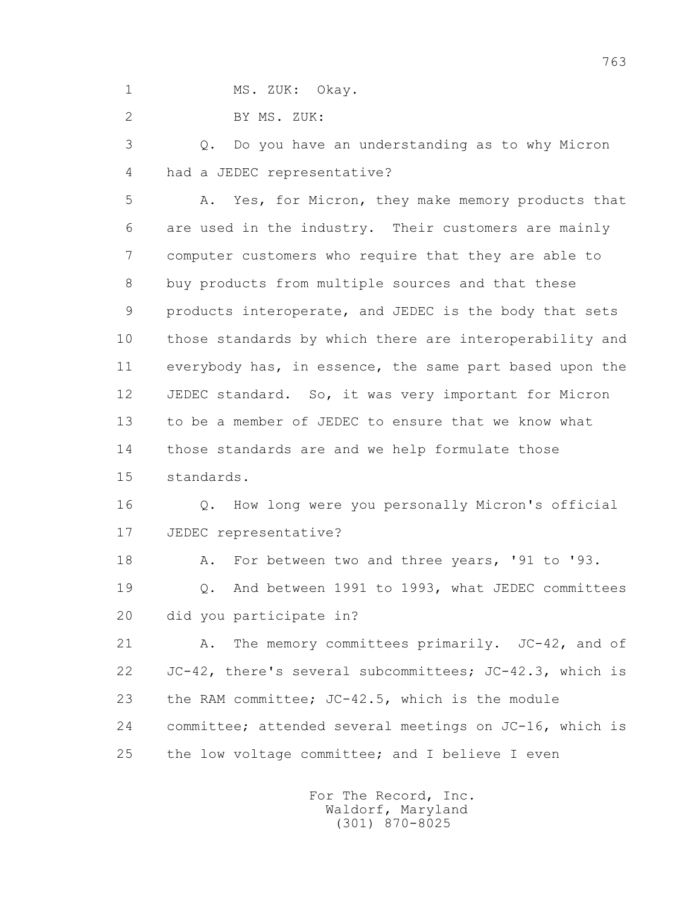1 MS. ZUK: Okay.

2 BY MS. ZUK:

 3 Q. Do you have an understanding as to why Micron 4 had a JEDEC representative?

 5 A. Yes, for Micron, they make memory products that 6 are used in the industry. Their customers are mainly 7 computer customers who require that they are able to 8 buy products from multiple sources and that these 9 products interoperate, and JEDEC is the body that sets 10 those standards by which there are interoperability and 11 everybody has, in essence, the same part based upon the 12 JEDEC standard. So, it was very important for Micron 13 to be a member of JEDEC to ensure that we know what 14 those standards are and we help formulate those 15 standards.

 16 Q. How long were you personally Micron's official 17 JEDEC representative?

18 A. For between two and three years, '91 to '93.

 19 Q. And between 1991 to 1993, what JEDEC committees 20 did you participate in?

 21 A. The memory committees primarily. JC-42, and of 22 JC-42, there's several subcommittees; JC-42.3, which is 23 the RAM committee; JC-42.5, which is the module 24 committee; attended several meetings on JC-16, which is 25 the low voltage committee; and I believe I even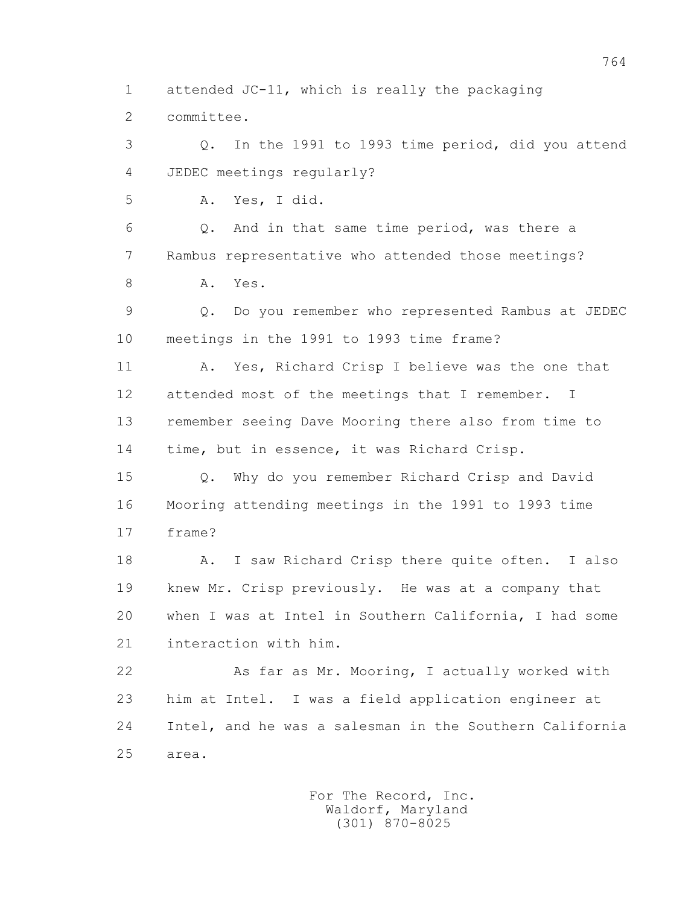1 attended JC-11, which is really the packaging

2 committee.

 3 Q. In the 1991 to 1993 time period, did you attend 4 JEDEC meetings regularly? 5 A. Yes, I did. 6 Q. And in that same time period, was there a 7 Rambus representative who attended those meetings? 8 A. Yes. 9 Q. Do you remember who represented Rambus at JEDEC 10 meetings in the 1991 to 1993 time frame? 11 A. Yes, Richard Crisp I believe was the one that 12 attended most of the meetings that I remember. I 13 remember seeing Dave Mooring there also from time to 14 time, but in essence, it was Richard Crisp. 15 Q. Why do you remember Richard Crisp and David 16 Mooring attending meetings in the 1991 to 1993 time 17 frame? 18 A. I saw Richard Crisp there quite often. I also 19 knew Mr. Crisp previously. He was at a company that 20 when I was at Intel in Southern California, I had some 21 interaction with him. 22 As far as Mr. Mooring, I actually worked with 23 him at Intel. I was a field application engineer at 24 Intel, and he was a salesman in the Southern California

25 area.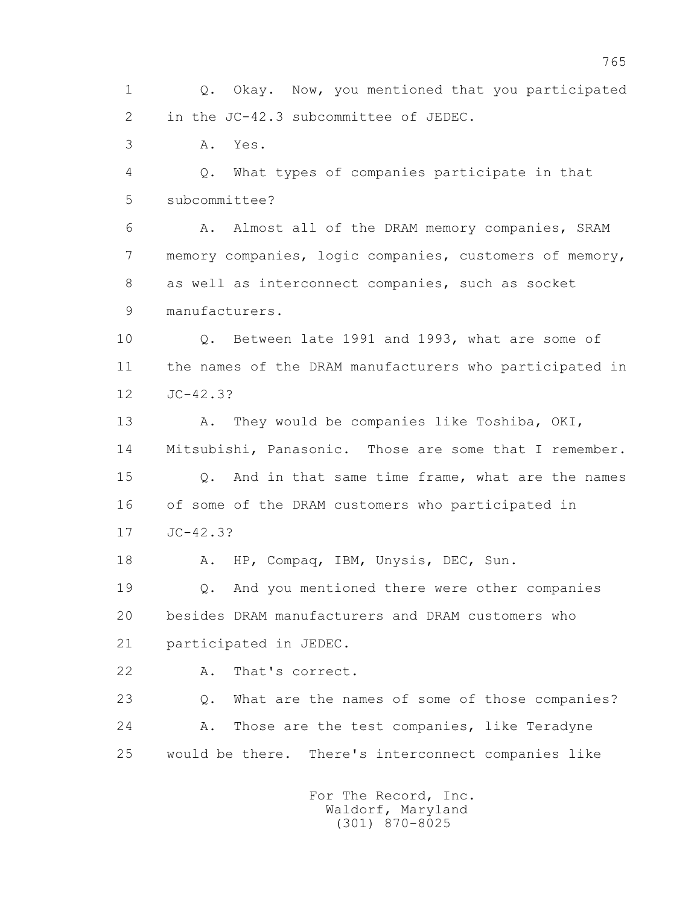1 Q. Okay. Now, you mentioned that you participated 2 in the JC-42.3 subcommittee of JEDEC.

3 A. Yes.

 4 Q. What types of companies participate in that 5 subcommittee?

 6 A. Almost all of the DRAM memory companies, SRAM 7 memory companies, logic companies, customers of memory, 8 as well as interconnect companies, such as socket 9 manufacturers.

 10 Q. Between late 1991 and 1993, what are some of 11 the names of the DRAM manufacturers who participated in 12 JC-42.3?

13 A. They would be companies like Toshiba, OKI, 14 Mitsubishi, Panasonic. Those are some that I remember. 15 Q. And in that same time frame, what are the names 16 of some of the DRAM customers who participated in 17 JC-42.3?

18 A. HP, Compaq, IBM, Unysis, DEC, Sun.

 19 Q. And you mentioned there were other companies 20 besides DRAM manufacturers and DRAM customers who 21 participated in JEDEC.

22 A. That's correct.

 23 Q. What are the names of some of those companies? 24 A. Those are the test companies, like Teradyne 25 would be there. There's interconnect companies like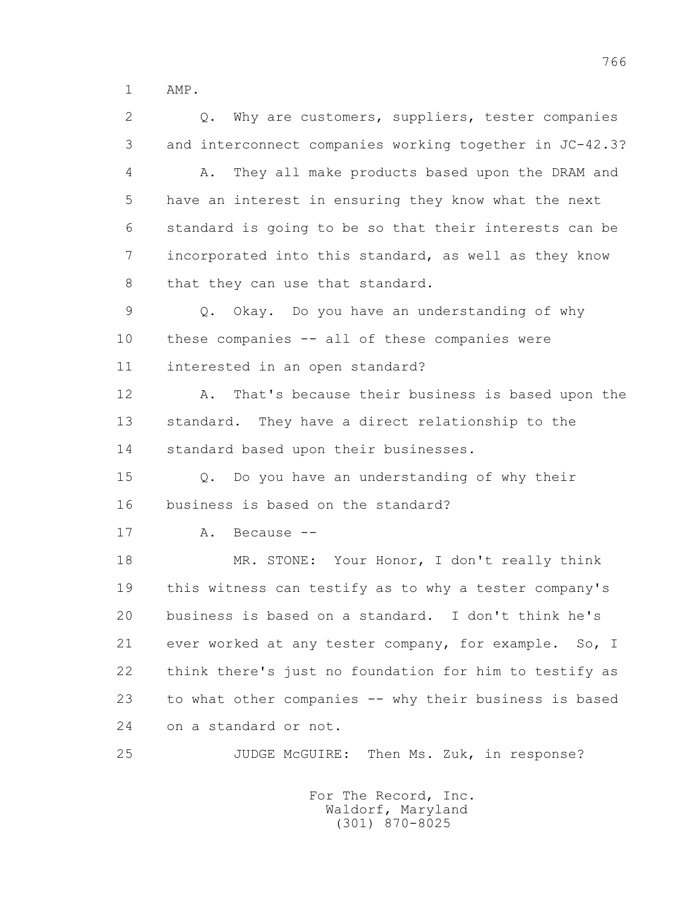1 AMP.

2 0. Why are customers, suppliers, tester companies 3 and interconnect companies working together in JC-42.3? 4 A. They all make products based upon the DRAM and 5 have an interest in ensuring they know what the next 6 standard is going to be so that their interests can be 7 incorporated into this standard, as well as they know 8 that they can use that standard. 9 Q. Okay. Do you have an understanding of why 10 these companies -- all of these companies were 11 interested in an open standard? 12 A. That's because their business is based upon the 13 standard. They have a direct relationship to the 14 standard based upon their businesses. 15 Q. Do you have an understanding of why their 16 business is based on the standard? 17 A. Because -- 18 MR. STONE: Your Honor, I don't really think 19 this witness can testify as to why a tester company's 20 business is based on a standard. I don't think he's 21 ever worked at any tester company, for example. So, I 22 think there's just no foundation for him to testify as 23 to what other companies -- why their business is based 24 on a standard or not. 25 JUDGE McGUIRE: Then Ms. Zuk, in response?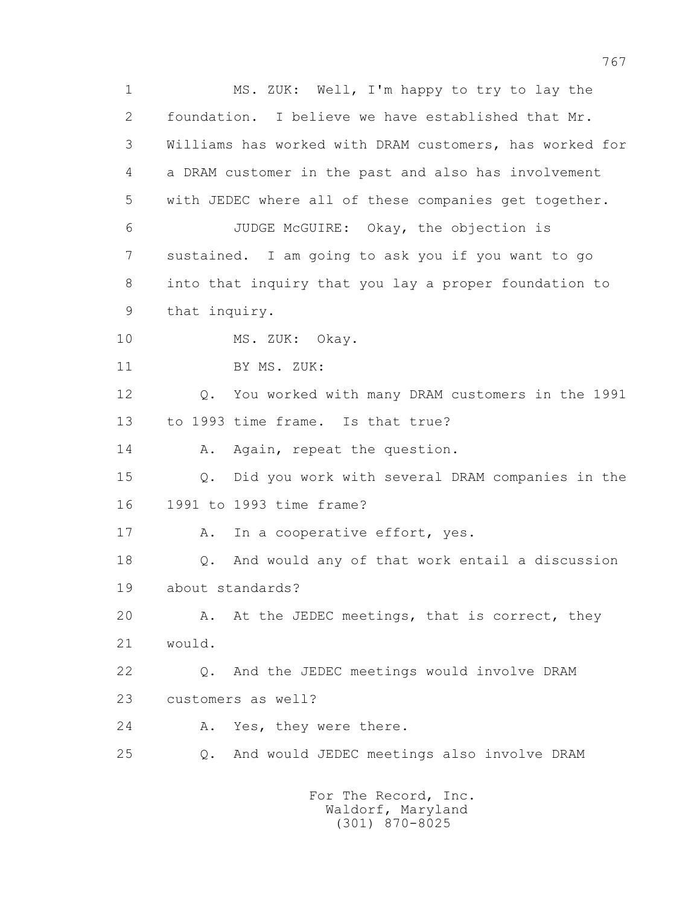1 MS. ZUK: Well, I'm happy to try to lay the 2 foundation. I believe we have established that Mr. 3 Williams has worked with DRAM customers, has worked for 4 a DRAM customer in the past and also has involvement 5 with JEDEC where all of these companies get together. 6 JUDGE McGUIRE: Okay, the objection is 7 sustained. I am going to ask you if you want to go 8 into that inquiry that you lay a proper foundation to 9 that inquiry. 10 MS. ZUK: Okay. 11 BY MS. ZUK: 12 Q. You worked with many DRAM customers in the 1991 13 to 1993 time frame. Is that true? 14 A. Again, repeat the question. 15 Q. Did you work with several DRAM companies in the 16 1991 to 1993 time frame? 17 A. In a cooperative effort, yes. 18 Q. And would any of that work entail a discussion 19 about standards? 20 A. At the JEDEC meetings, that is correct, they 21 would. 22 Q. And the JEDEC meetings would involve DRAM 23 customers as well? 24 A. Yes, they were there. 25 Q. And would JEDEC meetings also involve DRAM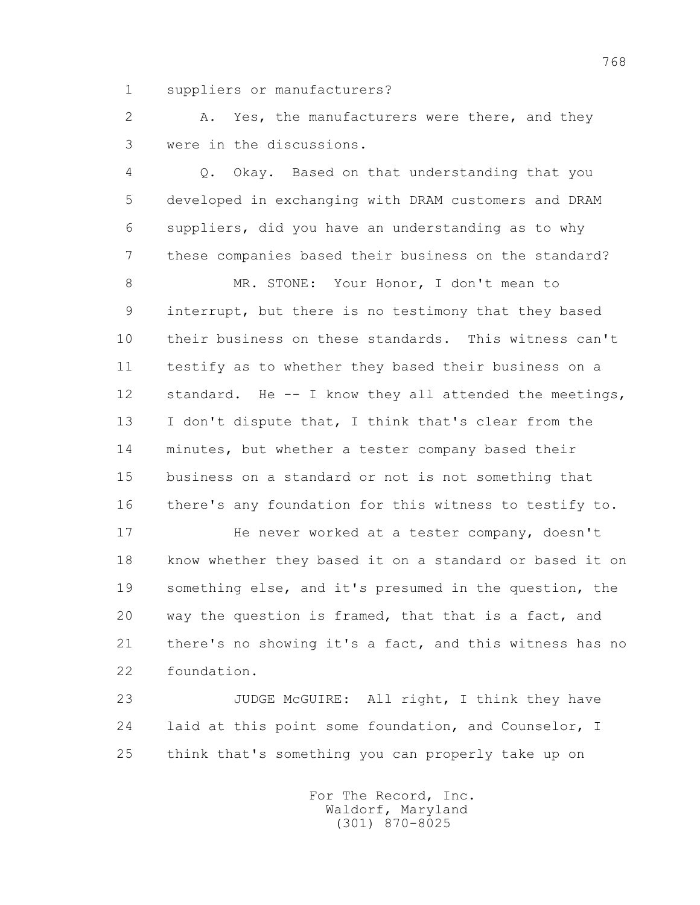1 suppliers or manufacturers?

2 A. Yes, the manufacturers were there, and they 3 were in the discussions.

 4 Q. Okay. Based on that understanding that you 5 developed in exchanging with DRAM customers and DRAM 6 suppliers, did you have an understanding as to why 7 these companies based their business on the standard?

 8 MR. STONE: Your Honor, I don't mean to 9 interrupt, but there is no testimony that they based 10 their business on these standards. This witness can't 11 testify as to whether they based their business on a 12 standard. He -- I know they all attended the meetings, 13 I don't dispute that, I think that's clear from the 14 minutes, but whether a tester company based their 15 business on a standard or not is not something that 16 there's any foundation for this witness to testify to.

17 He never worked at a tester company, doesn't 18 know whether they based it on a standard or based it on 19 something else, and it's presumed in the question, the 20 way the question is framed, that that is a fact, and 21 there's no showing it's a fact, and this witness has no 22 foundation.

 23 JUDGE McGUIRE: All right, I think they have 24 laid at this point some foundation, and Counselor, I 25 think that's something you can properly take up on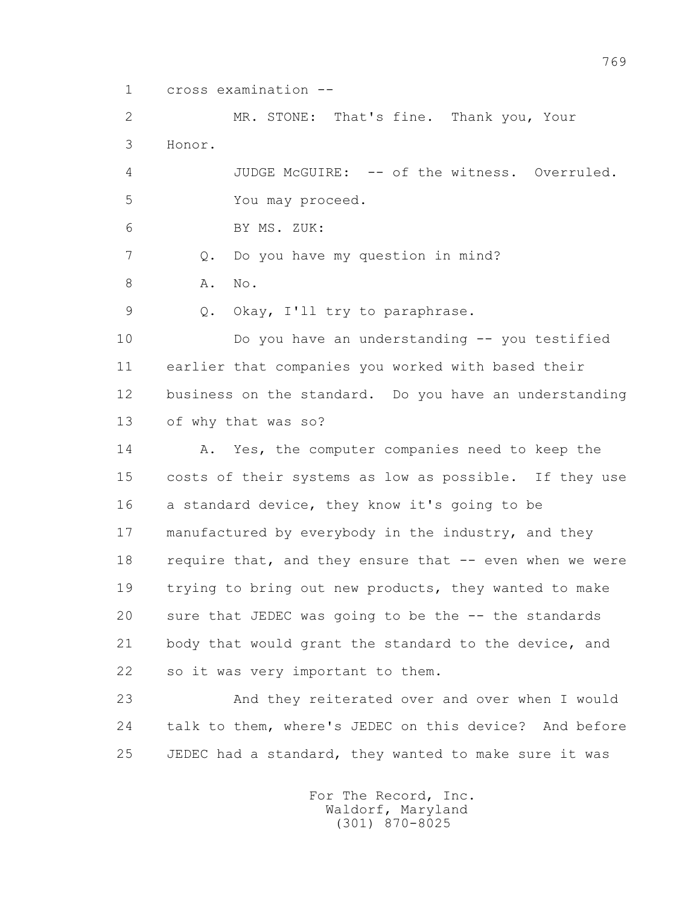1 cross examination --

 2 MR. STONE: That's fine. Thank you, Your 3 Honor. 4 JUDGE McGUIRE: -- of the witness. Overruled. 5 You may proceed.

6 BY MS. ZUK:

7 Q. Do you have my question in mind?

8 **A.** No.

9 Q. Okay, I'll try to paraphrase.

 10 Do you have an understanding -- you testified 11 earlier that companies you worked with based their 12 business on the standard. Do you have an understanding 13 of why that was so?

14 A. Yes, the computer companies need to keep the 15 costs of their systems as low as possible. If they use 16 a standard device, they know it's going to be 17 manufactured by everybody in the industry, and they 18 require that, and they ensure that -- even when we were 19 trying to bring out new products, they wanted to make 20 sure that JEDEC was going to be the -- the standards 21 body that would grant the standard to the device, and 22 so it was very important to them.

 23 And they reiterated over and over when I would 24 talk to them, where's JEDEC on this device? And before 25 JEDEC had a standard, they wanted to make sure it was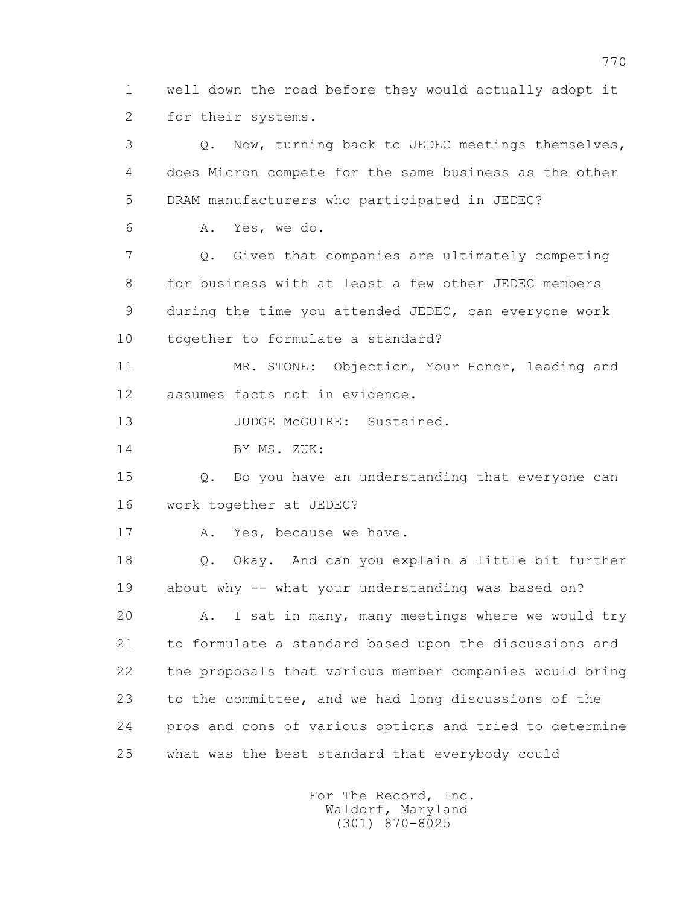1 well down the road before they would actually adopt it 2 for their systems.

 3 Q. Now, turning back to JEDEC meetings themselves, 4 does Micron compete for the same business as the other 5 DRAM manufacturers who participated in JEDEC? 6 A. Yes, we do. 7 Q. Given that companies are ultimately competing 8 for business with at least a few other JEDEC members 9 during the time you attended JEDEC, can everyone work 10 together to formulate a standard? 11 MR. STONE: Objection, Your Honor, leading and 12 assumes facts not in evidence. 13 JUDGE McGUIRE: Sustained. 14 BY MS. ZUK: 15 Q. Do you have an understanding that everyone can 16 work together at JEDEC? 17 A. Yes, because we have. 18 Q. Okay. And can you explain a little bit further 19 about why -- what your understanding was based on? 20 A. I sat in many, many meetings where we would try 21 to formulate a standard based upon the discussions and 22 the proposals that various member companies would bring 23 to the committee, and we had long discussions of the 24 pros and cons of various options and tried to determine 25 what was the best standard that everybody could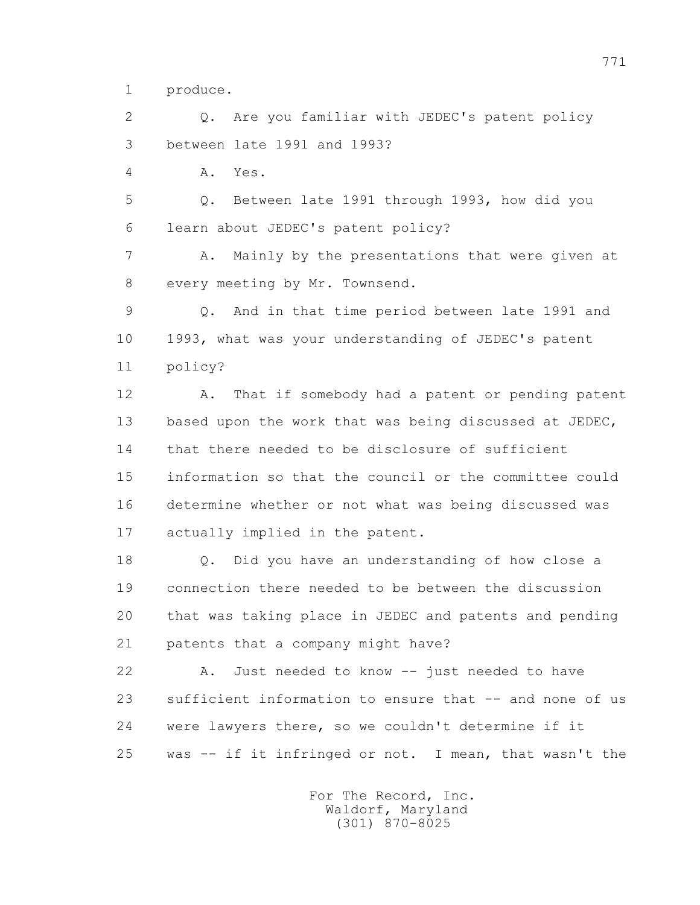1 produce.

 2 Q. Are you familiar with JEDEC's patent policy 3 between late 1991 and 1993?

4 A. Yes.

 5 Q. Between late 1991 through 1993, how did you 6 learn about JEDEC's patent policy?

 7 A. Mainly by the presentations that were given at 8 every meeting by Mr. Townsend.

 9 Q. And in that time period between late 1991 and 10 1993, what was your understanding of JEDEC's patent 11 policy?

 12 A. That if somebody had a patent or pending patent 13 based upon the work that was being discussed at JEDEC, 14 that there needed to be disclosure of sufficient 15 information so that the council or the committee could 16 determine whether or not what was being discussed was 17 actually implied in the patent.

 18 Q. Did you have an understanding of how close a 19 connection there needed to be between the discussion 20 that was taking place in JEDEC and patents and pending 21 patents that a company might have?

 22 A. Just needed to know -- just needed to have 23 sufficient information to ensure that -- and none of us 24 were lawyers there, so we couldn't determine if it 25 was -- if it infringed or not. I mean, that wasn't the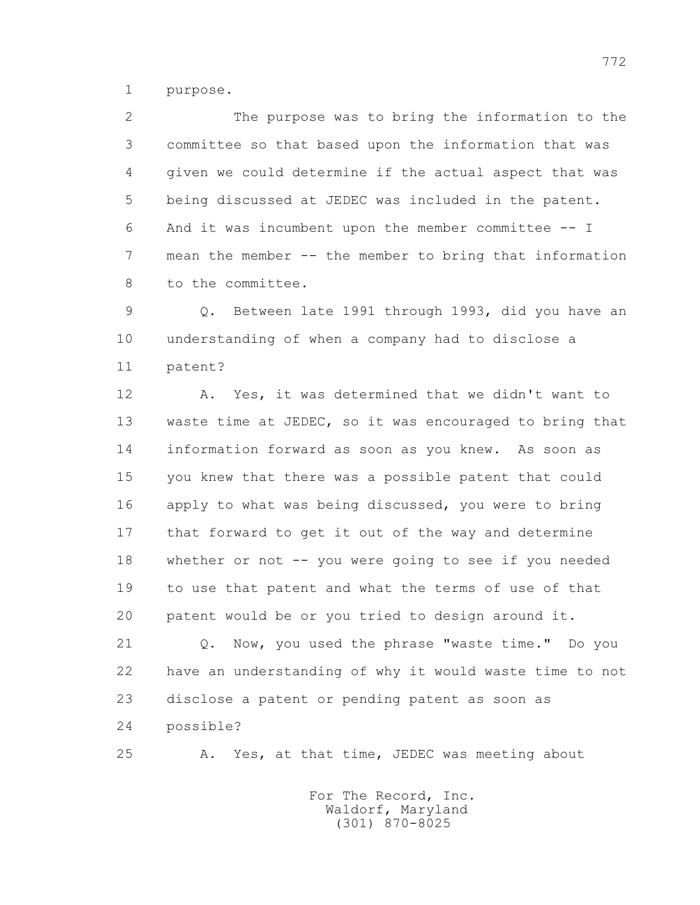1 purpose.

 2 The purpose was to bring the information to the 3 committee so that based upon the information that was 4 given we could determine if the actual aspect that was 5 being discussed at JEDEC was included in the patent. 6 And it was incumbent upon the member committee -- I 7 mean the member -- the member to bring that information 8 to the committee.

 9 Q. Between late 1991 through 1993, did you have an 10 understanding of when a company had to disclose a 11 patent?

 12 A. Yes, it was determined that we didn't want to 13 waste time at JEDEC, so it was encouraged to bring that 14 information forward as soon as you knew. As soon as 15 you knew that there was a possible patent that could 16 apply to what was being discussed, you were to bring 17 that forward to get it out of the way and determine 18 whether or not -- you were going to see if you needed 19 to use that patent and what the terms of use of that 20 patent would be or you tried to design around it.

 21 Q. Now, you used the phrase "waste time." Do you 22 have an understanding of why it would waste time to not 23 disclose a patent or pending patent as soon as 24 possible?

25 A. Yes, at that time, JEDEC was meeting about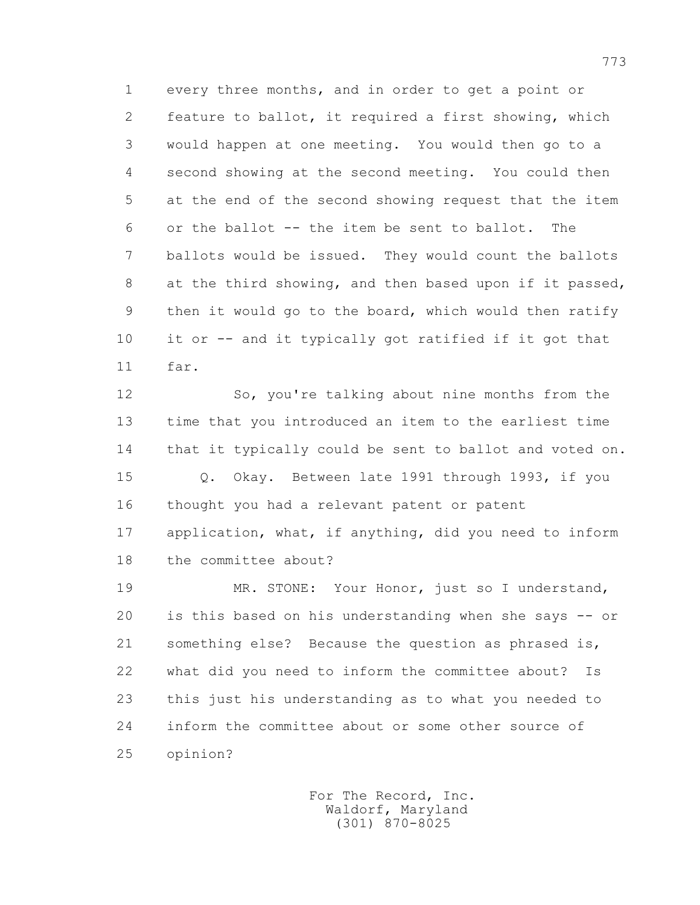1 every three months, and in order to get a point or 2 feature to ballot, it required a first showing, which 3 would happen at one meeting. You would then go to a 4 second showing at the second meeting. You could then 5 at the end of the second showing request that the item 6 or the ballot -- the item be sent to ballot. The 7 ballots would be issued. They would count the ballots 8 at the third showing, and then based upon if it passed, 9 then it would go to the board, which would then ratify 10 it or -- and it typically got ratified if it got that 11 far.

 12 So, you're talking about nine months from the 13 time that you introduced an item to the earliest time 14 that it typically could be sent to ballot and voted on. 15 Q. Okay. Between late 1991 through 1993, if you 16 thought you had a relevant patent or patent 17 application, what, if anything, did you need to inform 18 the committee about?

 19 MR. STONE: Your Honor, just so I understand, 20 is this based on his understanding when she says -- or 21 something else? Because the question as phrased is, 22 what did you need to inform the committee about? Is 23 this just his understanding as to what you needed to 24 inform the committee about or some other source of 25 opinion?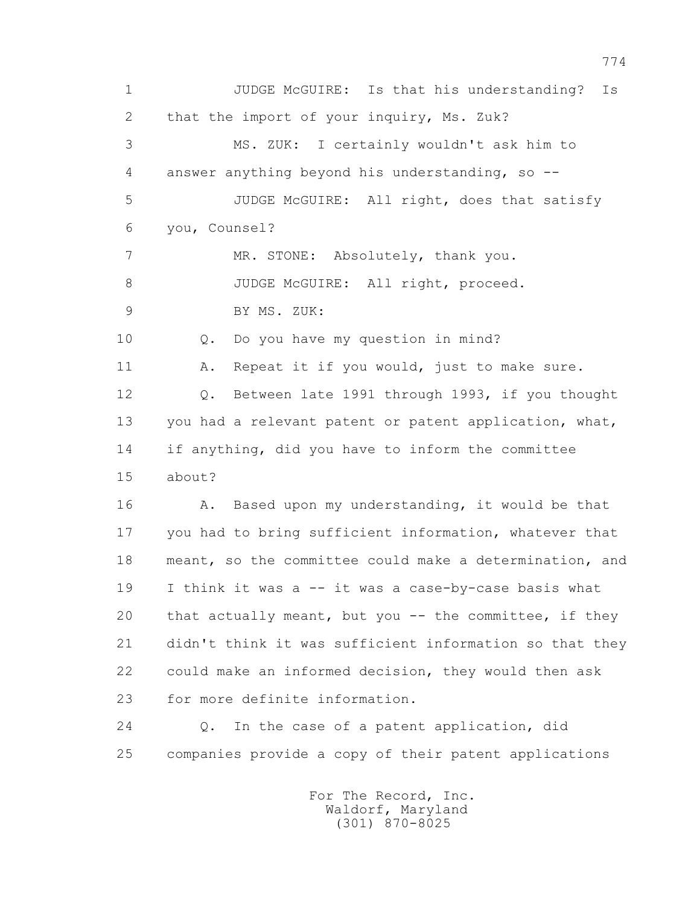1 JUDGE McGUIRE: Is that his understanding? Is 2 that the import of your inquiry, Ms. Zuk? 3 MS. ZUK: I certainly wouldn't ask him to 4 answer anything beyond his understanding, so -- 5 JUDGE McGUIRE: All right, does that satisfy 6 you, Counsel? 7 MR. STONE: Absolutely, thank you. 8 JUDGE McGUIRE: All right, proceed. 9 BY MS. ZUK: 10 Q. Do you have my question in mind? 11 A. Repeat it if you would, just to make sure. 12 Q. Between late 1991 through 1993, if you thought 13 you had a relevant patent or patent application, what, 14 if anything, did you have to inform the committee 15 about? 16 A. Based upon my understanding, it would be that 17 you had to bring sufficient information, whatever that 18 meant, so the committee could make a determination, and 19 I think it was a -- it was a case-by-case basis what 20 that actually meant, but you -- the committee, if they 21 didn't think it was sufficient information so that they 22 could make an informed decision, they would then ask 23 for more definite information. 24 Q. In the case of a patent application, did 25 companies provide a copy of their patent applications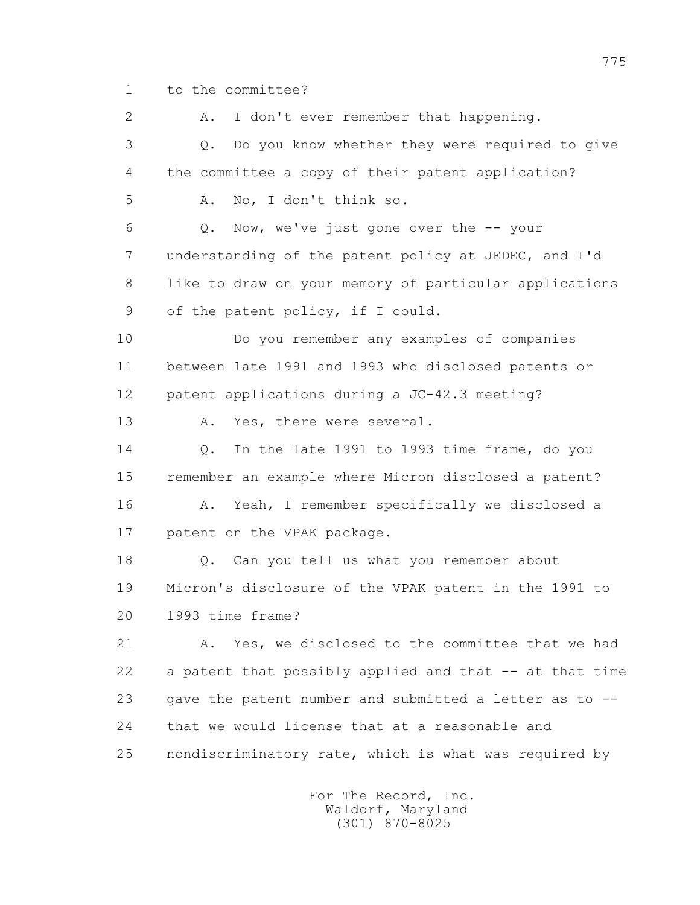1 to the committee?

2 A. I don't ever remember that happening. 3 Q. Do you know whether they were required to give 4 the committee a copy of their patent application? 5 A. No, I don't think so. 6 Q. Now, we've just gone over the -- your 7 understanding of the patent policy at JEDEC, and I'd 8 like to draw on your memory of particular applications 9 of the patent policy, if I could. 10 Do you remember any examples of companies 11 between late 1991 and 1993 who disclosed patents or 12 patent applications during a JC-42.3 meeting? 13 A. Yes, there were several. 14 Q. In the late 1991 to 1993 time frame, do you 15 remember an example where Micron disclosed a patent? 16 A. Yeah, I remember specifically we disclosed a 17 patent on the VPAK package. 18 Q. Can you tell us what you remember about 19 Micron's disclosure of the VPAK patent in the 1991 to 20 1993 time frame? 21 A. Yes, we disclosed to the committee that we had 22 a patent that possibly applied and that -- at that time 23 gave the patent number and submitted a letter as to -- 24 that we would license that at a reasonable and 25 nondiscriminatory rate, which is what was required by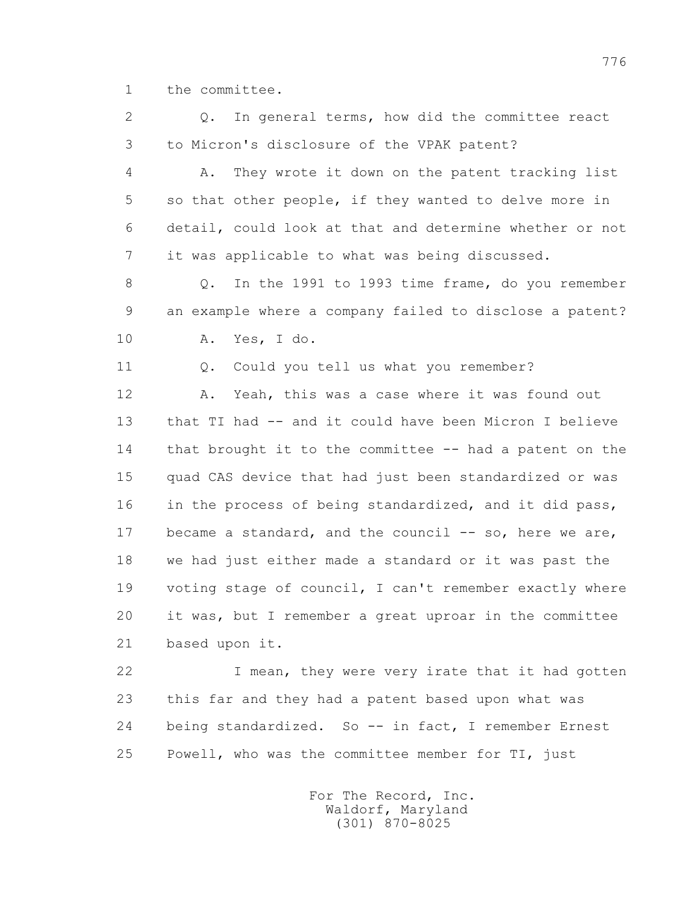1 the committee.

 2 Q. In general terms, how did the committee react 3 to Micron's disclosure of the VPAK patent?

 4 A. They wrote it down on the patent tracking list 5 so that other people, if they wanted to delve more in 6 detail, could look at that and determine whether or not 7 it was applicable to what was being discussed.

 8 Q. In the 1991 to 1993 time frame, do you remember 9 an example where a company failed to disclose a patent? 10 A. Yes, I do.

11 0. Could you tell us what you remember?

 12 A. Yeah, this was a case where it was found out 13 that TI had -- and it could have been Micron I believe 14 that brought it to the committee -- had a patent on the 15 quad CAS device that had just been standardized or was 16 in the process of being standardized, and it did pass, 17 became a standard, and the council -- so, here we are, 18 we had just either made a standard or it was past the 19 voting stage of council, I can't remember exactly where 20 it was, but I remember a great uproar in the committee 21 based upon it.

 22 I mean, they were very irate that it had gotten 23 this far and they had a patent based upon what was 24 being standardized. So -- in fact, I remember Ernest 25 Powell, who was the committee member for TI, just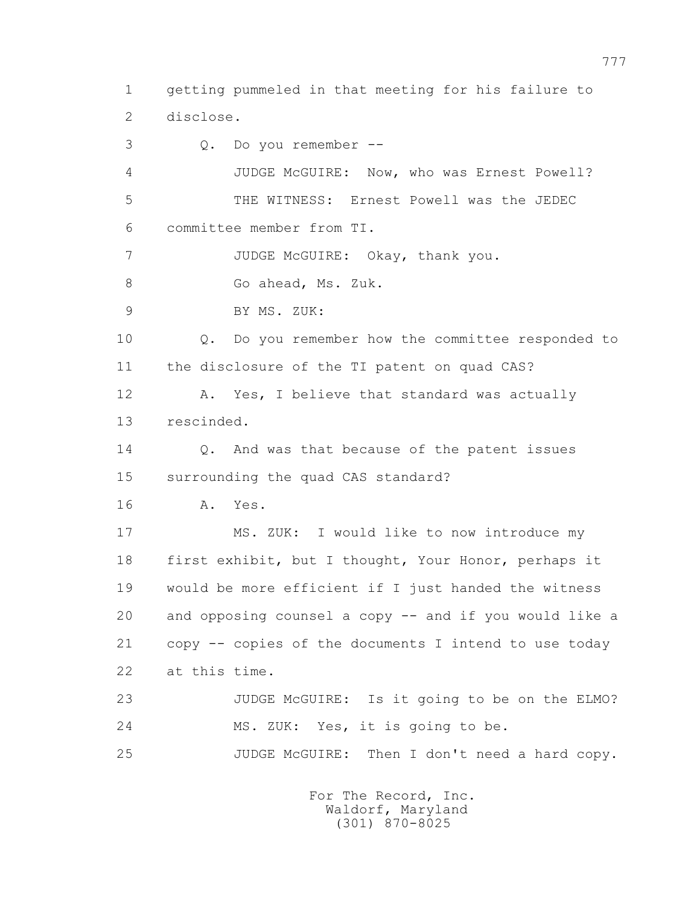1 getting pummeled in that meeting for his failure to 2 disclose.

 3 Q. Do you remember -- 4 JUDGE McGUIRE: Now, who was Ernest Powell? 5 THE WITNESS: Ernest Powell was the JEDEC 6 committee member from TI. 7 JUDGE McGUIRE: Okay, thank you. 8 Go ahead, Ms. Zuk. 9 BY MS. ZUK: 10 Q. Do you remember how the committee responded to 11 the disclosure of the TI patent on quad CAS? 12 A. Yes, I believe that standard was actually 13 rescinded. 14 0. And was that because of the patent issues 15 surrounding the quad CAS standard? 16 A. Yes. 17 MS. ZUK: I would like to now introduce my 18 first exhibit, but I thought, Your Honor, perhaps it 19 would be more efficient if I just handed the witness 20 and opposing counsel a copy -- and if you would like a 21 copy -- copies of the documents I intend to use today 22 at this time. 23 JUDGE McGUIRE: Is it going to be on the ELMO? 24 MS. ZUK: Yes, it is going to be. 25 JUDGE McGUIRE: Then I don't need a hard copy.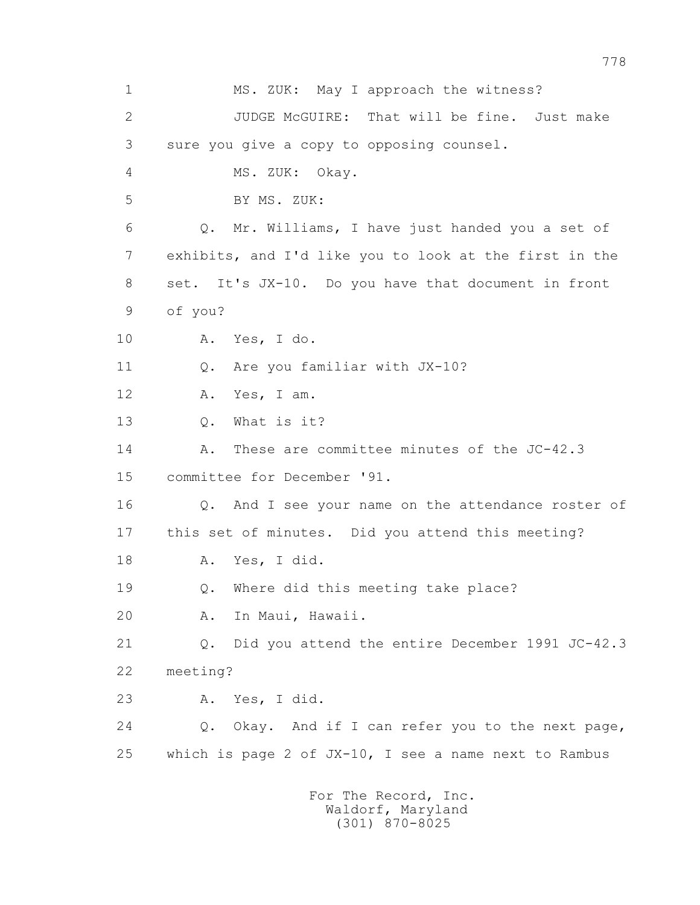1 MS. ZUK: May I approach the witness? 2 JUDGE McGUIRE: That will be fine. Just make 3 sure you give a copy to opposing counsel. 4 MS. ZUK: Okay. 5 BY MS. ZUK: 6 Q. Mr. Williams, I have just handed you a set of 7 exhibits, and I'd like you to look at the first in the 8 set. It's JX-10. Do you have that document in front 9 of you? 10 A. Yes, I do. 11 O. Are you familiar with JX-10? 12 A. Yes, I am. 13 Q. What is it? 14 A. These are committee minutes of the JC-42.3 15 committee for December '91. 16 Q. And I see your name on the attendance roster of 17 this set of minutes. Did you attend this meeting? 18 A. Yes, I did. 19 Q. Where did this meeting take place? 20 A. In Maui, Hawaii. 21 Q. Did you attend the entire December 1991 JC-42.3 22 meeting? 23 A. Yes, I did. 24 Q. Okay. And if I can refer you to the next page, 25 which is page 2 of JX-10, I see a name next to Rambus For The Record, Inc. Waldorf, Maryland

(301) 870-8025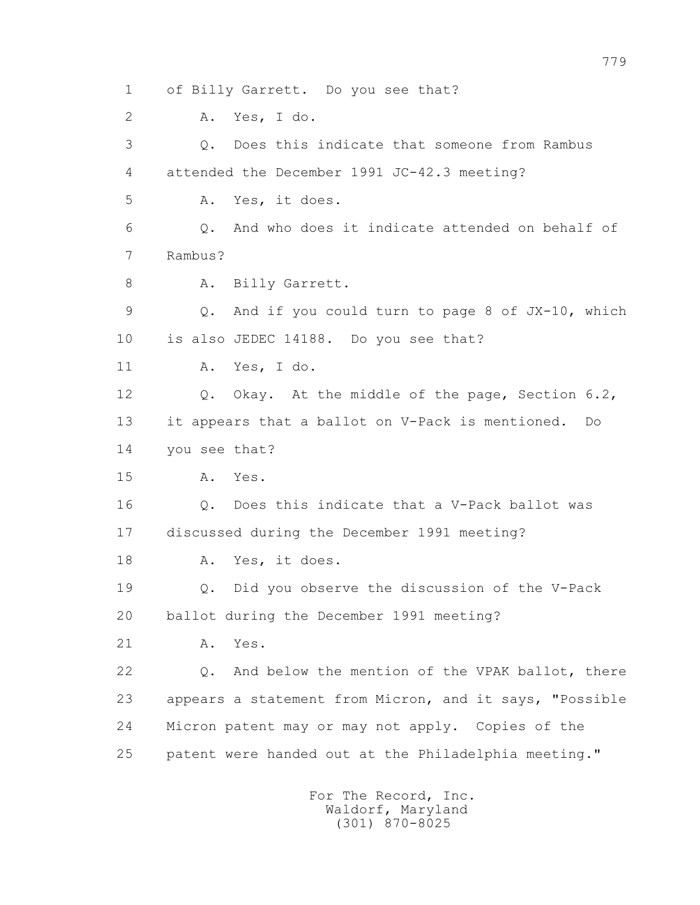1 of Billy Garrett. Do you see that? 2 A. Yes, I do. 3 Q. Does this indicate that someone from Rambus 4 attended the December 1991 JC-42.3 meeting? 5 A. Yes, it does. 6 Q. And who does it indicate attended on behalf of 7 Rambus? 8 A. Billy Garrett. 9 Q. And if you could turn to page 8 of JX-10, which 10 is also JEDEC 14188. Do you see that? 11 A. Yes, I do. 12 Q. Okay. At the middle of the page, Section 6.2, 13 it appears that a ballot on V-Pack is mentioned. Do 14 you see that? 15 A. Yes. 16 Q. Does this indicate that a V-Pack ballot was 17 discussed during the December 1991 meeting? 18 A. Yes, it does. 19 Q. Did you observe the discussion of the V-Pack 20 ballot during the December 1991 meeting? 21 A. Yes. 22 Q. And below the mention of the VPAK ballot, there 23 appears a statement from Micron, and it says, "Possible 24 Micron patent may or may not apply. Copies of the 25 patent were handed out at the Philadelphia meeting."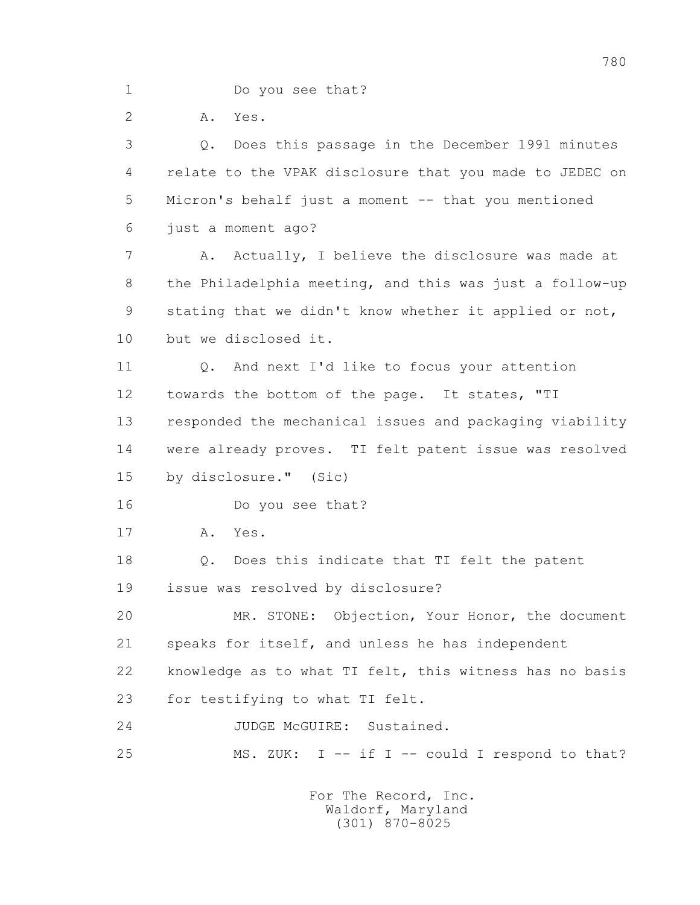1 Do you see that?

2 A. Yes.

 3 Q. Does this passage in the December 1991 minutes 4 relate to the VPAK disclosure that you made to JEDEC on 5 Micron's behalf just a moment -- that you mentioned 6 just a moment ago? 7 A. Actually, I believe the disclosure was made at 8 the Philadelphia meeting, and this was just a follow-up 9 stating that we didn't know whether it applied or not, 10 but we disclosed it. 11 0. And next I'd like to focus your attention 12 towards the bottom of the page. It states, "TI 13 responded the mechanical issues and packaging viability 14 were already proves. TI felt patent issue was resolved 15 by disclosure." (Sic) 16 Do you see that? 17 A. Yes. 18 Q. Does this indicate that TI felt the patent 19 issue was resolved by disclosure? 20 MR. STONE: Objection, Your Honor, the document 21 speaks for itself, and unless he has independent 22 knowledge as to what TI felt, this witness has no basis 23 for testifying to what TI felt. 24 JUDGE McGUIRE: Sustained. 25 MS. ZUK: I -- if I -- could I respond to that?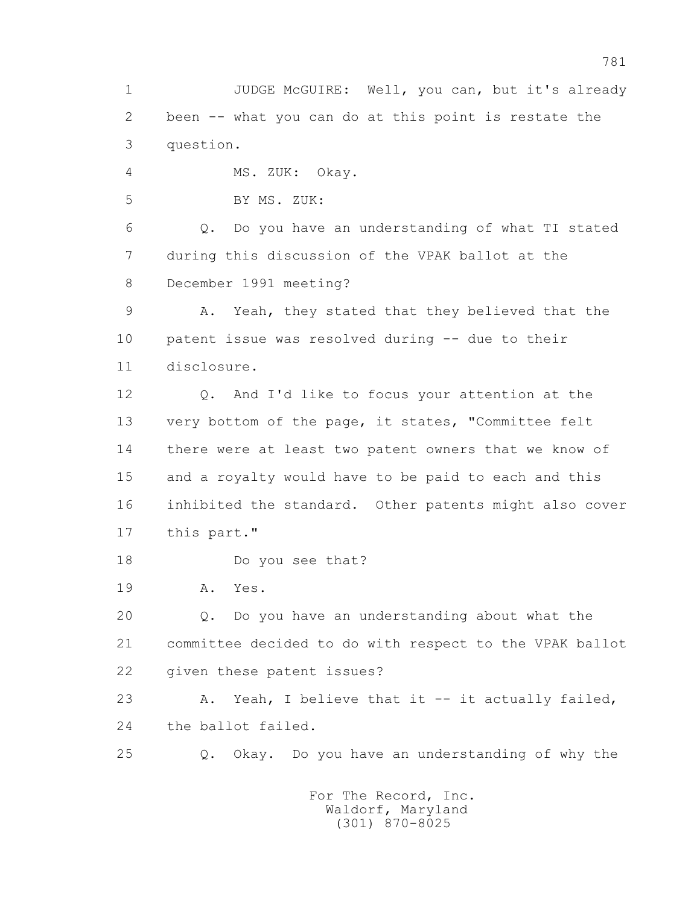1 JUDGE McGUIRE: Well, you can, but it's already 2 been -- what you can do at this point is restate the 3 question.

4 MS. ZUK: Okay.

5 BY MS. ZUK:

 6 Q. Do you have an understanding of what TI stated 7 during this discussion of the VPAK ballot at the 8 December 1991 meeting?

 9 A. Yeah, they stated that they believed that the 10 patent issue was resolved during -- due to their 11 disclosure.

 12 Q. And I'd like to focus your attention at the 13 very bottom of the page, it states, "Committee felt 14 there were at least two patent owners that we know of 15 and a royalty would have to be paid to each and this 16 inhibited the standard. Other patents might also cover 17 this part."

18 Do you see that?

19 A. Yes.

 20 Q. Do you have an understanding about what the 21 committee decided to do with respect to the VPAK ballot 22 given these patent issues?

 23 A. Yeah, I believe that it -- it actually failed, 24 the ballot failed.

25 Q. Okay. Do you have an understanding of why the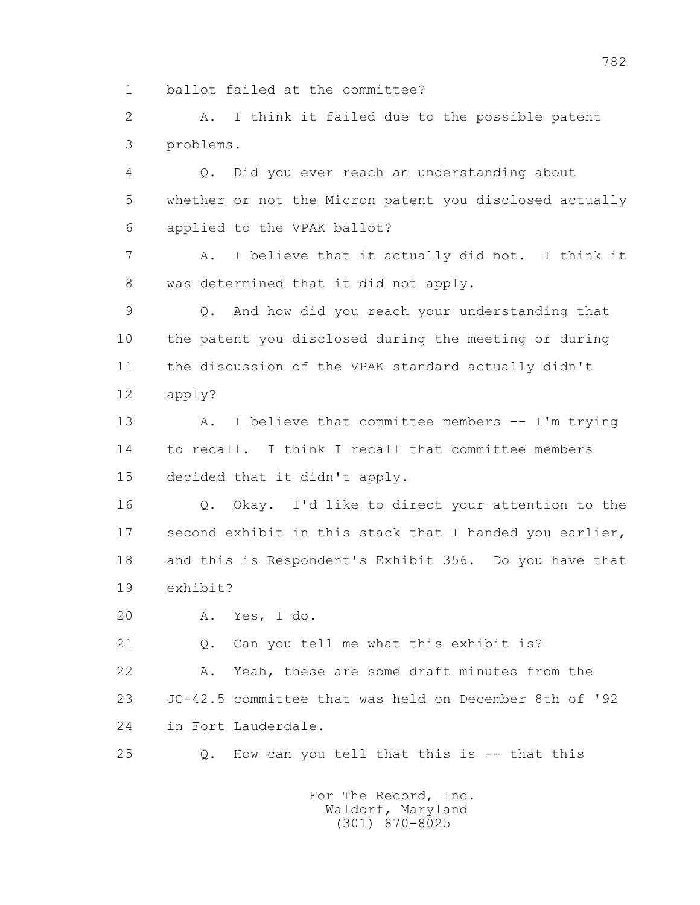1 ballot failed at the committee?

 2 A. I think it failed due to the possible patent 3 problems.

 4 Q. Did you ever reach an understanding about 5 whether or not the Micron patent you disclosed actually 6 applied to the VPAK ballot?

 7 A. I believe that it actually did not. I think it 8 was determined that it did not apply.

 9 Q. And how did you reach your understanding that 10 the patent you disclosed during the meeting or during 11 the discussion of the VPAK standard actually didn't 12 apply?

 13 A. I believe that committee members -- I'm trying 14 to recall. I think I recall that committee members 15 decided that it didn't apply.

 16 Q. Okay. I'd like to direct your attention to the 17 second exhibit in this stack that I handed you earlier, 18 and this is Respondent's Exhibit 356. Do you have that 19 exhibit?

20 A. Yes, I do.

21 Q. Can you tell me what this exhibit is?

 22 A. Yeah, these are some draft minutes from the 23 JC-42.5 committee that was held on December 8th of '92

24 in Fort Lauderdale.

25 Q. How can you tell that this is -- that this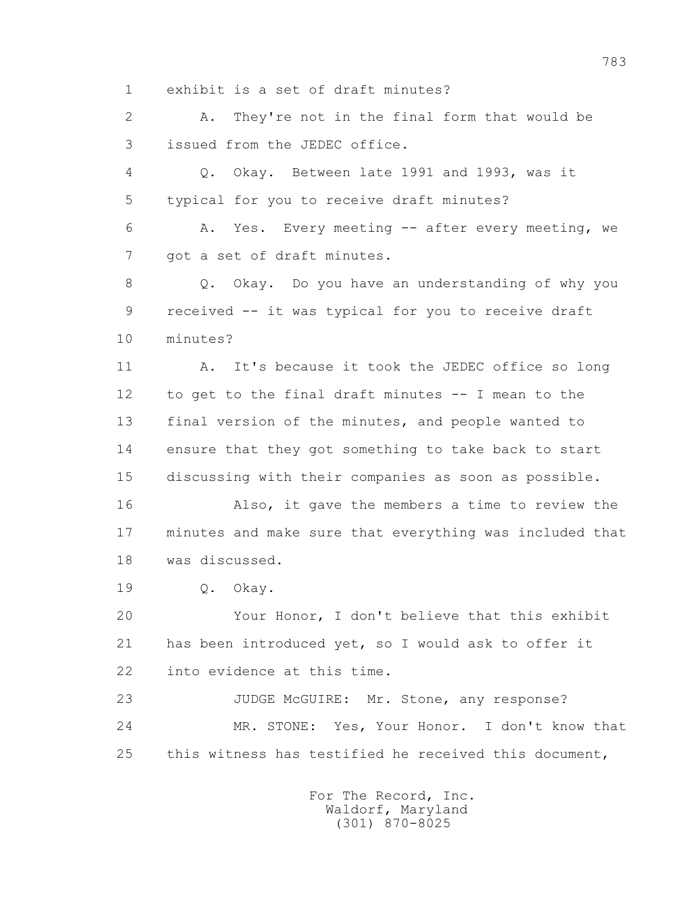1 exhibit is a set of draft minutes?

 2 A. They're not in the final form that would be 3 issued from the JEDEC office.

 4 Q. Okay. Between late 1991 and 1993, was it 5 typical for you to receive draft minutes?

 6 A. Yes. Every meeting -- after every meeting, we 7 got a set of draft minutes.

 8 Q. Okay. Do you have an understanding of why you 9 received -- it was typical for you to receive draft 10 minutes?

11 A. It's because it took the JEDEC office so long 12 to get to the final draft minutes -- I mean to the 13 final version of the minutes, and people wanted to 14 ensure that they got something to take back to start 15 discussing with their companies as soon as possible.

 16 Also, it gave the members a time to review the 17 minutes and make sure that everything was included that 18 was discussed.

19 Q. Okay.

 20 Your Honor, I don't believe that this exhibit 21 has been introduced yet, so I would ask to offer it 22 into evidence at this time.

23 JUDGE McGUIRE: Mr. Stone, any response? 24 MR. STONE: Yes, Your Honor. I don't know that 25 this witness has testified he received this document,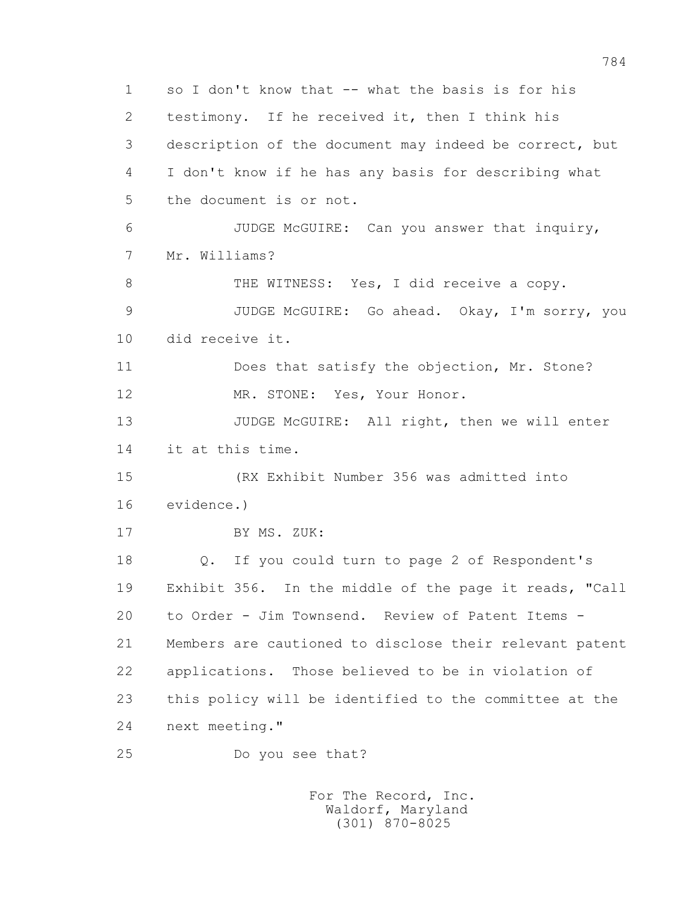1 so I don't know that -- what the basis is for his 2 testimony. If he received it, then I think his 3 description of the document may indeed be correct, but 4 I don't know if he has any basis for describing what 5 the document is or not. 6 JUDGE McGUIRE: Can you answer that inquiry, 7 Mr. Williams? 8 THE WITNESS: Yes, I did receive a copy. 9 JUDGE McGUIRE: Go ahead. Okay, I'm sorry, you 10 did receive it. 11 Does that satisfy the objection, Mr. Stone? 12 MR. STONE: Yes, Your Honor. 13 JUDGE McGUIRE: All right, then we will enter 14 it at this time. 15 (RX Exhibit Number 356 was admitted into 16 evidence.) 17 BY MS. ZUK: 18 Q. If you could turn to page 2 of Respondent's 19 Exhibit 356. In the middle of the page it reads, "Call 20 to Order - Jim Townsend. Review of Patent Items - 21 Members are cautioned to disclose their relevant patent 22 applications. Those believed to be in violation of 23 this policy will be identified to the committee at the 24 next meeting." 25 Do you see that?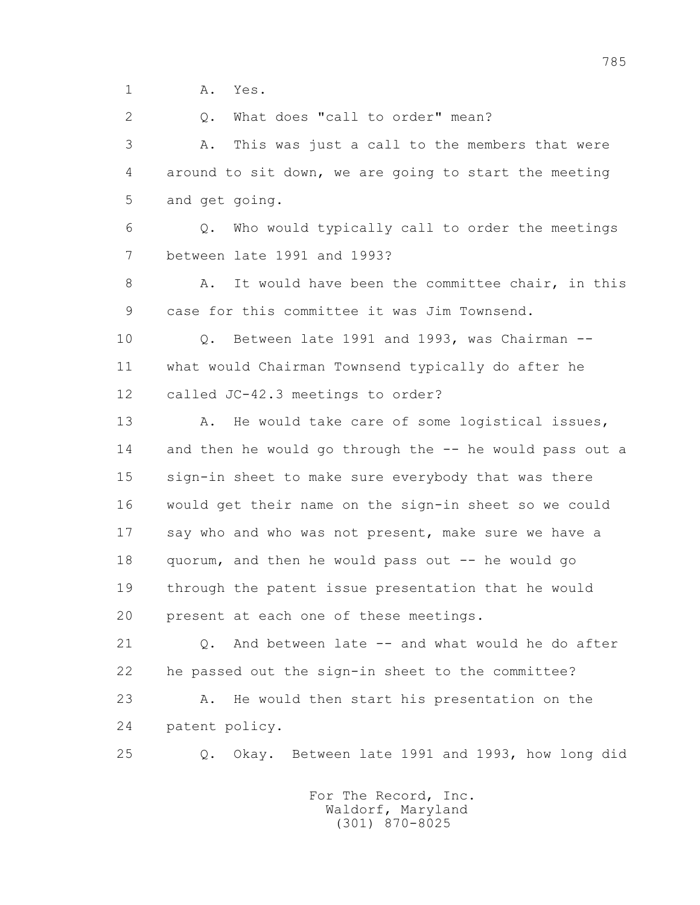1 **A.** Yes.

2 0. What does "call to order" mean?

 3 A. This was just a call to the members that were 4 around to sit down, we are going to start the meeting 5 and get going.

 6 Q. Who would typically call to order the meetings 7 between late 1991 and 1993?

 8 A. It would have been the committee chair, in this 9 case for this committee it was Jim Townsend.

 10 Q. Between late 1991 and 1993, was Chairman -- 11 what would Chairman Townsend typically do after he 12 called JC-42.3 meetings to order?

13 A. He would take care of some logistical issues, 14 and then he would go through the -- he would pass out a 15 sign-in sheet to make sure everybody that was there 16 would get their name on the sign-in sheet so we could 17 say who and who was not present, make sure we have a 18 quorum, and then he would pass out -- he would go 19 through the patent issue presentation that he would 20 present at each one of these meetings.

 21 Q. And between late -- and what would he do after 22 he passed out the sign-in sheet to the committee? 23 A. He would then start his presentation on the 24 patent policy.

25 Q. Okay. Between late 1991 and 1993, how long did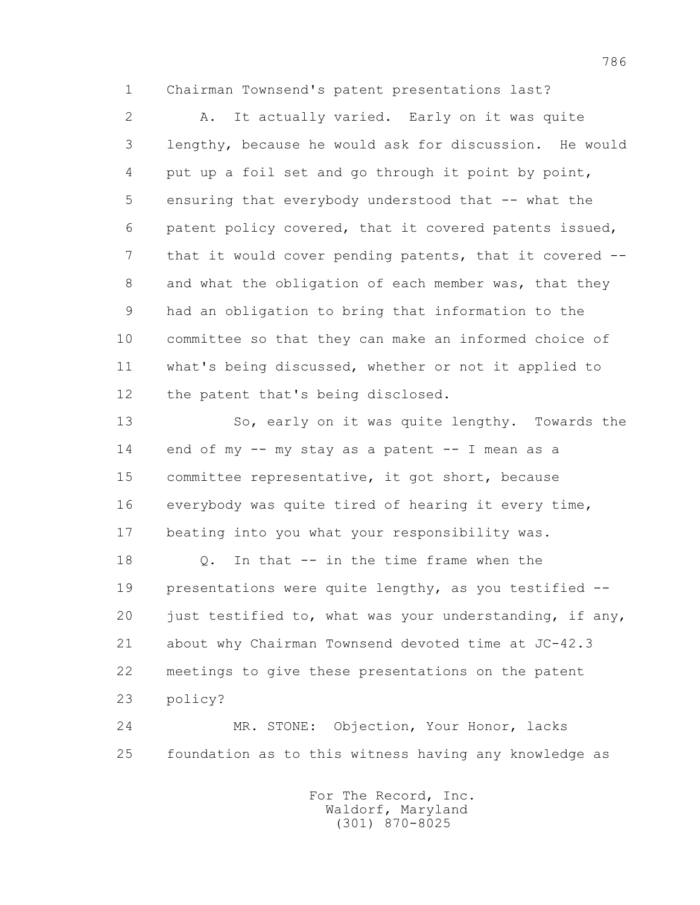1 Chairman Townsend's patent presentations last?

 2 A. It actually varied. Early on it was quite 3 lengthy, because he would ask for discussion. He would 4 put up a foil set and go through it point by point, 5 ensuring that everybody understood that -- what the 6 patent policy covered, that it covered patents issued, 7 that it would cover pending patents, that it covered -- 8 and what the obligation of each member was, that they 9 had an obligation to bring that information to the 10 committee so that they can make an informed choice of 11 what's being discussed, whether or not it applied to 12 the patent that's being disclosed.

 13 So, early on it was quite lengthy. Towards the 14 end of my -- my stay as a patent -- I mean as a 15 committee representative, it got short, because 16 everybody was quite tired of hearing it every time, 17 beating into you what your responsibility was.

 18 Q. In that -- in the time frame when the 19 presentations were quite lengthy, as you testified -- 20 just testified to, what was your understanding, if any, 21 about why Chairman Townsend devoted time at JC-42.3 22 meetings to give these presentations on the patent 23 policy?

 24 MR. STONE: Objection, Your Honor, lacks 25 foundation as to this witness having any knowledge as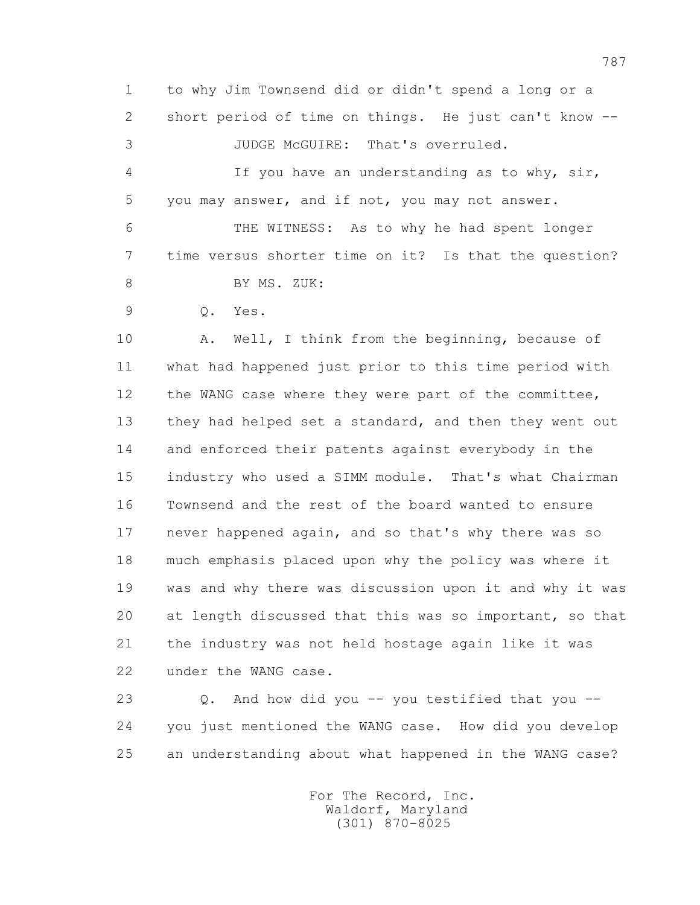1 to why Jim Townsend did or didn't spend a long or a 2 short period of time on things. He just can't know -- 3 JUDGE McGUIRE: That's overruled. 4 If you have an understanding as to why, sir, 5 you may answer, and if not, you may not answer. 6 THE WITNESS: As to why he had spent longer 7 time versus shorter time on it? Is that the question? 8 BY MS. ZUK: 9 Q. Yes.

 10 A. Well, I think from the beginning, because of 11 what had happened just prior to this time period with 12 the WANG case where they were part of the committee, 13 they had helped set a standard, and then they went out 14 and enforced their patents against everybody in the 15 industry who used a SIMM module. That's what Chairman 16 Townsend and the rest of the board wanted to ensure 17 never happened again, and so that's why there was so 18 much emphasis placed upon why the policy was where it 19 was and why there was discussion upon it and why it was 20 at length discussed that this was so important, so that 21 the industry was not held hostage again like it was 22 under the WANG case.

 23 Q. And how did you -- you testified that you -- 24 you just mentioned the WANG case. How did you develop 25 an understanding about what happened in the WANG case?

> For The Record, Inc. Waldorf, Maryland (301) 870-8025

787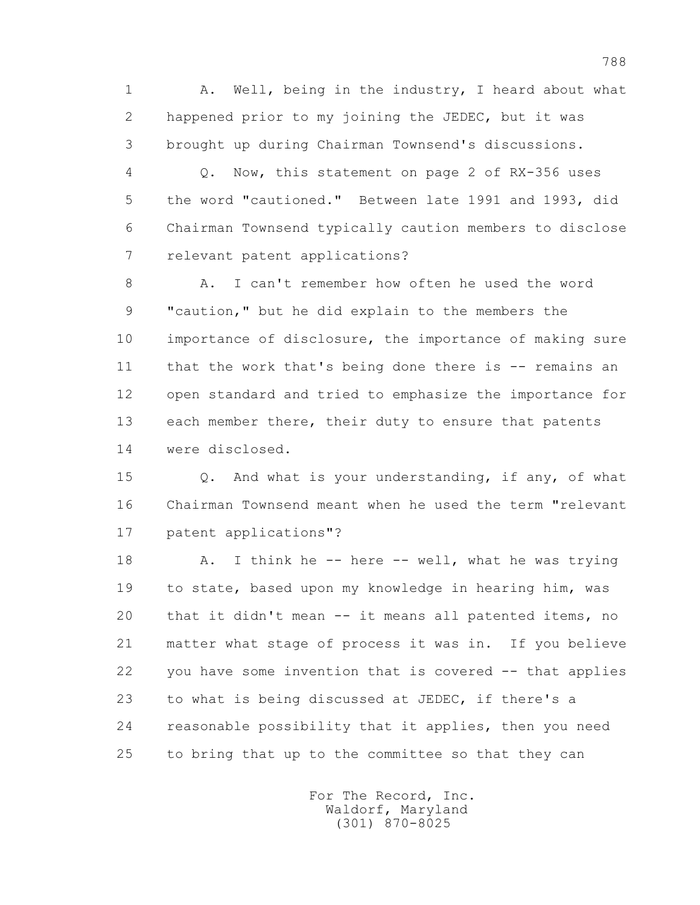1 A. Well, being in the industry, I heard about what 2 happened prior to my joining the JEDEC, but it was 3 brought up during Chairman Townsend's discussions.

 4 Q. Now, this statement on page 2 of RX-356 uses 5 the word "cautioned." Between late 1991 and 1993, did 6 Chairman Townsend typically caution members to disclose 7 relevant patent applications?

 8 A. I can't remember how often he used the word 9 "caution," but he did explain to the members the 10 importance of disclosure, the importance of making sure 11 that the work that's being done there is -- remains an 12 open standard and tried to emphasize the importance for 13 each member there, their duty to ensure that patents 14 were disclosed.

 15 Q. And what is your understanding, if any, of what 16 Chairman Townsend meant when he used the term "relevant 17 patent applications"?

18 A. I think he -- here -- well, what he was trying 19 to state, based upon my knowledge in hearing him, was 20 that it didn't mean -- it means all patented items, no 21 matter what stage of process it was in. If you believe 22 you have some invention that is covered -- that applies 23 to what is being discussed at JEDEC, if there's a 24 reasonable possibility that it applies, then you need 25 to bring that up to the committee so that they can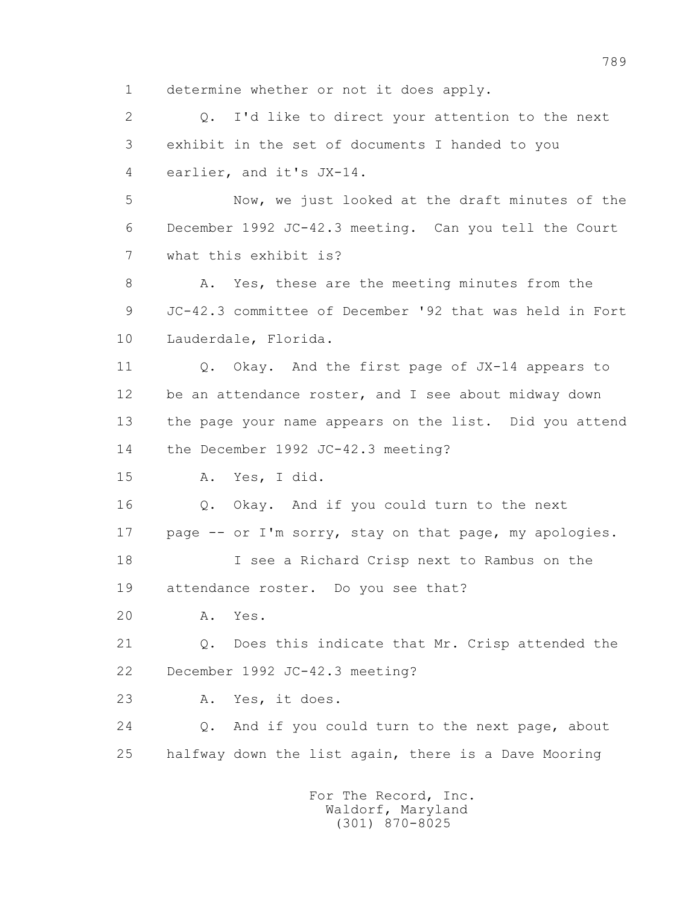1 determine whether or not it does apply.

 2 Q. I'd like to direct your attention to the next 3 exhibit in the set of documents I handed to you 4 earlier, and it's JX-14.

 5 Now, we just looked at the draft minutes of the 6 December 1992 JC-42.3 meeting. Can you tell the Court 7 what this exhibit is?

8 A. Yes, these are the meeting minutes from the 9 JC-42.3 committee of December '92 that was held in Fort 10 Lauderdale, Florida.

 11 Q. Okay. And the first page of JX-14 appears to 12 be an attendance roster, and I see about midway down 13 the page your name appears on the list. Did you attend 14 the December 1992 JC-42.3 meeting?

15 A. Yes, I did.

 16 Q. Okay. And if you could turn to the next 17 page -- or I'm sorry, stay on that page, my apologies.

 18 I see a Richard Crisp next to Rambus on the 19 attendance roster. Do you see that?

20 A. Yes.

 21 Q. Does this indicate that Mr. Crisp attended the 22 December 1992 JC-42.3 meeting?

23 A. Yes, it does.

 24 Q. And if you could turn to the next page, about 25 halfway down the list again, there is a Dave Mooring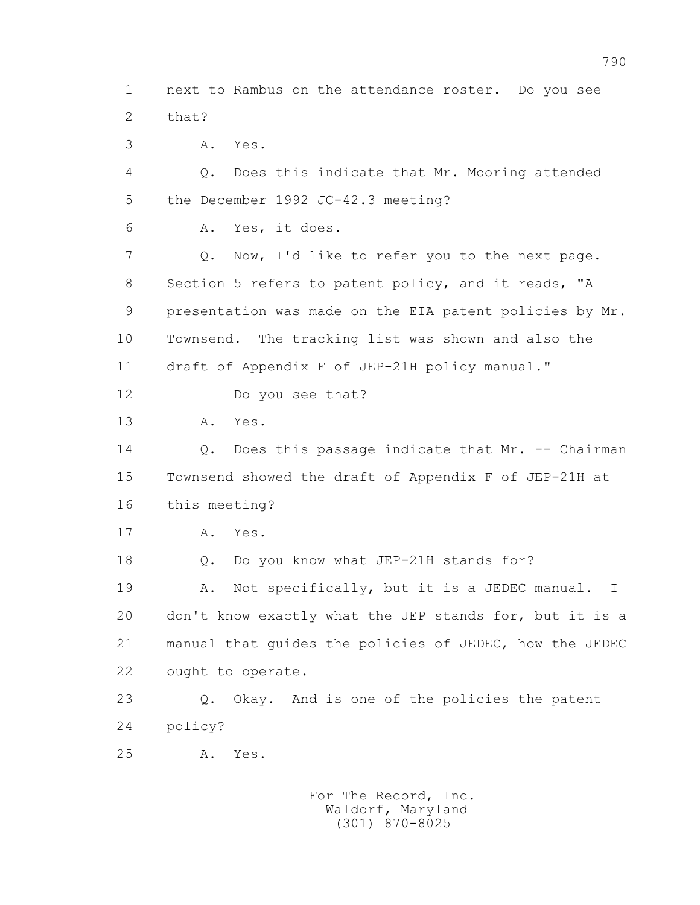1 next to Rambus on the attendance roster. Do you see 2 that?

3 A. Yes.

 4 Q. Does this indicate that Mr. Mooring attended 5 the December 1992 JC-42.3 meeting?

6 A. Yes, it does.

 7 Q. Now, I'd like to refer you to the next page. 8 Section 5 refers to patent policy, and it reads, "A 9 presentation was made on the EIA patent policies by Mr. 10 Townsend. The tracking list was shown and also the 11 draft of Appendix F of JEP-21H policy manual."

12 Do you see that?

13 A. Yes.

 14 Q. Does this passage indicate that Mr. -- Chairman 15 Townsend showed the draft of Appendix F of JEP-21H at 16 this meeting?

17 A. Yes.

18 Q. Do you know what JEP-21H stands for?

 19 A. Not specifically, but it is a JEDEC manual. I 20 don't know exactly what the JEP stands for, but it is a 21 manual that guides the policies of JEDEC, how the JEDEC 22 ought to operate.

 23 Q. Okay. And is one of the policies the patent 24 policy?

25 A. Yes.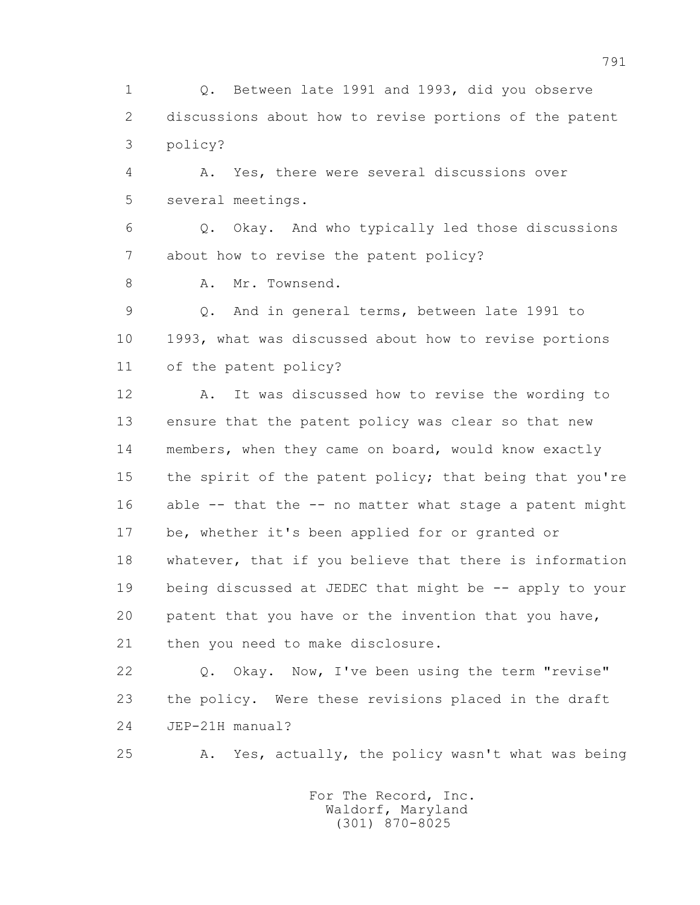1 Q. Between late 1991 and 1993, did you observe 2 discussions about how to revise portions of the patent 3 policy?

 4 A. Yes, there were several discussions over 5 several meetings.

 6 Q. Okay. And who typically led those discussions 7 about how to revise the patent policy?

8 A. Mr. Townsend.

 9 Q. And in general terms, between late 1991 to 10 1993, what was discussed about how to revise portions 11 of the patent policy?

 12 A. It was discussed how to revise the wording to 13 ensure that the patent policy was clear so that new 14 members, when they came on board, would know exactly 15 the spirit of the patent policy; that being that you're 16 able -- that the -- no matter what stage a patent might 17 be, whether it's been applied for or granted or 18 whatever, that if you believe that there is information 19 being discussed at JEDEC that might be -- apply to your 20 patent that you have or the invention that you have, 21 then you need to make disclosure.

 22 Q. Okay. Now, I've been using the term "revise" 23 the policy. Were these revisions placed in the draft 24 JEP-21H manual?

25 A. Yes, actually, the policy wasn't what was being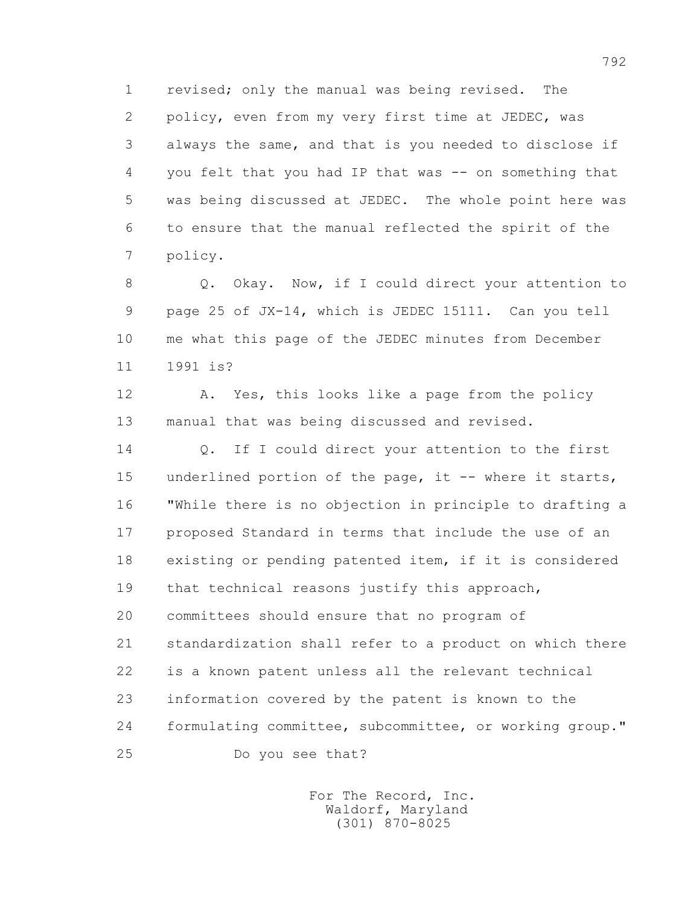1 revised; only the manual was being revised. The 2 policy, even from my very first time at JEDEC, was 3 always the same, and that is you needed to disclose if 4 you felt that you had IP that was -- on something that 5 was being discussed at JEDEC. The whole point here was 6 to ensure that the manual reflected the spirit of the 7 policy.

 8 Q. Okay. Now, if I could direct your attention to 9 page 25 of JX-14, which is JEDEC 15111. Can you tell 10 me what this page of the JEDEC minutes from December 11 1991 is?

 12 A. Yes, this looks like a page from the policy 13 manual that was being discussed and revised.

14 0. If I could direct your attention to the first 15 underlined portion of the page, it -- where it starts, 16 "While there is no objection in principle to drafting a 17 proposed Standard in terms that include the use of an 18 existing or pending patented item, if it is considered 19 that technical reasons justify this approach, 20 committees should ensure that no program of 21 standardization shall refer to a product on which there 22 is a known patent unless all the relevant technical 23 information covered by the patent is known to the 24 formulating committee, subcommittee, or working group." 25 Do you see that?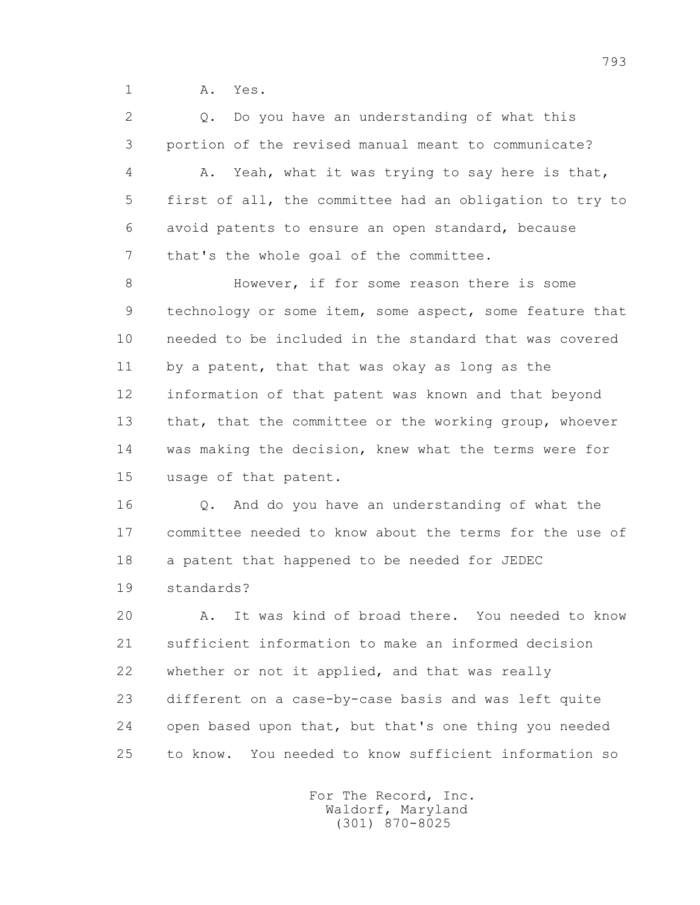1 A. Yes.

2 0. Do you have an understanding of what this 3 portion of the revised manual meant to communicate? 4 A. Yeah, what it was trying to say here is that, 5 first of all, the committee had an obligation to try to 6 avoid patents to ensure an open standard, because 7 that's the whole goal of the committee.

8 However, if for some reason there is some 9 technology or some item, some aspect, some feature that 10 needed to be included in the standard that was covered 11 by a patent, that that was okay as long as the 12 information of that patent was known and that beyond 13 that, that the committee or the working group, whoever 14 was making the decision, knew what the terms were for 15 usage of that patent.

 16 Q. And do you have an understanding of what the 17 committee needed to know about the terms for the use of 18 a patent that happened to be needed for JEDEC 19 standards?

 20 A. It was kind of broad there. You needed to know 21 sufficient information to make an informed decision 22 whether or not it applied, and that was really 23 different on a case-by-case basis and was left quite 24 open based upon that, but that's one thing you needed 25 to know. You needed to know sufficient information so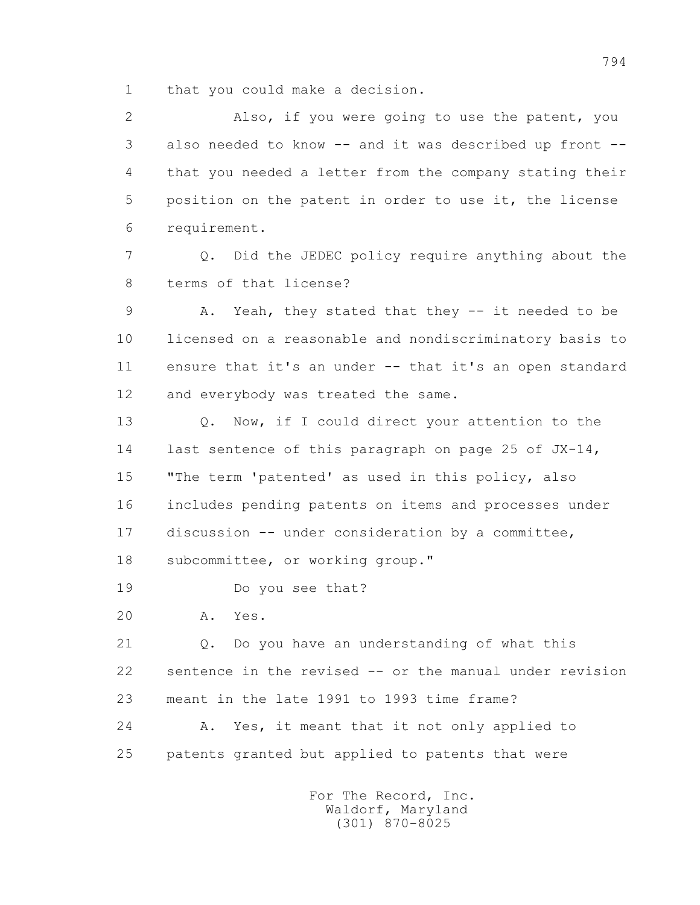1 that you could make a decision.

 2 Also, if you were going to use the patent, you 3 also needed to know -- and it was described up front -- 4 that you needed a letter from the company stating their 5 position on the patent in order to use it, the license 6 requirement.

 7 Q. Did the JEDEC policy require anything about the 8 terms of that license?

 9 A. Yeah, they stated that they -- it needed to be 10 licensed on a reasonable and nondiscriminatory basis to 11 ensure that it's an under -- that it's an open standard 12 and everybody was treated the same.

 13 Q. Now, if I could direct your attention to the 14 last sentence of this paragraph on page 25 of JX-14, 15 "The term 'patented' as used in this policy, also 16 includes pending patents on items and processes under 17 discussion -- under consideration by a committee, 18 subcommittee, or working group."

19 Do you see that?

20 A. Yes.

 21 Q. Do you have an understanding of what this 22 sentence in the revised -- or the manual under revision 23 meant in the late 1991 to 1993 time frame? 24 A. Yes, it meant that it not only applied to

25 patents granted but applied to patents that were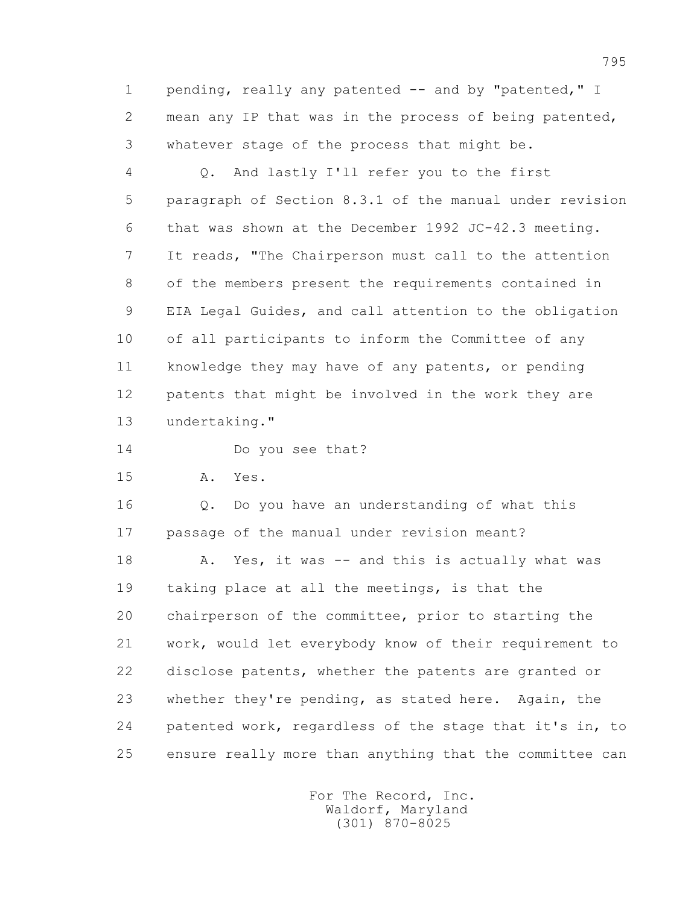1 pending, really any patented -- and by "patented," I 2 mean any IP that was in the process of being patented, 3 whatever stage of the process that might be.

 4 Q. And lastly I'll refer you to the first 5 paragraph of Section 8.3.1 of the manual under revision 6 that was shown at the December 1992 JC-42.3 meeting. 7 It reads, "The Chairperson must call to the attention 8 of the members present the requirements contained in 9 EIA Legal Guides, and call attention to the obligation 10 of all participants to inform the Committee of any 11 knowledge they may have of any patents, or pending 12 patents that might be involved in the work they are 13 undertaking."

14 Do you see that?

15 A. Yes.

 16 Q. Do you have an understanding of what this 17 passage of the manual under revision meant?

18 A. Yes, it was -- and this is actually what was 19 taking place at all the meetings, is that the 20 chairperson of the committee, prior to starting the 21 work, would let everybody know of their requirement to 22 disclose patents, whether the patents are granted or 23 whether they're pending, as stated here. Again, the 24 patented work, regardless of the stage that it's in, to 25 ensure really more than anything that the committee can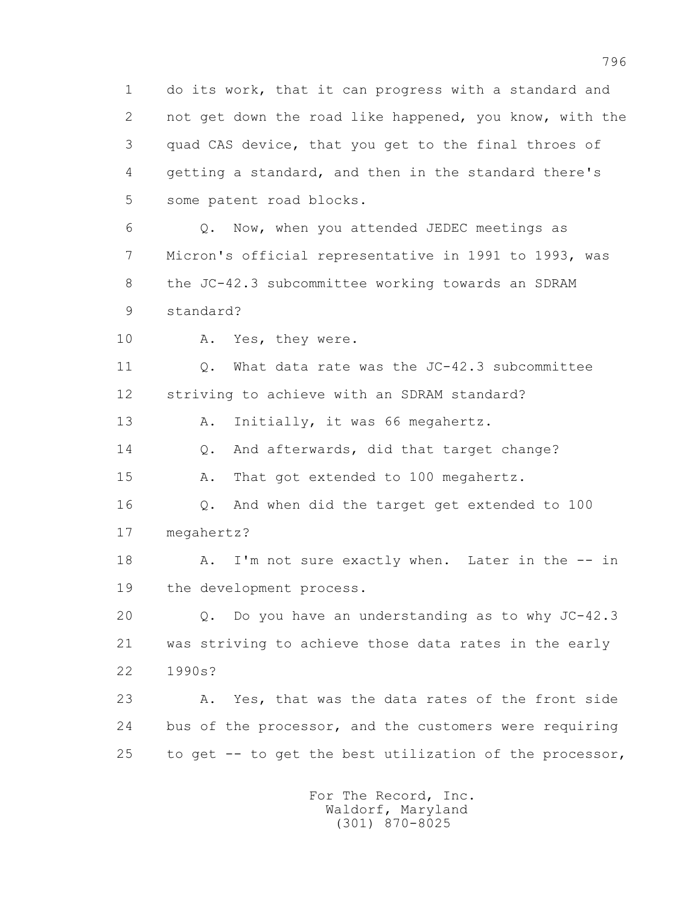1 do its work, that it can progress with a standard and 2 not get down the road like happened, you know, with the 3 quad CAS device, that you get to the final throes of 4 getting a standard, and then in the standard there's 5 some patent road blocks. 6 Q. Now, when you attended JEDEC meetings as 7 Micron's official representative in 1991 to 1993, was

 8 the JC-42.3 subcommittee working towards an SDRAM 9 standard?

10 A. Yes, they were.

 11 Q. What data rate was the JC-42.3 subcommittee 12 striving to achieve with an SDRAM standard?

13 A. Initially, it was 66 megahertz.

14 Q. And afterwards, did that target change?

15 A. That got extended to 100 megahertz.

 16 Q. And when did the target get extended to 100 17 megahertz?

18 A. I'm not sure exactly when. Later in the -- in 19 the development process.

 20 Q. Do you have an understanding as to why JC-42.3 21 was striving to achieve those data rates in the early 22 1990s?

 23 A. Yes, that was the data rates of the front side 24 bus of the processor, and the customers were requiring 25 to get -- to get the best utilization of the processor,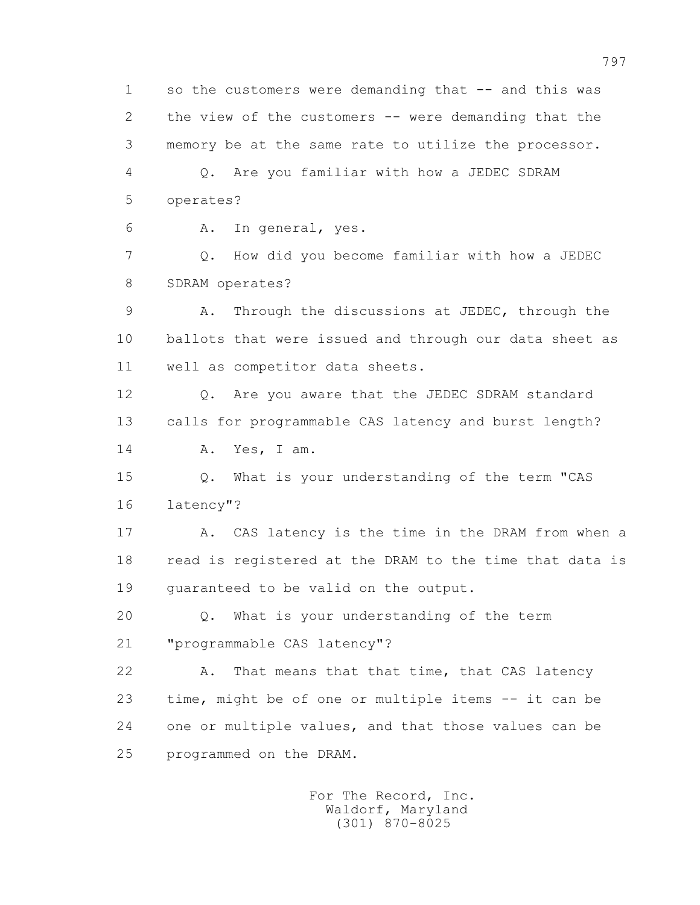1 so the customers were demanding that -- and this was 2 the view of the customers -- were demanding that the 3 memory be at the same rate to utilize the processor. 4 Q. Are you familiar with how a JEDEC SDRAM 5 operates? 6 A. In general, yes. 7 Q. How did you become familiar with how a JEDEC 8 SDRAM operates? 9 A. Through the discussions at JEDEC, through the 10 ballots that were issued and through our data sheet as 11 well as competitor data sheets. 12 Q. Are you aware that the JEDEC SDRAM standard 13 calls for programmable CAS latency and burst length? 14 A. Yes, I am. 15 Q. What is your understanding of the term "CAS 16 latency"? 17 A. CAS latency is the time in the DRAM from when a 18 read is registered at the DRAM to the time that data is 19 guaranteed to be valid on the output. 20 Q. What is your understanding of the term 21 "programmable CAS latency"? 22 A. That means that that time, that CAS latency 23 time, might be of one or multiple items -- it can be 24 one or multiple values, and that those values can be 25 programmed on the DRAM.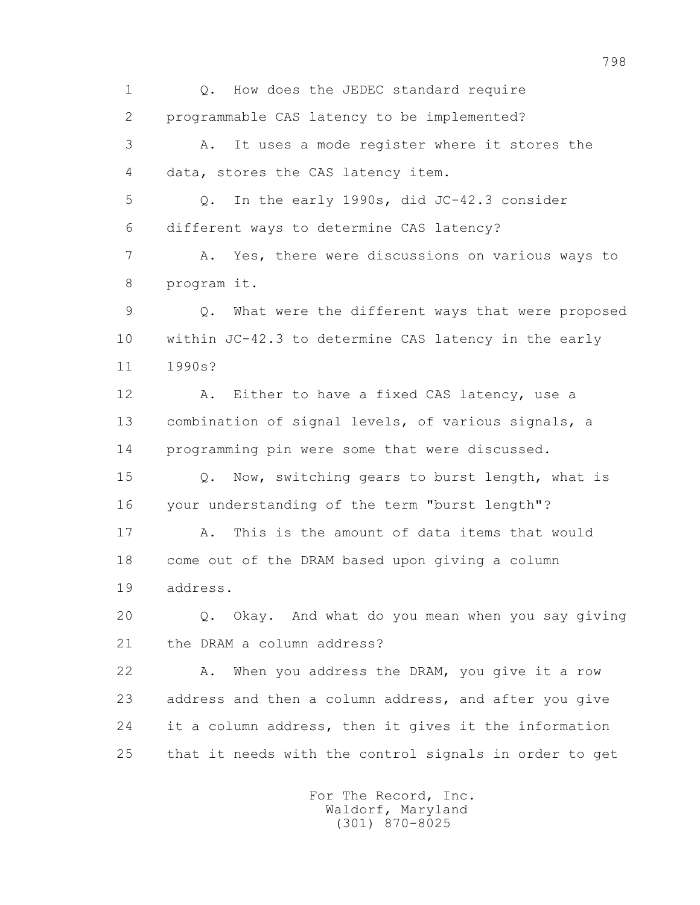1 Q. How does the JEDEC standard require 2 programmable CAS latency to be implemented? 3 A. It uses a mode register where it stores the 4 data, stores the CAS latency item. 5 Q. In the early 1990s, did JC-42.3 consider 6 different ways to determine CAS latency? 7 A. Yes, there were discussions on various ways to 8 program it. 9 Q. What were the different ways that were proposed 10 within JC-42.3 to determine CAS latency in the early 11 1990s? 12 A. Either to have a fixed CAS latency, use a 13 combination of signal levels, of various signals, a 14 programming pin were some that were discussed. 15 Q. Now, switching gears to burst length, what is 16 your understanding of the term "burst length"? 17 A. This is the amount of data items that would 18 come out of the DRAM based upon giving a column 19 address. 20 Q. Okay. And what do you mean when you say giving 21 the DRAM a column address? 22 A. When you address the DRAM, you give it a row 23 address and then a column address, and after you give 24 it a column address, then it gives it the information 25 that it needs with the control signals in order to get For The Record, Inc.

 Waldorf, Maryland (301) 870-8025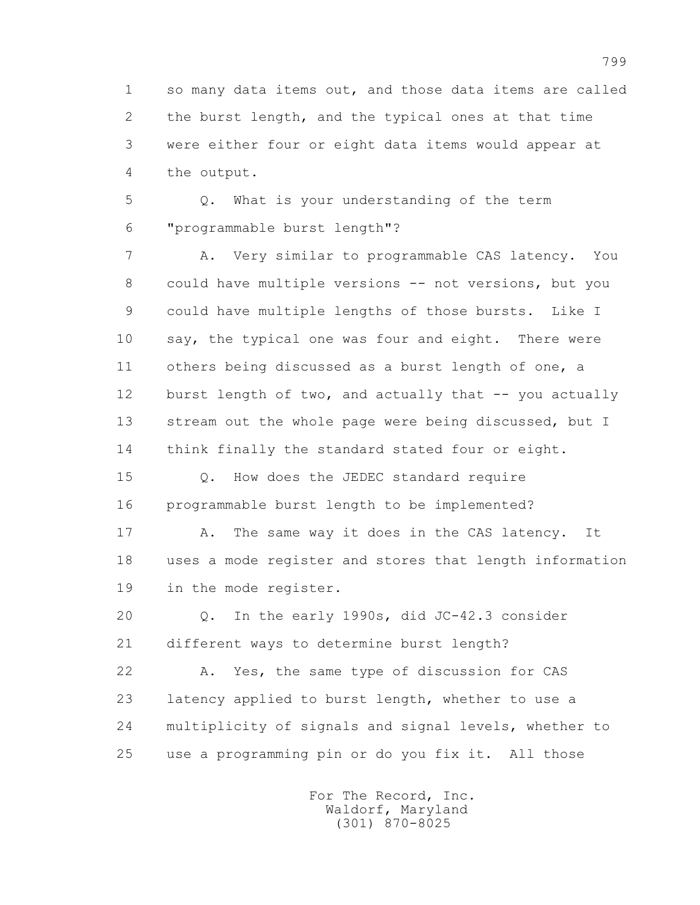1 so many data items out, and those data items are called 2 the burst length, and the typical ones at that time 3 were either four or eight data items would appear at 4 the output.

 5 Q. What is your understanding of the term 6 "programmable burst length"?

 7 A. Very similar to programmable CAS latency. You 8 could have multiple versions -- not versions, but you 9 could have multiple lengths of those bursts. Like I 10 say, the typical one was four and eight. There were 11 others being discussed as a burst length of one, a 12 burst length of two, and actually that -- you actually 13 stream out the whole page were being discussed, but I 14 think finally the standard stated four or eight.

 15 Q. How does the JEDEC standard require 16 programmable burst length to be implemented?

 17 A. The same way it does in the CAS latency. It 18 uses a mode register and stores that length information 19 in the mode register.

 20 Q. In the early 1990s, did JC-42.3 consider 21 different ways to determine burst length?

 22 A. Yes, the same type of discussion for CAS 23 latency applied to burst length, whether to use a 24 multiplicity of signals and signal levels, whether to 25 use a programming pin or do you fix it. All those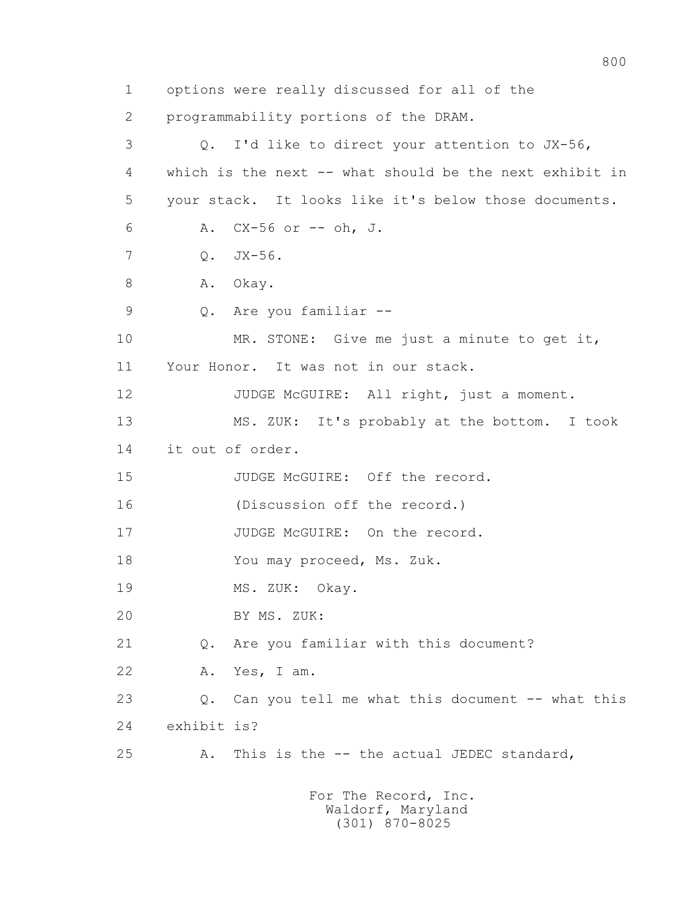1 options were really discussed for all of the 2 programmability portions of the DRAM. 3 Q. I'd like to direct your attention to JX-56, 4 which is the next -- what should be the next exhibit in 5 your stack. It looks like it's below those documents. 6 A. CX-56 or -- oh, J. 7 Q. JX-56. 8 A. Okay. 9 Q. Are you familiar -- 10 MR. STONE: Give me just a minute to get it, 11 Your Honor. It was not in our stack. 12 JUDGE McGUIRE: All right, just a moment. 13 MS. ZUK: It's probably at the bottom. I took 14 it out of order. 15 JUDGE McGUIRE: Off the record. 16 (Discussion off the record.) 17 JUDGE McGUIRE: On the record. 18 You may proceed, Ms. Zuk. 19 MS. ZUK: Okay. 20 BY MS. ZUK: 21 Q. Are you familiar with this document? 22 A. Yes, I am. 23 Q. Can you tell me what this document -- what this 24 exhibit is? 25 A. This is the -- the actual JEDEC standard,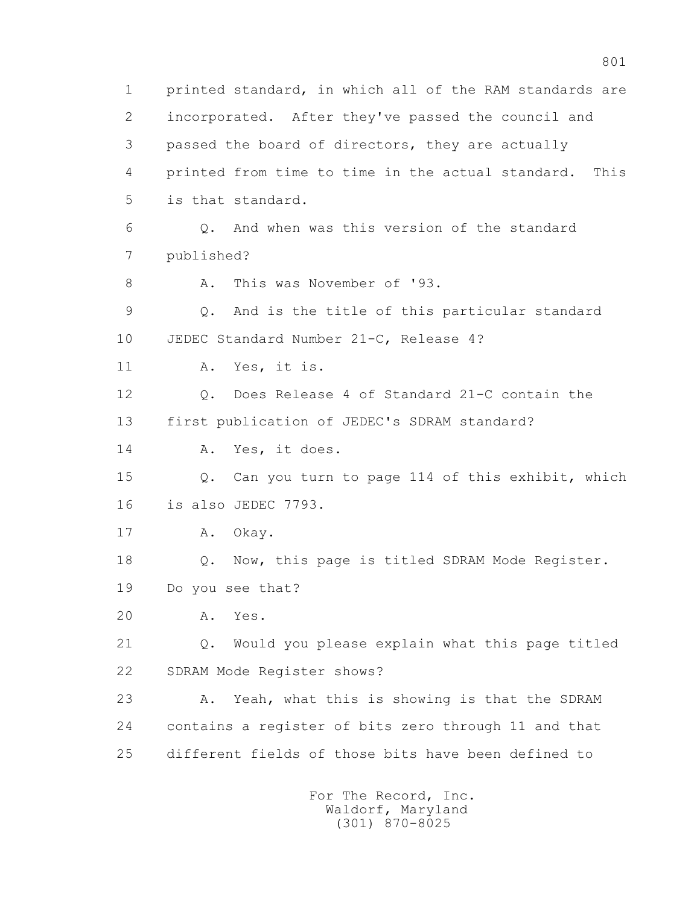1 printed standard, in which all of the RAM standards are 2 incorporated. After they've passed the council and 3 passed the board of directors, they are actually 4 printed from time to time in the actual standard. This 5 is that standard. 6 Q. And when was this version of the standard 7 published? 8 A. This was November of '93. 9 Q. And is the title of this particular standard 10 JEDEC Standard Number 21-C, Release 4? 11 A. Yes, it is. 12 Q. Does Release 4 of Standard 21-C contain the 13 first publication of JEDEC's SDRAM standard? 14 A. Yes, it does. 15 Q. Can you turn to page 114 of this exhibit, which 16 is also JEDEC 7793. 17 A. Okay. 18 Q. Now, this page is titled SDRAM Mode Register. 19 Do you see that? 20 A. Yes. 21 Q. Would you please explain what this page titled 22 SDRAM Mode Register shows? 23 A. Yeah, what this is showing is that the SDRAM 24 contains a register of bits zero through 11 and that 25 different fields of those bits have been defined to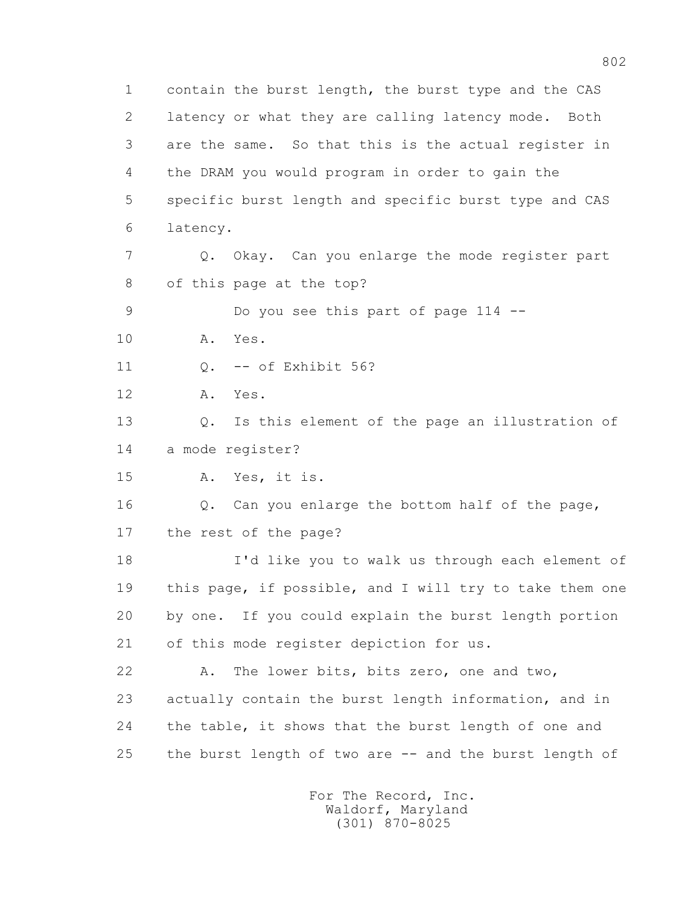1 contain the burst length, the burst type and the CAS 2 latency or what they are calling latency mode. Both 3 are the same. So that this is the actual register in 4 the DRAM you would program in order to gain the 5 specific burst length and specific burst type and CAS 6 latency. 7 Q. Okay. Can you enlarge the mode register part 8 of this page at the top? 9 Do you see this part of page 114 -- 10 A. Yes. 11 Q. -- of Exhibit 56? 12 A. Yes. 13 Q. Is this element of the page an illustration of 14 a mode register? 15 A. Yes, it is. 16 Q. Can you enlarge the bottom half of the page, 17 the rest of the page? 18 I'd like you to walk us through each element of 19 this page, if possible, and I will try to take them one 20 by one. If you could explain the burst length portion 21 of this mode register depiction for us. 22 A. The lower bits, bits zero, one and two, 23 actually contain the burst length information, and in 24 the table, it shows that the burst length of one and 25 the burst length of two are -- and the burst length of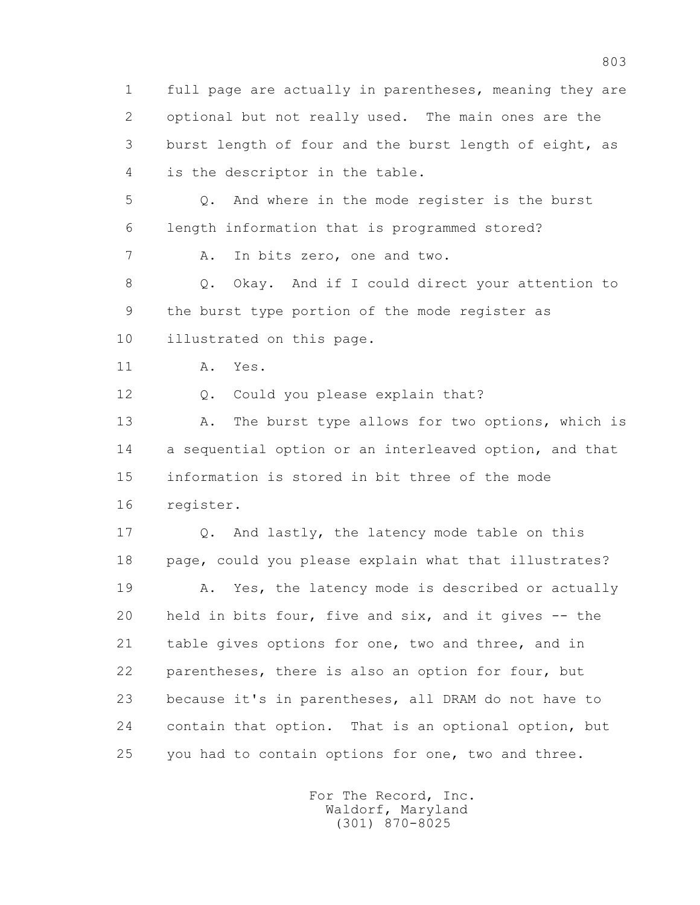1 full page are actually in parentheses, meaning they are 2 optional but not really used. The main ones are the 3 burst length of four and the burst length of eight, as 4 is the descriptor in the table.

 5 Q. And where in the mode register is the burst 6 length information that is programmed stored?

7 A. In bits zero, one and two.

 8 Q. Okay. And if I could direct your attention to 9 the burst type portion of the mode register as 10 illustrated on this page.

11 A. Yes.

12 Q. Could you please explain that?

13 A. The burst type allows for two options, which is 14 a sequential option or an interleaved option, and that 15 information is stored in bit three of the mode 16 register.

 17 Q. And lastly, the latency mode table on this 18 page, could you please explain what that illustrates? 19 A. Yes, the latency mode is described or actually 20 held in bits four, five and six, and it gives -- the 21 table gives options for one, two and three, and in 22 parentheses, there is also an option for four, but 23 because it's in parentheses, all DRAM do not have to 24 contain that option. That is an optional option, but 25 you had to contain options for one, two and three.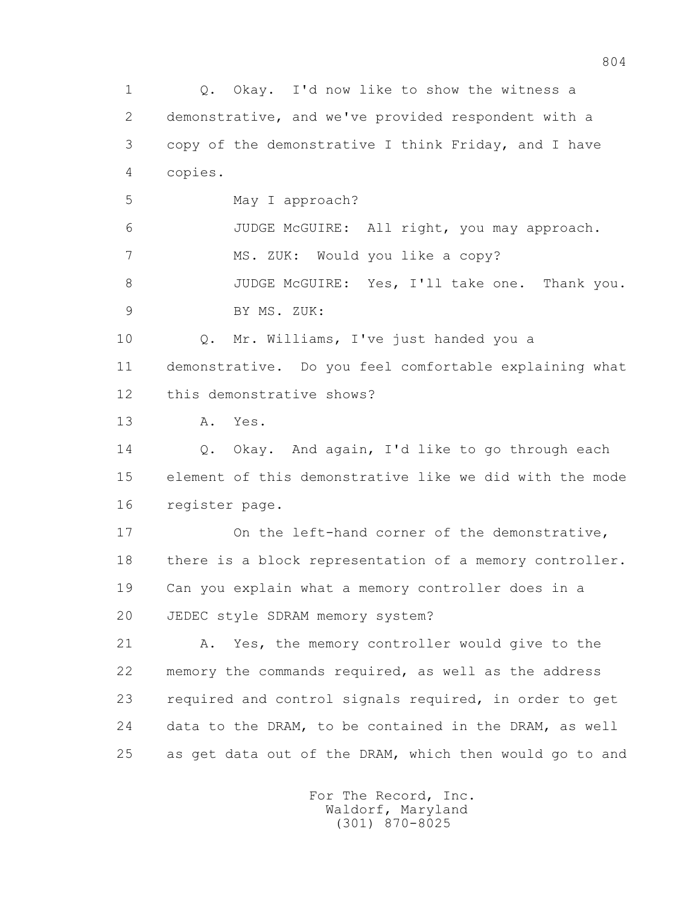1 Q. Okay. I'd now like to show the witness a 2 demonstrative, and we've provided respondent with a 3 copy of the demonstrative I think Friday, and I have 4 copies. 5 May I approach? 6 JUDGE McGUIRE: All right, you may approach. 7 MS. ZUK: Would you like a copy? 8 JUDGE McGUIRE: Yes, I'll take one. Thank you. 9 BY MS. ZUK: 10 Q. Mr. Williams, I've just handed you a 11 demonstrative. Do you feel comfortable explaining what 12 this demonstrative shows? 13 A. Yes. 14 O. Okay. And again, I'd like to go through each 15 element of this demonstrative like we did with the mode 16 register page. 17 On the left-hand corner of the demonstrative, 18 there is a block representation of a memory controller. 19 Can you explain what a memory controller does in a 20 JEDEC style SDRAM memory system? 21 A. Yes, the memory controller would give to the 22 memory the commands required, as well as the address 23 required and control signals required, in order to get 24 data to the DRAM, to be contained in the DRAM, as well 25 as get data out of the DRAM, which then would go to and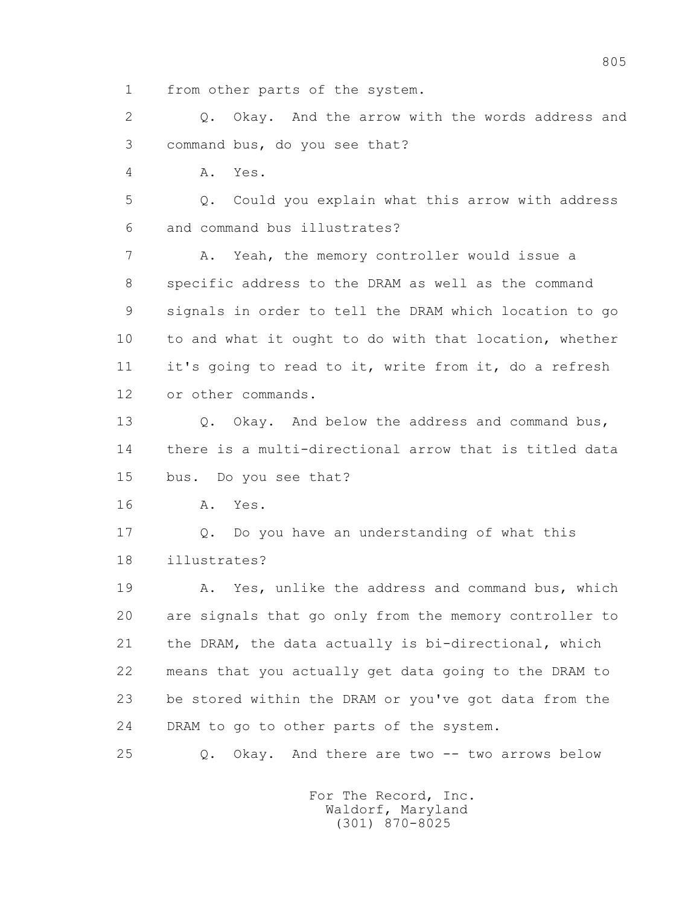1 from other parts of the system.

 2 Q. Okay. And the arrow with the words address and 3 command bus, do you see that?

4 A. Yes.

 5 Q. Could you explain what this arrow with address 6 and command bus illustrates?

 7 A. Yeah, the memory controller would issue a 8 specific address to the DRAM as well as the command 9 signals in order to tell the DRAM which location to go 10 to and what it ought to do with that location, whether 11 it's going to read to it, write from it, do a refresh 12 or other commands.

13 O. Okay. And below the address and command bus, 14 there is a multi-directional arrow that is titled data 15 bus. Do you see that?

16 A. Yes.

 17 Q. Do you have an understanding of what this 18 illustrates?

 19 A. Yes, unlike the address and command bus, which 20 are signals that go only from the memory controller to 21 the DRAM, the data actually is bi-directional, which 22 means that you actually get data going to the DRAM to 23 be stored within the DRAM or you've got data from the 24 DRAM to go to other parts of the system.

25 Q. Okay. And there are two -- two arrows below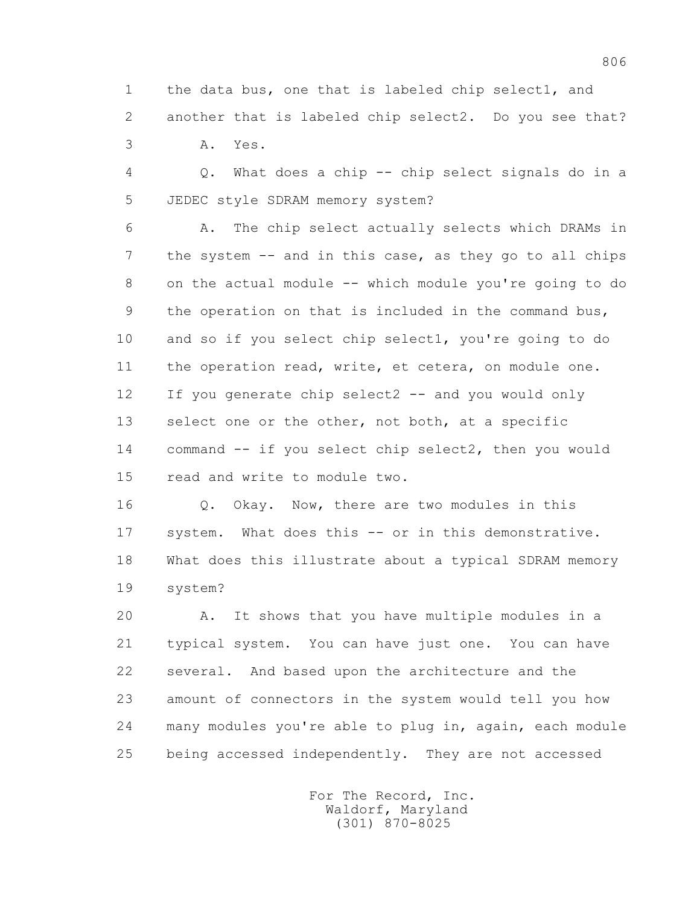1 the data bus, one that is labeled chip select1, and 2 another that is labeled chip select2. Do you see that? 3 A. Yes.

 4 Q. What does a chip -- chip select signals do in a 5 JEDEC style SDRAM memory system?

 6 A. The chip select actually selects which DRAMs in 7 the system -- and in this case, as they go to all chips 8 on the actual module -- which module you're going to do 9 the operation on that is included in the command bus, 10 and so if you select chip select1, you're going to do 11 the operation read, write, et cetera, on module one. 12 If you generate chip select2 -- and you would only 13 select one or the other, not both, at a specific 14 command -- if you select chip select2, then you would 15 read and write to module two.

 16 Q. Okay. Now, there are two modules in this 17 system. What does this -- or in this demonstrative. 18 What does this illustrate about a typical SDRAM memory 19 system?

 20 A. It shows that you have multiple modules in a 21 typical system. You can have just one. You can have 22 several. And based upon the architecture and the 23 amount of connectors in the system would tell you how 24 many modules you're able to plug in, again, each module 25 being accessed independently. They are not accessed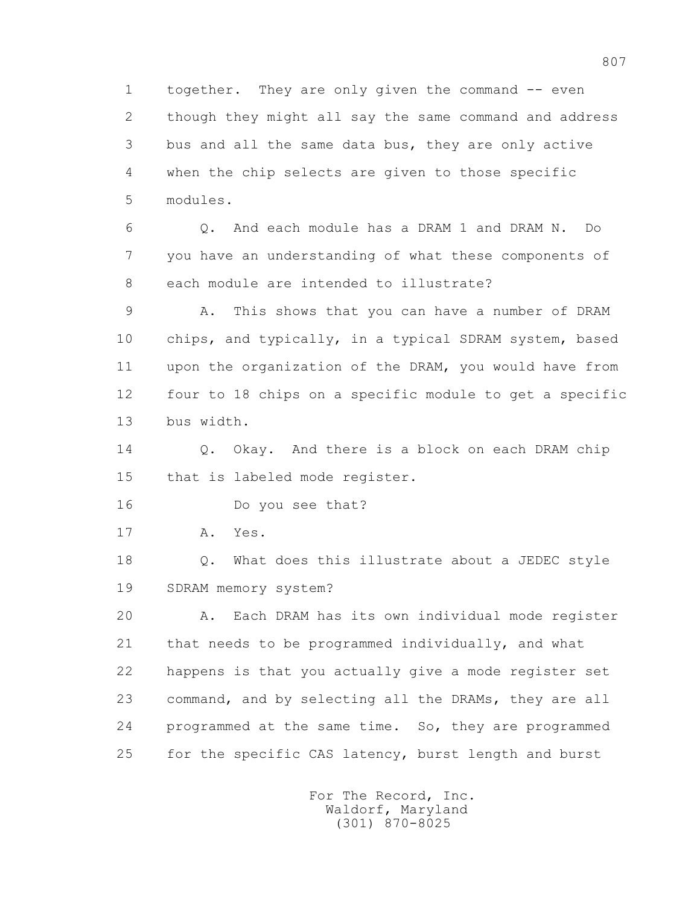1 together. They are only given the command -- even 2 though they might all say the same command and address 3 bus and all the same data bus, they are only active 4 when the chip selects are given to those specific 5 modules.

 6 Q. And each module has a DRAM 1 and DRAM N. Do 7 you have an understanding of what these components of 8 each module are intended to illustrate?

 9 A. This shows that you can have a number of DRAM 10 chips, and typically, in a typical SDRAM system, based 11 upon the organization of the DRAM, you would have from 12 four to 18 chips on a specific module to get a specific 13 bus width.

14 0. Okay. And there is a block on each DRAM chip 15 that is labeled mode register.

16 Do you see that?

17 A. Yes.

18 **Q.** What does this illustrate about a JEDEC style 19 SDRAM memory system?

 20 A. Each DRAM has its own individual mode register 21 that needs to be programmed individually, and what 22 happens is that you actually give a mode register set 23 command, and by selecting all the DRAMs, they are all 24 programmed at the same time. So, they are programmed 25 for the specific CAS latency, burst length and burst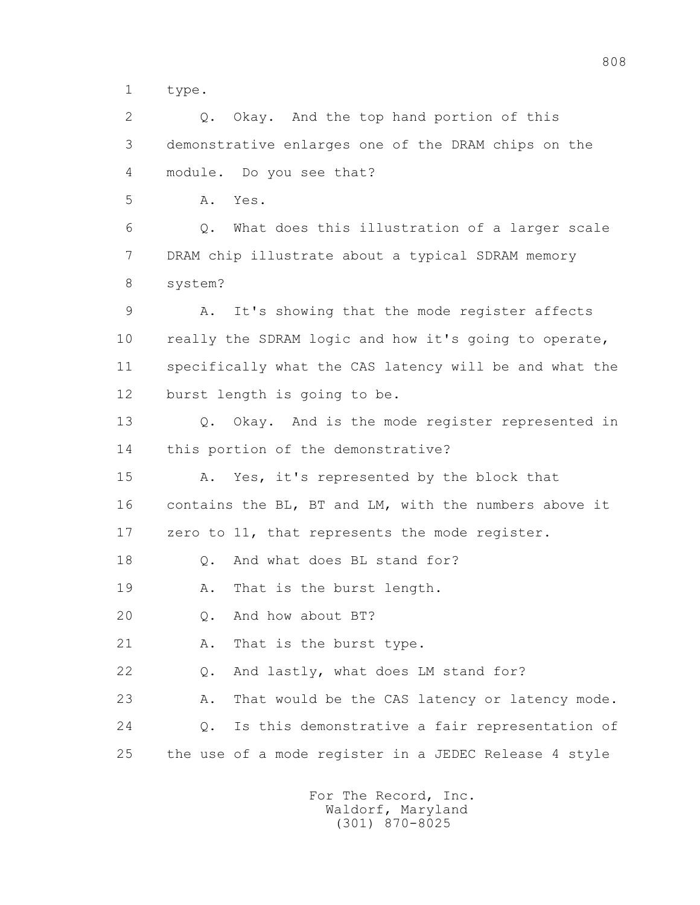1 type.

 2 Q. Okay. And the top hand portion of this 3 demonstrative enlarges one of the DRAM chips on the 4 module. Do you see that?

5 A. Yes.

 6 Q. What does this illustration of a larger scale 7 DRAM chip illustrate about a typical SDRAM memory 8 system?

 9 A. It's showing that the mode register affects 10 really the SDRAM logic and how it's going to operate, 11 specifically what the CAS latency will be and what the 12 burst length is going to be.

 13 Q. Okay. And is the mode register represented in 14 this portion of the demonstrative?

 15 A. Yes, it's represented by the block that 16 contains the BL, BT and LM, with the numbers above it 17 zero to 11, that represents the mode register.

18 Q. And what does BL stand for?

19 A. That is the burst length.

20 Q. And how about BT?

21 A. That is the burst type.

22 Q. And lastly, what does LM stand for?

23 A. That would be the CAS latency or latency mode. 24 Q. Is this demonstrative a fair representation of 25 the use of a mode register in a JEDEC Release 4 style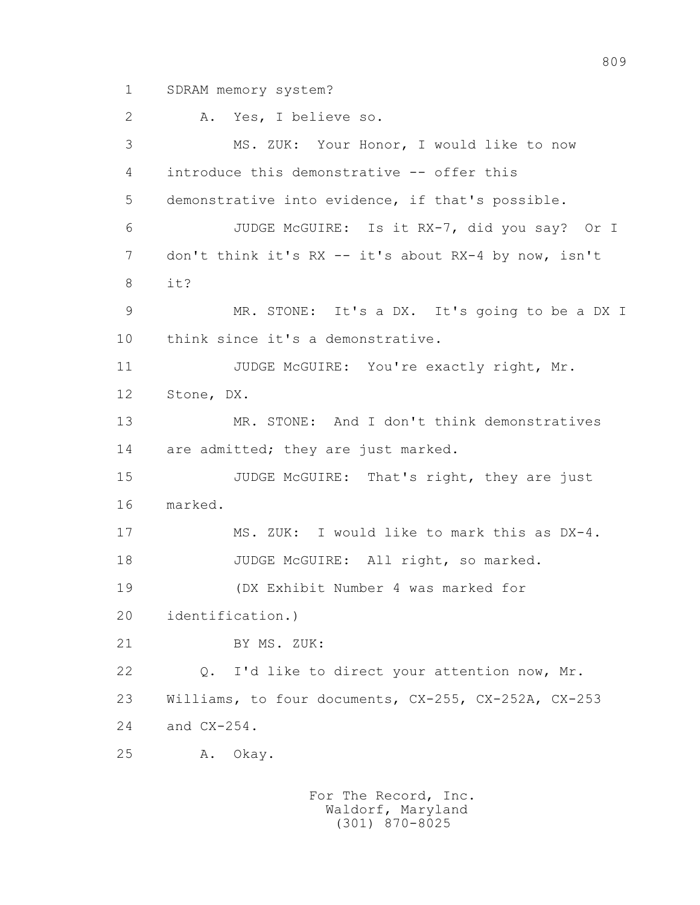1 SDRAM memory system?

 2 A. Yes, I believe so. 3 MS. ZUK: Your Honor, I would like to now 4 introduce this demonstrative -- offer this 5 demonstrative into evidence, if that's possible. 6 JUDGE McGUIRE: Is it RX-7, did you say? Or I 7 don't think it's RX -- it's about RX-4 by now, isn't 8 it? 9 MR. STONE: It's a DX. It's going to be a DX I 10 think since it's a demonstrative. 11 JUDGE McGUIRE: You're exactly right, Mr. 12 Stone, DX. 13 MR. STONE: And I don't think demonstratives 14 are admitted; they are just marked. 15 JUDGE McGUIRE: That's right, they are just 16 marked. 17 MS. ZUK: I would like to mark this as DX-4. 18 JUDGE McGUIRE: All right, so marked. 19 (DX Exhibit Number 4 was marked for 20 identification.) 21 BY MS. ZUK: 22 Q. I'd like to direct your attention now, Mr. 23 Williams, to four documents, CX-255, CX-252A, CX-253 24 and CX-254. 25 A. Okay.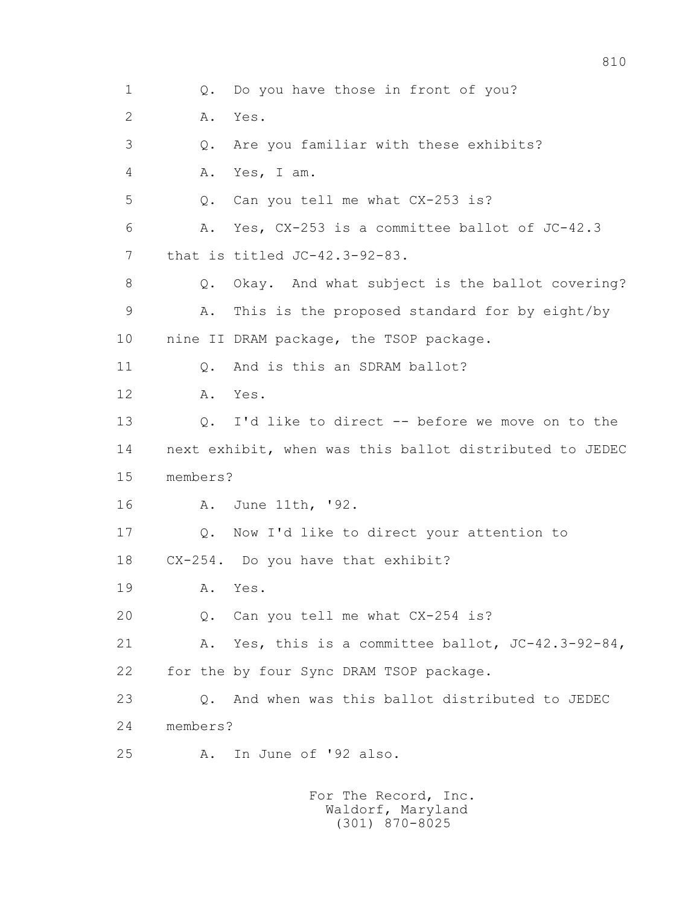1 0. Do you have those in front of you? 2 A. Yes. 3 Q. Are you familiar with these exhibits? 4 A. Yes, I am. 5 Q. Can you tell me what CX-253 is? 6 A. Yes, CX-253 is a committee ballot of JC-42.3 7 that is titled JC-42.3-92-83. 8 Q. Okay. And what subject is the ballot covering? 9 A. This is the proposed standard for by eight/by 10 nine II DRAM package, the TSOP package. 11 0. And is this an SDRAM ballot? 12 A. Yes. 13 Q. I'd like to direct -- before we move on to the 14 next exhibit, when was this ballot distributed to JEDEC 15 members? 16 A. June 11th, '92. 17 Q. Now I'd like to direct your attention to 18 CX-254. Do you have that exhibit? 19 A. Yes. 20 Q. Can you tell me what CX-254 is? 21 A. Yes, this is a committee ballot, JC-42.3-92-84, 22 for the by four Sync DRAM TSOP package. 23 Q. And when was this ballot distributed to JEDEC 24 members? 25 A. In June of '92 also.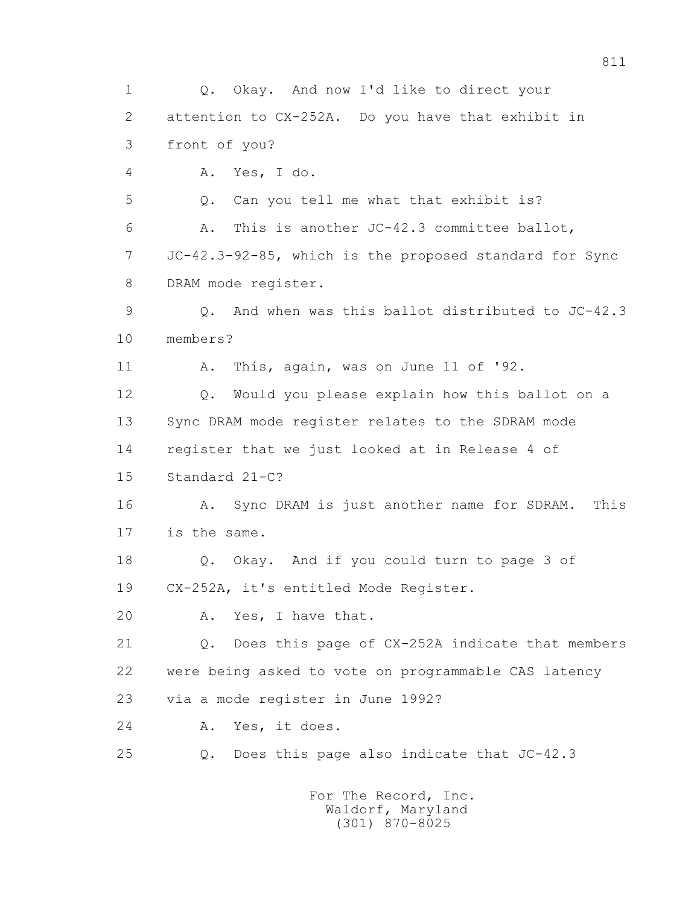1 Q. Okay. And now I'd like to direct your 2 attention to CX-252A. Do you have that exhibit in 3 front of you? 4 A. Yes, I do. 5 Q. Can you tell me what that exhibit is? 6 A. This is another JC-42.3 committee ballot, 7 JC-42.3-92-85, which is the proposed standard for Sync 8 DRAM mode register. 9 Q. And when was this ballot distributed to JC-42.3 10 members? 11 A. This, again, was on June 11 of '92. 12 Q. Would you please explain how this ballot on a 13 Sync DRAM mode register relates to the SDRAM mode 14 register that we just looked at in Release 4 of 15 Standard 21-C? 16 A. Sync DRAM is just another name for SDRAM. This 17 is the same. 18 Q. Okay. And if you could turn to page 3 of 19 CX-252A, it's entitled Mode Register. 20 A. Yes, I have that. 21 Q. Does this page of CX-252A indicate that members 22 were being asked to vote on programmable CAS latency 23 via a mode register in June 1992? 24 A. Yes, it does. 25 Q. Does this page also indicate that JC-42.3 For The Record, Inc.

 Waldorf, Maryland (301) 870-8025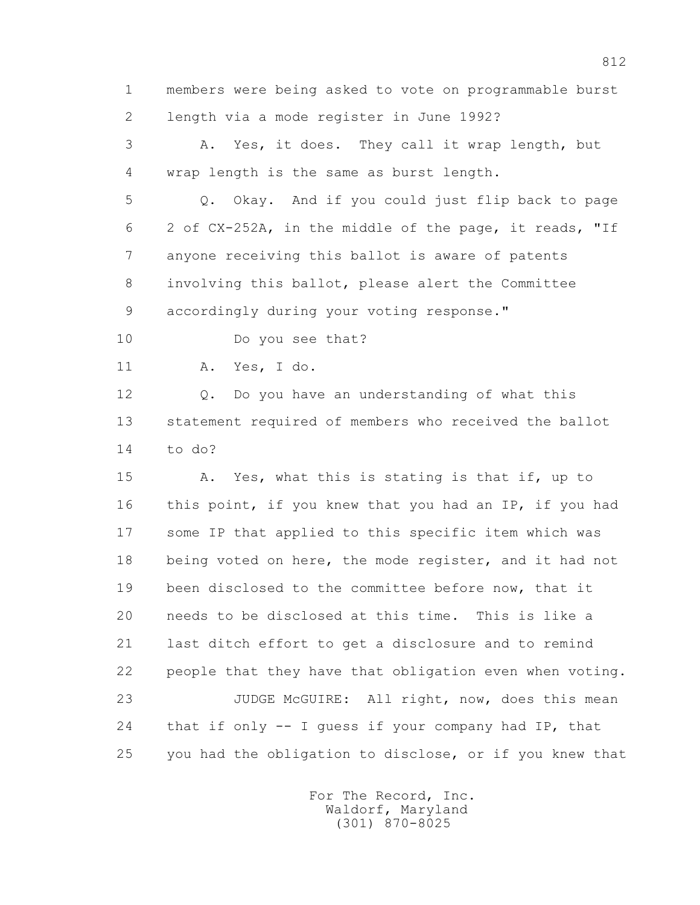1 members were being asked to vote on programmable burst 2 length via a mode register in June 1992?

 3 A. Yes, it does. They call it wrap length, but 4 wrap length is the same as burst length.

 5 Q. Okay. And if you could just flip back to page 6 2 of CX-252A, in the middle of the page, it reads, "If 7 anyone receiving this ballot is aware of patents 8 involving this ballot, please alert the Committee 9 accordingly during your voting response."

10 Do you see that?

11 A. Yes, I do.

 12 Q. Do you have an understanding of what this 13 statement required of members who received the ballot 14 to do?

 15 A. Yes, what this is stating is that if, up to 16 this point, if you knew that you had an IP, if you had 17 some IP that applied to this specific item which was 18 being voted on here, the mode register, and it had not 19 been disclosed to the committee before now, that it 20 needs to be disclosed at this time. This is like a 21 last ditch effort to get a disclosure and to remind 22 people that they have that obligation even when voting. 23 JUDGE McGUIRE: All right, now, does this mean 24 that if only -- I guess if your company had IP, that 25 you had the obligation to disclose, or if you knew that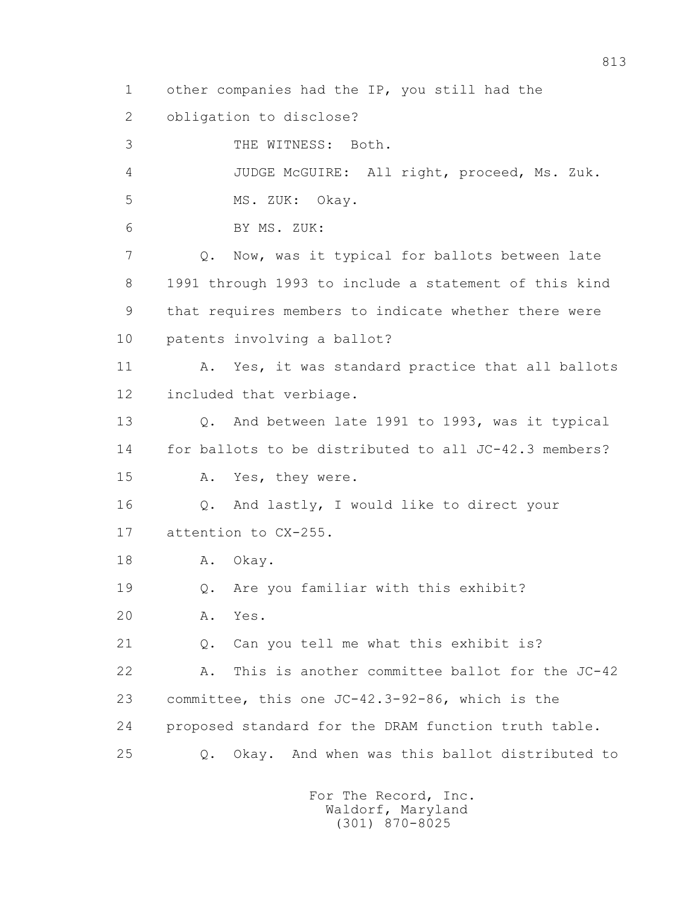1 other companies had the IP, you still had the

2 obligation to disclose?

 3 THE WITNESS: Both. 4 JUDGE McGUIRE: All right, proceed, Ms. Zuk. 5 MS. ZUK: Okay. 6 BY MS. ZUK: 7 Q. Now, was it typical for ballots between late 8 1991 through 1993 to include a statement of this kind 9 that requires members to indicate whether there were 10 patents involving a ballot? 11 A. Yes, it was standard practice that all ballots 12 included that verbiage. 13 Q. And between late 1991 to 1993, was it typical 14 for ballots to be distributed to all JC-42.3 members? 15 A. Yes, they were. 16 Q. And lastly, I would like to direct your 17 attention to CX-255. 18 A. Okay. 19 Q. Are you familiar with this exhibit? 20 A. Yes. 21 Q. Can you tell me what this exhibit is? 22 A. This is another committee ballot for the JC-42 23 committee, this one JC-42.3-92-86, which is the 24 proposed standard for the DRAM function truth table. 25 Q. Okay. And when was this ballot distributed to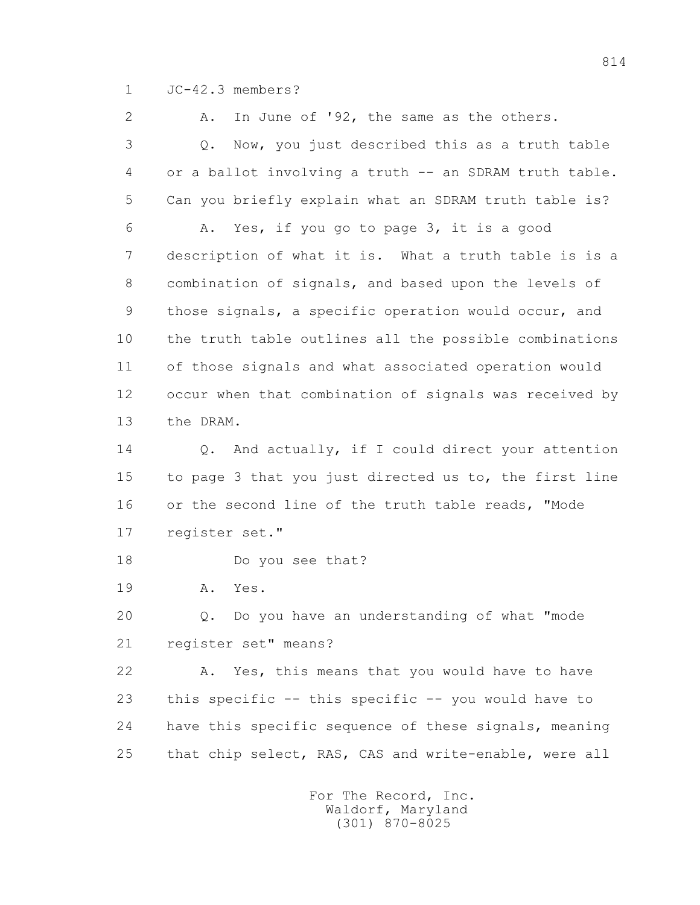1 JC-42.3 members?

 2 A. In June of '92, the same as the others. 3 Q. Now, you just described this as a truth table 4 or a ballot involving a truth -- an SDRAM truth table. 5 Can you briefly explain what an SDRAM truth table is? 6 A. Yes, if you go to page 3, it is a good 7 description of what it is. What a truth table is is a 8 combination of signals, and based upon the levels of 9 those signals, a specific operation would occur, and 10 the truth table outlines all the possible combinations 11 of those signals and what associated operation would 12 occur when that combination of signals was received by 13 the DRAM. 14 0. And actually, if I could direct your attention 15 to page 3 that you just directed us to, the first line 16 or the second line of the truth table reads, "Mode 17 register set." 18 Do you see that? 19 A. Yes. 20 Q. Do you have an understanding of what "mode 21 register set" means? 22 A. Yes, this means that you would have to have 23 this specific -- this specific -- you would have to 24 have this specific sequence of these signals, meaning 25 that chip select, RAS, CAS and write-enable, were all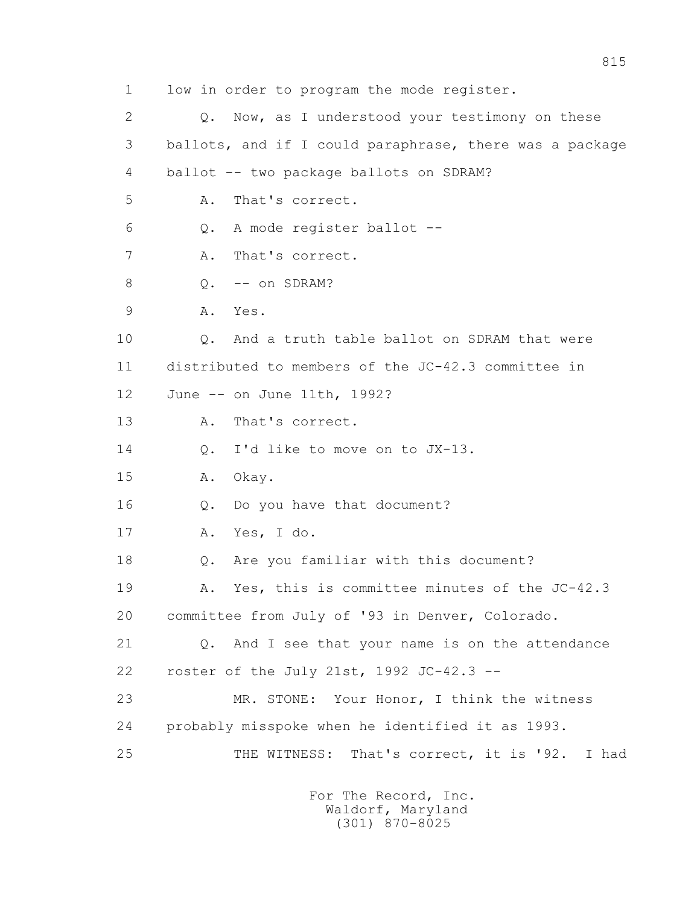1 low in order to program the mode register. 2 0. Now, as I understood your testimony on these 3 ballots, and if I could paraphrase, there was a package 4 ballot -- two package ballots on SDRAM? 5 A. That's correct. 6 Q. A mode register ballot -- 7 A. That's correct. 8 0. -- on SDRAM? 9 A. Yes. 10 Q. And a truth table ballot on SDRAM that were 11 distributed to members of the JC-42.3 committee in 12 June -- on June 11th, 1992? 13 A. That's correct. 14 Q. I'd like to move on to JX-13. 15 A. Okay. 16 Q. Do you have that document? 17 A. Yes, I do. 18 Q. Are you familiar with this document? 19 A. Yes, this is committee minutes of the JC-42.3 20 committee from July of '93 in Denver, Colorado. 21 Q. And I see that your name is on the attendance 22 roster of the July 21st, 1992 JC-42.3 -- 23 MR. STONE: Your Honor, I think the witness 24 probably misspoke when he identified it as 1993. 25 THE WITNESS: That's correct, it is '92. I had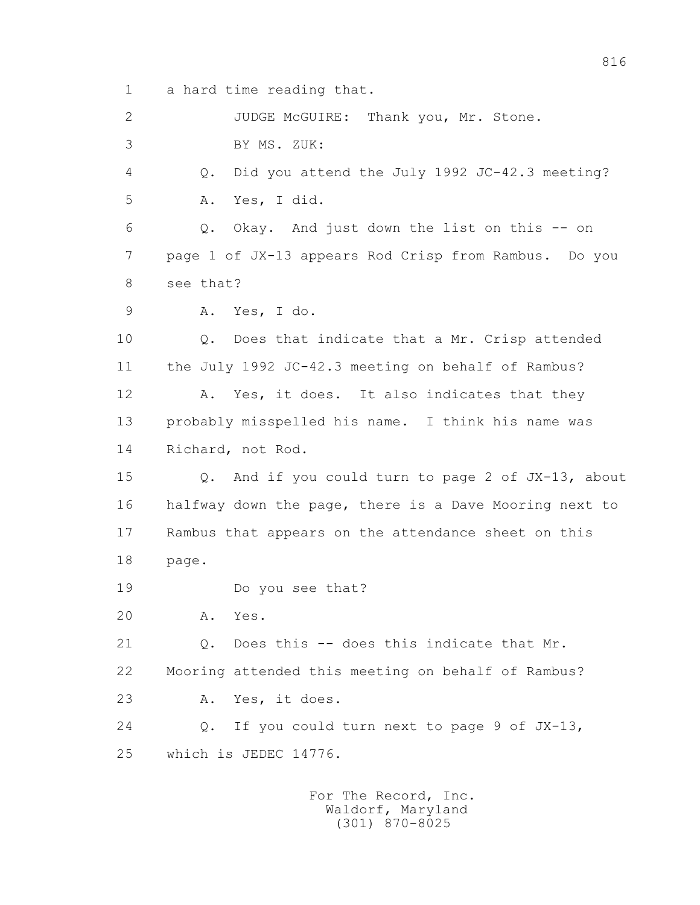1 a hard time reading that.

 2 JUDGE McGUIRE: Thank you, Mr. Stone. 3 BY MS. ZUK: 4 Q. Did you attend the July 1992 JC-42.3 meeting? 5 A. Yes, I did. 6 Q. Okay. And just down the list on this -- on 7 page 1 of JX-13 appears Rod Crisp from Rambus. Do you 8 see that? 9 A. Yes, I do. 10 Q. Does that indicate that a Mr. Crisp attended 11 the July 1992 JC-42.3 meeting on behalf of Rambus? 12 A. Yes, it does. It also indicates that they 13 probably misspelled his name. I think his name was 14 Richard, not Rod. 15 Q. And if you could turn to page 2 of JX-13, about 16 halfway down the page, there is a Dave Mooring next to 17 Rambus that appears on the attendance sheet on this 18 page. 19 Do you see that? 20 A. Yes. 21 Q. Does this -- does this indicate that Mr. 22 Mooring attended this meeting on behalf of Rambus? 23 A. Yes, it does. 24 Q. If you could turn next to page 9 of JX-13, 25 which is JEDEC 14776.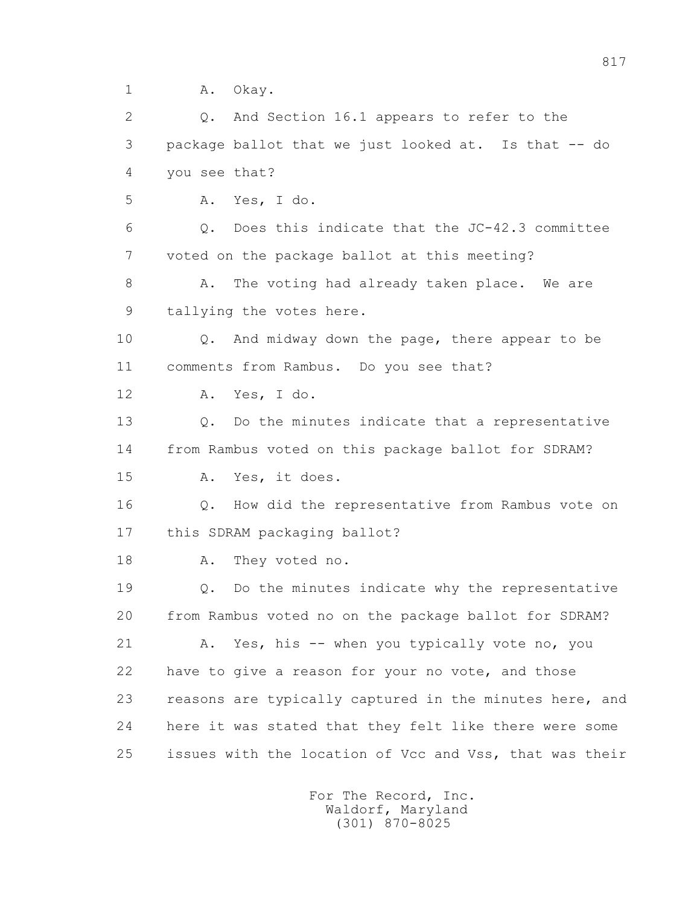1 A. Okay.

 2 Q. And Section 16.1 appears to refer to the 3 package ballot that we just looked at. Is that -- do 4 you see that? 5 A. Yes, I do. 6 Q. Does this indicate that the JC-42.3 committee 7 voted on the package ballot at this meeting? 8 A. The voting had already taken place. We are 9 tallying the votes here. 10 Q. And midway down the page, there appear to be 11 comments from Rambus. Do you see that? 12 A. Yes, I do. 13 Q. Do the minutes indicate that a representative 14 from Rambus voted on this package ballot for SDRAM? 15 A. Yes, it does. 16 Q. How did the representative from Rambus vote on 17 this SDRAM packaging ballot? 18 A. They voted no. 19 Q. Do the minutes indicate why the representative 20 from Rambus voted no on the package ballot for SDRAM? 21 A. Yes, his -- when you typically vote no, you 22 have to give a reason for your no vote, and those 23 reasons are typically captured in the minutes here, and 24 here it was stated that they felt like there were some 25 issues with the location of Vcc and Vss, that was their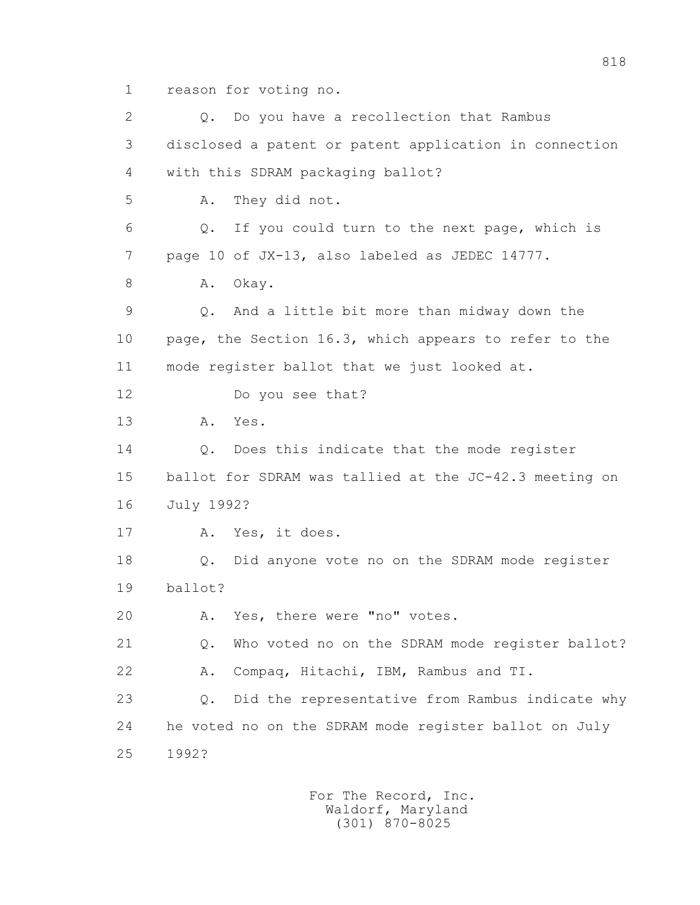1 reason for voting no.

2 0. Do you have a recollection that Rambus 3 disclosed a patent or patent application in connection 4 with this SDRAM packaging ballot? 5 A. They did not. 6 Q. If you could turn to the next page, which is 7 page 10 of JX-13, also labeled as JEDEC 14777. 8 A. Okay. 9 Q. And a little bit more than midway down the 10 page, the Section 16.3, which appears to refer to the 11 mode register ballot that we just looked at. 12 Do you see that? 13 A. Yes. 14 0. Does this indicate that the mode register 15 ballot for SDRAM was tallied at the JC-42.3 meeting on 16 July 1992? 17 A. Yes, it does. 18 Q. Did anyone vote no on the SDRAM mode register 19 ballot? 20 A. Yes, there were "no" votes. 21 Q. Who voted no on the SDRAM mode register ballot? 22 A. Compaq, Hitachi, IBM, Rambus and TI. 23 Q. Did the representative from Rambus indicate why 24 he voted no on the SDRAM mode register ballot on July 25 1992?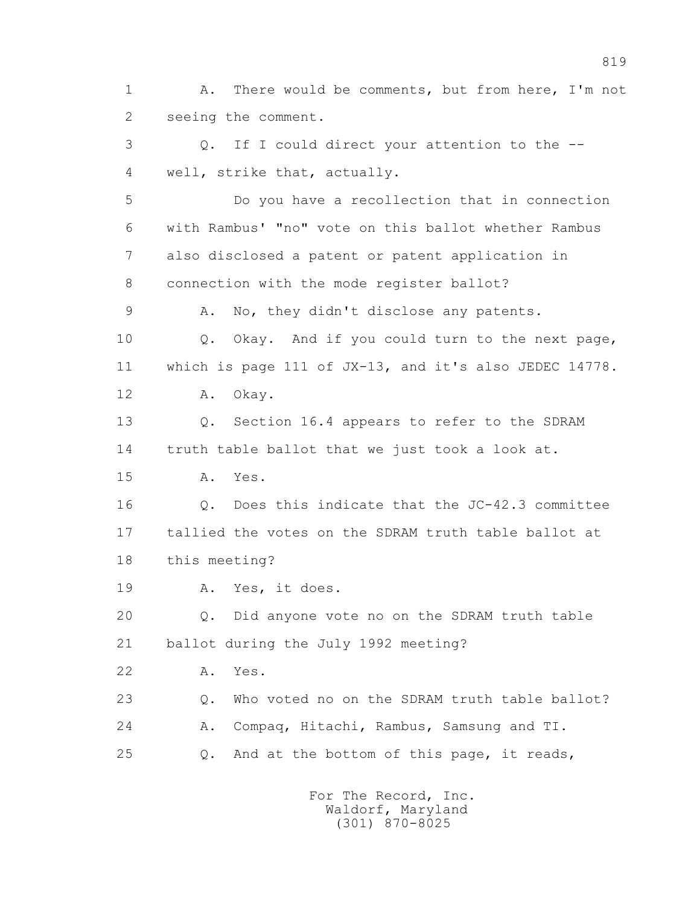1 A. There would be comments, but from here, I'm not 2 seeing the comment.

 3 Q. If I could direct your attention to the -- 4 well, strike that, actually.

 5 Do you have a recollection that in connection 6 with Rambus' "no" vote on this ballot whether Rambus 7 also disclosed a patent or patent application in 8 connection with the mode register ballot?

9 A. No, they didn't disclose any patents.

 10 Q. Okay. And if you could turn to the next page, 11 which is page 111 of JX-13, and it's also JEDEC 14778.

12 A. Okay.

 13 Q. Section 16.4 appears to refer to the SDRAM 14 truth table ballot that we just took a look at.

15 A. Yes.

 16 Q. Does this indicate that the JC-42.3 committee 17 tallied the votes on the SDRAM truth table ballot at 18 this meeting?

19 A. Yes, it does.

 20 Q. Did anyone vote no on the SDRAM truth table 21 ballot during the July 1992 meeting?

22 A. Yes.

 23 Q. Who voted no on the SDRAM truth table ballot? 24 A. Compaq, Hitachi, Rambus, Samsung and TI. 25 Q. And at the bottom of this page, it reads,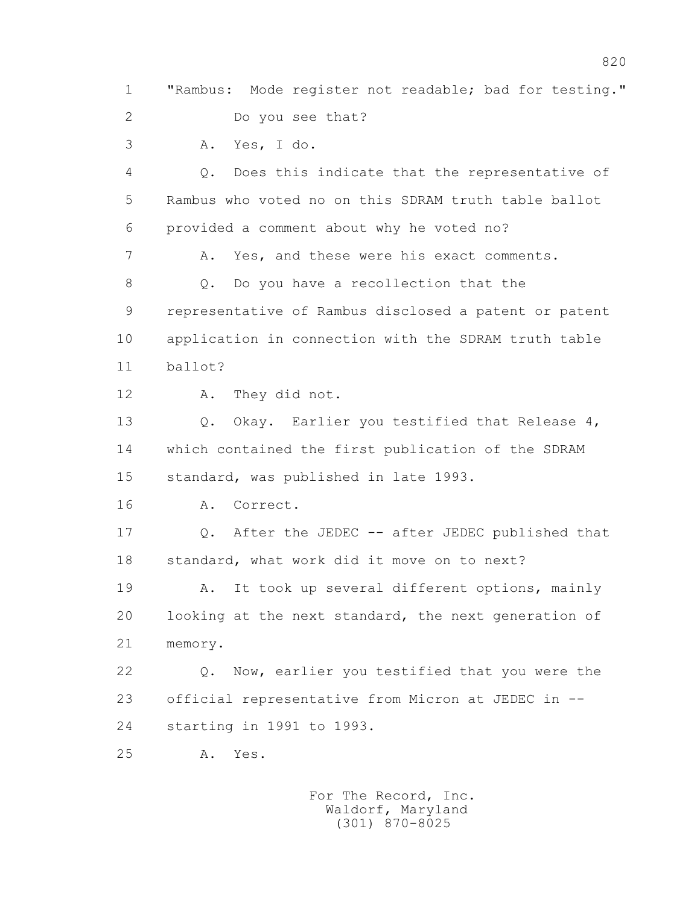1 "Rambus: Mode register not readable; bad for testing." 2 Do you see that? 3 A. Yes, I do. 4 Q. Does this indicate that the representative of 5 Rambus who voted no on this SDRAM truth table ballot 6 provided a comment about why he voted no? 7 A. Yes, and these were his exact comments. 8 Q. Do you have a recollection that the 9 representative of Rambus disclosed a patent or patent 10 application in connection with the SDRAM truth table 11 ballot? 12 A. They did not. 13 O. Okay. Earlier you testified that Release 4, 14 which contained the first publication of the SDRAM 15 standard, was published in late 1993. 16 A. Correct. 17 Q. After the JEDEC -- after JEDEC published that 18 standard, what work did it move on to next? 19 A. It took up several different options, mainly 20 looking at the next standard, the next generation of 21 memory. 22 Q. Now, earlier you testified that you were the 23 official representative from Micron at JEDEC in -- 24 starting in 1991 to 1993. 25 A. Yes. For The Record, Inc. Waldorf, Maryland

(301) 870-8025

820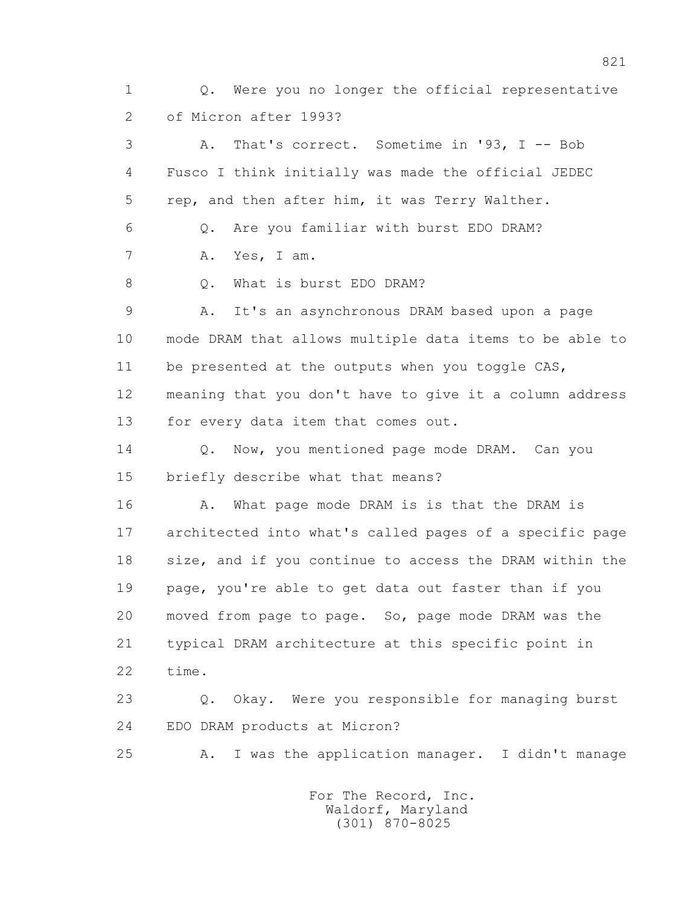1 Q. Were you no longer the official representative 2 of Micron after 1993? 3 A. That's correct. Sometime in '93, I -- Bob 4 Fusco I think initially was made the official JEDEC 5 rep, and then after him, it was Terry Walther. 6 Q. Are you familiar with burst EDO DRAM? 7 A. Yes, I am. 8 0. What is burst EDO DRAM? 9 A. It's an asynchronous DRAM based upon a page 10 mode DRAM that allows multiple data items to be able to 11 be presented at the outputs when you toggle CAS, 12 meaning that you don't have to give it a column address 13 for every data item that comes out. 14 0. Now, you mentioned page mode DRAM. Can you 15 briefly describe what that means? 16 A. What page mode DRAM is is that the DRAM is 17 architected into what's called pages of a specific page 18 size, and if you continue to access the DRAM within the 19 page, you're able to get data out faster than if you 20 moved from page to page. So, page mode DRAM was the 21 typical DRAM architecture at this specific point in 22 time. 23 Q. Okay. Were you responsible for managing burst 24 EDO DRAM products at Micron? 25 A. I was the application manager. I didn't manage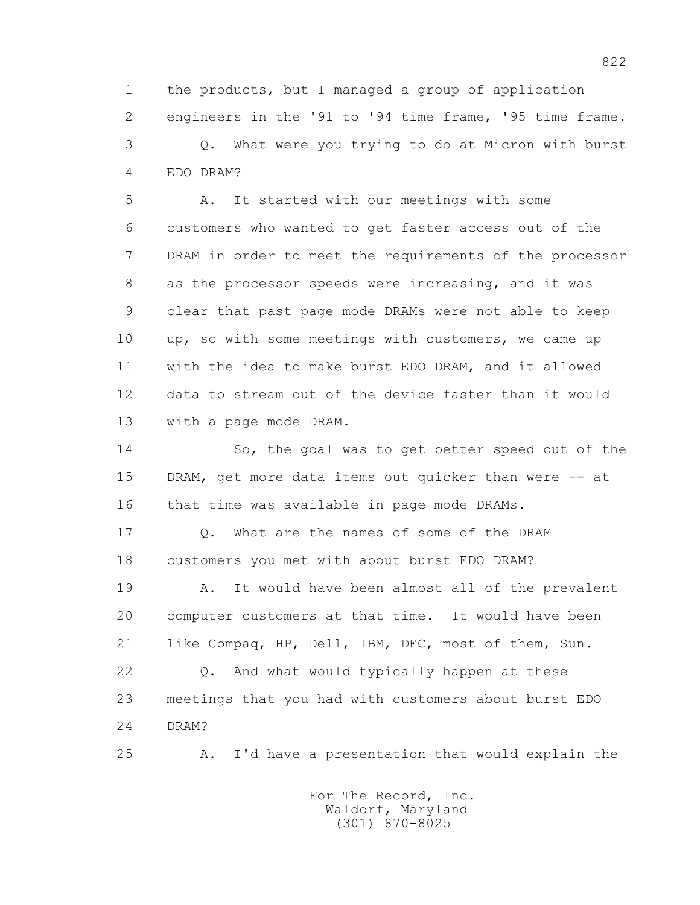1 the products, but I managed a group of application 2 engineers in the '91 to '94 time frame, '95 time frame. 3 Q. What were you trying to do at Micron with burst 4 EDO DRAM?

 5 A. It started with our meetings with some 6 customers who wanted to get faster access out of the 7 DRAM in order to meet the requirements of the processor 8 as the processor speeds were increasing, and it was 9 clear that past page mode DRAMs were not able to keep 10 up, so with some meetings with customers, we came up 11 with the idea to make burst EDO DRAM, and it allowed 12 data to stream out of the device faster than it would 13 with a page mode DRAM.

 14 So, the goal was to get better speed out of the 15 DRAM, get more data items out quicker than were -- at 16 that time was available in page mode DRAMs.

 17 Q. What are the names of some of the DRAM 18 customers you met with about burst EDO DRAM?

 19 A. It would have been almost all of the prevalent 20 computer customers at that time. It would have been 21 like Compaq, HP, Dell, IBM, DEC, most of them, Sun.

 22 Q. And what would typically happen at these 23 meetings that you had with customers about burst EDO 24 DRAM?

25 A. I'd have a presentation that would explain the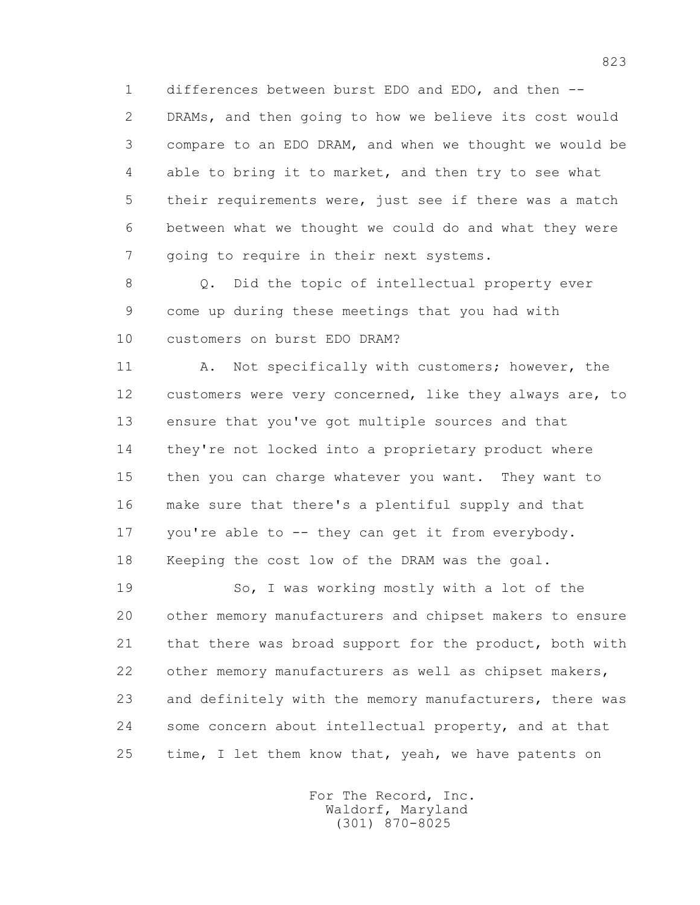1 differences between burst EDO and EDO, and then -- 2 DRAMs, and then going to how we believe its cost would 3 compare to an EDO DRAM, and when we thought we would be 4 able to bring it to market, and then try to see what 5 their requirements were, just see if there was a match 6 between what we thought we could do and what they were 7 going to require in their next systems.

 8 Q. Did the topic of intellectual property ever 9 come up during these meetings that you had with 10 customers on burst EDO DRAM?

11 A. Not specifically with customers; however, the 12 customers were very concerned, like they always are, to 13 ensure that you've got multiple sources and that 14 they're not locked into a proprietary product where 15 then you can charge whatever you want. They want to 16 make sure that there's a plentiful supply and that 17 you're able to -- they can get it from everybody. 18 Keeping the cost low of the DRAM was the goal.

19 So, I was working mostly with a lot of the 20 other memory manufacturers and chipset makers to ensure 21 that there was broad support for the product, both with 22 other memory manufacturers as well as chipset makers, 23 and definitely with the memory manufacturers, there was 24 some concern about intellectual property, and at that 25 time, I let them know that, yeah, we have patents on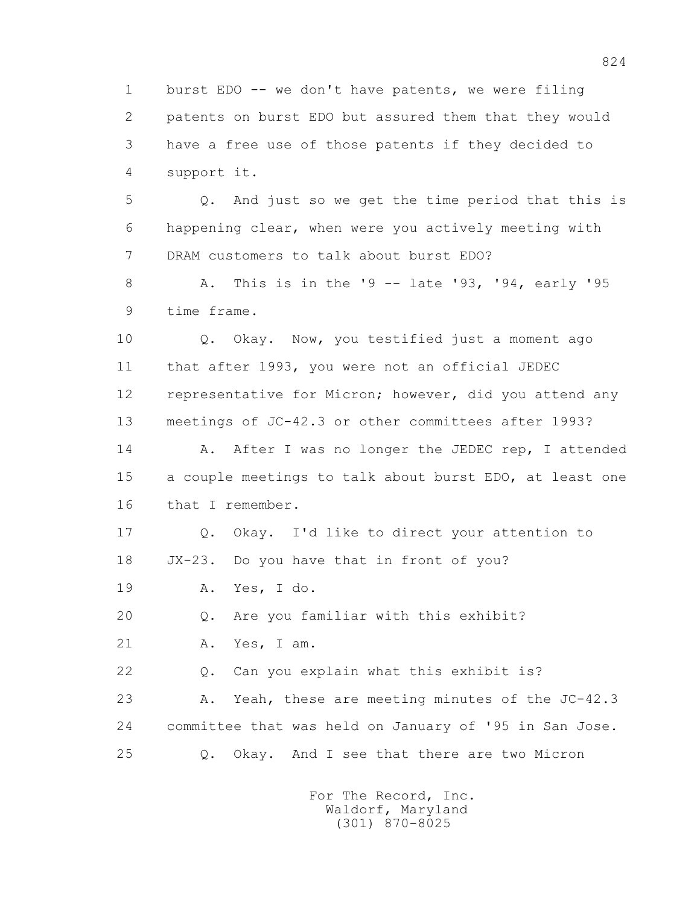1 burst EDO -- we don't have patents, we were filing 2 patents on burst EDO but assured them that they would 3 have a free use of those patents if they decided to 4 support it.

 5 Q. And just so we get the time period that this is 6 happening clear, when were you actively meeting with 7 DRAM customers to talk about burst EDO?

 8 A. This is in the '9 -- late '93, '94, early '95 9 time frame.

 10 Q. Okay. Now, you testified just a moment ago 11 that after 1993, you were not an official JEDEC 12 representative for Micron; however, did you attend any 13 meetings of JC-42.3 or other committees after 1993?

14 A. After I was no longer the JEDEC rep, I attended 15 a couple meetings to talk about burst EDO, at least one 16 that I remember.

 17 Q. Okay. I'd like to direct your attention to 18 JX-23. Do you have that in front of you?

19 A. Yes, I do.

20 Q. Are you familiar with this exhibit?

21 A. Yes, I am.

22 Q. Can you explain what this exhibit is?

 23 A. Yeah, these are meeting minutes of the JC-42.3 24 committee that was held on January of '95 in San Jose. 25 Q. Okay. And I see that there are two Micron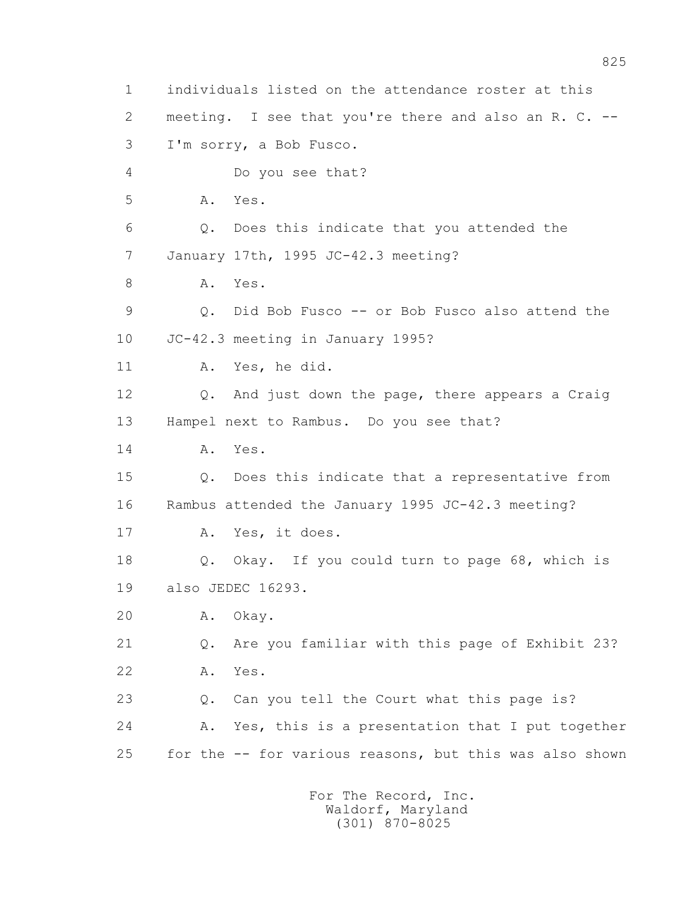1 individuals listed on the attendance roster at this 2 meeting. I see that you're there and also an R. C. -- 3 I'm sorry, a Bob Fusco. 4 Do you see that? 5 A. Yes. 6 Q. Does this indicate that you attended the 7 January 17th, 1995 JC-42.3 meeting? 8 A. Yes. 9 Q. Did Bob Fusco -- or Bob Fusco also attend the 10 JC-42.3 meeting in January 1995? 11 A. Yes, he did. 12 Q. And just down the page, there appears a Craig 13 Hampel next to Rambus. Do you see that? 14 A. Yes. 15 Q. Does this indicate that a representative from 16 Rambus attended the January 1995 JC-42.3 meeting? 17 A. Yes, it does. 18 Q. Okay. If you could turn to page 68, which is 19 also JEDEC 16293. 20 A. Okay. 21 Q. Are you familiar with this page of Exhibit 23? 22 A. Yes. 23 Q. Can you tell the Court what this page is? 24 A. Yes, this is a presentation that I put together 25 for the -- for various reasons, but this was also shown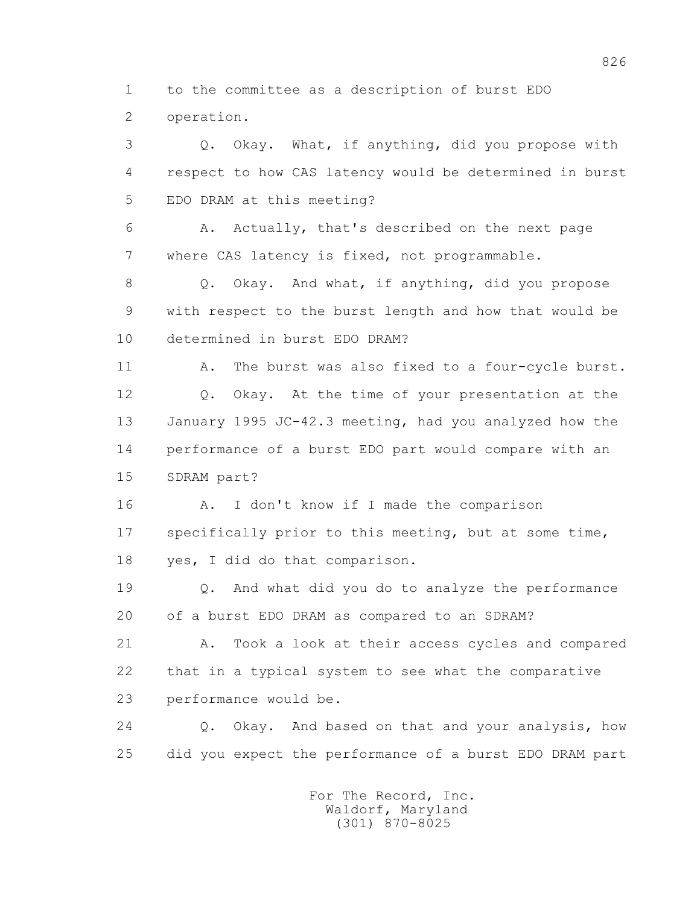1 to the committee as a description of burst EDO 2 operation.

 3 Q. Okay. What, if anything, did you propose with 4 respect to how CAS latency would be determined in burst 5 EDO DRAM at this meeting?

 6 A. Actually, that's described on the next page 7 where CAS latency is fixed, not programmable.

 8 Q. Okay. And what, if anything, did you propose 9 with respect to the burst length and how that would be 10 determined in burst EDO DRAM?

 11 A. The burst was also fixed to a four-cycle burst. 12 Q. Okay. At the time of your presentation at the 13 January 1995 JC-42.3 meeting, had you analyzed how the 14 performance of a burst EDO part would compare with an 15 SDRAM part?

16 A. I don't know if I made the comparison 17 specifically prior to this meeting, but at some time, 18 yes, I did do that comparison.

 19 Q. And what did you do to analyze the performance 20 of a burst EDO DRAM as compared to an SDRAM?

 21 A. Took a look at their access cycles and compared 22 that in a typical system to see what the comparative 23 performance would be.

 24 Q. Okay. And based on that and your analysis, how 25 did you expect the performance of a burst EDO DRAM part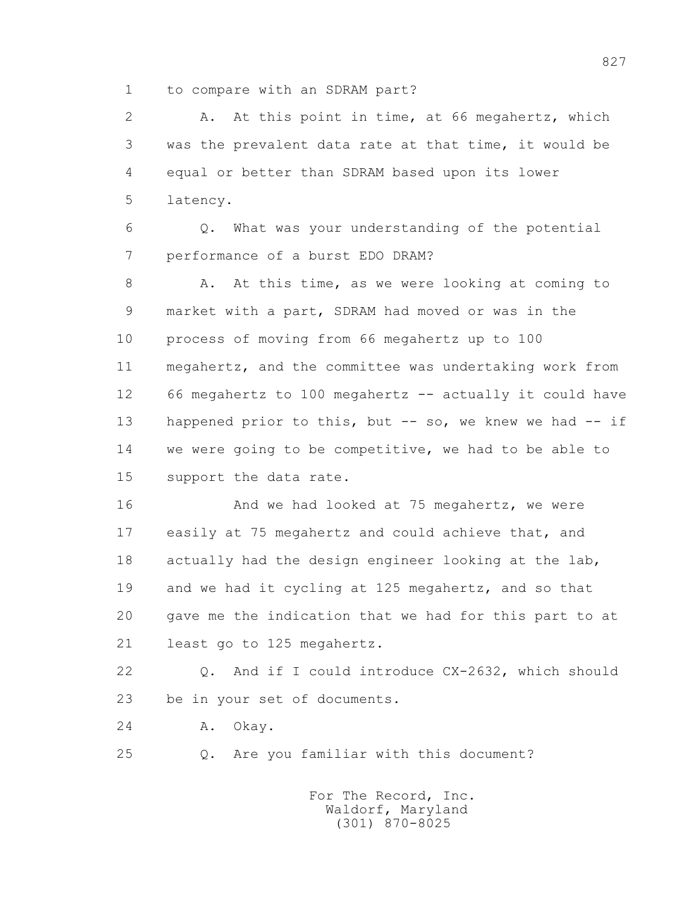1 to compare with an SDRAM part?

 2 A. At this point in time, at 66 megahertz, which 3 was the prevalent data rate at that time, it would be 4 equal or better than SDRAM based upon its lower 5 latency.

 6 Q. What was your understanding of the potential 7 performance of a burst EDO DRAM?

8 A. At this time, as we were looking at coming to 9 market with a part, SDRAM had moved or was in the 10 process of moving from 66 megahertz up to 100 11 megahertz, and the committee was undertaking work from 12 66 megahertz to 100 megahertz -- actually it could have 13 happened prior to this, but -- so, we knew we had -- if 14 we were going to be competitive, we had to be able to 15 support the data rate.

 16 And we had looked at 75 megahertz, we were 17 easily at 75 megahertz and could achieve that, and 18 actually had the design engineer looking at the lab, 19 and we had it cycling at 125 megahertz, and so that 20 gave me the indication that we had for this part to at 21 least go to 125 megahertz.

 22 Q. And if I could introduce CX-2632, which should 23 be in your set of documents.

24 A. Okay.

25 Q. Are you familiar with this document?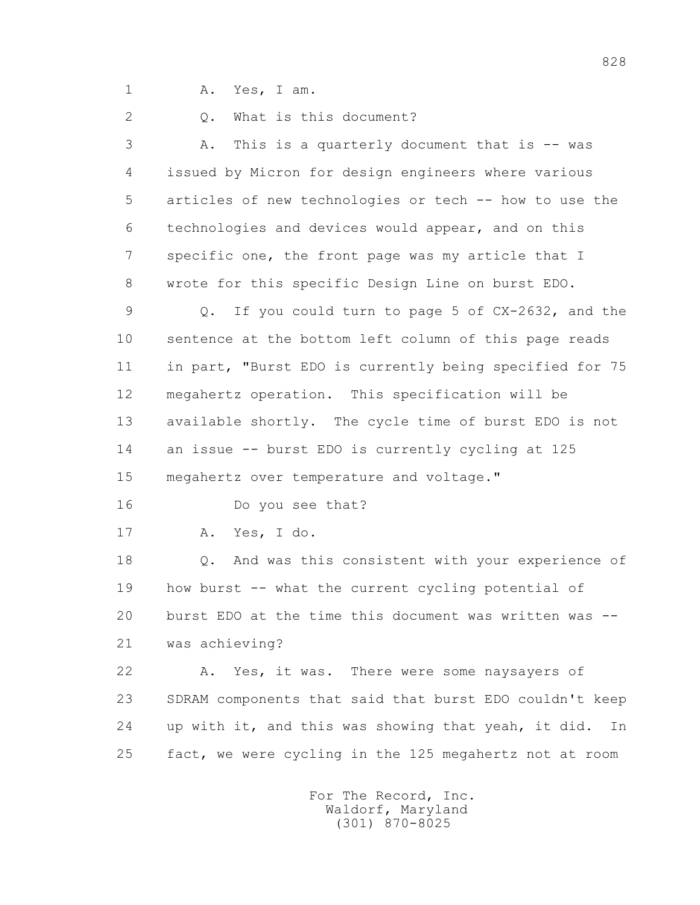1 A. Yes, I am.

2 0. What is this document?

 3 A. This is a quarterly document that is -- was 4 issued by Micron for design engineers where various 5 articles of new technologies or tech -- how to use the 6 technologies and devices would appear, and on this 7 specific one, the front page was my article that I 8 wrote for this specific Design Line on burst EDO.

 9 Q. If you could turn to page 5 of CX-2632, and the 10 sentence at the bottom left column of this page reads 11 in part, "Burst EDO is currently being specified for 75 12 megahertz operation. This specification will be 13 available shortly. The cycle time of burst EDO is not 14 an issue -- burst EDO is currently cycling at 125 15 megahertz over temperature and voltage."

16 Do you see that?

17 A. Yes, I do.

 18 Q. And was this consistent with your experience of 19 how burst -- what the current cycling potential of 20 burst EDO at the time this document was written was -- 21 was achieving?

 22 A. Yes, it was. There were some naysayers of 23 SDRAM components that said that burst EDO couldn't keep 24 up with it, and this was showing that yeah, it did. In 25 fact, we were cycling in the 125 megahertz not at room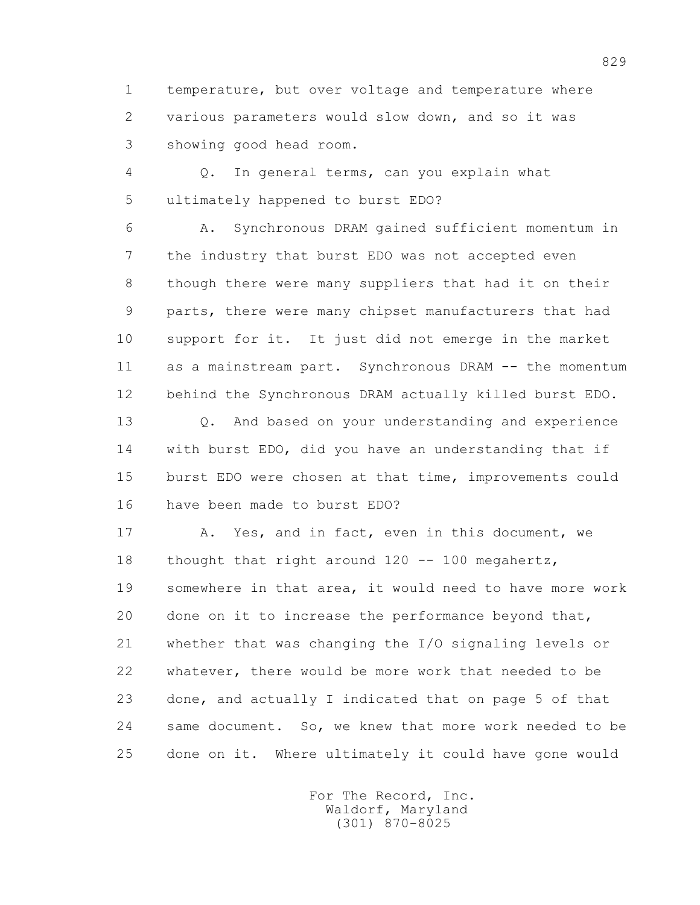1 temperature, but over voltage and temperature where 2 various parameters would slow down, and so it was 3 showing good head room.

 4 Q. In general terms, can you explain what 5 ultimately happened to burst EDO?

 6 A. Synchronous DRAM gained sufficient momentum in 7 the industry that burst EDO was not accepted even 8 though there were many suppliers that had it on their 9 parts, there were many chipset manufacturers that had 10 support for it. It just did not emerge in the market 11 as a mainstream part. Synchronous DRAM -- the momentum 12 behind the Synchronous DRAM actually killed burst EDO.

 13 Q. And based on your understanding and experience 14 with burst EDO, did you have an understanding that if 15 burst EDO were chosen at that time, improvements could 16 have been made to burst EDO?

 17 A. Yes, and in fact, even in this document, we 18 thought that right around 120 -- 100 megahertz, 19 somewhere in that area, it would need to have more work 20 done on it to increase the performance beyond that, 21 whether that was changing the I/O signaling levels or 22 whatever, there would be more work that needed to be 23 done, and actually I indicated that on page 5 of that 24 same document. So, we knew that more work needed to be 25 done on it. Where ultimately it could have gone would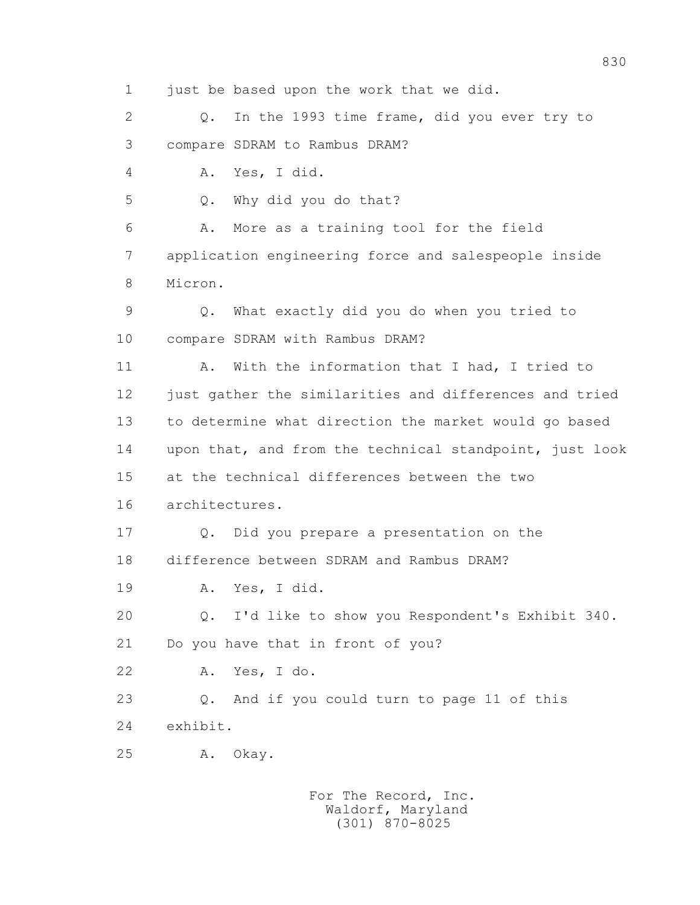1 just be based upon the work that we did.

 2 Q. In the 1993 time frame, did you ever try to 3 compare SDRAM to Rambus DRAM?

4 A. Yes, I did.

5 Q. Why did you do that?

 6 A. More as a training tool for the field 7 application engineering force and salespeople inside 8 Micron.

 9 Q. What exactly did you do when you tried to 10 compare SDRAM with Rambus DRAM?

 11 A. With the information that I had, I tried to 12 just gather the similarities and differences and tried 13 to determine what direction the market would go based 14 upon that, and from the technical standpoint, just look 15 at the technical differences between the two 16 architectures.

 17 Q. Did you prepare a presentation on the 18 difference between SDRAM and Rambus DRAM?

19 A. Yes, I did.

20 Q. I'd like to show you Respondent's Exhibit 340.

21 Do you have that in front of you?

22 A. Yes, I do.

 23 Q. And if you could turn to page 11 of this 24 exhibit.

25 A. Okay.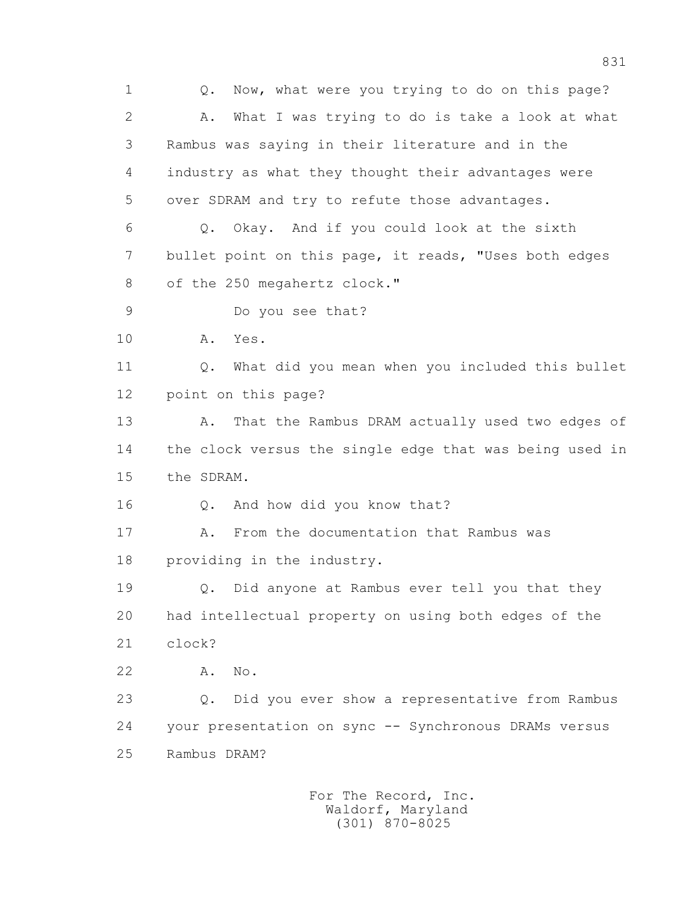1 Q. Now, what were you trying to do on this page? 2 A. What I was trying to do is take a look at what 3 Rambus was saying in their literature and in the 4 industry as what they thought their advantages were 5 over SDRAM and try to refute those advantages. 6 Q. Okay. And if you could look at the sixth 7 bullet point on this page, it reads, "Uses both edges 8 of the 250 megahertz clock." 9 Do you see that? 10 A. Yes. 11 Q. What did you mean when you included this bullet 12 point on this page? 13 A. That the Rambus DRAM actually used two edges of 14 the clock versus the single edge that was being used in 15 the SDRAM. 16 Q. And how did you know that? 17 A. From the documentation that Rambus was 18 providing in the industry. 19 Q. Did anyone at Rambus ever tell you that they 20 had intellectual property on using both edges of the 21 clock? 22 A. No. 23 Q. Did you ever show a representative from Rambus 24 your presentation on sync -- Synchronous DRAMs versus 25 Rambus DRAM?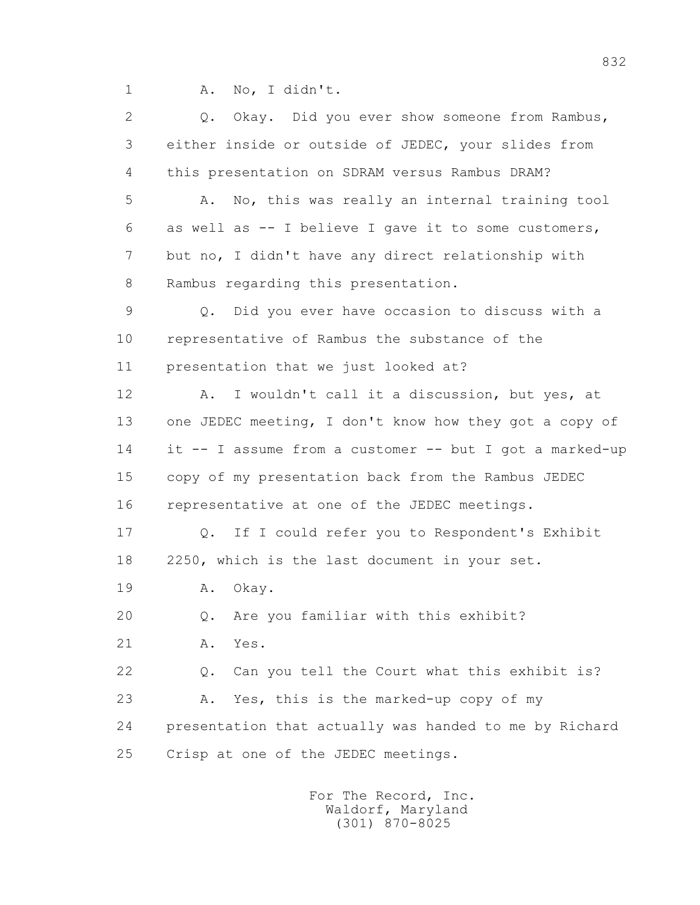1 A. No, I didn't.

 2 Q. Okay. Did you ever show someone from Rambus, 3 either inside or outside of JEDEC, your slides from 4 this presentation on SDRAM versus Rambus DRAM? 5 A. No, this was really an internal training tool 6 as well as -- I believe I gave it to some customers, 7 but no, I didn't have any direct relationship with 8 Rambus regarding this presentation. 9 Q. Did you ever have occasion to discuss with a 10 representative of Rambus the substance of the 11 presentation that we just looked at? 12 A. I wouldn't call it a discussion, but yes, at 13 one JEDEC meeting, I don't know how they got a copy of 14 it -- I assume from a customer -- but I got a marked-up 15 copy of my presentation back from the Rambus JEDEC 16 representative at one of the JEDEC meetings. 17 Q. If I could refer you to Respondent's Exhibit 18 2250, which is the last document in your set. 19 A. Okay. 20 Q. Are you familiar with this exhibit? 21 A. Yes. 22 Q. Can you tell the Court what this exhibit is? 23 A. Yes, this is the marked-up copy of my 24 presentation that actually was handed to me by Richard 25 Crisp at one of the JEDEC meetings.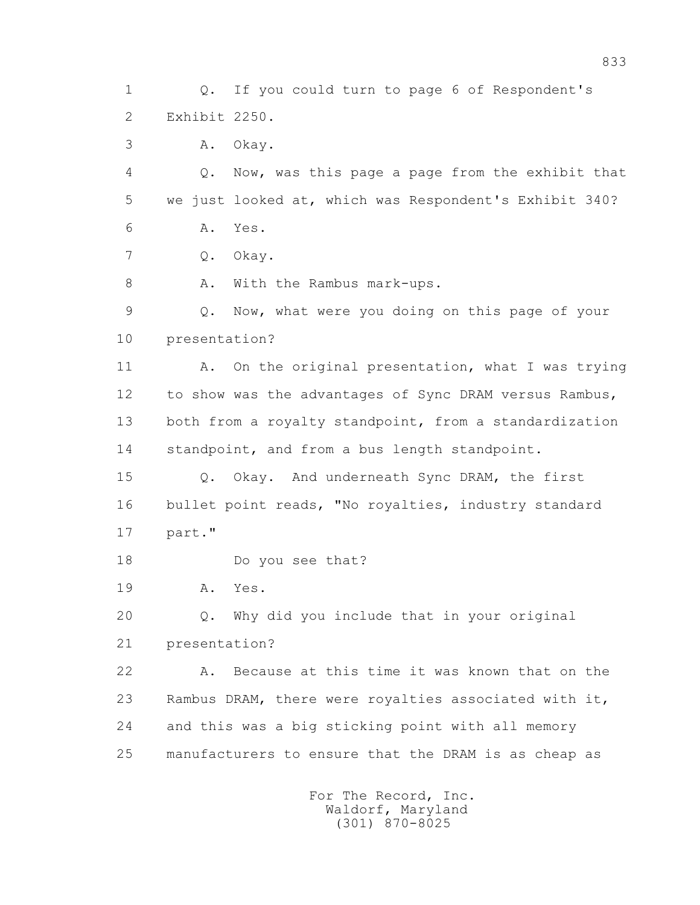1 Q. If you could turn to page 6 of Respondent's 2 Exhibit 2250. 3 A. Okay. 4 Q. Now, was this page a page from the exhibit that 5 we just looked at, which was Respondent's Exhibit 340? 6 A. Yes. 7 Q. Okay. 8 A. With the Rambus mark-ups. 9 Q. Now, what were you doing on this page of your 10 presentation? 11 A. On the original presentation, what I was trying 12 to show was the advantages of Sync DRAM versus Rambus, 13 both from a royalty standpoint, from a standardization 14 standpoint, and from a bus length standpoint. 15 Q. Okay. And underneath Sync DRAM, the first 16 bullet point reads, "No royalties, industry standard 17 part." 18 Do you see that? 19 A. Yes. 20 Q. Why did you include that in your original 21 presentation? 22 A. Because at this time it was known that on the 23 Rambus DRAM, there were royalties associated with it, 24 and this was a big sticking point with all memory 25 manufacturers to ensure that the DRAM is as cheap as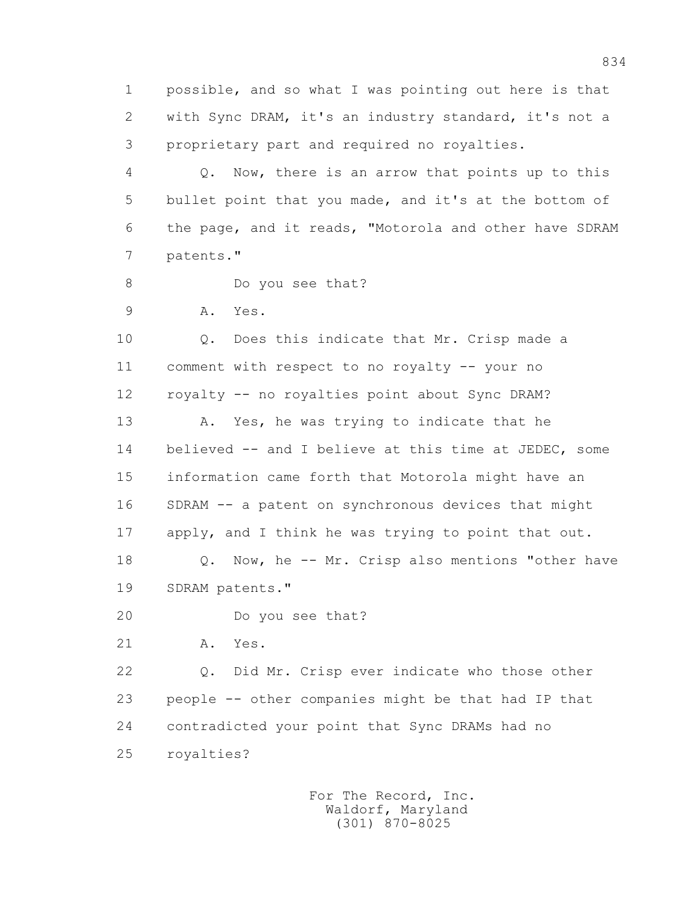1 possible, and so what I was pointing out here is that 2 with Sync DRAM, it's an industry standard, it's not a 3 proprietary part and required no royalties.

 4 Q. Now, there is an arrow that points up to this 5 bullet point that you made, and it's at the bottom of 6 the page, and it reads, "Motorola and other have SDRAM 7 patents."

- 8 Do you see that?
- 9 A. Yes.

 10 Q. Does this indicate that Mr. Crisp made a 11 comment with respect to no royalty -- your no 12 royalty -- no royalties point about Sync DRAM?

13 A. Yes, he was trying to indicate that he 14 believed -- and I believe at this time at JEDEC, some 15 information came forth that Motorola might have an 16 SDRAM -- a patent on synchronous devices that might 17 apply, and I think he was trying to point that out. 18 Q. Now, he -- Mr. Crisp also mentions "other have

- 19 SDRAM patents."
- 20 Do you see that?
- 21 A. Yes.

 22 Q. Did Mr. Crisp ever indicate who those other 23 people -- other companies might be that had IP that 24 contradicted your point that Sync DRAMs had no 25 royalties?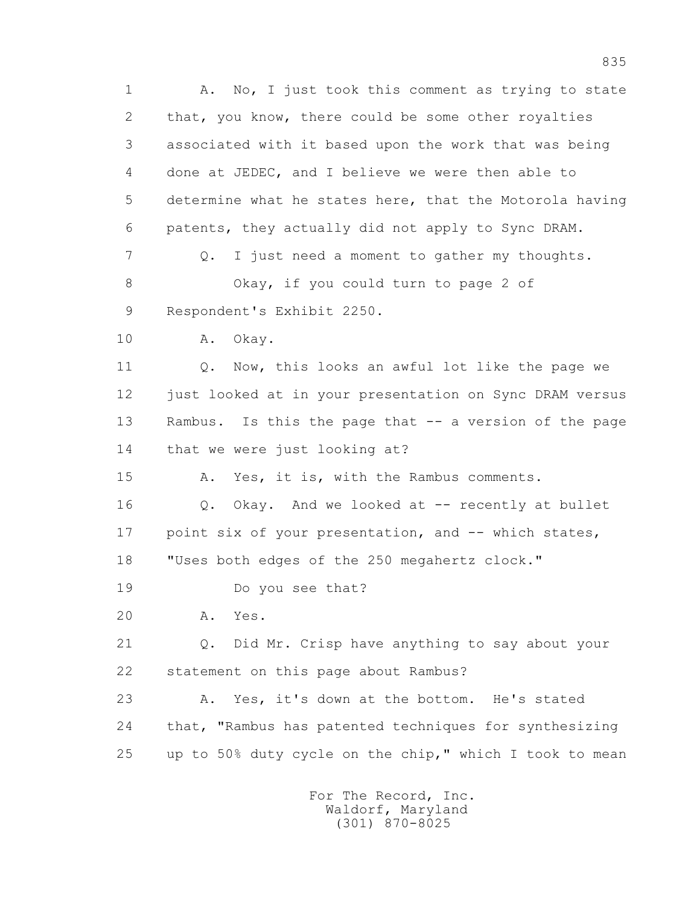1 A. No, I just took this comment as trying to state 2 that, you know, there could be some other royalties 3 associated with it based upon the work that was being 4 done at JEDEC, and I believe we were then able to 5 determine what he states here, that the Motorola having 6 patents, they actually did not apply to Sync DRAM. 7 Q. I just need a moment to gather my thoughts. 8 Okay, if you could turn to page 2 of 9 Respondent's Exhibit 2250. 10 A. Okay. 11 Q. Now, this looks an awful lot like the page we 12 just looked at in your presentation on Sync DRAM versus 13 Rambus. Is this the page that -- a version of the page 14 that we were just looking at? 15 A. Yes, it is, with the Rambus comments. 16 0. Okay. And we looked at -- recently at bullet 17 point six of your presentation, and -- which states, 18 "Uses both edges of the 250 megahertz clock." 19 Do you see that? 20 A. Yes. 21 Q. Did Mr. Crisp have anything to say about your 22 statement on this page about Rambus? 23 A. Yes, it's down at the bottom. He's stated 24 that, "Rambus has patented techniques for synthesizing 25 up to 50% duty cycle on the chip," which I took to mean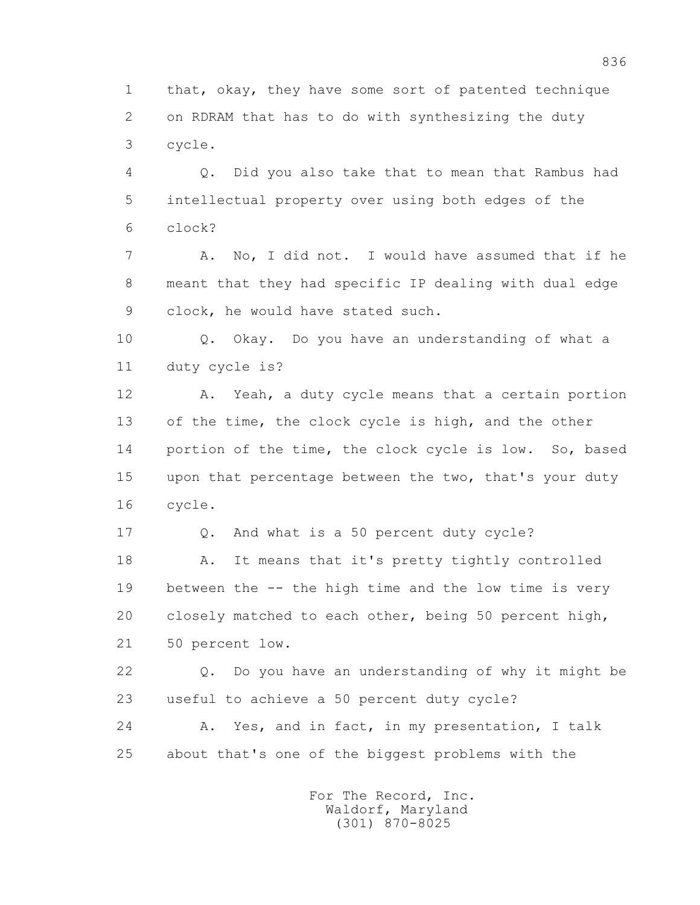1 that, okay, they have some sort of patented technique 2 on RDRAM that has to do with synthesizing the duty 3 cycle.

 4 Q. Did you also take that to mean that Rambus had 5 intellectual property over using both edges of the 6 clock?

7 A. No, I did not. I would have assumed that if he 8 meant that they had specific IP dealing with dual edge 9 clock, he would have stated such.

 10 Q. Okay. Do you have an understanding of what a 11 duty cycle is?

 12 A. Yeah, a duty cycle means that a certain portion 13 of the time, the clock cycle is high, and the other 14 portion of the time, the clock cycle is low. So, based 15 upon that percentage between the two, that's your duty 16 cycle.

 17 Q. And what is a 50 percent duty cycle? 18 A. It means that it's pretty tightly controlled 19 between the -- the high time and the low time is very 20 closely matched to each other, being 50 percent high, 21 50 percent low.

 22 Q. Do you have an understanding of why it might be 23 useful to achieve a 50 percent duty cycle?

 24 A. Yes, and in fact, in my presentation, I talk 25 about that's one of the biggest problems with the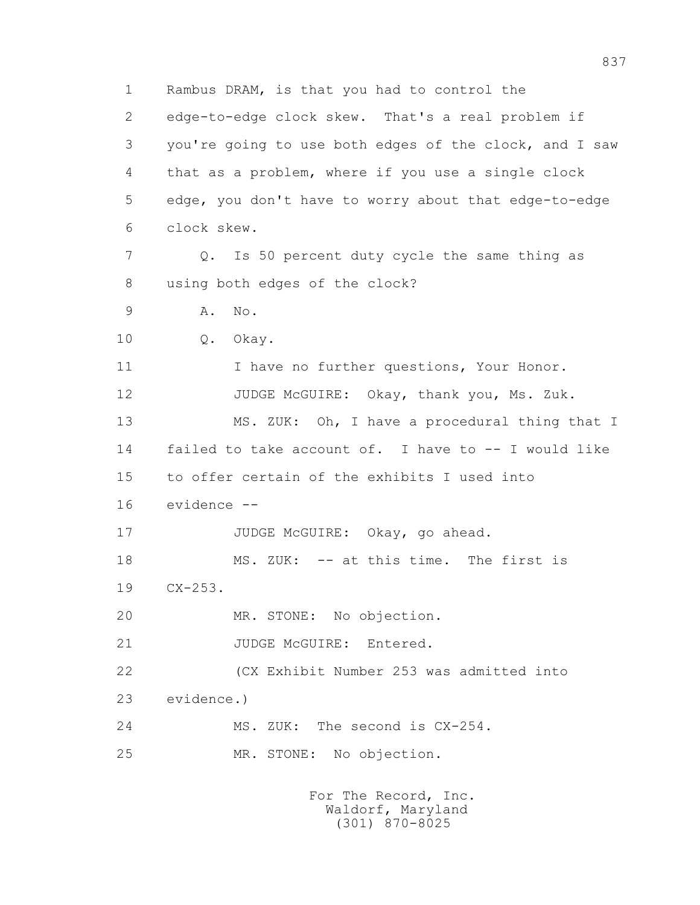1 Rambus DRAM, is that you had to control the 2 edge-to-edge clock skew. That's a real problem if 3 you're going to use both edges of the clock, and I saw 4 that as a problem, where if you use a single clock 5 edge, you don't have to worry about that edge-to-edge 6 clock skew. 7 Q. Is 50 percent duty cycle the same thing as 8 using both edges of the clock? 9 A. No. 10 Q. Okay. 11 I have no further questions, Your Honor. 12 JUDGE McGUIRE: Okay, thank you, Ms. Zuk. 13 MS. ZUK: Oh, I have a procedural thing that I 14 failed to take account of. I have to -- I would like 15 to offer certain of the exhibits I used into 16 evidence -- 17 JUDGE McGUIRE: Okay, go ahead. 18 MS. ZUK: -- at this time. The first is 19 CX-253. 20 MR. STONE: No objection. 21 JUDGE McGUIRE: Entered. 22 (CX Exhibit Number 253 was admitted into 23 evidence.) 24 MS. ZUK: The second is CX-254. 25 MR. STONE: No objection.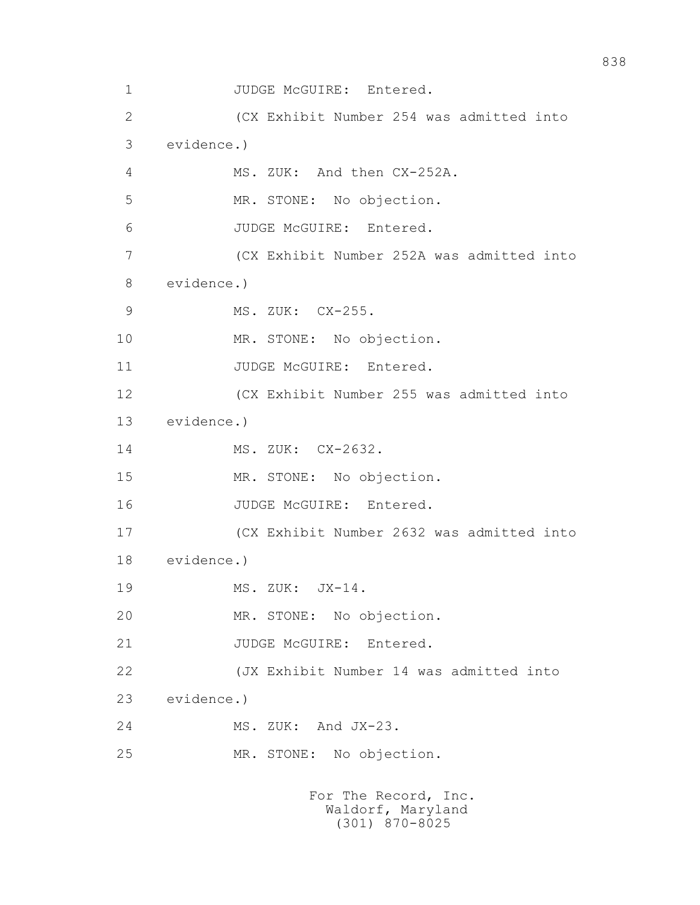```
1 JUDGE McGUIRE: Entered.
 2 (CX Exhibit Number 254 was admitted into 
 3 evidence.) 
 4 MS. ZUK: And then CX-252A. 
 5 MR. STONE: No objection. 
 6 JUDGE McGUIRE: Entered. 
 7 (CX Exhibit Number 252A was admitted into 
 8 evidence.) 
9 MS. ZUK: CX-255.
 10 MR. STONE: No objection. 
11 JUDGE McGUIRE: Entered.
 12 (CX Exhibit Number 255 was admitted into 
 13 evidence.) 
 14 MS. ZUK: CX-2632. 
 15 MR. STONE: No objection. 
16 JUDGE McGUIRE: Entered.
 17 (CX Exhibit Number 2632 was admitted into 
 18 evidence.) 
19 MS. ZUK: JX-14.
 20 MR. STONE: No objection. 
21 JUDGE McGUIRE: Entered.
 22 (JX Exhibit Number 14 was admitted into 
 23 evidence.) 
 24 MS. ZUK: And JX-23. 
 25 MR. STONE: No objection. 
                   For The Record, Inc.
```

```
 Waldorf, Maryland
  (301) 870-8025
```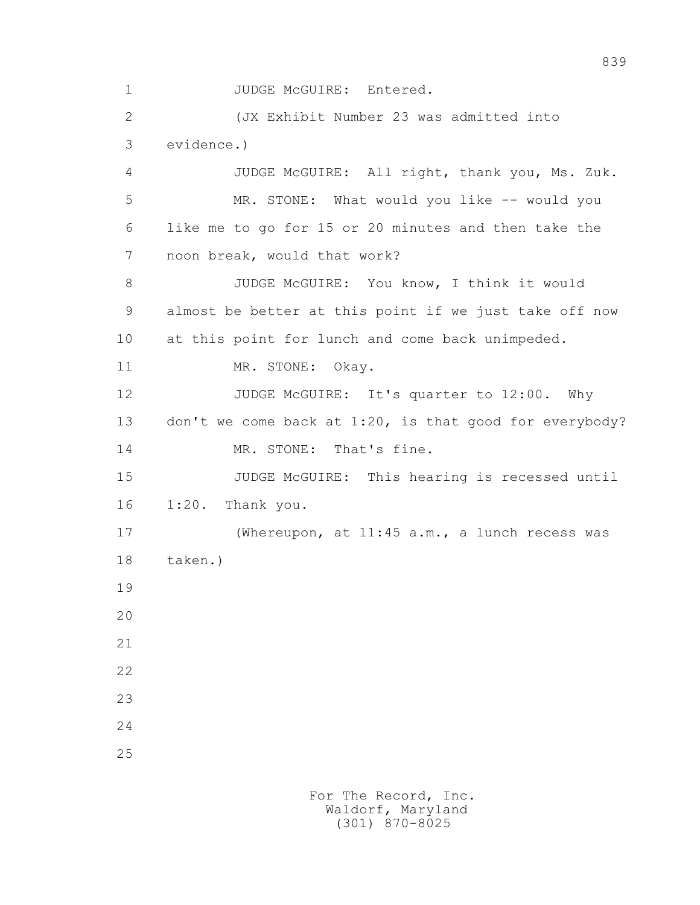1 JUDGE McGUIRE: Entered.

 2 (JX Exhibit Number 23 was admitted into 3 evidence.)

 4 JUDGE McGUIRE: All right, thank you, Ms. Zuk. 5 MR. STONE: What would you like -- would you 6 like me to go for 15 or 20 minutes and then take the 7 noon break, would that work? 8 JUDGE McGUIRE: You know, I think it would 9 almost be better at this point if we just take off now 10 at this point for lunch and come back unimpeded. 11 MR. STONE: Okay. 12 JUDGE McGUIRE: It's quarter to 12:00. Why 13 don't we come back at 1:20, is that good for everybody? 14 MR. STONE: That's fine. 15 JUDGE McGUIRE: This hearing is recessed until 16 1:20. Thank you. 17 (Whereupon, at 11:45 a.m., a lunch recess was 18 taken.) 19 20 21 22 23

24

25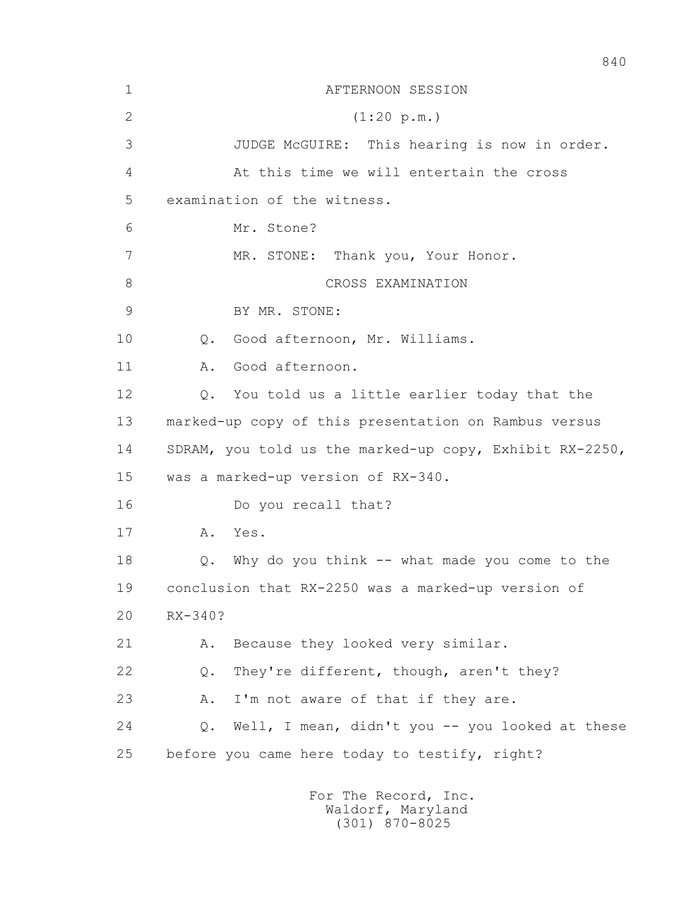| $\mathbf 1$ | AFTERNOON SESSION                                       |
|-------------|---------------------------------------------------------|
| 2           | (1:20 p.m.)                                             |
| 3           | JUDGE McGUIRE: This hearing is now in order.            |
| 4           | At this time we will entertain the cross                |
| 5           | examination of the witness.                             |
| 6           | Mr. Stone?                                              |
| 7           | MR. STONE: Thank you, Your Honor.                       |
| 8           | CROSS EXAMINATION                                       |
| 9           | BY MR. STONE:                                           |
| 10          | Good afternoon, Mr. Williams.<br>Q.                     |
| 11          | Good afternoon.<br>Α.                                   |
| 12          | You told us a little earlier today that the<br>Q.       |
| 13          | marked-up copy of this presentation on Rambus versus    |
| 14          | SDRAM, you told us the marked-up copy, Exhibit RX-2250, |
| 15          | was a marked-up version of RX-340.                      |
| 16          | Do you recall that?                                     |
| 17          | Yes.<br>Α.                                              |
| 18          | Why do you think -- what made you come to the<br>Q.     |
| 19          | conclusion that RX-2250 was a marked-up version of      |
| 20          | RX-340?                                                 |
| 21          | Because they looked very similar.<br>Α.                 |
| 22          | They're different, though, aren't they?<br>Q.           |
| 23          | I'm not aware of that if they are.<br>Α.                |
| 24          | Well, I mean, didn't you -- you looked at these<br>Q.   |
| 25          | before you came here today to testify, right?           |
|             | For The Record, Inc.                                    |

Waldorf, Maryland (301) 870-8025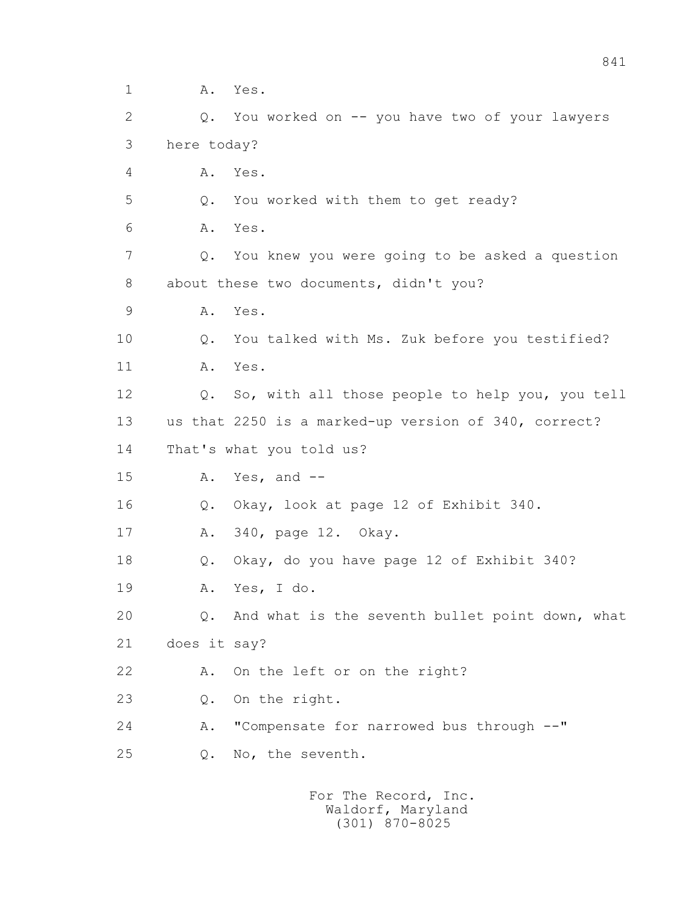1 A. Yes. 2 Q. You worked on -- you have two of your lawyers 3 here today? 4 A. Yes. 5 Q. You worked with them to get ready? 6 A. Yes. 7 Q. You knew you were going to be asked a question 8 about these two documents, didn't you? 9 A. Yes. 10 Q. You talked with Ms. Zuk before you testified? 11 A. Yes. 12 Q. So, with all those people to help you, you tell 13 us that 2250 is a marked-up version of 340, correct? 14 That's what you told us? 15 A. Yes, and -- 16 Q. Okay, look at page 12 of Exhibit 340. 17 A. 340, page 12. Okay. 18 Q. Okay, do you have page 12 of Exhibit 340? 19 A. Yes, I do. 20 Q. And what is the seventh bullet point down, what 21 does it say? 22 A. On the left or on the right? 23 Q. On the right. 24 A. "Compensate for narrowed bus through --" 25 Q. No, the seventh.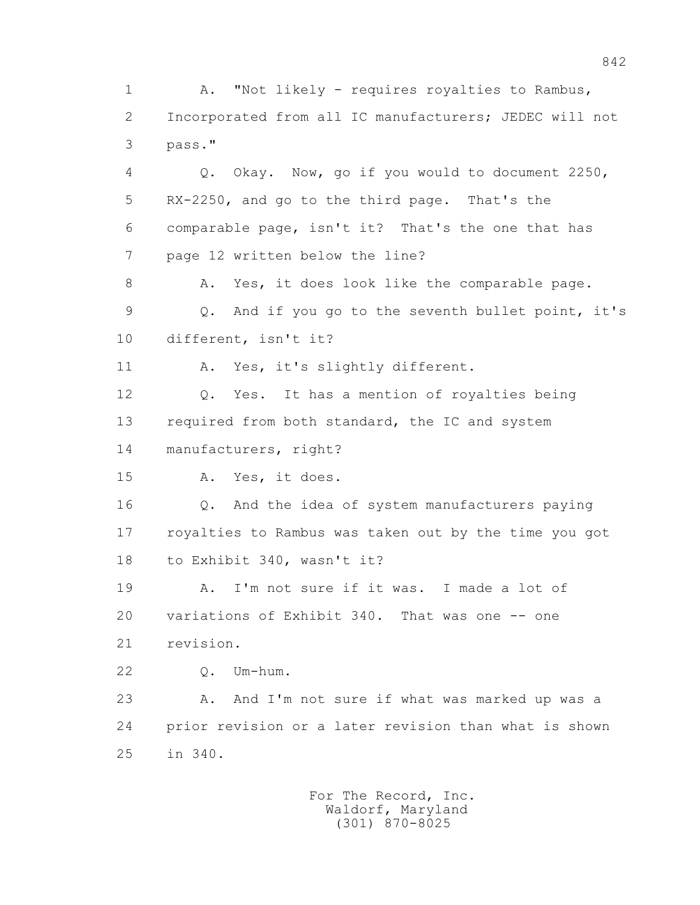2 Incorporated from all IC manufacturers; JEDEC will not 3 pass." 4 Q. Okay. Now, go if you would to document 2250, 5 RX-2250, and go to the third page. That's the 6 comparable page, isn't it? That's the one that has 7 page 12 written below the line? 8 A. Yes, it does look like the comparable page. 9 Q. And if you go to the seventh bullet point, it's 10 different, isn't it? 11 A. Yes, it's slightly different. 12 Q. Yes. It has a mention of royalties being 13 required from both standard, the IC and system 14 manufacturers, right? 15 A. Yes, it does. 16 Q. And the idea of system manufacturers paying 17 royalties to Rambus was taken out by the time you got 18 to Exhibit 340, wasn't it? 19 A. I'm not sure if it was. I made a lot of 20 variations of Exhibit 340. That was one -- one 21 revision. 22 Q. Um-hum. 23 A. And I'm not sure if what was marked up was a 24 prior revision or a later revision than what is shown 25 in 340. For The Record, Inc. Waldorf, Maryland (301) 870-8025

1 A. "Not likely - requires royalties to Rambus,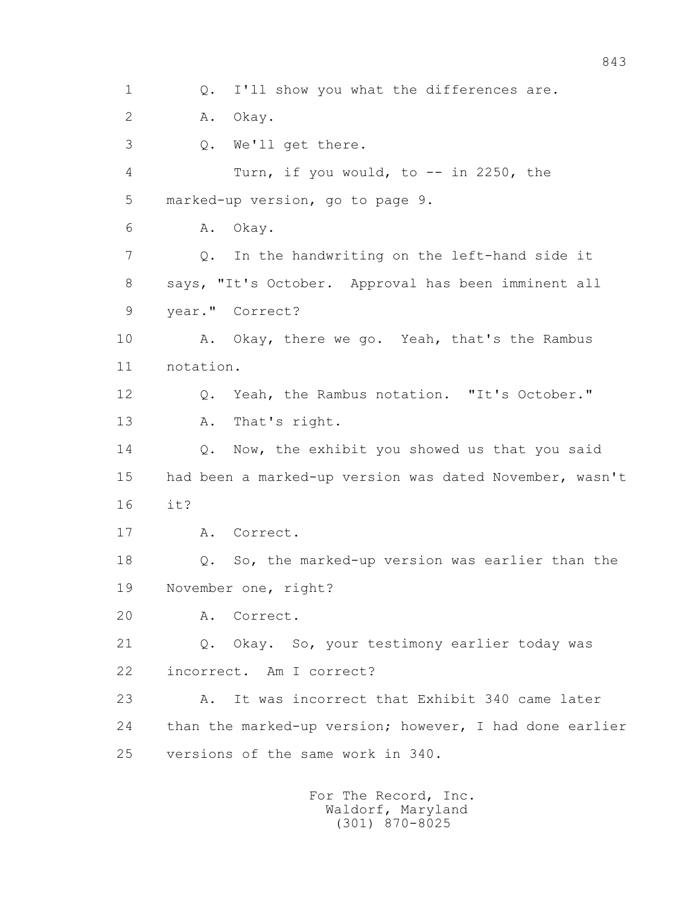1 0. I'll show you what the differences are. 2 A. Okay. 3 Q. We'll get there. 4 Turn, if you would, to -- in 2250, the 5 marked-up version, go to page 9. 6 A. Okay. 7 Q. In the handwriting on the left-hand side it 8 says, "It's October. Approval has been imminent all 9 year." Correct? 10 A. Okay, there we go. Yeah, that's the Rambus 11 notation. 12 Q. Yeah, the Rambus notation. "It's October." 13 A. That's right. 14 Q. Now, the exhibit you showed us that you said 15 had been a marked-up version was dated November, wasn't 16 it? 17 A. Correct. 18 Q. So, the marked-up version was earlier than the 19 November one, right? 20 A. Correct. 21 Q. Okay. So, your testimony earlier today was 22 incorrect. Am I correct? 23 A. It was incorrect that Exhibit 340 came later 24 than the marked-up version; however, I had done earlier 25 versions of the same work in 340.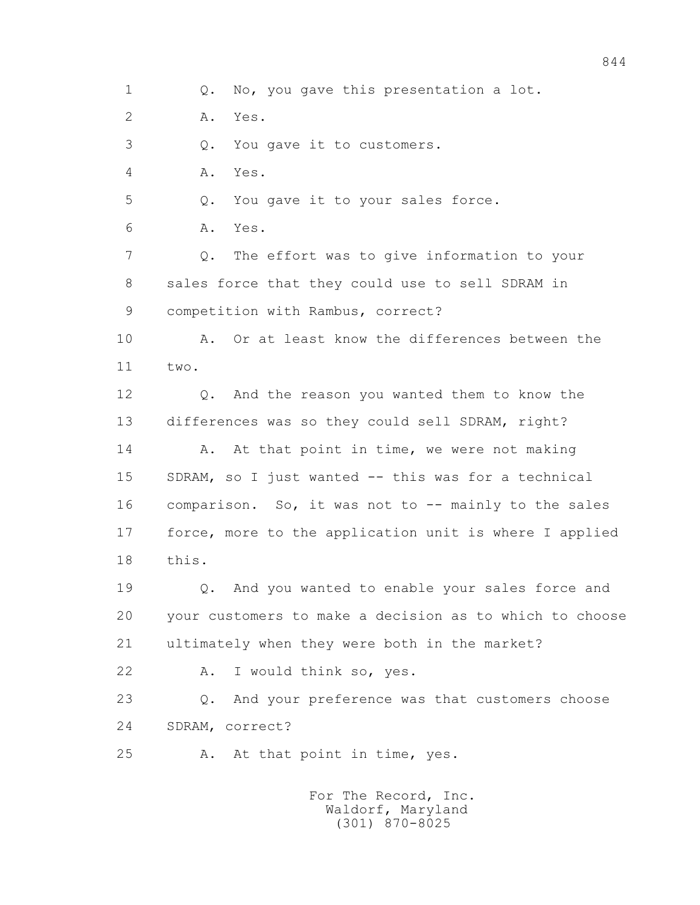1 Q. No, you gave this presentation a lot.

2 A. Yes.

3 Q. You gave it to customers.

4 A. Yes.

5 Q. You gave it to your sales force.

6 A. Yes.

 7 Q. The effort was to give information to your 8 sales force that they could use to sell SDRAM in 9 competition with Rambus, correct?

10 A. Or at least know the differences between the 11 two.

 12 Q. And the reason you wanted them to know the 13 differences was so they could sell SDRAM, right? 14 A. At that point in time, we were not making 15 SDRAM, so I just wanted -- this was for a technical 16 comparison. So, it was not to -- mainly to the sales 17 force, more to the application unit is where I applied 18 this.

 19 Q. And you wanted to enable your sales force and 20 your customers to make a decision as to which to choose 21 ultimately when they were both in the market?

22 A. I would think so, yes.

 23 Q. And your preference was that customers choose 24 SDRAM, correct?

25 A. At that point in time, yes.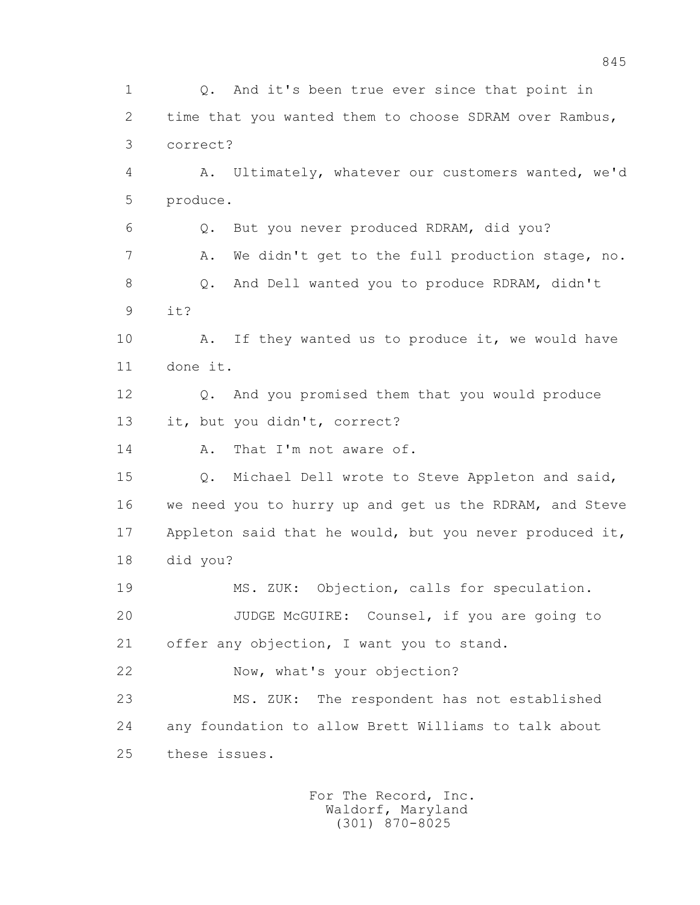1 Q. And it's been true ever since that point in 2 time that you wanted them to choose SDRAM over Rambus, 3 correct? 4 A. Ultimately, whatever our customers wanted, we'd 5 produce. 6 Q. But you never produced RDRAM, did you? 7 A. We didn't get to the full production stage, no. 8 Q. And Dell wanted you to produce RDRAM, didn't 9 it? 10 A. If they wanted us to produce it, we would have 11 done it. 12 Q. And you promised them that you would produce 13 it, but you didn't, correct? 14 A. That I'm not aware of. 15 Q. Michael Dell wrote to Steve Appleton and said, 16 we need you to hurry up and get us the RDRAM, and Steve 17 Appleton said that he would, but you never produced it, 18 did you? 19 MS. ZUK: Objection, calls for speculation. 20 JUDGE McGUIRE: Counsel, if you are going to 21 offer any objection, I want you to stand. 22 Now, what's your objection? 23 MS. ZUK: The respondent has not established 24 any foundation to allow Brett Williams to talk about 25 these issues.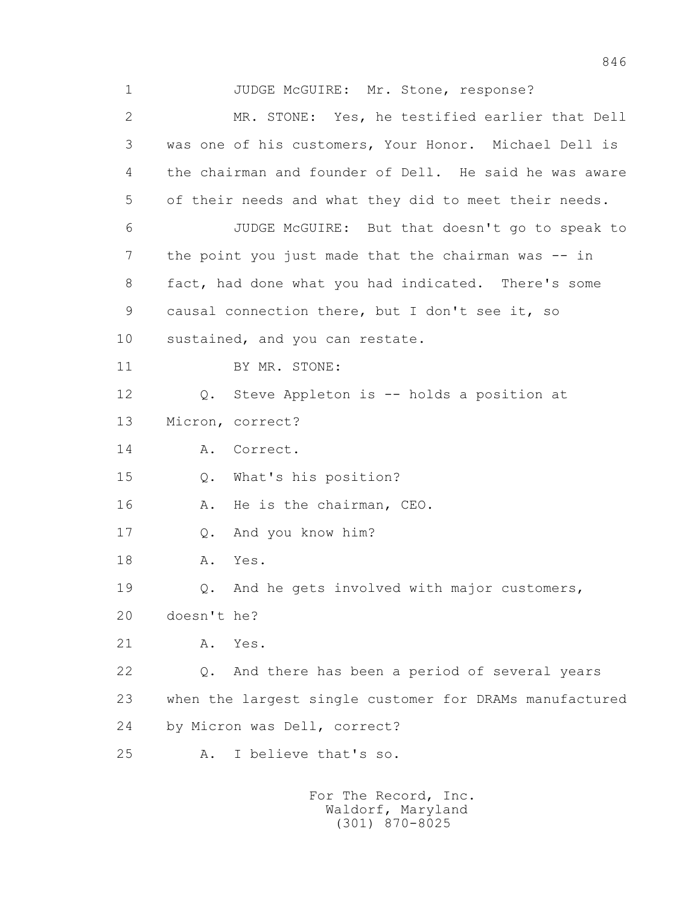1 JUDGE McGUIRE: Mr. Stone, response? 2 MR. STONE: Yes, he testified earlier that Dell 3 was one of his customers, Your Honor. Michael Dell is 4 the chairman and founder of Dell. He said he was aware 5 of their needs and what they did to meet their needs. 6 JUDGE McGUIRE: But that doesn't go to speak to 7 the point you just made that the chairman was -- in 8 fact, had done what you had indicated. There's some 9 causal connection there, but I don't see it, so 10 sustained, and you can restate. 11 BY MR. STONE: 12 Q. Steve Appleton is -- holds a position at 13 Micron, correct? 14 A. Correct. 15 Q. What's his position? 16 A. He is the chairman, CEO. 17 Q. And you know him? 18 A. Yes. 19 Q. And he gets involved with major customers, 20 doesn't he? 21 A. Yes. 22 Q. And there has been a period of several years 23 when the largest single customer for DRAMs manufactured 24 by Micron was Dell, correct? 25 A. I believe that's so.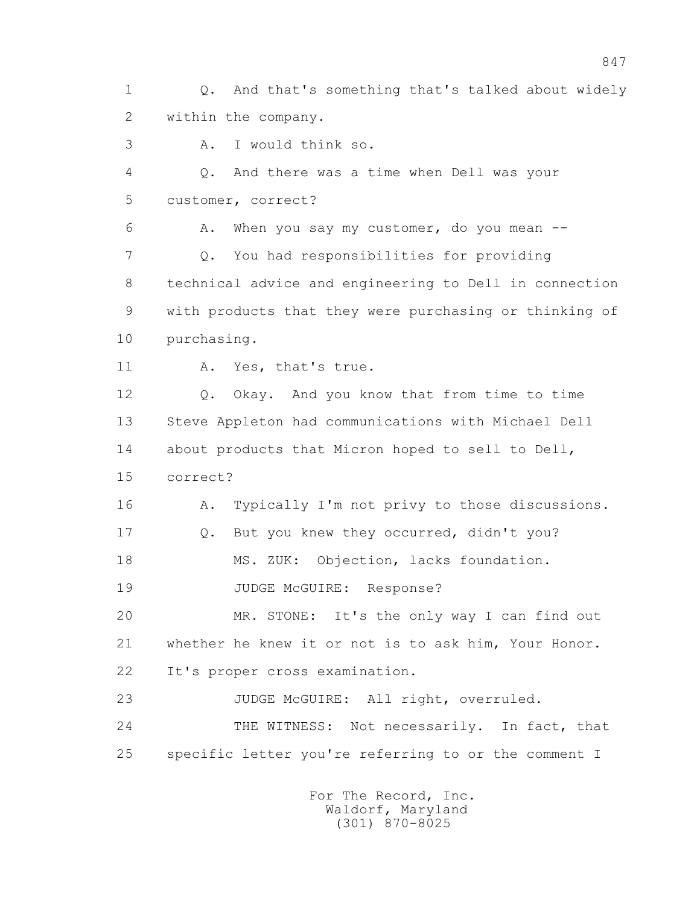1 Q. And that's something that's talked about widely 2 within the company.

3 A. I would think so.

 4 Q. And there was a time when Dell was your 5 customer, correct?

 6 A. When you say my customer, do you mean -- 7 Q. You had responsibilities for providing 8 technical advice and engineering to Dell in connection 9 with products that they were purchasing or thinking of 10 purchasing.

11 A. Yes, that's true.

 12 Q. Okay. And you know that from time to time 13 Steve Appleton had communications with Michael Dell 14 about products that Micron hoped to sell to Dell, 15 correct?

16 A. Typically I'm not privy to those discussions.

17 Q. But you knew they occurred, didn't you?

18 MS. ZUK: Objection, lacks foundation.

19 JUDGE McGUIRE: Response?

 20 MR. STONE: It's the only way I can find out 21 whether he knew it or not is to ask him, Your Honor. 22 It's proper cross examination.

23 JUDGE McGUIRE: All right, overruled.

 24 THE WITNESS: Not necessarily. In fact, that 25 specific letter you're referring to or the comment I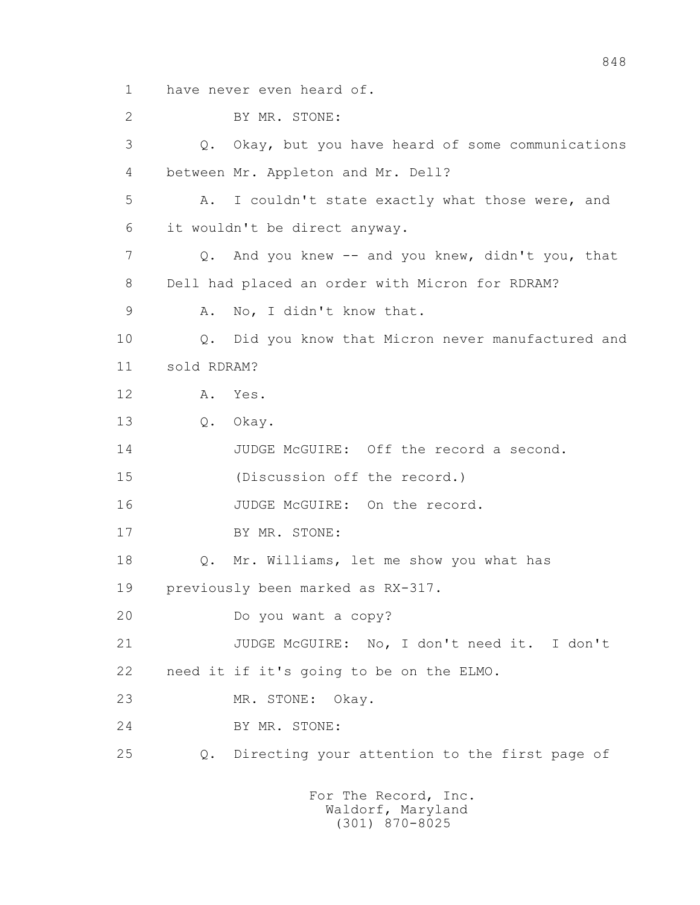1 have never even heard of.

 2 BY MR. STONE: 3 Q. Okay, but you have heard of some communications 4 between Mr. Appleton and Mr. Dell? 5 A. I couldn't state exactly what those were, and 6 it wouldn't be direct anyway. 7 Q. And you knew -- and you knew, didn't you, that 8 Dell had placed an order with Micron for RDRAM? 9 A. No, I didn't know that. 10 Q. Did you know that Micron never manufactured and 11 sold RDRAM? 12 A. Yes. 13 Q. Okay. 14 JUDGE McGUIRE: Off the record a second. 15 (Discussion off the record.) 16 JUDGE McGUIRE: On the record. 17 BY MR. STONE: 18 Q. Mr. Williams, let me show you what has 19 previously been marked as RX-317. 20 Do you want a copy? 21 JUDGE McGUIRE: No, I don't need it. I don't 22 need it if it's going to be on the ELMO. 23 MR. STONE: Okay. 24 BY MR. STONE: 25 Q. Directing your attention to the first page of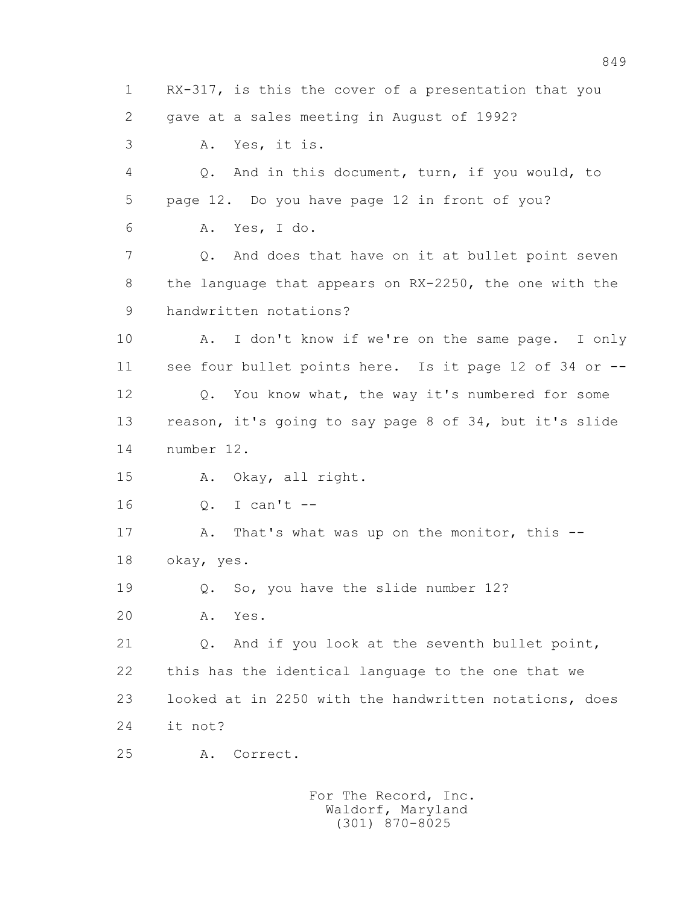1 RX-317, is this the cover of a presentation that you 2 gave at a sales meeting in August of 1992? 3 A. Yes, it is. 4 Q. And in this document, turn, if you would, to 5 page 12. Do you have page 12 in front of you? 6 A. Yes, I do. 7 Q. And does that have on it at bullet point seven 8 the language that appears on RX-2250, the one with the 9 handwritten notations? 10 A. I don't know if we're on the same page. I only 11 see four bullet points here. Is it page 12 of 34 or -- 12 Q. You know what, the way it's numbered for some 13 reason, it's going to say page 8 of 34, but it's slide 14 number 12. 15 A. Okay, all right. 16 Q. I can't -- 17 A. That's what was up on the monitor, this -- 18 okay, yes. 19 Q. So, you have the slide number 12? 20 A. Yes. 21 Q. And if you look at the seventh bullet point, 22 this has the identical language to the one that we 23 looked at in 2250 with the handwritten notations, does 24 it not? 25 A. Correct. For The Record, Inc.

 Waldorf, Maryland (301) 870-8025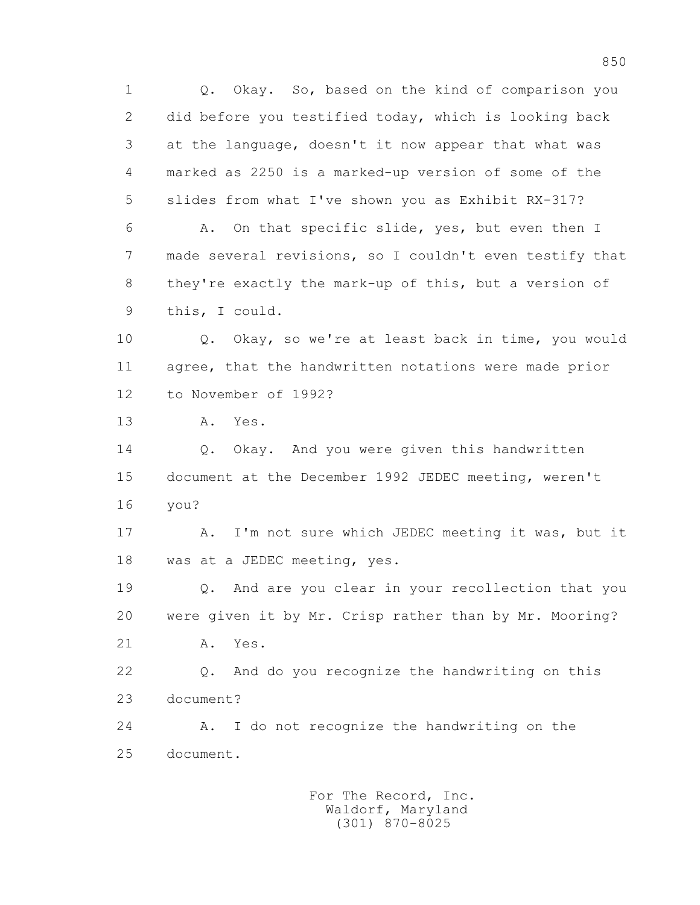1 Q. Okay. So, based on the kind of comparison you 2 did before you testified today, which is looking back 3 at the language, doesn't it now appear that what was 4 marked as 2250 is a marked-up version of some of the 5 slides from what I've shown you as Exhibit RX-317? 6 A. On that specific slide, yes, but even then I 7 made several revisions, so I couldn't even testify that 8 they're exactly the mark-up of this, but a version of 9 this, I could. 10 Q. Okay, so we're at least back in time, you would 11 agree, that the handwritten notations were made prior 12 to November of 1992? 13 A. Yes. 14 0. Okay. And you were given this handwritten 15 document at the December 1992 JEDEC meeting, weren't 16 you? 17 A. I'm not sure which JEDEC meeting it was, but it 18 was at a JEDEC meeting, yes. 19 Q. And are you clear in your recollection that you 20 were given it by Mr. Crisp rather than by Mr. Mooring? 21 A. Yes. 22 Q. And do you recognize the handwriting on this 23 document? 24 A. I do not recognize the handwriting on the 25 document.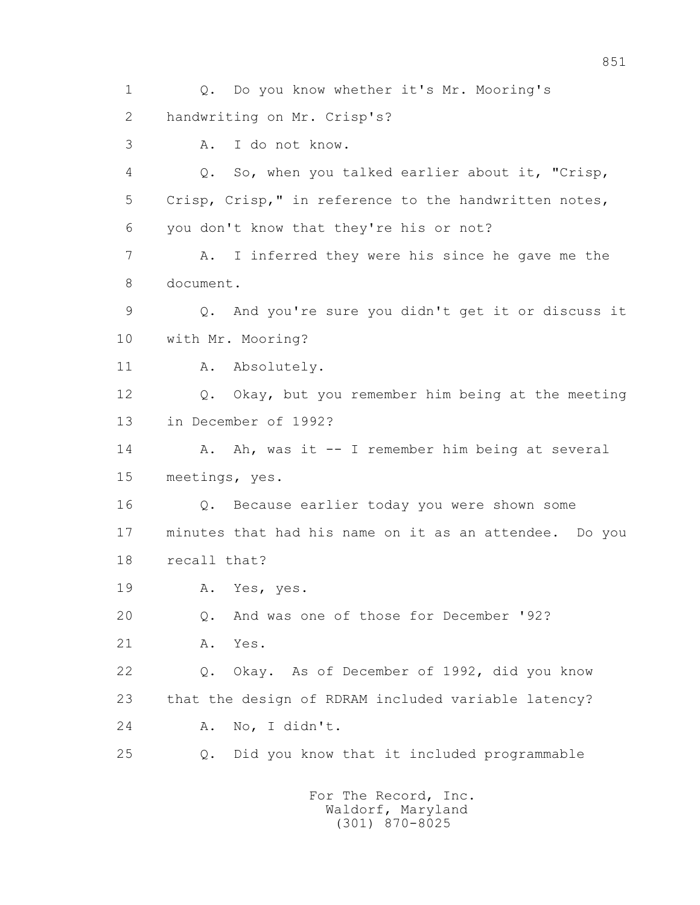1 Q. Do you know whether it's Mr. Mooring's 2 handwriting on Mr. Crisp's? 3 A. I do not know. 4 Q. So, when you talked earlier about it, "Crisp, 5 Crisp, Crisp," in reference to the handwritten notes, 6 you don't know that they're his or not? 7 A. I inferred they were his since he gave me the 8 document. 9 Q. And you're sure you didn't get it or discuss it 10 with Mr. Mooring? 11 A. Absolutely. 12 Q. Okay, but you remember him being at the meeting 13 in December of 1992? 14 A. Ah, was it -- I remember him being at several 15 meetings, yes. 16 Q. Because earlier today you were shown some 17 minutes that had his name on it as an attendee. Do you 18 recall that? 19 A. Yes, yes. 20 Q. And was one of those for December '92? 21 A. Yes. 22 Q. Okay. As of December of 1992, did you know 23 that the design of RDRAM included variable latency? 24 A. No, I didn't. 25 Q. Did you know that it included programmable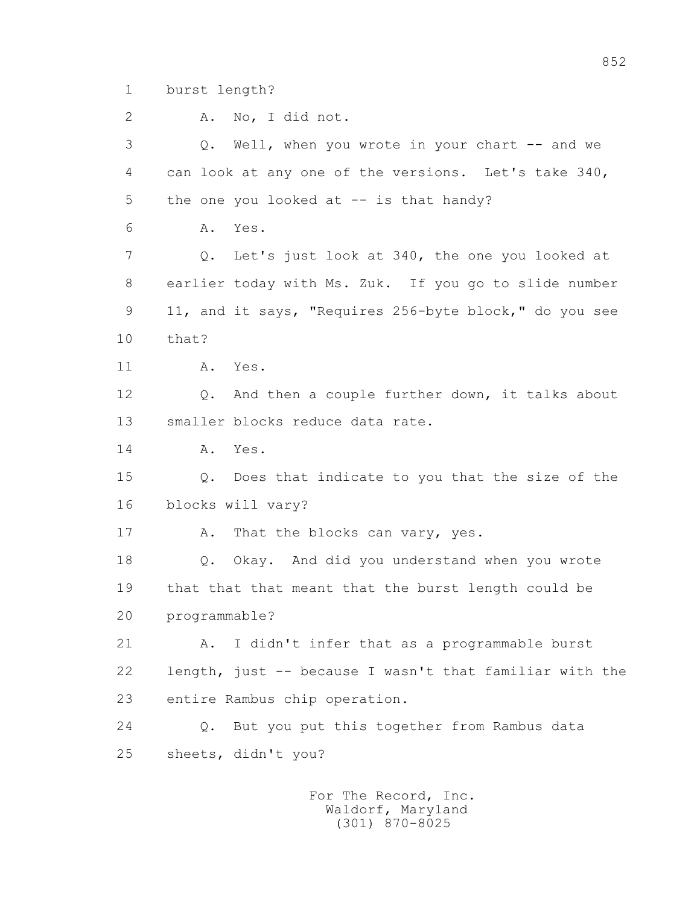1 burst length?

2 A. No, I did not.

 3 Q. Well, when you wrote in your chart -- and we 4 can look at any one of the versions. Let's take 340, 5 the one you looked at -- is that handy? 6 A. Yes. 7 Q. Let's just look at 340, the one you looked at 8 earlier today with Ms. Zuk. If you go to slide number 9 11, and it says, "Requires 256-byte block," do you see 10 that? 11 A. Yes. 12 Q. And then a couple further down, it talks about 13 smaller blocks reduce data rate. 14 A. Yes. 15 Q. Does that indicate to you that the size of the 16 blocks will vary? 17 A. That the blocks can vary, yes. 18 Q. Okay. And did you understand when you wrote 19 that that that meant that the burst length could be 20 programmable? 21 A. I didn't infer that as a programmable burst 22 length, just -- because I wasn't that familiar with the 23 entire Rambus chip operation. 24 Q. But you put this together from Rambus data 25 sheets, didn't you?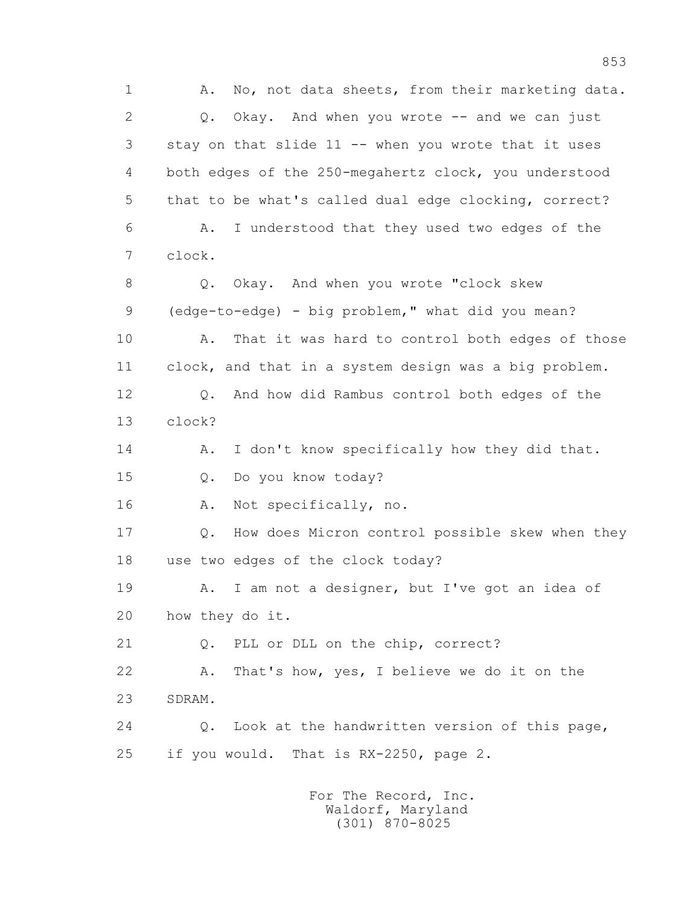1 A. No, not data sheets, from their marketing data.  $2 \qquad Q.$  Okay. And when you wrote  $-$  and we can just 3 stay on that slide 11 -- when you wrote that it uses 4 both edges of the 250-megahertz clock, you understood 5 that to be what's called dual edge clocking, correct? 6 A. I understood that they used two edges of the 7 clock. 8 Q. Okay. And when you wrote "clock skew 9 (edge-to-edge) - big problem," what did you mean? 10 A. That it was hard to control both edges of those 11 clock, and that in a system design was a big problem. 12 Q. And how did Rambus control both edges of the 13 clock? 14 A. I don't know specifically how they did that. 15 Q. Do you know today? 16 A. Not specifically, no. 17 Q. How does Micron control possible skew when they 18 use two edges of the clock today? 19 A. I am not a designer, but I've got an idea of 20 how they do it. 21 Q. PLL or DLL on the chip, correct? 22 A. That's how, yes, I believe we do it on the 23 SDRAM. 24 Q. Look at the handwritten version of this page, 25 if you would. That is RX-2250, page 2.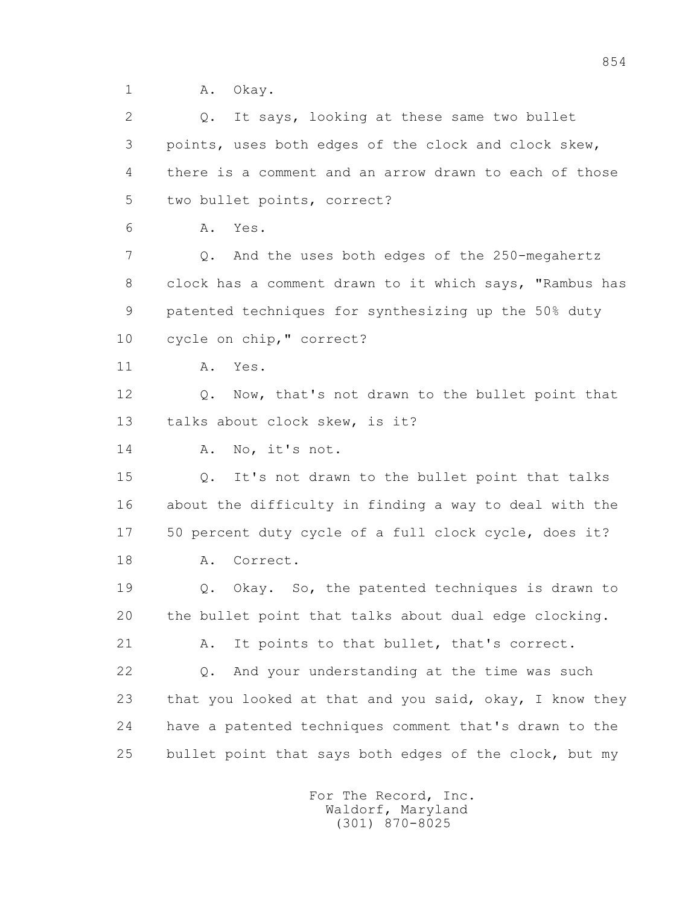1 A. Okay.

 2 Q. It says, looking at these same two bullet 3 points, uses both edges of the clock and clock skew, 4 there is a comment and an arrow drawn to each of those 5 two bullet points, correct? 6 A. Yes. 7 Q. And the uses both edges of the 250-megahertz 8 clock has a comment drawn to it which says, "Rambus has 9 patented techniques for synthesizing up the 50% duty 10 cycle on chip," correct? 11 A. Yes. 12 Q. Now, that's not drawn to the bullet point that 13 talks about clock skew, is it? 14 A. No, it's not. 15 Q. It's not drawn to the bullet point that talks 16 about the difficulty in finding a way to deal with the 17 50 percent duty cycle of a full clock cycle, does it? 18 A. Correct. 19 Q. Okay. So, the patented techniques is drawn to 20 the bullet point that talks about dual edge clocking. 21 A. It points to that bullet, that's correct. 22 Q. And your understanding at the time was such 23 that you looked at that and you said, okay, I know they 24 have a patented techniques comment that's drawn to the 25 bullet point that says both edges of the clock, but my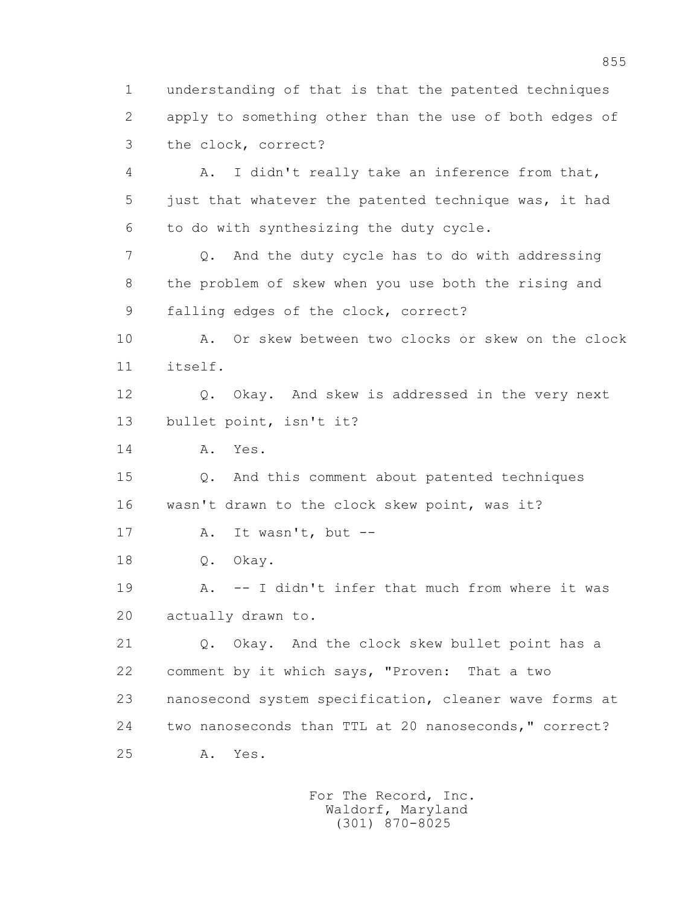1 understanding of that is that the patented techniques 2 apply to something other than the use of both edges of 3 the clock, correct?

 4 A. I didn't really take an inference from that, 5 just that whatever the patented technique was, it had 6 to do with synthesizing the duty cycle.

 7 Q. And the duty cycle has to do with addressing 8 the problem of skew when you use both the rising and 9 falling edges of the clock, correct?

 10 A. Or skew between two clocks or skew on the clock 11 itself.

 12 Q. Okay. And skew is addressed in the very next 13 bullet point, isn't it?

14 A. Yes.

 15 Q. And this comment about patented techniques 16 wasn't drawn to the clock skew point, was it?

17 A. It wasn't, but --

18 Q. Okay.

 19 A. -- I didn't infer that much from where it was 20 actually drawn to.

 21 Q. Okay. And the clock skew bullet point has a 22 comment by it which says, "Proven: That a two 23 nanosecond system specification, cleaner wave forms at 24 two nanoseconds than TTL at 20 nanoseconds," correct? 25 A. Yes.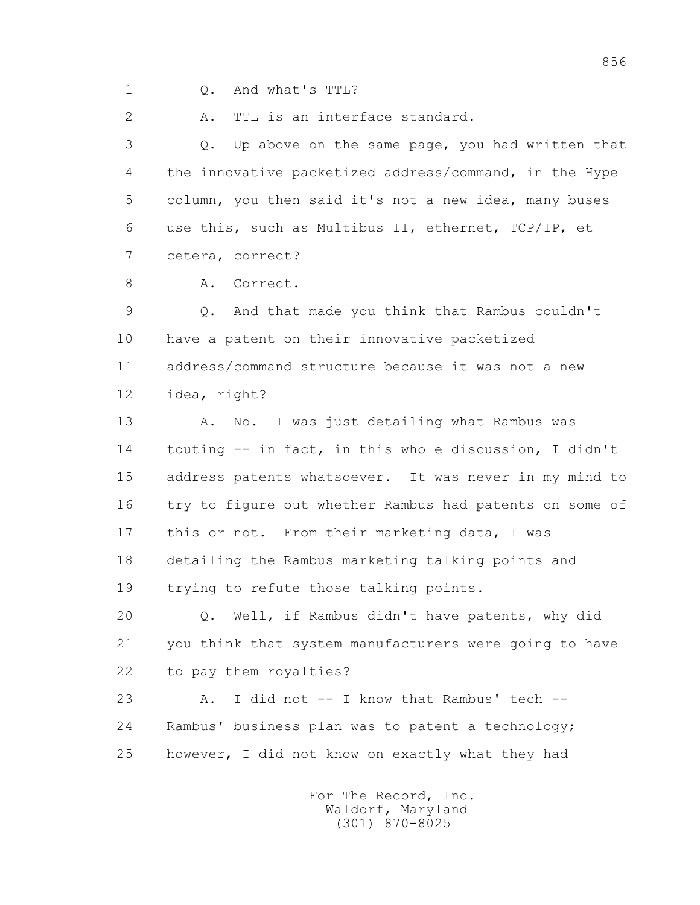1 Q. And what's TTL?

2 A. TTL is an interface standard.

 3 Q. Up above on the same page, you had written that 4 the innovative packetized address/command, in the Hype 5 column, you then said it's not a new idea, many buses 6 use this, such as Multibus II, ethernet, TCP/IP, et 7 cetera, correct?

8 A. Correct.

 9 Q. And that made you think that Rambus couldn't 10 have a patent on their innovative packetized 11 address/command structure because it was not a new 12 idea, right?

13 A. No. I was just detailing what Rambus was 14 touting -- in fact, in this whole discussion, I didn't 15 address patents whatsoever. It was never in my mind to 16 try to figure out whether Rambus had patents on some of 17 this or not. From their marketing data, I was 18 detailing the Rambus marketing talking points and 19 trying to refute those talking points.

 20 Q. Well, if Rambus didn't have patents, why did 21 you think that system manufacturers were going to have 22 to pay them royalties?

 23 A. I did not -- I know that Rambus' tech -- 24 Rambus' business plan was to patent a technology; 25 however, I did not know on exactly what they had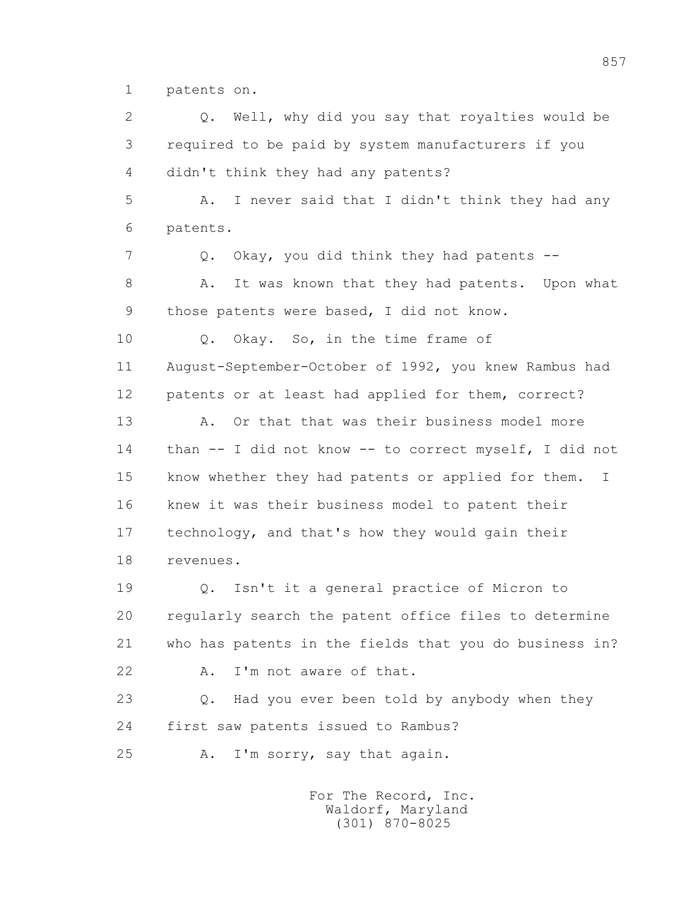1 patents on.

 2 Q. Well, why did you say that royalties would be 3 required to be paid by system manufacturers if you 4 didn't think they had any patents? 5 A. I never said that I didn't think they had any 6 patents. 7 Q. Okay, you did think they had patents -- 8 A. It was known that they had patents. Upon what 9 those patents were based, I did not know. 10 Q. Okay. So, in the time frame of 11 August-September-October of 1992, you knew Rambus had 12 patents or at least had applied for them, correct? 13 A. Or that that was their business model more 14 than -- I did not know -- to correct myself, I did not 15 know whether they had patents or applied for them. I 16 knew it was their business model to patent their 17 technology, and that's how they would gain their 18 revenues. 19 Q. Isn't it a general practice of Micron to 20 regularly search the patent office files to determine 21 who has patents in the fields that you do business in? 22 A. I'm not aware of that. 23 Q. Had you ever been told by anybody when they 24 first saw patents issued to Rambus? 25 A. I'm sorry, say that again.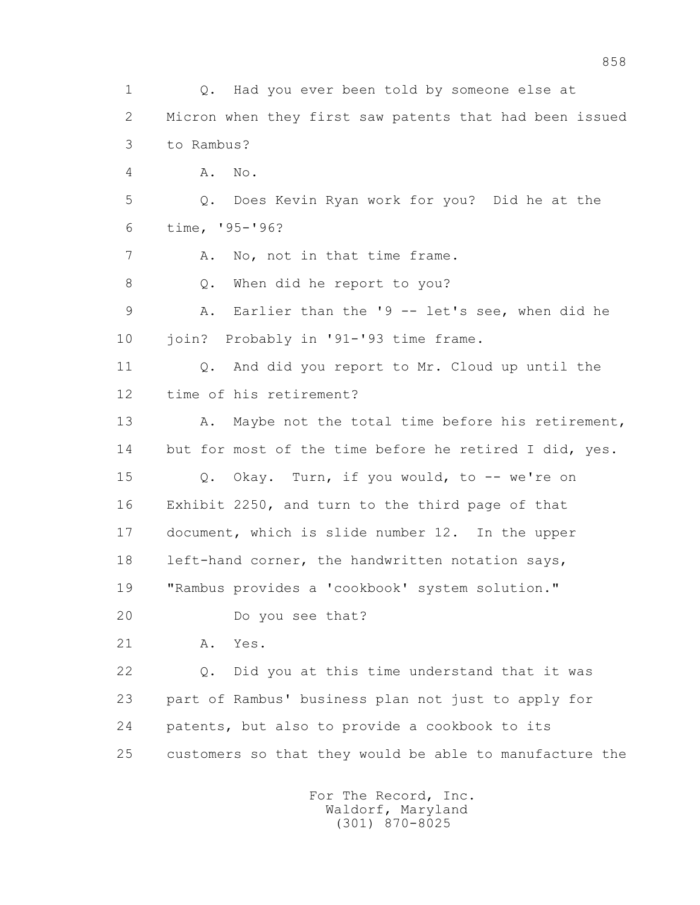1 Q. Had you ever been told by someone else at 2 Micron when they first saw patents that had been issued 3 to Rambus? 4 A. No. 5 Q. Does Kevin Ryan work for you? Did he at the 6 time, '95-'96? 7 A. No, not in that time frame. 8 Q. When did he report to you? 9 A. Earlier than the '9 -- let's see, when did he 10 join? Probably in '91-'93 time frame. 11 Q. And did you report to Mr. Cloud up until the 12 time of his retirement? 13 A. Maybe not the total time before his retirement, 14 but for most of the time before he retired I did, yes. 15 Q. Okay. Turn, if you would, to -- we're on 16 Exhibit 2250, and turn to the third page of that 17 document, which is slide number 12. In the upper 18 left-hand corner, the handwritten notation says, 19 "Rambus provides a 'cookbook' system solution." 20 Do you see that? 21 A. Yes. 22 Q. Did you at this time understand that it was 23 part of Rambus' business plan not just to apply for 24 patents, but also to provide a cookbook to its 25 customers so that they would be able to manufacture the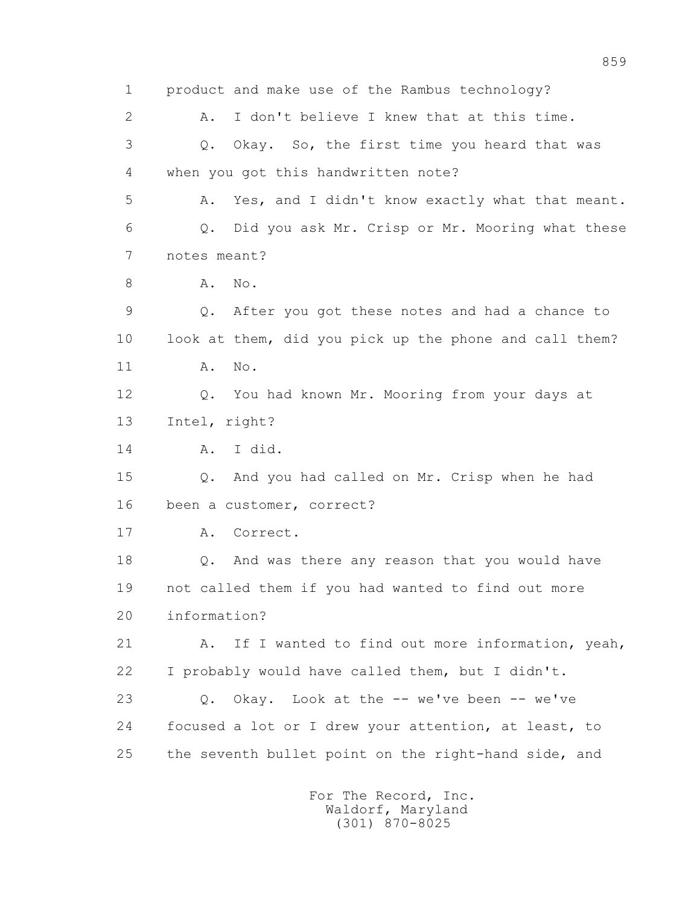1 product and make use of the Rambus technology? 2 A. I don't believe I knew that at this time. 3 Q. Okay. So, the first time you heard that was 4 when you got this handwritten note? 5 A. Yes, and I didn't know exactly what that meant. 6 Q. Did you ask Mr. Crisp or Mr. Mooring what these 7 notes meant? 8 **A.** No. 9 Q. After you got these notes and had a chance to 10 look at them, did you pick up the phone and call them? 11 A. No. 12 Q. You had known Mr. Mooring from your days at 13 Intel, right? 14 A. I did. 15 Q. And you had called on Mr. Crisp when he had 16 been a customer, correct? 17 A. Correct. 18 Q. And was there any reason that you would have 19 not called them if you had wanted to find out more 20 information? 21 A. If I wanted to find out more information, yeah, 22 I probably would have called them, but I didn't. 23 Q. Okay. Look at the -- we've been -- we've 24 focused a lot or I drew your attention, at least, to 25 the seventh bullet point on the right-hand side, and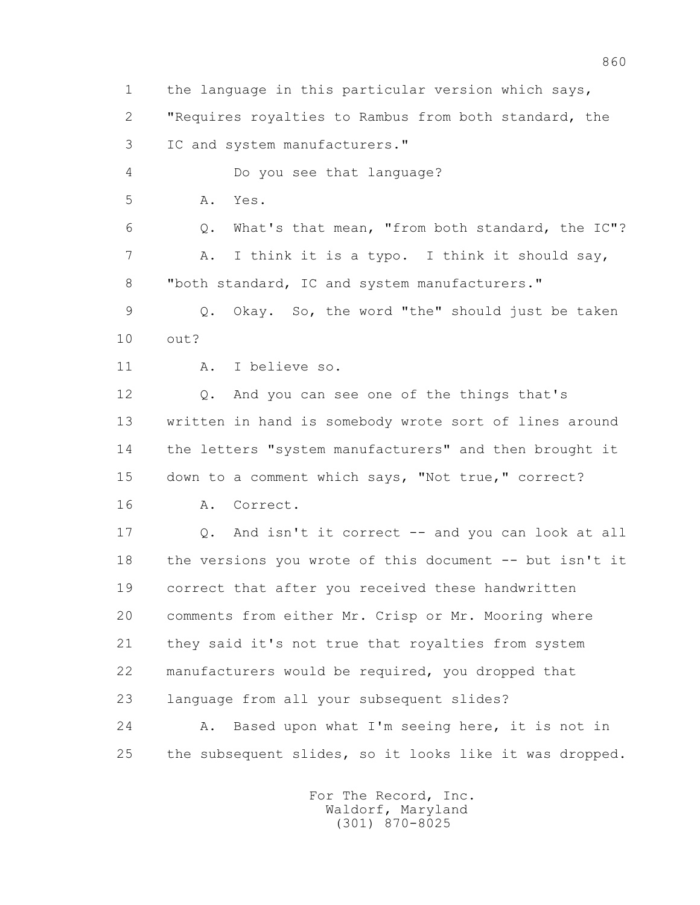1 the language in this particular version which says, 2 "Requires royalties to Rambus from both standard, the 3 IC and system manufacturers." 4 Do you see that language? 5 A. Yes. 6 Q. What's that mean, "from both standard, the IC"? 7 A. I think it is a typo. I think it should say, 8 "both standard, IC and system manufacturers." 9 Q. Okay. So, the word "the" should just be taken 10 out? 11 A. I believe so. 12 Q. And you can see one of the things that's 13 written in hand is somebody wrote sort of lines around 14 the letters "system manufacturers" and then brought it 15 down to a comment which says, "Not true," correct? 16 A. Correct. 17 Q. And isn't it correct -- and you can look at all 18 the versions you wrote of this document -- but isn't it 19 correct that after you received these handwritten 20 comments from either Mr. Crisp or Mr. Mooring where 21 they said it's not true that royalties from system 22 manufacturers would be required, you dropped that 23 language from all your subsequent slides? 24 A. Based upon what I'm seeing here, it is not in 25 the subsequent slides, so it looks like it was dropped.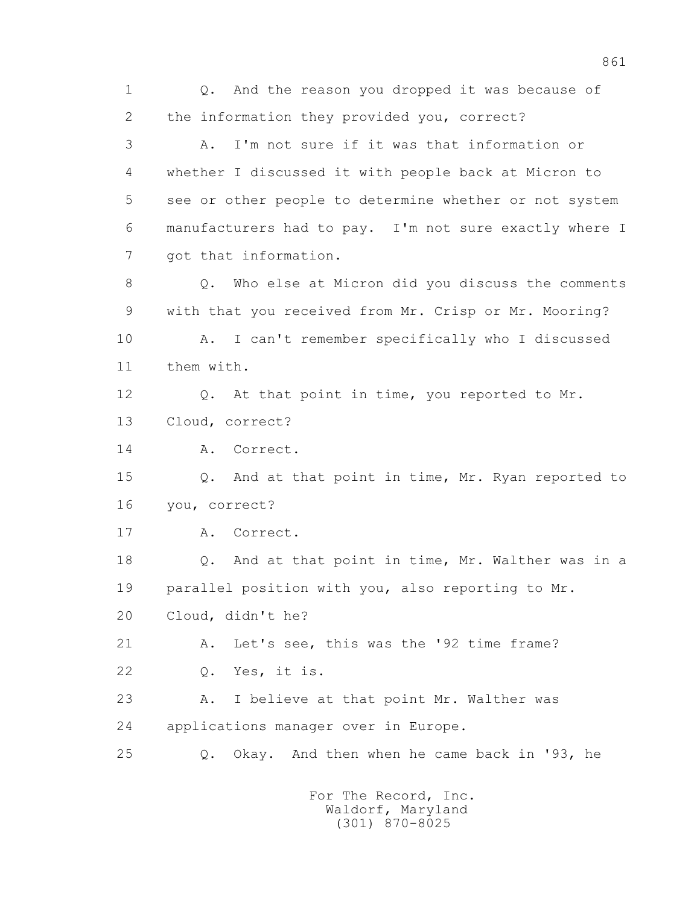1 Q. And the reason you dropped it was because of 2 the information they provided you, correct? 3 A. I'm not sure if it was that information or 4 whether I discussed it with people back at Micron to 5 see or other people to determine whether or not system 6 manufacturers had to pay. I'm not sure exactly where I 7 got that information. 8 Q. Who else at Micron did you discuss the comments 9 with that you received from Mr. Crisp or Mr. Mooring? 10 A. I can't remember specifically who I discussed 11 them with. 12 Q. At that point in time, you reported to Mr. 13 Cloud, correct? 14 A. Correct. 15 Q. And at that point in time, Mr. Ryan reported to 16 you, correct? 17 A. Correct. 18 Q. And at that point in time, Mr. Walther was in a 19 parallel position with you, also reporting to Mr. 20 Cloud, didn't he? 21 A. Let's see, this was the '92 time frame? 22 Q. Yes, it is. 23 A. I believe at that point Mr. Walther was 24 applications manager over in Europe. 25 Q. Okay. And then when he came back in '93, he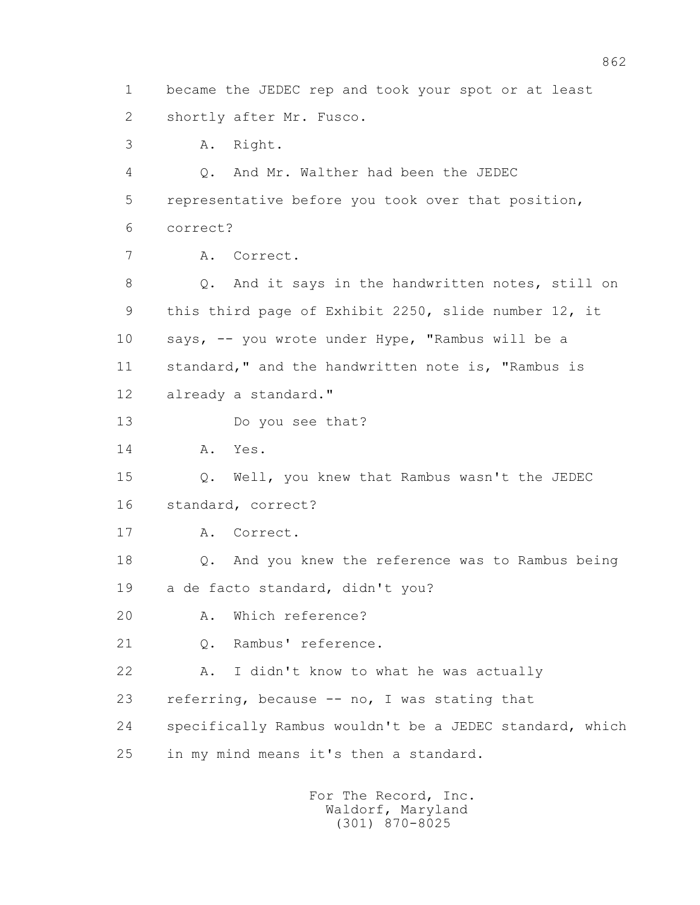1 became the JEDEC rep and took your spot or at least 2 shortly after Mr. Fusco. 3 A. Right. 4 Q. And Mr. Walther had been the JEDEC 5 representative before you took over that position, 6 correct? 7 A. Correct. 8 Q. And it says in the handwritten notes, still on 9 this third page of Exhibit 2250, slide number 12, it 10 says, -- you wrote under Hype, "Rambus will be a 11 standard," and the handwritten note is, "Rambus is 12 already a standard." 13 Do you see that? 14 A. Yes. 15 Q. Well, you knew that Rambus wasn't the JEDEC 16 standard, correct? 17 A. Correct. 18 Q. And you knew the reference was to Rambus being 19 a de facto standard, didn't you? 20 A. Which reference? 21 Q. Rambus' reference. 22 A. I didn't know to what he was actually 23 referring, because -- no, I was stating that 24 specifically Rambus wouldn't be a JEDEC standard, which 25 in my mind means it's then a standard.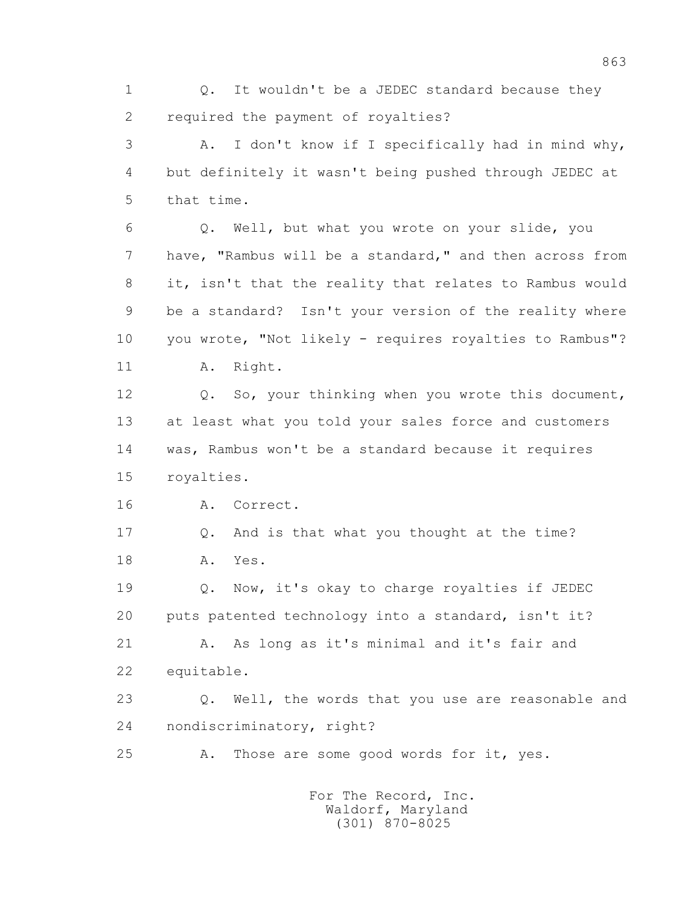1 0. It wouldn't be a JEDEC standard because they 2 required the payment of royalties?

 3 A. I don't know if I specifically had in mind why, 4 but definitely it wasn't being pushed through JEDEC at 5 that time.

 6 Q. Well, but what you wrote on your slide, you 7 have, "Rambus will be a standard," and then across from 8 it, isn't that the reality that relates to Rambus would 9 be a standard? Isn't your version of the reality where 10 you wrote, "Not likely - requires royalties to Rambus"? 11 A. Right.

 12 Q. So, your thinking when you wrote this document, 13 at least what you told your sales force and customers 14 was, Rambus won't be a standard because it requires 15 royalties.

16 A. Correct.

 17 Q. And is that what you thought at the time? 18 A. Yes.

 19 Q. Now, it's okay to charge royalties if JEDEC 20 puts patented technology into a standard, isn't it?

 21 A. As long as it's minimal and it's fair and 22 equitable.

 23 Q. Well, the words that you use are reasonable and 24 nondiscriminatory, right?

25 A. Those are some good words for it, yes.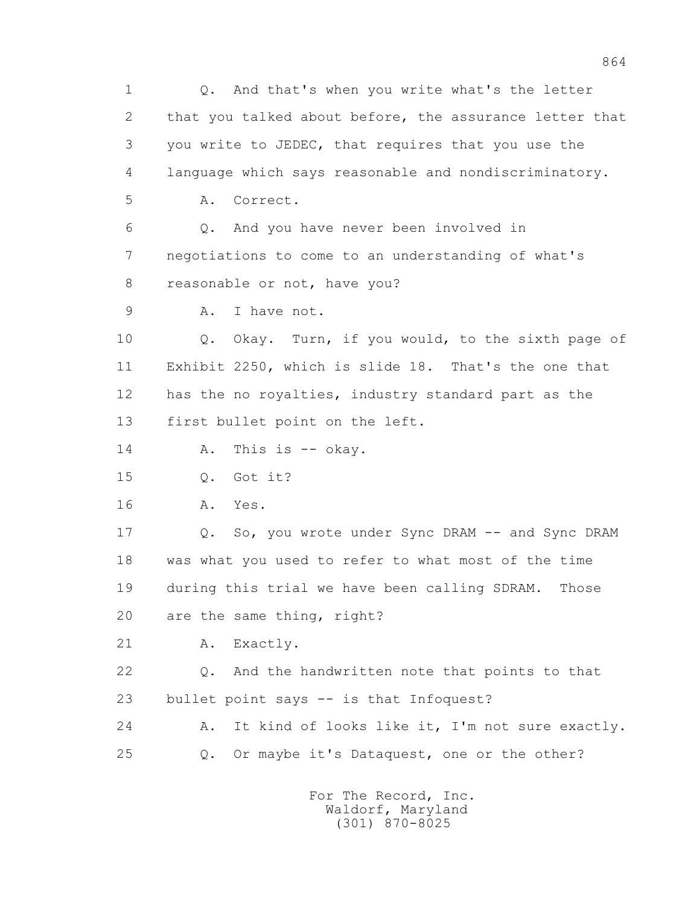1 Q. And that's when you write what's the letter 2 that you talked about before, the assurance letter that 3 you write to JEDEC, that requires that you use the 4 language which says reasonable and nondiscriminatory. 5 A. Correct. 6 Q. And you have never been involved in 7 negotiations to come to an understanding of what's 8 reasonable or not, have you? 9 A. I have not. 10 Q. Okay. Turn, if you would, to the sixth page of 11 Exhibit 2250, which is slide 18. That's the one that 12 has the no royalties, industry standard part as the 13 first bullet point on the left. 14 A. This is -- okay. 15 Q. Got it? 16 A. Yes. 17 Q. So, you wrote under Sync DRAM -- and Sync DRAM 18 was what you used to refer to what most of the time 19 during this trial we have been calling SDRAM. Those 20 are the same thing, right? 21 A. Exactly. 22 Q. And the handwritten note that points to that 23 bullet point says -- is that Infoquest? 24 A. It kind of looks like it, I'm not sure exactly. 25 Q. Or maybe it's Dataquest, one or the other?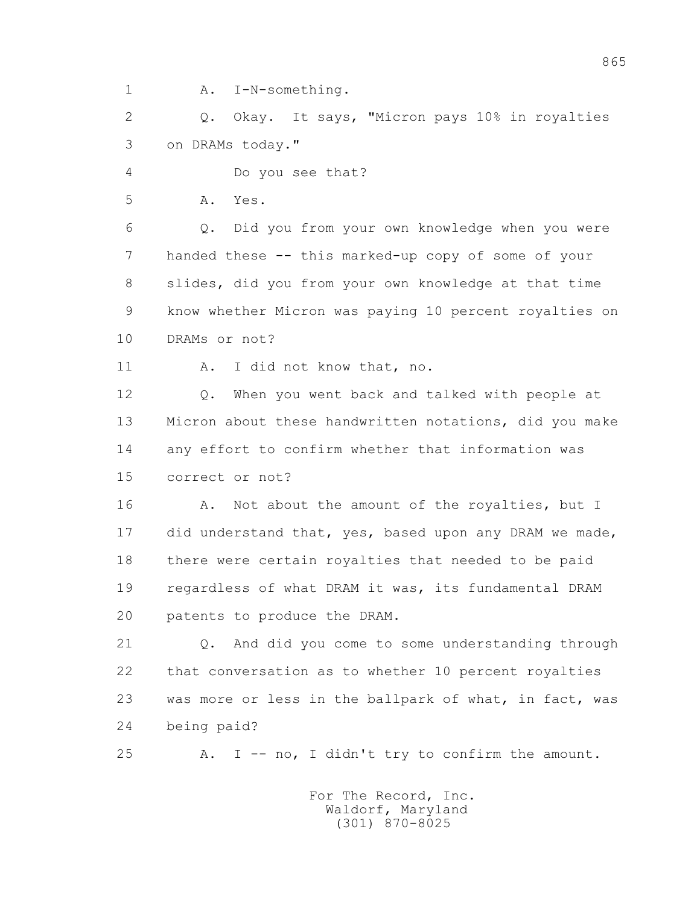1 A. I-N-something.

 2 Q. Okay. It says, "Micron pays 10% in royalties 3 on DRAMs today."

4 Do you see that?

5 A. Yes.

 6 Q. Did you from your own knowledge when you were 7 handed these -- this marked-up copy of some of your 8 slides, did you from your own knowledge at that time 9 know whether Micron was paying 10 percent royalties on 10 DRAMs or not?

11 A. I did not know that, no.

 12 Q. When you went back and talked with people at 13 Micron about these handwritten notations, did you make 14 any effort to confirm whether that information was 15 correct or not?

16 A. Not about the amount of the royalties, but I 17 did understand that, yes, based upon any DRAM we made, 18 there were certain royalties that needed to be paid 19 regardless of what DRAM it was, its fundamental DRAM 20 patents to produce the DRAM.

 21 Q. And did you come to some understanding through 22 that conversation as to whether 10 percent royalties 23 was more or less in the ballpark of what, in fact, was 24 being paid?

25 A. I -- no, I didn't try to confirm the amount.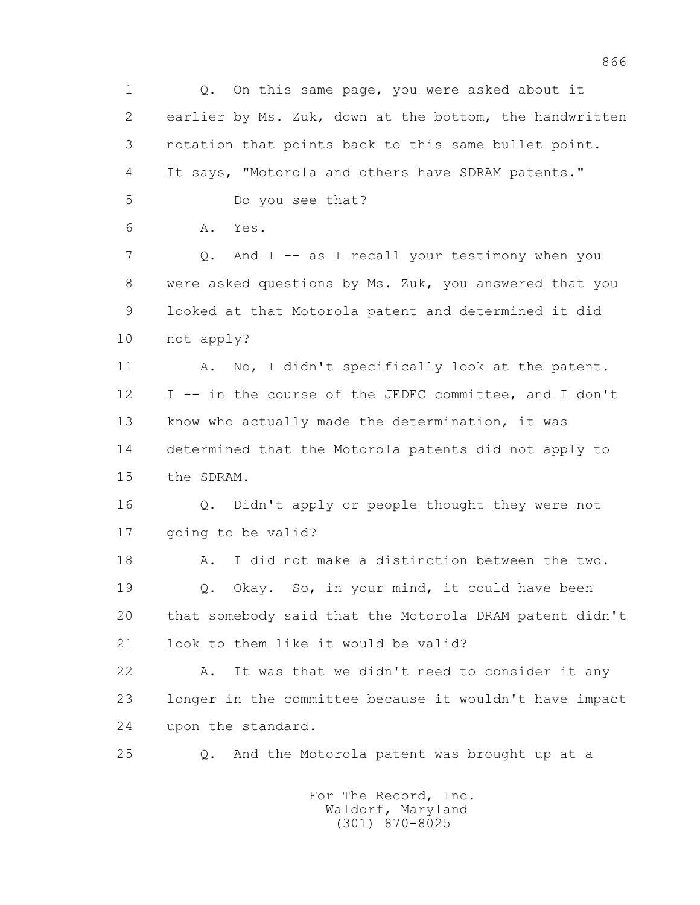1 Q. On this same page, you were asked about it 2 earlier by Ms. Zuk, down at the bottom, the handwritten 3 notation that points back to this same bullet point. 4 It says, "Motorola and others have SDRAM patents." 5 Do you see that? 6 A. Yes. 7 Q. And I -- as I recall your testimony when you 8 were asked questions by Ms. Zuk, you answered that you 9 looked at that Motorola patent and determined it did 10 not apply? 11 A. No, I didn't specifically look at the patent. 12 I -- in the course of the JEDEC committee, and I don't 13 know who actually made the determination, it was 14 determined that the Motorola patents did not apply to 15 the SDRAM. 16 Q. Didn't apply or people thought they were not 17 going to be valid? 18 A. I did not make a distinction between the two. 19 Q. Okay. So, in your mind, it could have been 20 that somebody said that the Motorola DRAM patent didn't 21 look to them like it would be valid? 22 A. It was that we didn't need to consider it any 23 longer in the committee because it wouldn't have impact 24 upon the standard. 25 Q. And the Motorola patent was brought up at a For The Record, Inc.

866

 Waldorf, Maryland (301) 870-8025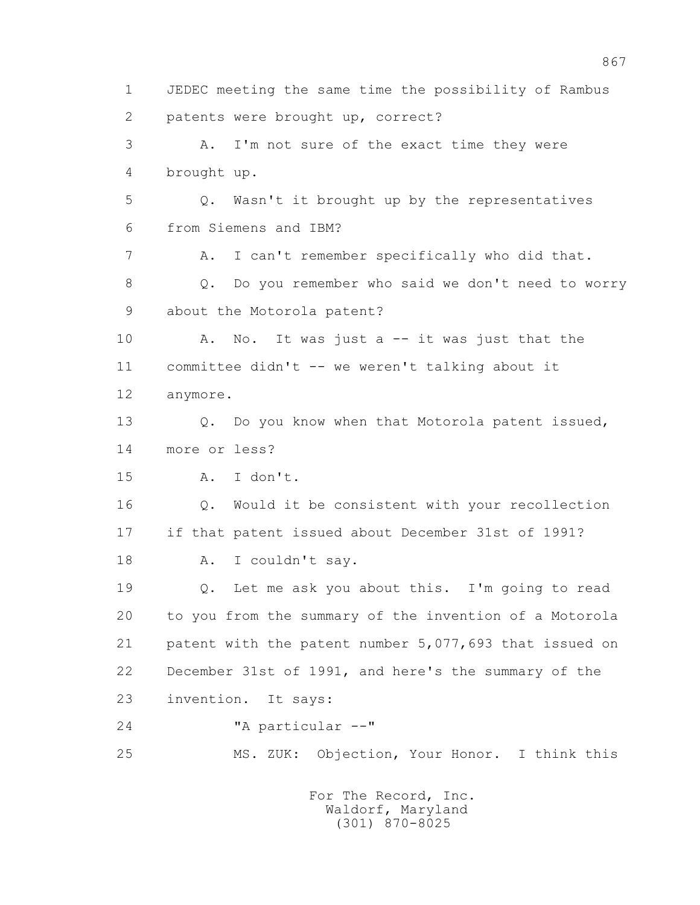1 JEDEC meeting the same time the possibility of Rambus 2 patents were brought up, correct? 3 A. I'm not sure of the exact time they were 4 brought up. 5 Q. Wasn't it brought up by the representatives 6 from Siemens and IBM? 7 A. I can't remember specifically who did that. 8 Q. Do you remember who said we don't need to worry 9 about the Motorola patent? 10 A. No. It was just a -- it was just that the 11 committee didn't -- we weren't talking about it 12 anymore. 13 Q. Do you know when that Motorola patent issued, 14 more or less? 15 A. I don't. 16 Q. Would it be consistent with your recollection 17 if that patent issued about December 31st of 1991? 18 A. I couldn't say. 19 Q. Let me ask you about this. I'm going to read 20 to you from the summary of the invention of a Motorola 21 patent with the patent number 5,077,693 that issued on 22 December 31st of 1991, and here's the summary of the 23 invention. It says: 24 "A particular --" 25 MS. ZUK: Objection, Your Honor. I think this For The Record, Inc. Waldorf, Maryland

(301) 870-8025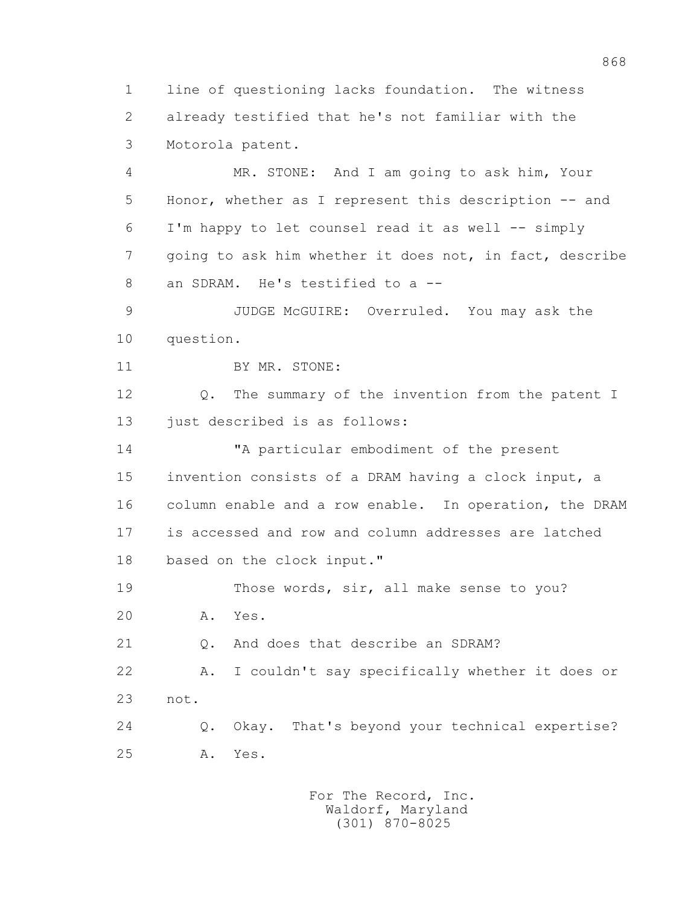1 line of questioning lacks foundation. The witness 2 already testified that he's not familiar with the 3 Motorola patent.

 4 MR. STONE: And I am going to ask him, Your 5 Honor, whether as I represent this description -- and 6 I'm happy to let counsel read it as well -- simply 7 going to ask him whether it does not, in fact, describe 8 an SDRAM. He's testified to a --

 9 JUDGE McGUIRE: Overruled. You may ask the 10 question.

11 BY MR. STONE:

 12 Q. The summary of the invention from the patent I 13 just described is as follows:

 14 "A particular embodiment of the present 15 invention consists of a DRAM having a clock input, a 16 column enable and a row enable. In operation, the DRAM 17 is accessed and row and column addresses are latched 18 based on the clock input."

 19 Those words, sir, all make sense to you? 20 A. Yes.

21 Q. And does that describe an SDRAM?

 22 A. I couldn't say specifically whether it does or 23 not.

 24 Q. Okay. That's beyond your technical expertise? 25 A. Yes.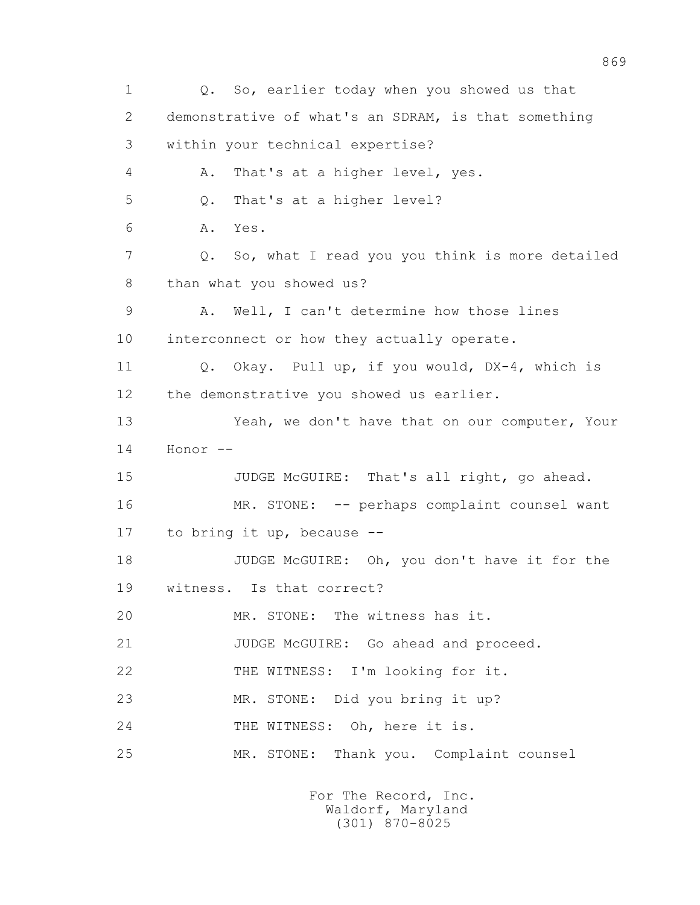1 Q. So, earlier today when you showed us that 2 demonstrative of what's an SDRAM, is that something 3 within your technical expertise? 4 A. That's at a higher level, yes. 5 Q. That's at a higher level? 6 A. Yes. 7 Q. So, what I read you you think is more detailed 8 than what you showed us? 9 A. Well, I can't determine how those lines 10 interconnect or how they actually operate. 11 Q. Okay. Pull up, if you would, DX-4, which is 12 the demonstrative you showed us earlier. 13 Yeah, we don't have that on our computer, Your 14 Honor -- 15 JUDGE McGUIRE: That's all right, go ahead. 16 MR. STONE: -- perhaps complaint counsel want 17 to bring it up, because -- 18 JUDGE McGUIRE: Oh, you don't have it for the 19 witness. Is that correct? 20 MR. STONE: The witness has it. 21 JUDGE McGUIRE: Go ahead and proceed. 22 THE WITNESS: I'm looking for it. 23 MR. STONE: Did you bring it up? 24 THE WITNESS: Oh, here it is. 25 MR. STONE: Thank you. Complaint counsel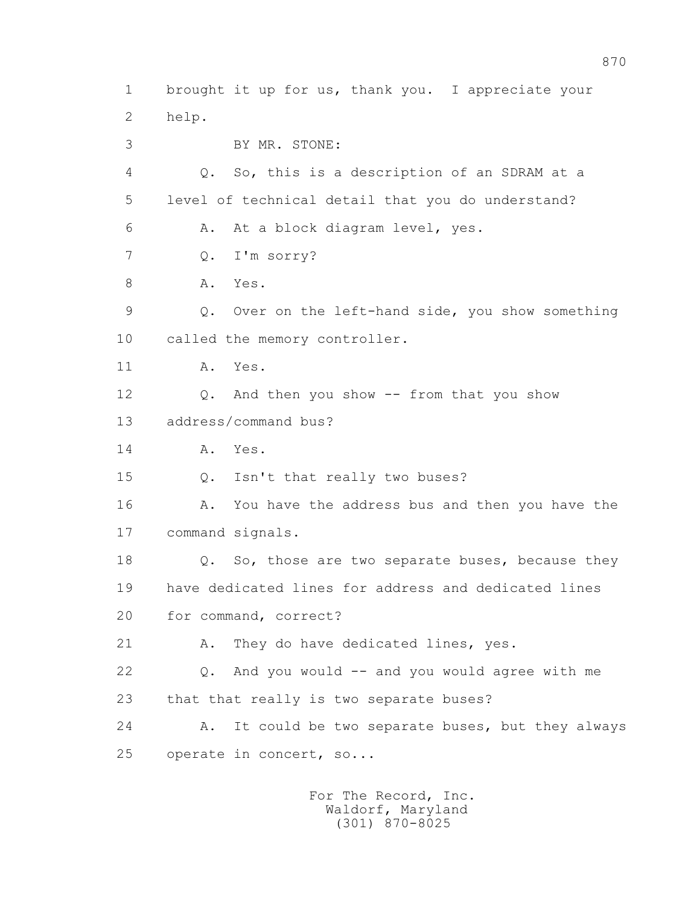1 brought it up for us, thank you. I appreciate your 2 help. 3 BY MR. STONE: 4 Q. So, this is a description of an SDRAM at a 5 level of technical detail that you do understand? 6 A. At a block diagram level, yes. 7 Q. I'm sorry? 8 A. Yes. 9 Q. Over on the left-hand side, you show something 10 called the memory controller. 11 A. Yes. 12 Q. And then you show -- from that you show 13 address/command bus? 14 A. Yes. 15 Q. Isn't that really two buses? 16 A. You have the address bus and then you have the 17 command signals. 18 **Q.** So, those are two separate buses, because they 19 have dedicated lines for address and dedicated lines 20 for command, correct? 21 A. They do have dedicated lines, yes. 22 Q. And you would -- and you would agree with me 23 that that really is two separate buses? 24 A. It could be two separate buses, but they always 25 operate in concert, so...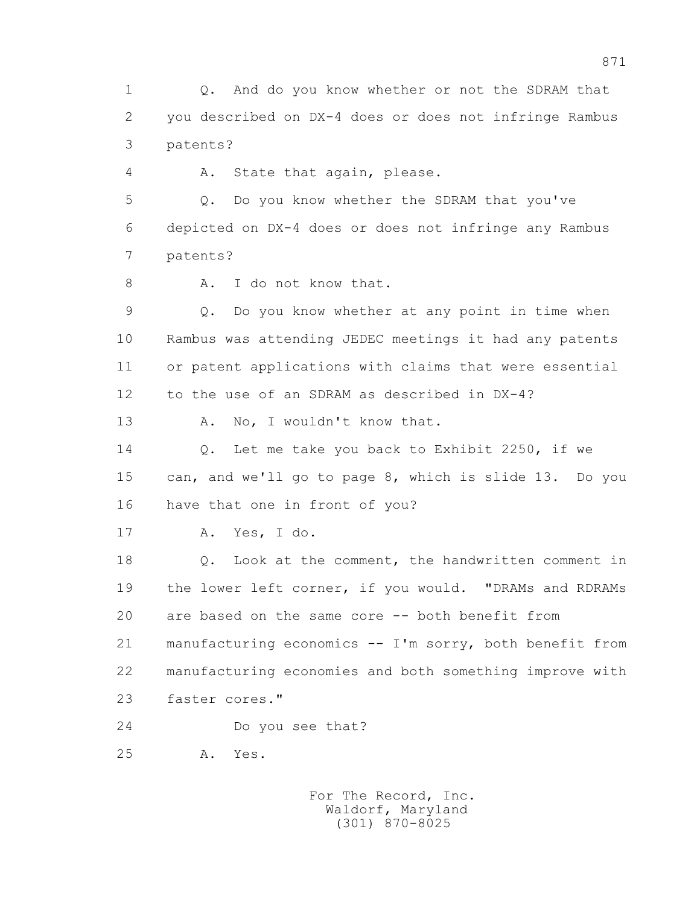1 Q. And do you know whether or not the SDRAM that 2 you described on DX-4 does or does not infringe Rambus 3 patents?

4 A. State that again, please.

 5 Q. Do you know whether the SDRAM that you've 6 depicted on DX-4 does or does not infringe any Rambus 7 patents?

8 A. I do not know that.

 9 Q. Do you know whether at any point in time when 10 Rambus was attending JEDEC meetings it had any patents 11 or patent applications with claims that were essential 12 to the use of an SDRAM as described in DX-4?

13 A. No, I wouldn't know that.

 14 Q. Let me take you back to Exhibit 2250, if we 15 can, and we'll go to page 8, which is slide 13. Do you 16 have that one in front of you?

17 A. Yes, I do.

 18 Q. Look at the comment, the handwritten comment in 19 the lower left corner, if you would. "DRAMs and RDRAMs 20 are based on the same core -- both benefit from 21 manufacturing economics -- I'm sorry, both benefit from 22 manufacturing economies and both something improve with 23 faster cores."

24 Do you see that?

25 A. Yes.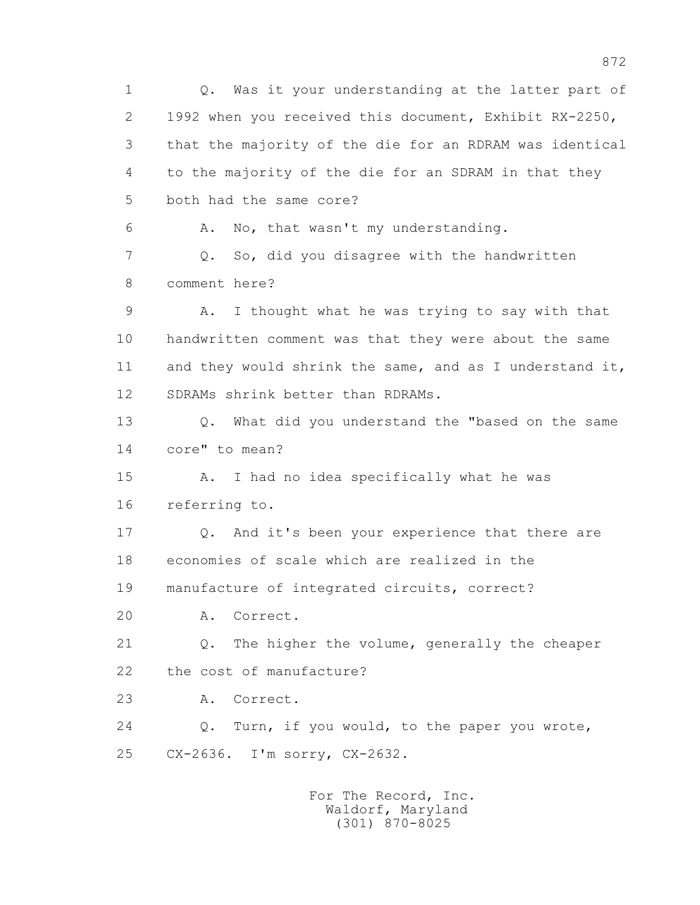1 Q. Was it your understanding at the latter part of 2 1992 when you received this document, Exhibit RX-2250, 3 that the majority of the die for an RDRAM was identical 4 to the majority of the die for an SDRAM in that they 5 both had the same core? 6 A. No, that wasn't my understanding. 7 Q. So, did you disagree with the handwritten 8 comment here? 9 A. I thought what he was trying to say with that 10 handwritten comment was that they were about the same 11 and they would shrink the same, and as I understand it, 12 SDRAMs shrink better than RDRAMs. 13 Q. What did you understand the "based on the same 14 core" to mean? 15 A. I had no idea specifically what he was 16 referring to. 17 Q. And it's been your experience that there are 18 economies of scale which are realized in the 19 manufacture of integrated circuits, correct? 20 A. Correct. 21 Q. The higher the volume, generally the cheaper 22 the cost of manufacture? 23 A. Correct. 24 Q. Turn, if you would, to the paper you wrote, 25 CX-2636. I'm sorry, CX-2632.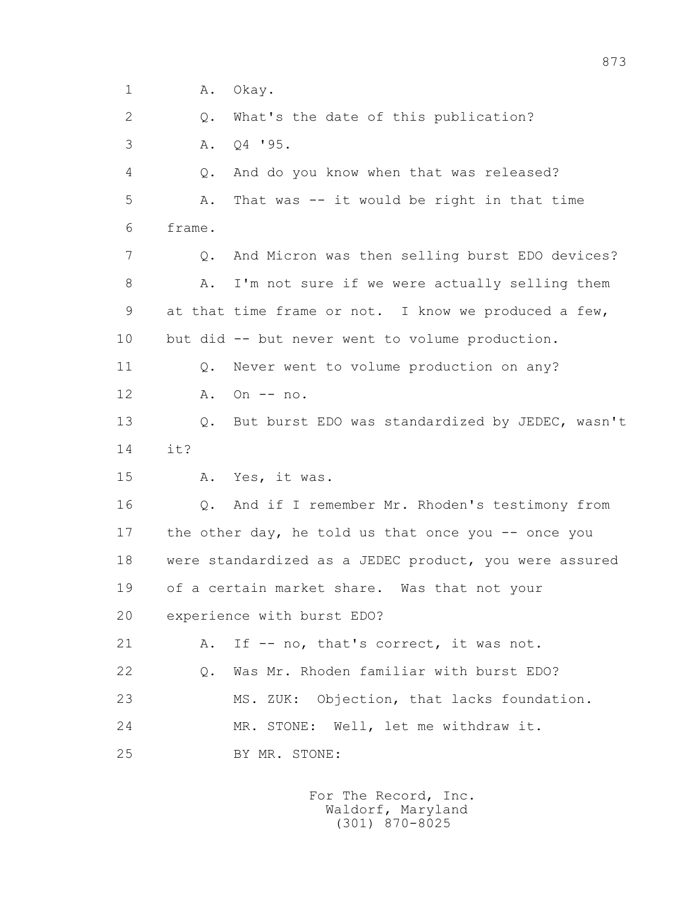1 A. Okay. 2 0. What's the date of this publication? 3 A. Q4 '95. 4 Q. And do you know when that was released? 5 A. That was -- it would be right in that time 6 frame. 7 Q. And Micron was then selling burst EDO devices? 8 A. I'm not sure if we were actually selling them 9 at that time frame or not. I know we produced a few, 10 but did -- but never went to volume production. 11 0. Never went to volume production on any? 12 A. On -- no. 13 Q. But burst EDO was standardized by JEDEC, wasn't 14 it? 15 A. Yes, it was. 16 Q. And if I remember Mr. Rhoden's testimony from 17 the other day, he told us that once you -- once you 18 were standardized as a JEDEC product, you were assured 19 of a certain market share. Was that not your 20 experience with burst EDO? 21 A. If -- no, that's correct, it was not. 22 Q. Was Mr. Rhoden familiar with burst EDO? 23 MS. ZUK: Objection, that lacks foundation. 24 MR. STONE: Well, let me withdraw it. 25 BY MR. STONE: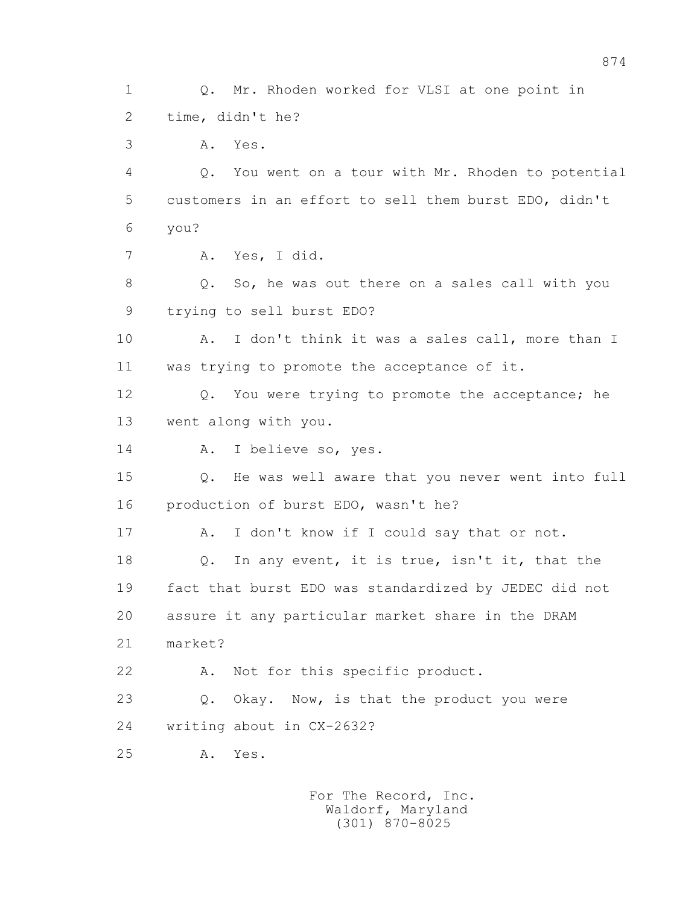1 Q. Mr. Rhoden worked for VLSI at one point in 2 time, didn't he? 3 A. Yes. 4 Q. You went on a tour with Mr. Rhoden to potential 5 customers in an effort to sell them burst EDO, didn't 6 you? 7 A. Yes, I did. 8 Q. So, he was out there on a sales call with you 9 trying to sell burst EDO? 10 A. I don't think it was a sales call, more than I 11 was trying to promote the acceptance of it. 12 Q. You were trying to promote the acceptance; he 13 went along with you. 14 A. I believe so, yes. 15 Q. He was well aware that you never went into full 16 production of burst EDO, wasn't he? 17 A. I don't know if I could say that or not. 18 Q. In any event, it is true, isn't it, that the 19 fact that burst EDO was standardized by JEDEC did not 20 assure it any particular market share in the DRAM 21 market? 22 A. Not for this specific product. 23 Q. Okay. Now, is that the product you were 24 writing about in CX-2632? 25 A. Yes.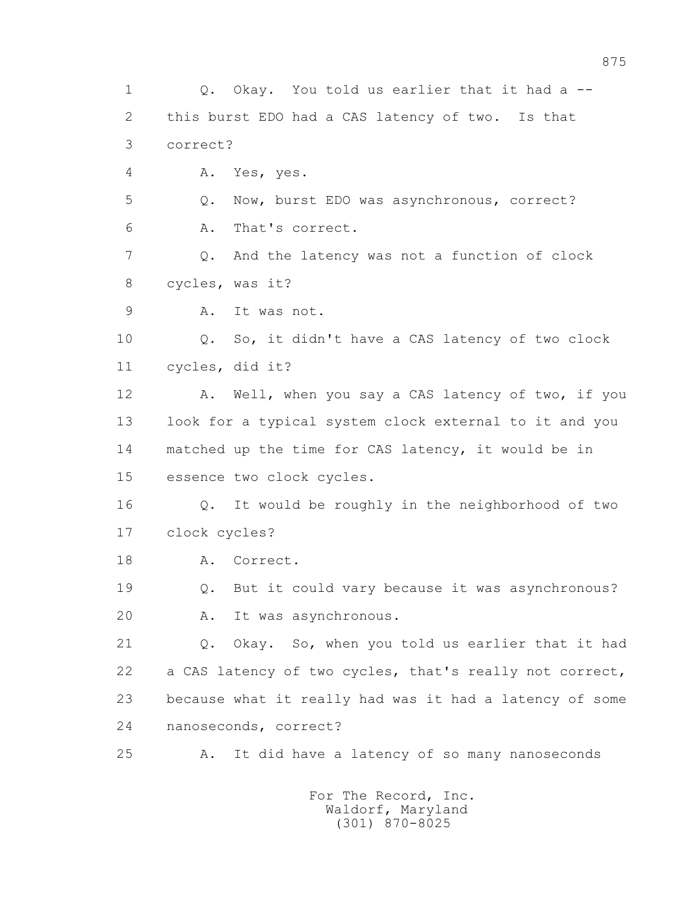1 Q. Okay. You told us earlier that it had a -- 2 this burst EDO had a CAS latency of two. Is that 3 correct? 4 A. Yes, yes. 5 Q. Now, burst EDO was asynchronous, correct? 6 A. That's correct. 7 Q. And the latency was not a function of clock 8 cycles, was it? 9 A. It was not. 10 Q. So, it didn't have a CAS latency of two clock 11 cycles, did it? 12 A. Well, when you say a CAS latency of two, if you 13 look for a typical system clock external to it and you 14 matched up the time for CAS latency, it would be in 15 essence two clock cycles. 16 Q. It would be roughly in the neighborhood of two 17 clock cycles? 18 A. Correct. 19 Q. But it could vary because it was asynchronous? 20 A. It was asynchronous. 21 Q. Okay. So, when you told us earlier that it had 22 a CAS latency of two cycles, that's really not correct, 23 because what it really had was it had a latency of some 24 nanoseconds, correct? 25 A. It did have a latency of so many nanoseconds For The Record, Inc.

 Waldorf, Maryland (301) 870-8025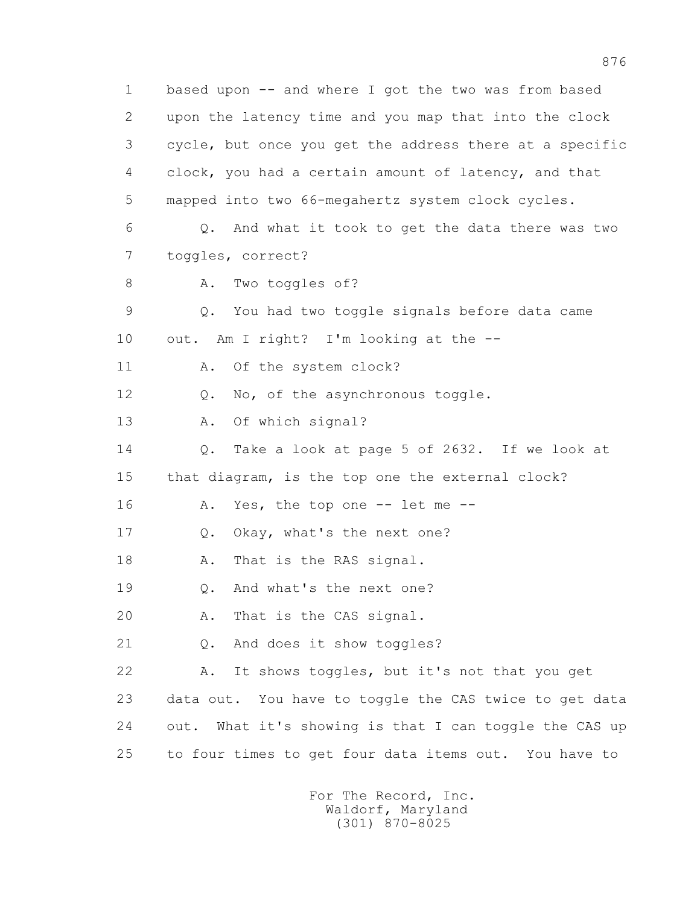1 based upon -- and where I got the two was from based 2 upon the latency time and you map that into the clock 3 cycle, but once you get the address there at a specific 4 clock, you had a certain amount of latency, and that 5 mapped into two 66-megahertz system clock cycles. 6 Q. And what it took to get the data there was two 7 toggles, correct? 8 A. Two toggles of? 9 Q. You had two toggle signals before data came 10 out. Am I right? I'm looking at the -- 11 A. Of the system clock? 12 Q. No, of the asynchronous toggle. 13 A. Of which signal? 14 Q. Take a look at page 5 of 2632. If we look at 15 that diagram, is the top one the external clock? 16 A. Yes, the top one -- let me -- 17 Q. Okay, what's the next one? 18 A. That is the RAS signal. 19 0. And what's the next one? 20 A. That is the CAS signal. 21 Q. And does it show toggles? 22 A. It shows toggles, but it's not that you get 23 data out. You have to toggle the CAS twice to get data 24 out. What it's showing is that I can toggle the CAS up 25 to four times to get four data items out. You have to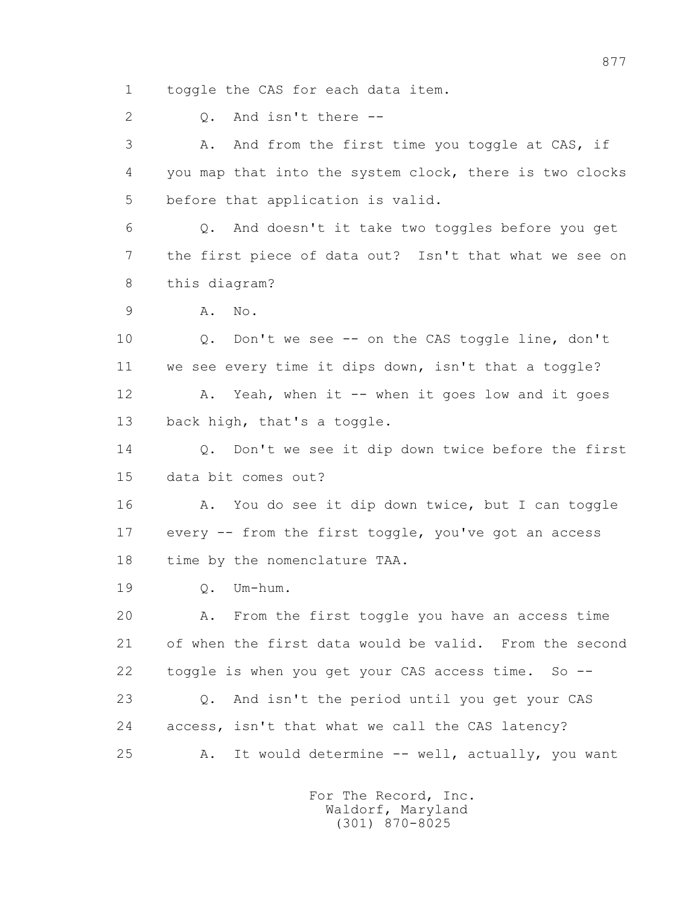1 toggle the CAS for each data item.

2 Q. And isn't there --

 3 A. And from the first time you toggle at CAS, if 4 you map that into the system clock, there is two clocks 5 before that application is valid.

 6 Q. And doesn't it take two toggles before you get 7 the first piece of data out? Isn't that what we see on 8 this diagram?

9 A. No.

 10 Q. Don't we see -- on the CAS toggle line, don't 11 we see every time it dips down, isn't that a toggle? 12 A. Yeah, when it -- when it goes low and it goes 13 back high, that's a toggle.

14 0. Don't we see it dip down twice before the first 15 data bit comes out?

 16 A. You do see it dip down twice, but I can toggle 17 every -- from the first toggle, you've got an access 18 time by the nomenclature TAA.

19 Q. Um-hum.

 20 A. From the first toggle you have an access time 21 of when the first data would be valid. From the second 22 toggle is when you get your CAS access time. So --

 23 Q. And isn't the period until you get your CAS 24 access, isn't that what we call the CAS latency? 25 A. It would determine -- well, actually, you want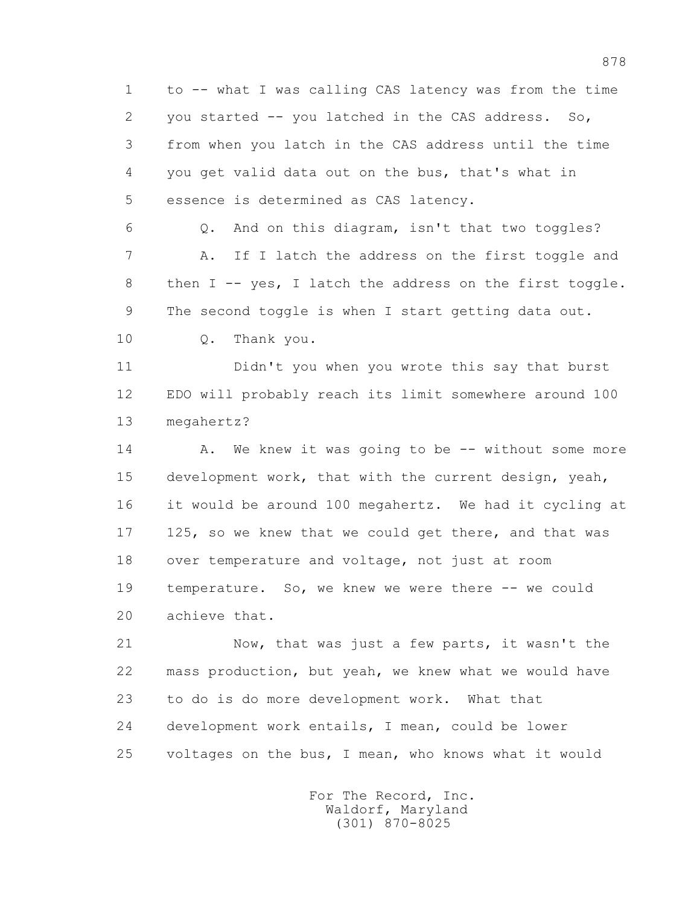1 to -- what I was calling CAS latency was from the time 2 you started -- you latched in the CAS address. So, 3 from when you latch in the CAS address until the time 4 you get valid data out on the bus, that's what in 5 essence is determined as CAS latency.

 6 Q. And on this diagram, isn't that two toggles? 7 A. If I latch the address on the first toggle and 8 then I -- yes, I latch the address on the first toggle. 9 The second toggle is when I start getting data out.

10 Q. Thank you.

 11 Didn't you when you wrote this say that burst 12 EDO will probably reach its limit somewhere around 100 13 megahertz?

14 A. We knew it was going to be -- without some more 15 development work, that with the current design, yeah, 16 it would be around 100 megahertz. We had it cycling at 17 125, so we knew that we could get there, and that was 18 over temperature and voltage, not just at room 19 temperature. So, we knew we were there -- we could 20 achieve that.

 21 Now, that was just a few parts, it wasn't the 22 mass production, but yeah, we knew what we would have 23 to do is do more development work. What that 24 development work entails, I mean, could be lower 25 voltages on the bus, I mean, who knows what it would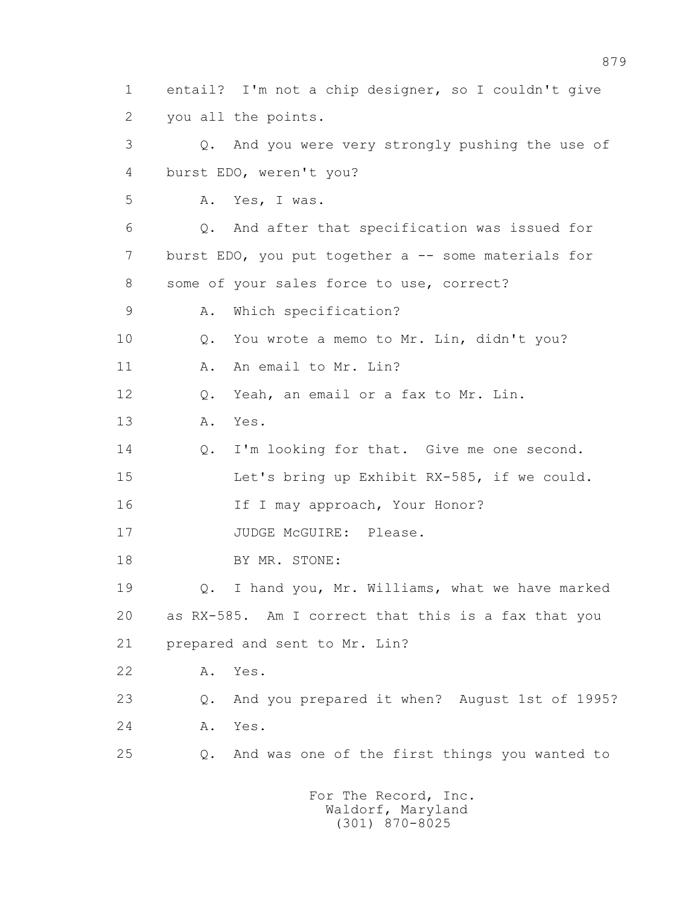1 entail? I'm not a chip designer, so I couldn't give 2 you all the points. 3 Q. And you were very strongly pushing the use of 4 burst EDO, weren't you? 5 A. Yes, I was. 6 Q. And after that specification was issued for 7 burst EDO, you put together a -- some materials for 8 some of your sales force to use, correct? 9 A. Which specification? 10 Q. You wrote a memo to Mr. Lin, didn't you? 11 A. An email to Mr. Lin? 12 Q. Yeah, an email or a fax to Mr. Lin. 13 A. Yes. 14 0. I'm looking for that. Give me one second. 15 Let's bring up Exhibit RX-585, if we could. 16 If I may approach, Your Honor? 17 JUDGE McGUIRE: Please. 18 BY MR. STONE: 19 Q. I hand you, Mr. Williams, what we have marked 20 as RX-585. Am I correct that this is a fax that you 21 prepared and sent to Mr. Lin? 22 A. Yes. 23 Q. And you prepared it when? August 1st of 1995? 24 A. Yes. 25 Q. And was one of the first things you wanted to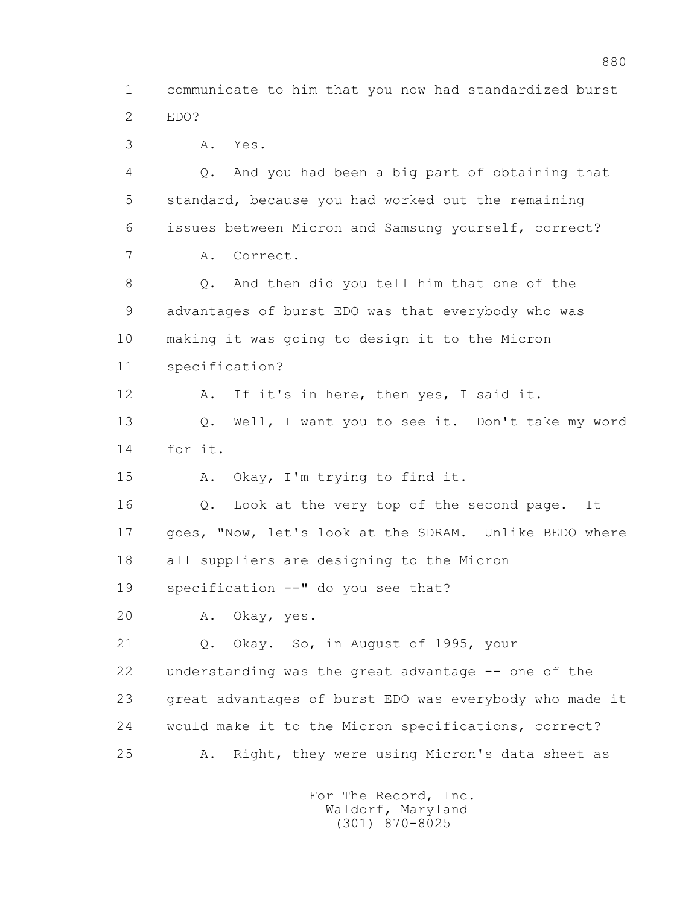1 communicate to him that you now had standardized burst 2 EDO?

3 A. Yes.

 4 Q. And you had been a big part of obtaining that 5 standard, because you had worked out the remaining 6 issues between Micron and Samsung yourself, correct? 7 A. Correct. 8 Q. And then did you tell him that one of the 9 advantages of burst EDO was that everybody who was 10 making it was going to design it to the Micron 11 specification? 12 A. If it's in here, then yes, I said it. 13 Q. Well, I want you to see it. Don't take my word 14 for it. 15 A. Okay, I'm trying to find it. 16 Q. Look at the very top of the second page. It 17 goes, "Now, let's look at the SDRAM. Unlike BEDO where 18 all suppliers are designing to the Micron 19 specification --" do you see that? 20 A. Okay, yes. 21 Q. Okay. So, in August of 1995, your 22 understanding was the great advantage -- one of the 23 great advantages of burst EDO was everybody who made it 24 would make it to the Micron specifications, correct? 25 A. Right, they were using Micron's data sheet as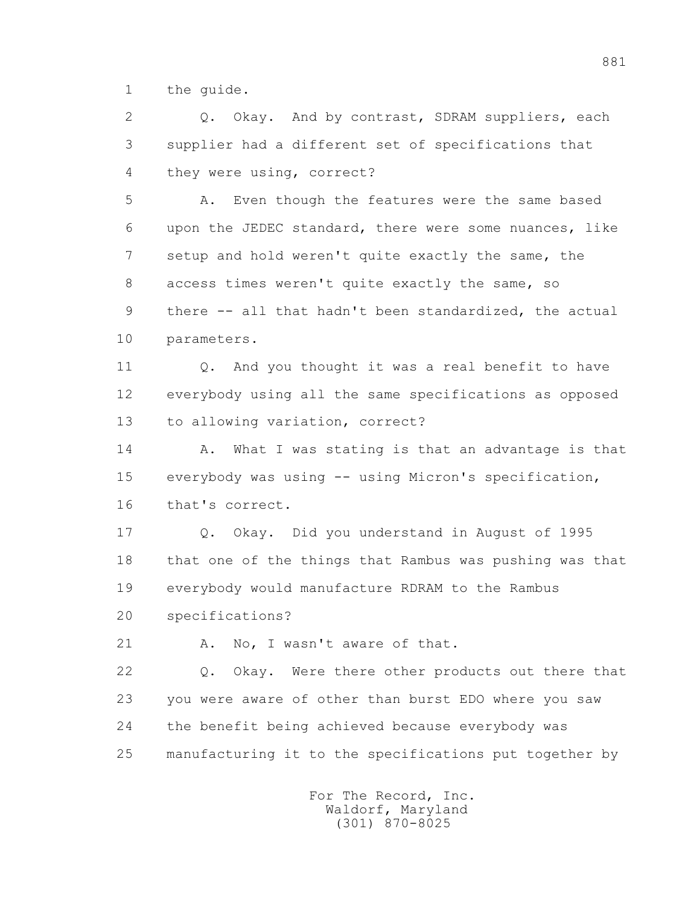1 the guide.

2 0. Okay. And by contrast, SDRAM suppliers, each 3 supplier had a different set of specifications that 4 they were using, correct?

 5 A. Even though the features were the same based 6 upon the JEDEC standard, there were some nuances, like 7 setup and hold weren't quite exactly the same, the 8 access times weren't quite exactly the same, so 9 there -- all that hadn't been standardized, the actual 10 parameters.

11 0. And you thought it was a real benefit to have 12 everybody using all the same specifications as opposed 13 to allowing variation, correct?

14 A. What I was stating is that an advantage is that 15 everybody was using -- using Micron's specification, 16 that's correct.

 17 Q. Okay. Did you understand in August of 1995 18 that one of the things that Rambus was pushing was that 19 everybody would manufacture RDRAM to the Rambus 20 specifications?

21 A. No, I wasn't aware of that.

 22 Q. Okay. Were there other products out there that 23 you were aware of other than burst EDO where you saw 24 the benefit being achieved because everybody was 25 manufacturing it to the specifications put together by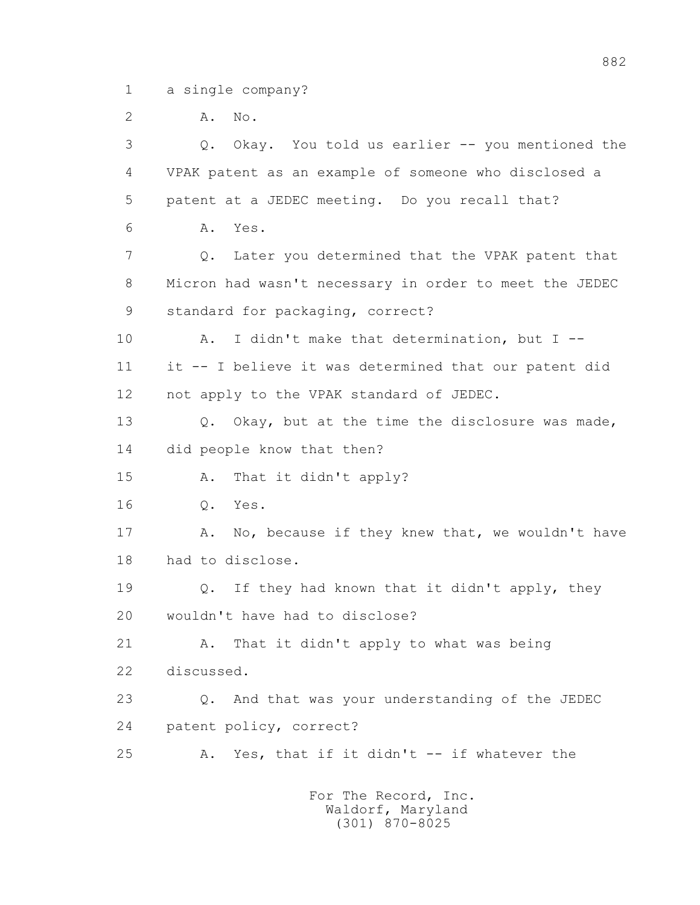1 a single company?

2 **A.** No.

 3 Q. Okay. You told us earlier -- you mentioned the 4 VPAK patent as an example of someone who disclosed a 5 patent at a JEDEC meeting. Do you recall that? 6 A. Yes. 7 Q. Later you determined that the VPAK patent that 8 Micron had wasn't necessary in order to meet the JEDEC 9 standard for packaging, correct? 10 A. I didn't make that determination, but I -- 11 it -- I believe it was determined that our patent did 12 not apply to the VPAK standard of JEDEC. 13 Q. Okay, but at the time the disclosure was made, 14 did people know that then? 15 A. That it didn't apply? 16 Q. Yes. 17 A. No, because if they knew that, we wouldn't have 18 had to disclose. 19 Q. If they had known that it didn't apply, they 20 wouldn't have had to disclose? 21 A. That it didn't apply to what was being 22 discussed. 23 Q. And that was your understanding of the JEDEC 24 patent policy, correct? 25 A. Yes, that if it didn't -- if whatever the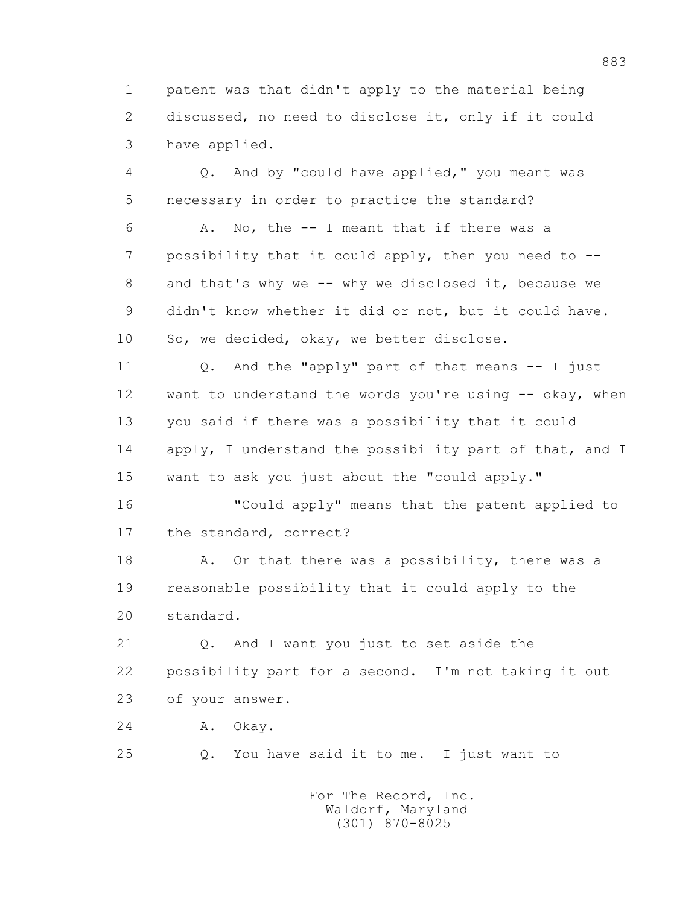1 patent was that didn't apply to the material being 2 discussed, no need to disclose it, only if it could 3 have applied.

 4 Q. And by "could have applied," you meant was 5 necessary in order to practice the standard?

 6 A. No, the -- I meant that if there was a 7 possibility that it could apply, then you need to -- 8 and that's why we -- why we disclosed it, because we 9 didn't know whether it did or not, but it could have. 10 So, we decided, okay, we better disclose.

 11 Q. And the "apply" part of that means -- I just 12 want to understand the words you're using -- okay, when 13 you said if there was a possibility that it could 14 apply, I understand the possibility part of that, and I 15 want to ask you just about the "could apply."

 16 "Could apply" means that the patent applied to 17 the standard, correct?

18 A. Or that there was a possibility, there was a 19 reasonable possibility that it could apply to the 20 standard.

 21 Q. And I want you just to set aside the 22 possibility part for a second. I'm not taking it out 23 of your answer.

24 A. Okay.

25 Q. You have said it to me. I just want to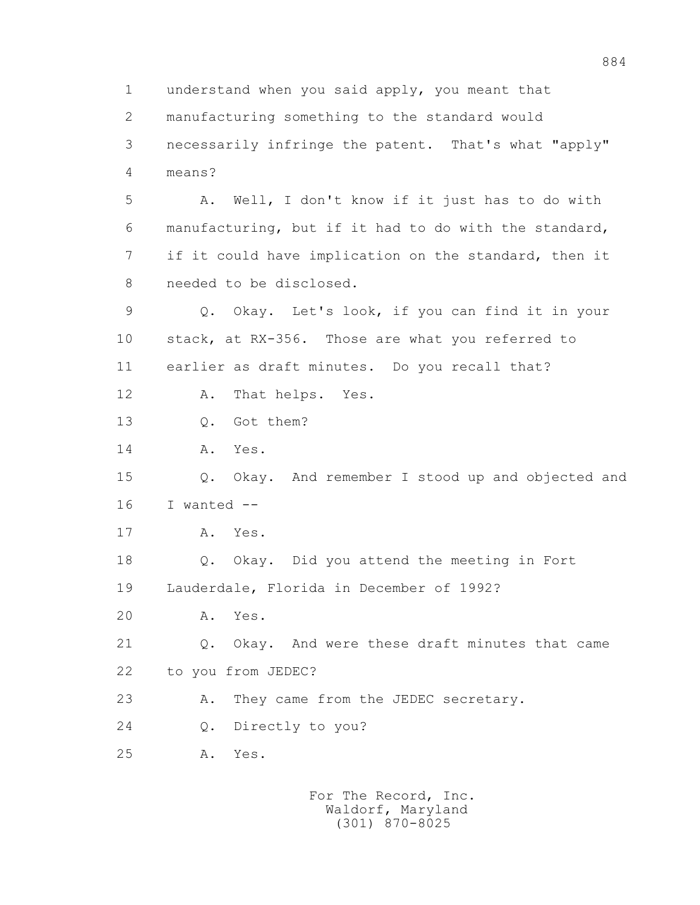1 understand when you said apply, you meant that 2 manufacturing something to the standard would 3 necessarily infringe the patent. That's what "apply" 4 means? 5 A. Well, I don't know if it just has to do with 6 manufacturing, but if it had to do with the standard, 7 if it could have implication on the standard, then it 8 needed to be disclosed. 9 Q. Okay. Let's look, if you can find it in your 10 stack, at RX-356. Those are what you referred to 11 earlier as draft minutes. Do you recall that? 12 A. That helps. Yes. 13 Q. Got them? 14 A. Yes. 15 Q. Okay. And remember I stood up and objected and 16 I wanted -- 17 A. Yes. 18 Q. Okay. Did you attend the meeting in Fort 19 Lauderdale, Florida in December of 1992? 20 A. Yes. 21 Q. Okay. And were these draft minutes that came 22 to you from JEDEC? 23 A. They came from the JEDEC secretary. 24 Q. Directly to you? 25 A. Yes.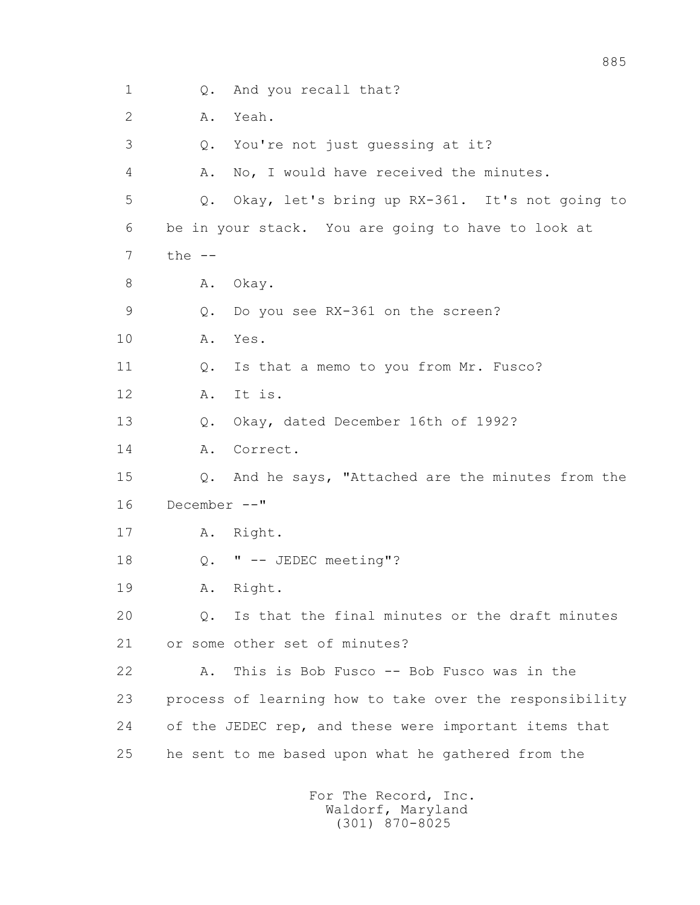1 Q. And you recall that? 2 A. Yeah. 3 Q. You're not just guessing at it? 4 A. No, I would have received the minutes. 5 Q. Okay, let's bring up RX-361. It's not going to 6 be in your stack. You are going to have to look at  $7$  the  $-$ 8 A. Okay. 9 Q. Do you see RX-361 on the screen? 10 A. Yes. 11 Q. Is that a memo to you from Mr. Fusco? 12 A. It is. 13 Q. Okay, dated December 16th of 1992? 14 A. Correct. 15 Q. And he says, "Attached are the minutes from the 16 December --" 17 A. Right. 18 Q. " -- JEDEC meeting"? 19 A. Right. 20 Q. Is that the final minutes or the draft minutes 21 or some other set of minutes? 22 A. This is Bob Fusco -- Bob Fusco was in the 23 process of learning how to take over the responsibility 24 of the JEDEC rep, and these were important items that 25 he sent to me based upon what he gathered from the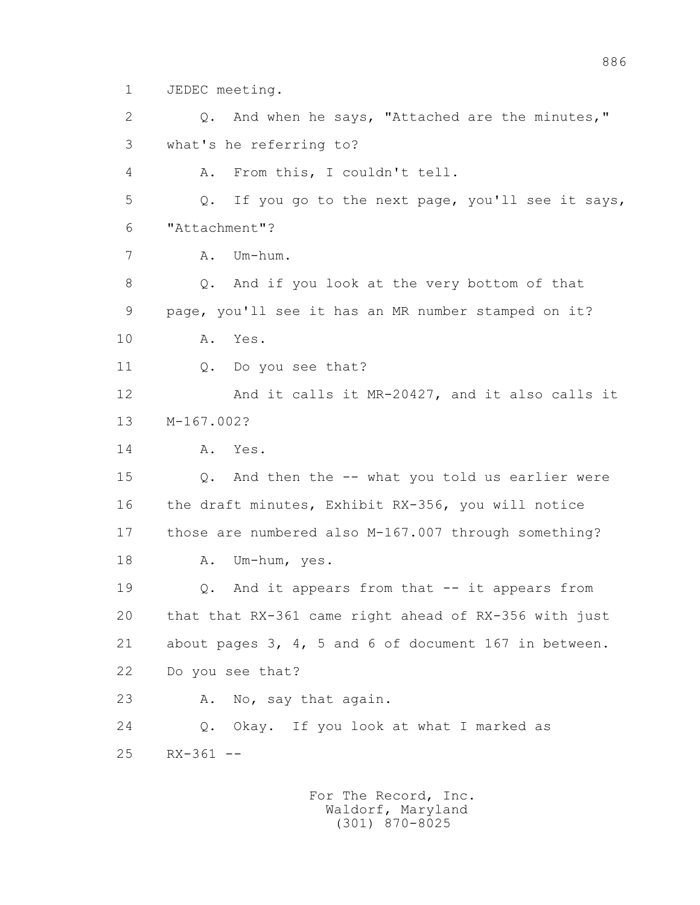1 JEDEC meeting.

 2 Q. And when he says, "Attached are the minutes," 3 what's he referring to? 4 A. From this, I couldn't tell. 5 Q. If you go to the next page, you'll see it says, 6 "Attachment"? 7 A. Um-hum. 8 Q. And if you look at the very bottom of that 9 page, you'll see it has an MR number stamped on it? 10 A. Yes. 11 Q. Do you see that? 12 And it calls it MR-20427, and it also calls it 13 M-167.002? 14 A. Yes. 15 Q. And then the -- what you told us earlier were 16 the draft minutes, Exhibit RX-356, you will notice 17 those are numbered also M-167.007 through something? 18 A. Um-hum, yes. 19 Q. And it appears from that -- it appears from 20 that that RX-361 came right ahead of RX-356 with just 21 about pages 3, 4, 5 and 6 of document 167 in between. 22 Do you see that? 23 A. No, say that again. 24 Q. Okay. If you look at what I marked as 25 RX-361 --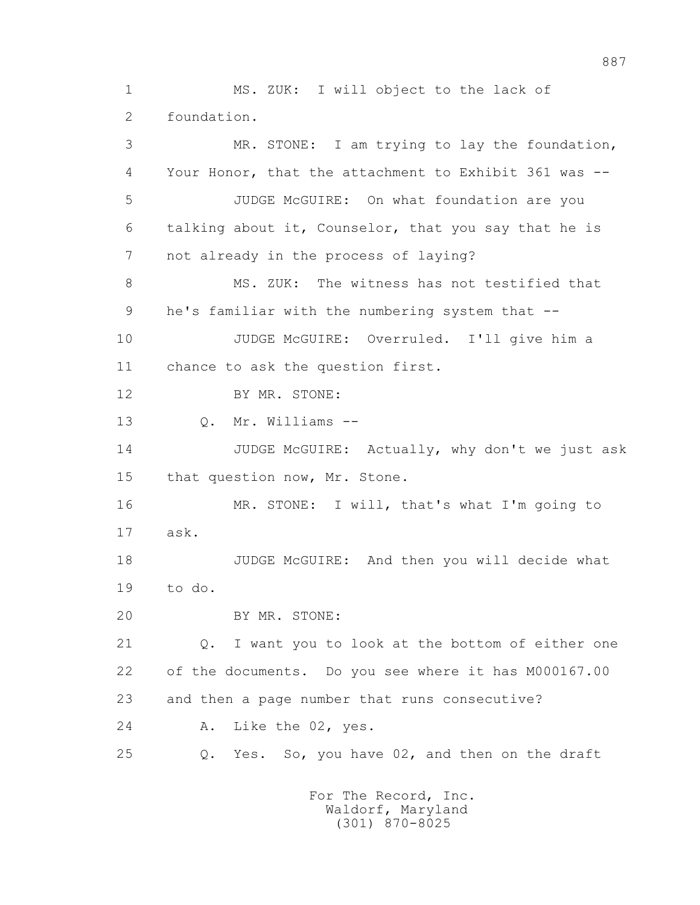1 MS. ZUK: I will object to the lack of 2 foundation. 3 MR. STONE: I am trying to lay the foundation, 4 Your Honor, that the attachment to Exhibit 361 was -- 5 JUDGE McGUIRE: On what foundation are you 6 talking about it, Counselor, that you say that he is 7 not already in the process of laying? 8 MS. ZUK: The witness has not testified that 9 he's familiar with the numbering system that -- 10 JUDGE McGUIRE: Overruled. I'll give him a 11 chance to ask the question first. 12 BY MR. STONE: 13 Q. Mr. Williams -- 14 JUDGE McGUIRE: Actually, why don't we just ask 15 that question now, Mr. Stone. 16 MR. STONE: I will, that's what I'm going to 17 ask. 18 JUDGE McGUIRE: And then you will decide what 19 to do. 20 BY MR. STONE: 21 Q. I want you to look at the bottom of either one 22 of the documents. Do you see where it has M000167.00 23 and then a page number that runs consecutive? 24 A. Like the 02, yes. 25 Q. Yes. So, you have 02, and then on the draft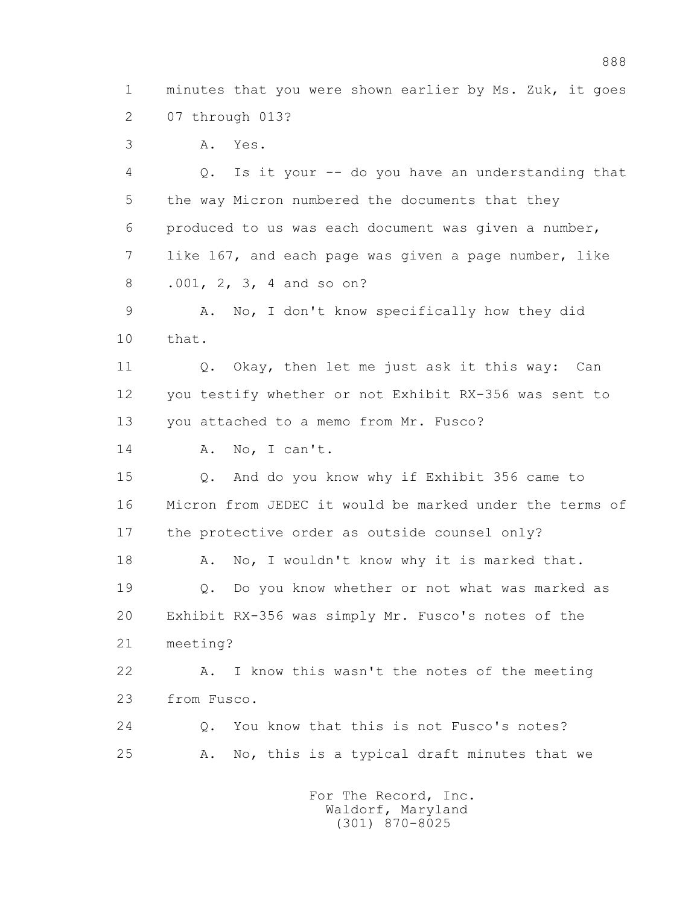1 minutes that you were shown earlier by Ms. Zuk, it goes 2 07 through 013?

3 A. Yes.

 4 Q. Is it your -- do you have an understanding that 5 the way Micron numbered the documents that they 6 produced to us was each document was given a number, 7 like 167, and each page was given a page number, like 8 .001, 2, 3, 4 and so on?

 9 A. No, I don't know specifically how they did 10 that.

 11 Q. Okay, then let me just ask it this way: Can 12 you testify whether or not Exhibit RX-356 was sent to 13 you attached to a memo from Mr. Fusco?

14 A. No, I can't.

 15 Q. And do you know why if Exhibit 356 came to 16 Micron from JEDEC it would be marked under the terms of 17 the protective order as outside counsel only?

18 A. No, I wouldn't know why it is marked that. 19 Q. Do you know whether or not what was marked as 20 Exhibit RX-356 was simply Mr. Fusco's notes of the 21 meeting?

 22 A. I know this wasn't the notes of the meeting 23 from Fusco.

 24 Q. You know that this is not Fusco's notes? 25 A. No, this is a typical draft minutes that we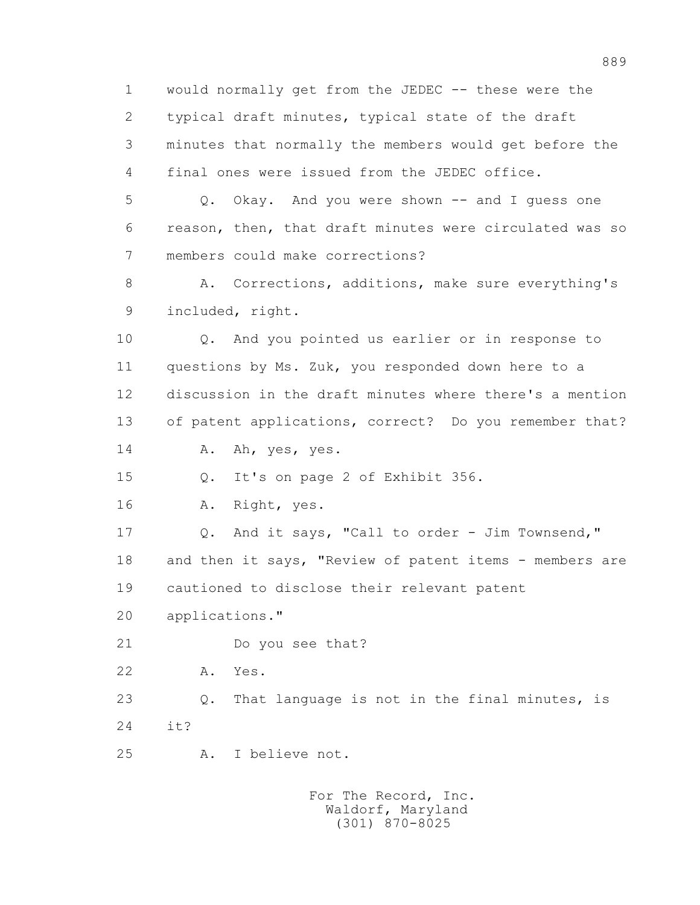1 would normally get from the JEDEC -- these were the 2 typical draft minutes, typical state of the draft 3 minutes that normally the members would get before the 4 final ones were issued from the JEDEC office.

 5 Q. Okay. And you were shown -- and I guess one 6 reason, then, that draft minutes were circulated was so 7 members could make corrections?

8 A. Corrections, additions, make sure everything's 9 included, right.

 10 Q. And you pointed us earlier or in response to 11 questions by Ms. Zuk, you responded down here to a 12 discussion in the draft minutes where there's a mention 13 of patent applications, correct? Do you remember that?

14 A. Ah, yes, yes.

15 Q. It's on page 2 of Exhibit 356.

16 A. Right, yes.

 17 Q. And it says, "Call to order - Jim Townsend," 18 and then it says, "Review of patent items - members are 19 cautioned to disclose their relevant patent

20 applications."

21 Do you see that?

22 A. Yes.

 23 Q. That language is not in the final minutes, is 24 it?

25 A. I believe not.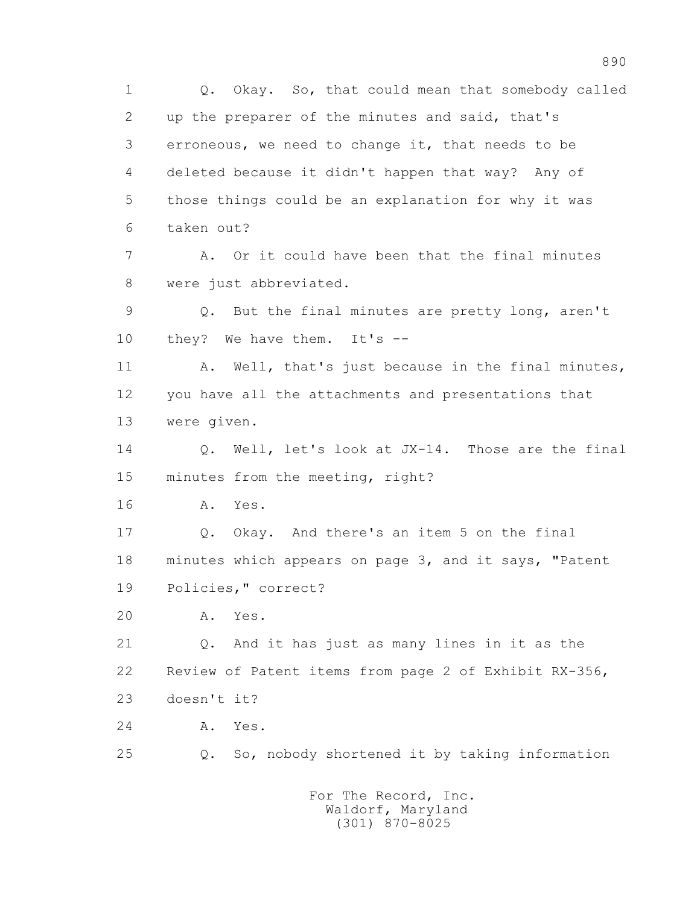1 Q. Okay. So, that could mean that somebody called 2 up the preparer of the minutes and said, that's 3 erroneous, we need to change it, that needs to be 4 deleted because it didn't happen that way? Any of 5 those things could be an explanation for why it was 6 taken out? 7 A. Or it could have been that the final minutes 8 were just abbreviated. 9 Q. But the final minutes are pretty long, aren't 10 they? We have them. It's --11 A. Well, that's just because in the final minutes, 12 you have all the attachments and presentations that 13 were given. 14 0. Well, let's look at JX-14. Those are the final 15 minutes from the meeting, right? 16 A. Yes. 17 Q. Okay. And there's an item 5 on the final 18 minutes which appears on page 3, and it says, "Patent 19 Policies," correct? 20 A. Yes. 21 Q. And it has just as many lines in it as the 22 Review of Patent items from page 2 of Exhibit RX-356, 23 doesn't it? 24 A. Yes. 25 Q. So, nobody shortened it by taking information For The Record, Inc.

 Waldorf, Maryland (301) 870-8025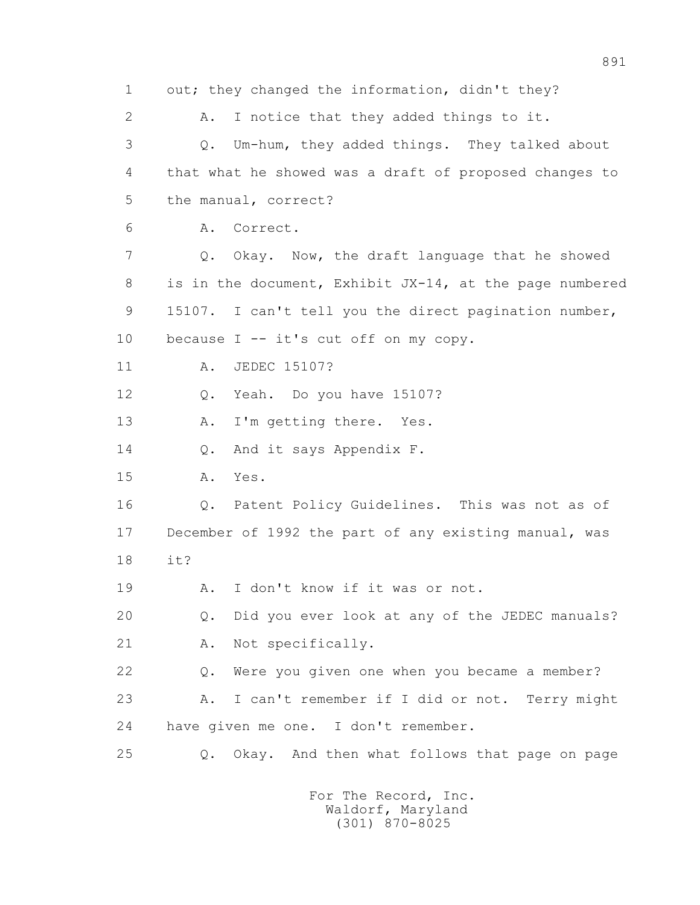1 out; they changed the information, didn't they? 2 A. I notice that they added things to it. 3 Q. Um-hum, they added things. They talked about 4 that what he showed was a draft of proposed changes to 5 the manual, correct? 6 A. Correct. 7 Q. Okay. Now, the draft language that he showed 8 is in the document, Exhibit JX-14, at the page numbered 9 15107. I can't tell you the direct pagination number, 10 because I -- it's cut off on my copy. 11 A. JEDEC 15107? 12 Q. Yeah. Do you have 15107? 13 A. I'm getting there. Yes. 14 Q. And it says Appendix F. 15 A. Yes. 16 Q. Patent Policy Guidelines. This was not as of 17 December of 1992 the part of any existing manual, was 18 it? 19 A. I don't know if it was or not. 20 Q. Did you ever look at any of the JEDEC manuals? 21 A. Not specifically. 22 Q. Were you given one when you became a member? 23 A. I can't remember if I did or not. Terry might 24 have given me one. I don't remember. 25 Q. Okay. And then what follows that page on page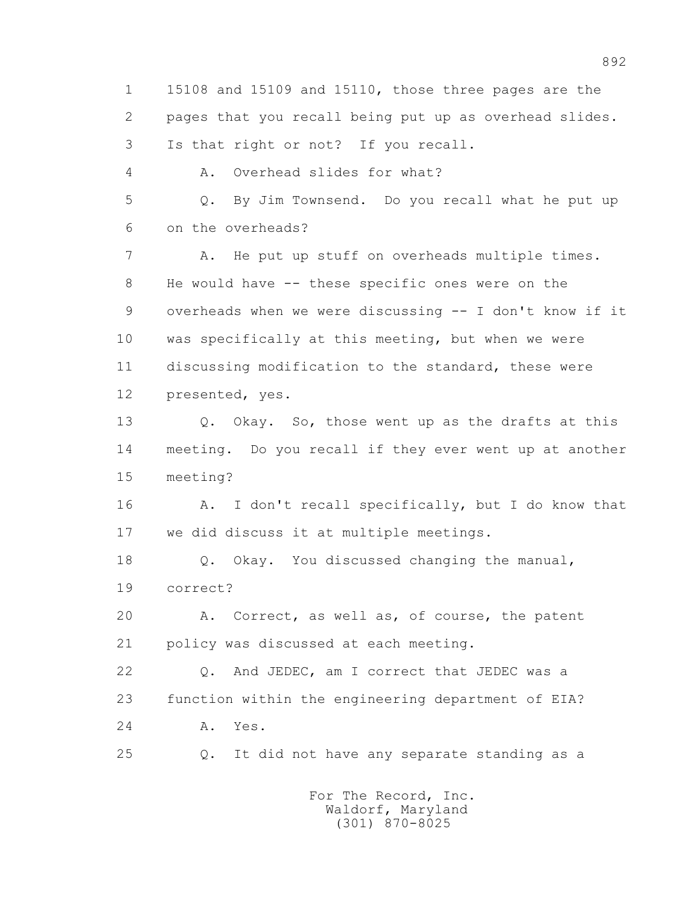1 15108 and 15109 and 15110, those three pages are the 2 pages that you recall being put up as overhead slides. 3 Is that right or not? If you recall. 4 A. Overhead slides for what? 5 Q. By Jim Townsend. Do you recall what he put up 6 on the overheads? 7 A. He put up stuff on overheads multiple times. 8 He would have -- these specific ones were on the 9 overheads when we were discussing -- I don't know if it 10 was specifically at this meeting, but when we were 11 discussing modification to the standard, these were 12 presented, yes. 13 Q. Okay. So, those went up as the drafts at this 14 meeting. Do you recall if they ever went up at another 15 meeting? 16 A. I don't recall specifically, but I do know that 17 we did discuss it at multiple meetings. 18 Q. Okay. You discussed changing the manual, 19 correct? 20 A. Correct, as well as, of course, the patent 21 policy was discussed at each meeting. 22 Q. And JEDEC, am I correct that JEDEC was a 23 function within the engineering department of EIA? 24 A. Yes. 25 Q. It did not have any separate standing as a For The Record, Inc.

 Waldorf, Maryland (301) 870-8025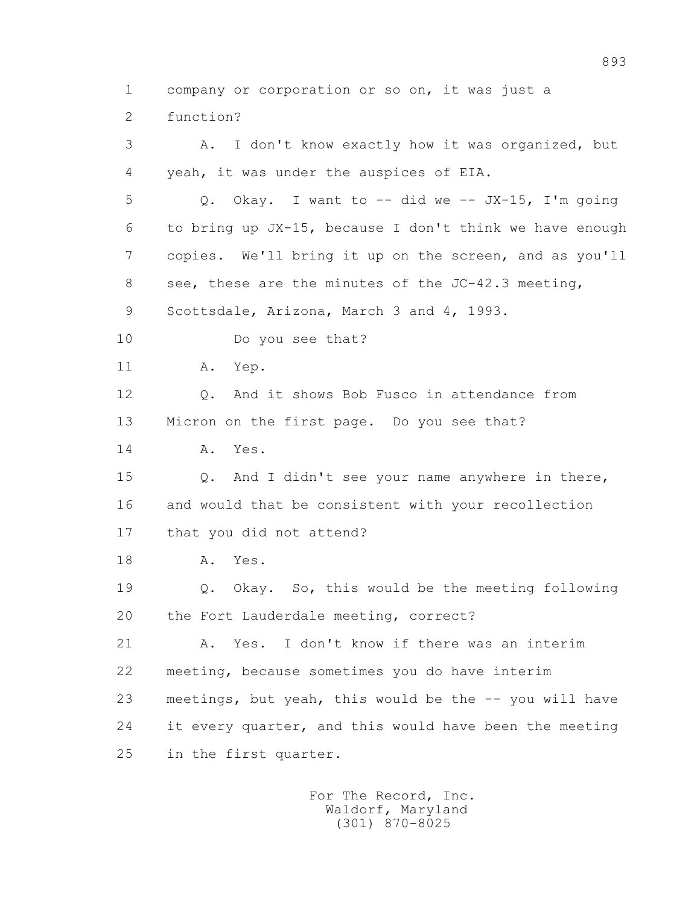1 company or corporation or so on, it was just a

2 function?

 3 A. I don't know exactly how it was organized, but 4 yeah, it was under the auspices of EIA. 5 Q. Okay. I want to -- did we -- JX-15, I'm going 6 to bring up JX-15, because I don't think we have enough 7 copies. We'll bring it up on the screen, and as you'll 8 see, these are the minutes of the JC-42.3 meeting, 9 Scottsdale, Arizona, March 3 and 4, 1993. 10 Do you see that? 11 A. Yep. 12 Q. And it shows Bob Fusco in attendance from 13 Micron on the first page. Do you see that? 14 A. Yes. 15 Q. And I didn't see your name anywhere in there, 16 and would that be consistent with your recollection 17 that you did not attend? 18 A. Yes. 19 Q. Okay. So, this would be the meeting following 20 the Fort Lauderdale meeting, correct? 21 A. Yes. I don't know if there was an interim 22 meeting, because sometimes you do have interim 23 meetings, but yeah, this would be the -- you will have 24 it every quarter, and this would have been the meeting 25 in the first quarter.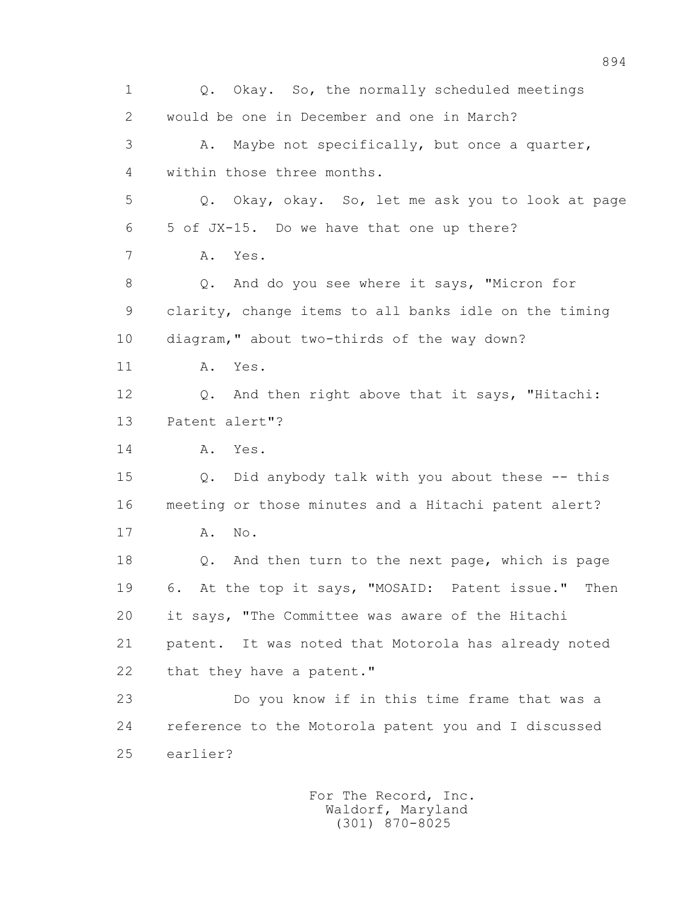1 Q. Okay. So, the normally scheduled meetings 2 would be one in December and one in March? 3 A. Maybe not specifically, but once a quarter, 4 within those three months. 5 Q. Okay, okay. So, let me ask you to look at page 6 5 of JX-15. Do we have that one up there? 7 A. Yes. 8 Q. And do you see where it says, "Micron for 9 clarity, change items to all banks idle on the timing 10 diagram," about two-thirds of the way down? 11 A. Yes. 12 Q. And then right above that it says, "Hitachi: 13 Patent alert"? 14 A. Yes. 15 Q. Did anybody talk with you about these -- this 16 meeting or those minutes and a Hitachi patent alert? 17 A. No. 18 Q. And then turn to the next page, which is page 19 6. At the top it says, "MOSAID: Patent issue." Then 20 it says, "The Committee was aware of the Hitachi 21 patent. It was noted that Motorola has already noted 22 that they have a patent." 23 Do you know if in this time frame that was a 24 reference to the Motorola patent you and I discussed 25 earlier?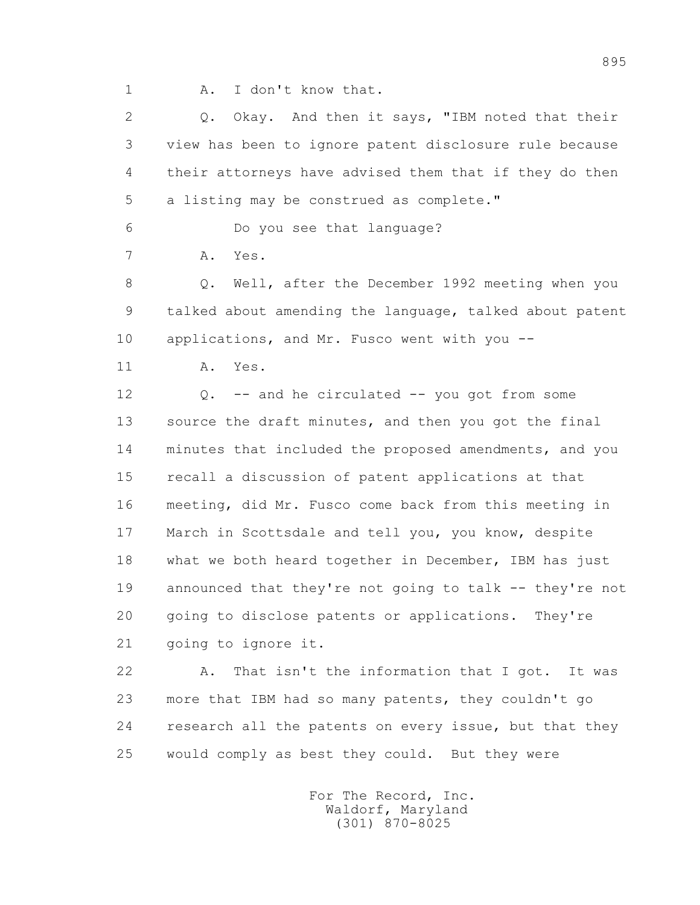1 A. I don't know that.

 2 Q. Okay. And then it says, "IBM noted that their 3 view has been to ignore patent disclosure rule because 4 their attorneys have advised them that if they do then 5 a listing may be construed as complete."

6 Do you see that language?

7 A. Yes.

 8 Q. Well, after the December 1992 meeting when you 9 talked about amending the language, talked about patent 10 applications, and Mr. Fusco went with you --

11 A. Yes.

 12 Q. -- and he circulated -- you got from some 13 source the draft minutes, and then you got the final 14 minutes that included the proposed amendments, and you 15 recall a discussion of patent applications at that 16 meeting, did Mr. Fusco come back from this meeting in 17 March in Scottsdale and tell you, you know, despite 18 what we both heard together in December, IBM has just 19 announced that they're not going to talk -- they're not 20 going to disclose patents or applications. They're 21 going to ignore it.

 22 A. That isn't the information that I got. It was 23 more that IBM had so many patents, they couldn't go 24 research all the patents on every issue, but that they 25 would comply as best they could. But they were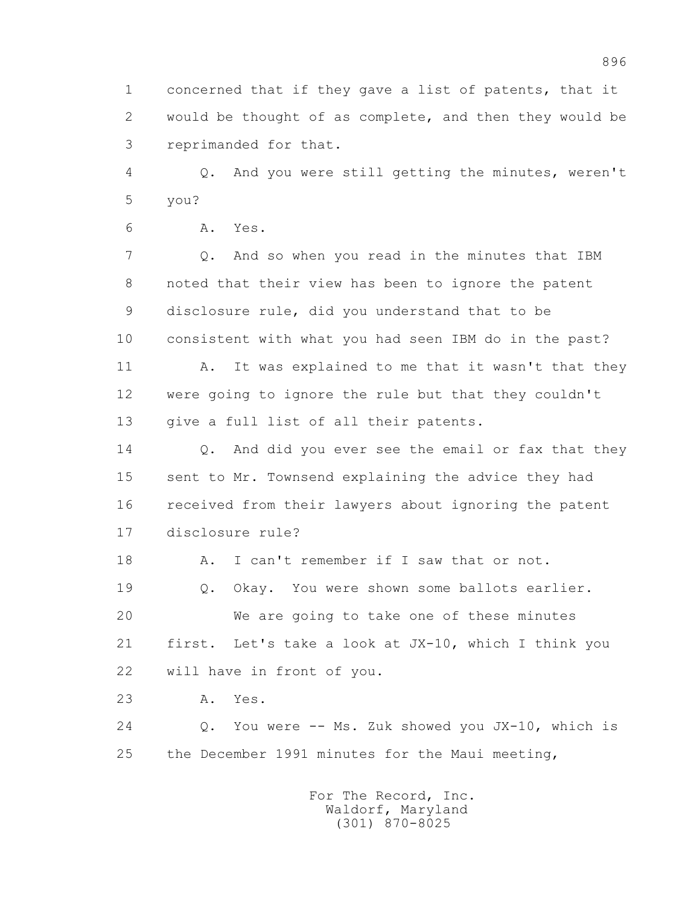1 concerned that if they gave a list of patents, that it 2 would be thought of as complete, and then they would be 3 reprimanded for that.

 4 Q. And you were still getting the minutes, weren't 5 you?

6 A. Yes.

 7 Q. And so when you read in the minutes that IBM 8 noted that their view has been to ignore the patent 9 disclosure rule, did you understand that to be 10 consistent with what you had seen IBM do in the past? 11 A. It was explained to me that it wasn't that they 12 were going to ignore the rule but that they couldn't

13 give a full list of all their patents.

14 0. And did you ever see the email or fax that they 15 sent to Mr. Townsend explaining the advice they had 16 received from their lawyers about ignoring the patent 17 disclosure rule?

18 A. I can't remember if I saw that or not.

19 Q. Okay. You were shown some ballots earlier.

 20 We are going to take one of these minutes 21 first. Let's take a look at JX-10, which I think you 22 will have in front of you.

23 A. Yes.

 24 Q. You were -- Ms. Zuk showed you JX-10, which is 25 the December 1991 minutes for the Maui meeting,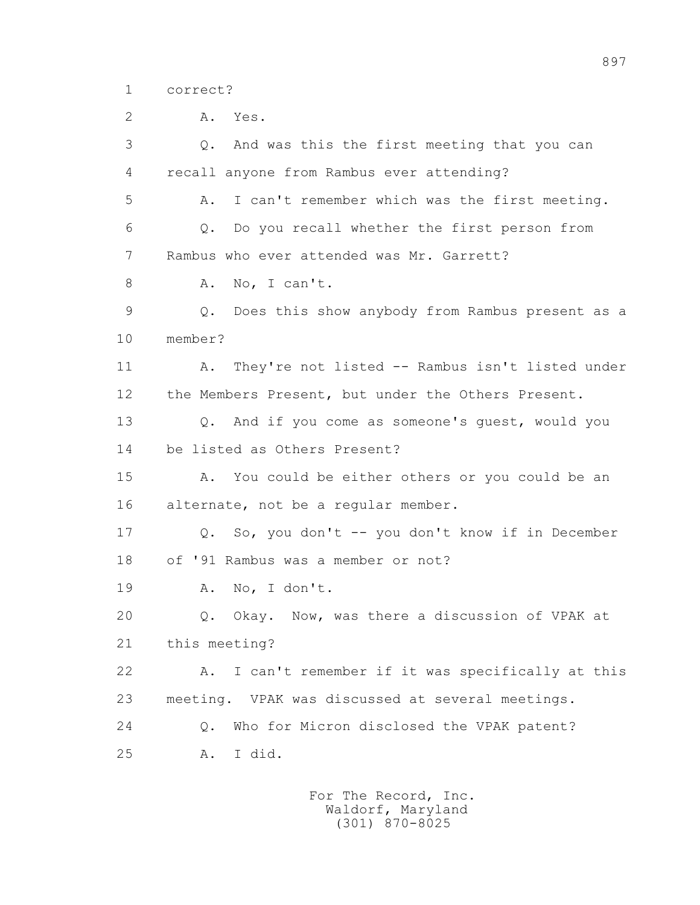1 correct?

 2 A. Yes. 3 Q. And was this the first meeting that you can 4 recall anyone from Rambus ever attending? 5 A. I can't remember which was the first meeting. 6 Q. Do you recall whether the first person from 7 Rambus who ever attended was Mr. Garrett? 8 A. No, I can't. 9 Q. Does this show anybody from Rambus present as a 10 member? 11 A. They're not listed -- Rambus isn't listed under 12 the Members Present, but under the Others Present. 13 Q. And if you come as someone's guest, would you 14 be listed as Others Present? 15 A. You could be either others or you could be an 16 alternate, not be a regular member. 17 Q. So, you don't -- you don't know if in December 18 of '91 Rambus was a member or not? 19 A. No, I don't. 20 Q. Okay. Now, was there a discussion of VPAK at 21 this meeting? 22 A. I can't remember if it was specifically at this 23 meeting. VPAK was discussed at several meetings. 24 Q. Who for Micron disclosed the VPAK patent? 25 A. I did.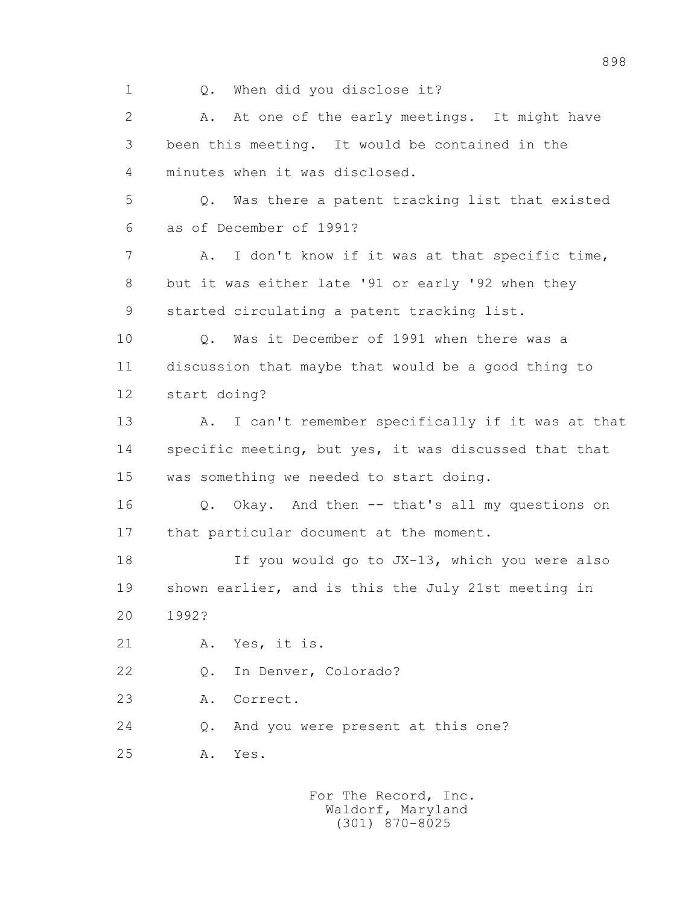1 Q. When did you disclose it?

 2 A. At one of the early meetings. It might have 3 been this meeting. It would be contained in the 4 minutes when it was disclosed. 5 Q. Was there a patent tracking list that existed 6 as of December of 1991? 7 A. I don't know if it was at that specific time, 8 but it was either late '91 or early '92 when they 9 started circulating a patent tracking list. 10 Q. Was it December of 1991 when there was a 11 discussion that maybe that would be a good thing to 12 start doing? 13 A. I can't remember specifically if it was at that 14 specific meeting, but yes, it was discussed that that 15 was something we needed to start doing. 16 Q. Okay. And then -- that's all my questions on 17 that particular document at the moment. 18 If you would go to JX-13, which you were also 19 shown earlier, and is this the July 21st meeting in 20 1992? 21 A. Yes, it is. 22 Q. In Denver, Colorado? 23 A. Correct. 24 Q. And you were present at this one? 25 A. Yes.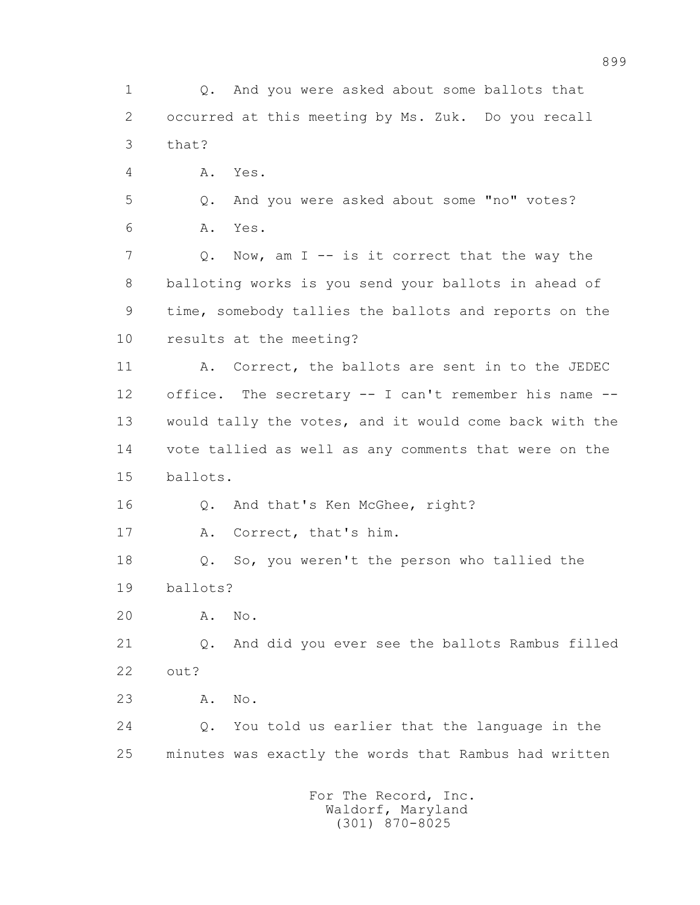1 Q. And you were asked about some ballots that 2 occurred at this meeting by Ms. Zuk. Do you recall 3 that? 4 A. Yes. 5 Q. And you were asked about some "no" votes? 6 A. Yes. 7 Q. Now, am I -- is it correct that the way the 8 balloting works is you send your ballots in ahead of 9 time, somebody tallies the ballots and reports on the 10 results at the meeting? 11 A. Correct, the ballots are sent in to the JEDEC 12 office. The secretary -- I can't remember his name -- 13 would tally the votes, and it would come back with the 14 vote tallied as well as any comments that were on the 15 ballots. 16 Q. And that's Ken McGhee, right? 17 A. Correct, that's him. 18 Q. So, you weren't the person who tallied the 19 ballots? 20 A. No. 21 Q. And did you ever see the ballots Rambus filled 22 out? 23 A. No. 24 Q. You told us earlier that the language in the 25 minutes was exactly the words that Rambus had written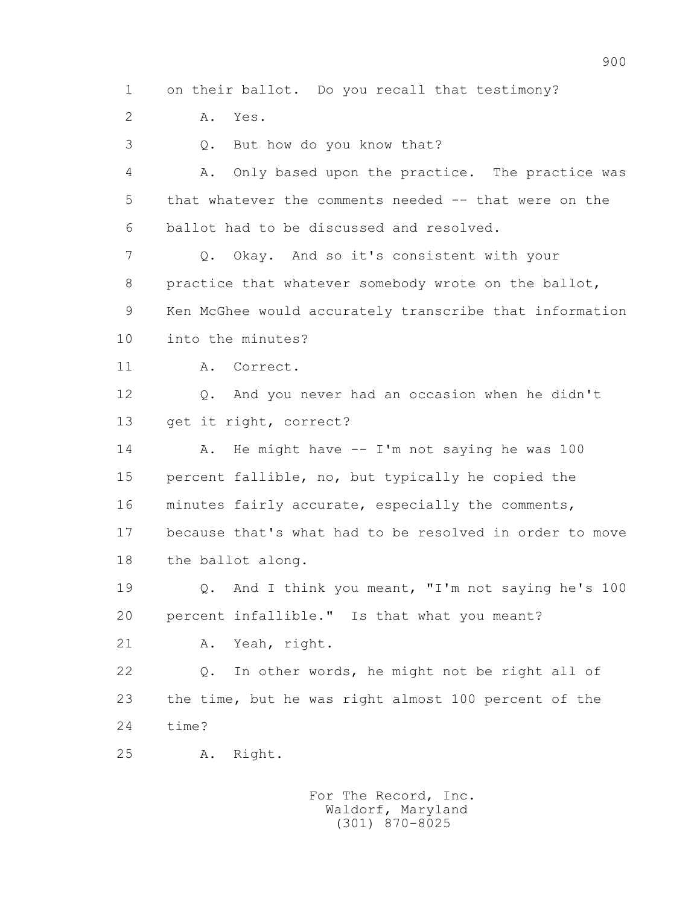1 on their ballot. Do you recall that testimony?

2 A. Yes.

3 Q. But how do you know that?

 4 A. Only based upon the practice. The practice was 5 that whatever the comments needed -- that were on the 6 ballot had to be discussed and resolved.

 7 Q. Okay. And so it's consistent with your 8 practice that whatever somebody wrote on the ballot, 9 Ken McGhee would accurately transcribe that information

10 into the minutes?

11 A. Correct.

 12 Q. And you never had an occasion when he didn't 13 get it right, correct?

14 A. He might have -- I'm not saying he was 100 15 percent fallible, no, but typically he copied the 16 minutes fairly accurate, especially the comments, 17 because that's what had to be resolved in order to move 18 the ballot along.

 19 Q. And I think you meant, "I'm not saying he's 100 20 percent infallible." Is that what you meant?

21 A. Yeah, right.

 22 Q. In other words, he might not be right all of 23 the time, but he was right almost 100 percent of the 24 time?

25 A. Right.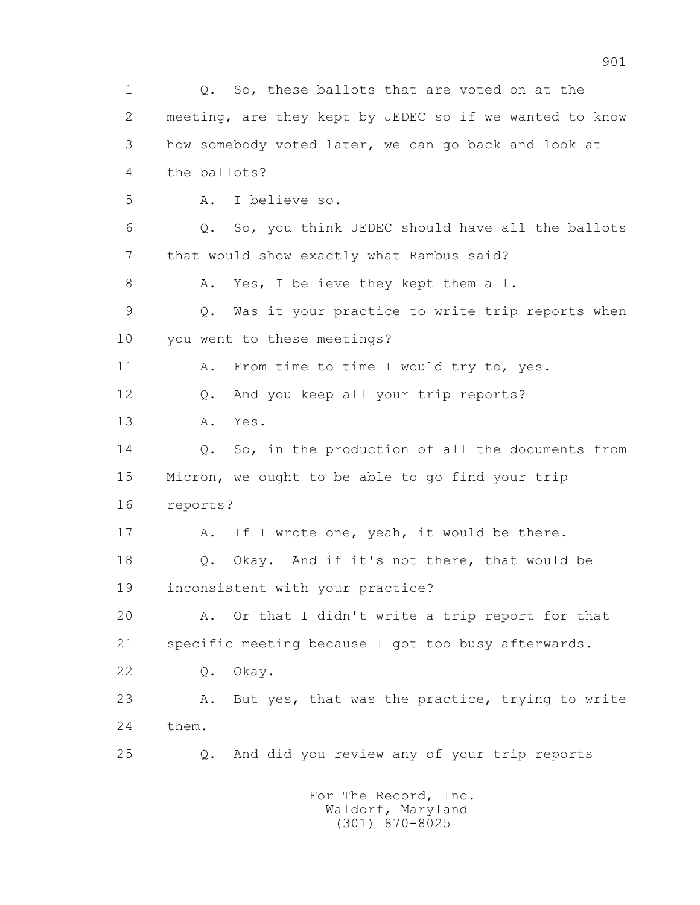1 Q. So, these ballots that are voted on at the 2 meeting, are they kept by JEDEC so if we wanted to know 3 how somebody voted later, we can go back and look at 4 the ballots? 5 A. I believe so. 6 Q. So, you think JEDEC should have all the ballots 7 that would show exactly what Rambus said? 8 A. Yes, I believe they kept them all. 9 Q. Was it your practice to write trip reports when 10 you went to these meetings? 11 A. From time to time I would try to, yes. 12 Q. And you keep all your trip reports? 13 A. Yes. 14 0. So, in the production of all the documents from 15 Micron, we ought to be able to go find your trip 16 reports? 17 A. If I wrote one, yeah, it would be there. 18 Q. Okay. And if it's not there, that would be 19 inconsistent with your practice? 20 A. Or that I didn't write a trip report for that 21 specific meeting because I got too busy afterwards. 22 Q. Okay. 23 A. But yes, that was the practice, trying to write 24 them. 25 Q. And did you review any of your trip reports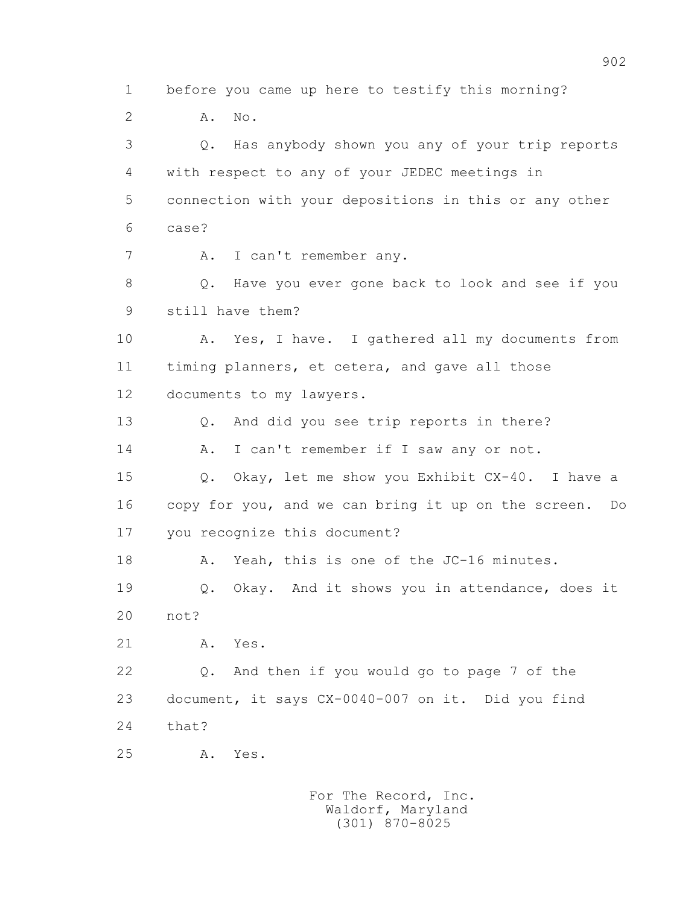1 before you came up here to testify this morning? 2 **A.** No. 3 Q. Has anybody shown you any of your trip reports 4 with respect to any of your JEDEC meetings in 5 connection with your depositions in this or any other 6 case? 7 A. I can't remember any. 8 Q. Have you ever gone back to look and see if you 9 still have them? 10 A. Yes, I have. I gathered all my documents from 11 timing planners, et cetera, and gave all those 12 documents to my lawyers. 13 Q. And did you see trip reports in there? 14 A. I can't remember if I saw any or not. 15 Q. Okay, let me show you Exhibit CX-40. I have a 16 copy for you, and we can bring it up on the screen. Do 17 you recognize this document? 18 A. Yeah, this is one of the JC-16 minutes. 19 Q. Okay. And it shows you in attendance, does it 20 not? 21 A. Yes. 22 Q. And then if you would go to page 7 of the 23 document, it says CX-0040-007 on it. Did you find 24 that? 25 A. Yes.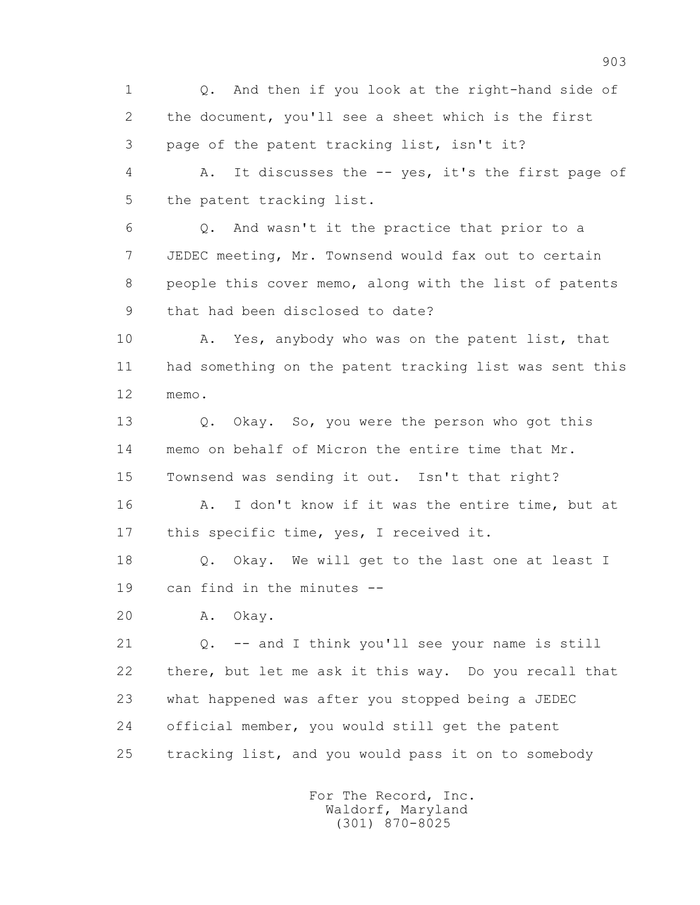1 Q. And then if you look at the right-hand side of 2 the document, you'll see a sheet which is the first 3 page of the patent tracking list, isn't it?

 4 A. It discusses the -- yes, it's the first page of 5 the patent tracking list.

 6 Q. And wasn't it the practice that prior to a 7 JEDEC meeting, Mr. Townsend would fax out to certain 8 people this cover memo, along with the list of patents 9 that had been disclosed to date?

 10 A. Yes, anybody who was on the patent list, that 11 had something on the patent tracking list was sent this 12 memo.

13 0. Okay. So, you were the person who got this 14 memo on behalf of Micron the entire time that Mr. 15 Townsend was sending it out. Isn't that right?

16 A. I don't know if it was the entire time, but at 17 this specific time, yes, I received it.

18 Q. Okay. We will get to the last one at least I 19 can find in the minutes --

20 A. Okay.

 21 Q. -- and I think you'll see your name is still 22 there, but let me ask it this way. Do you recall that 23 what happened was after you stopped being a JEDEC 24 official member, you would still get the patent 25 tracking list, and you would pass it on to somebody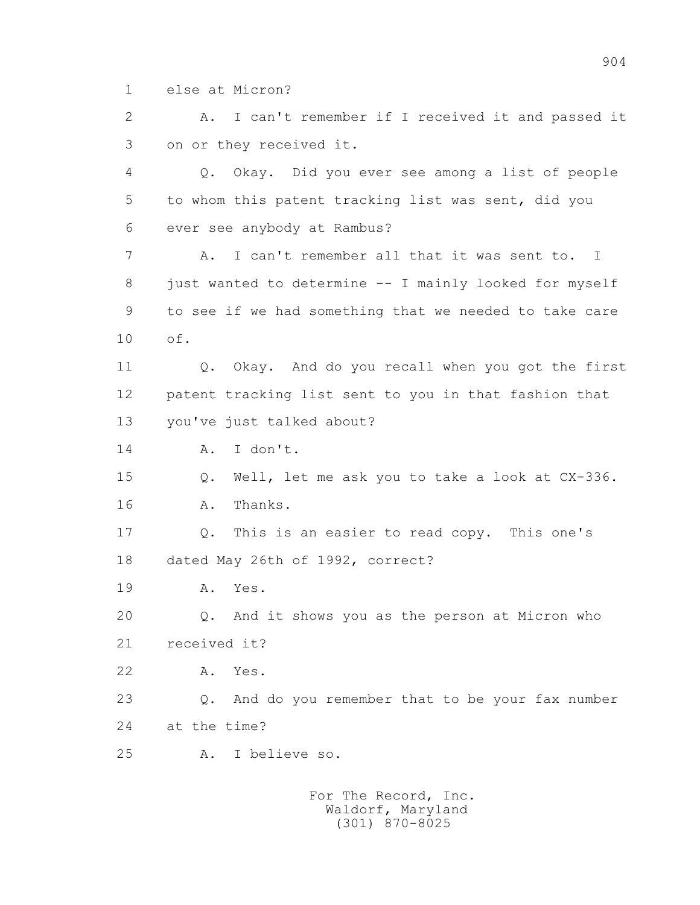1 else at Micron?

 2 A. I can't remember if I received it and passed it 3 on or they received it.

 4 Q. Okay. Did you ever see among a list of people 5 to whom this patent tracking list was sent, did you 6 ever see anybody at Rambus?

 7 A. I can't remember all that it was sent to. I 8 just wanted to determine -- I mainly looked for myself 9 to see if we had something that we needed to take care 10 of.

 11 Q. Okay. And do you recall when you got the first 12 patent tracking list sent to you in that fashion that 13 you've just talked about?

14 A. I don't.

 15 Q. Well, let me ask you to take a look at CX-336. 16 A. Thanks.

 17 Q. This is an easier to read copy. This one's 18 dated May 26th of 1992, correct?

19 A. Yes.

20 Q. And it shows you as the person at Micron who

21 received it?

22 A. Yes.

 23 Q. And do you remember that to be your fax number 24 at the time?

25 A. I believe so.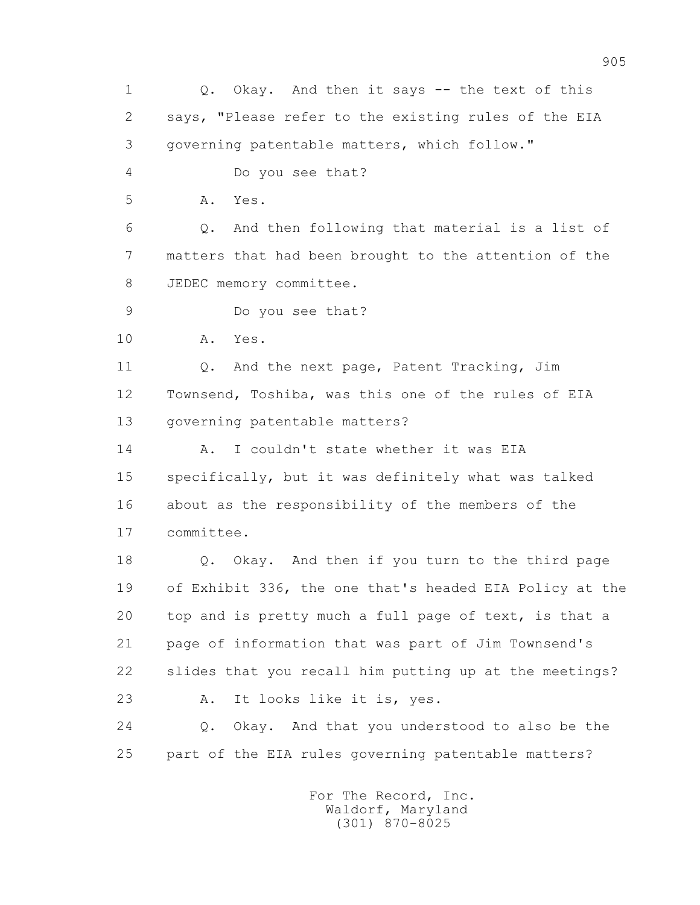1 Q. Okay. And then it says -- the text of this 2 says, "Please refer to the existing rules of the EIA 3 governing patentable matters, which follow." 4 Do you see that? 5 A. Yes. 6 Q. And then following that material is a list of 7 matters that had been brought to the attention of the 8 JEDEC memory committee. 9 Do you see that? 10 A. Yes. 11 Q. And the next page, Patent Tracking, Jim 12 Townsend, Toshiba, was this one of the rules of EIA 13 governing patentable matters? 14 A. I couldn't state whether it was EIA 15 specifically, but it was definitely what was talked 16 about as the responsibility of the members of the 17 committee. 18 Q. Okay. And then if you turn to the third page 19 of Exhibit 336, the one that's headed EIA Policy at the 20 top and is pretty much a full page of text, is that a 21 page of information that was part of Jim Townsend's 22 slides that you recall him putting up at the meetings? 23 A. It looks like it is, yes. 24 Q. Okay. And that you understood to also be the 25 part of the EIA rules governing patentable matters?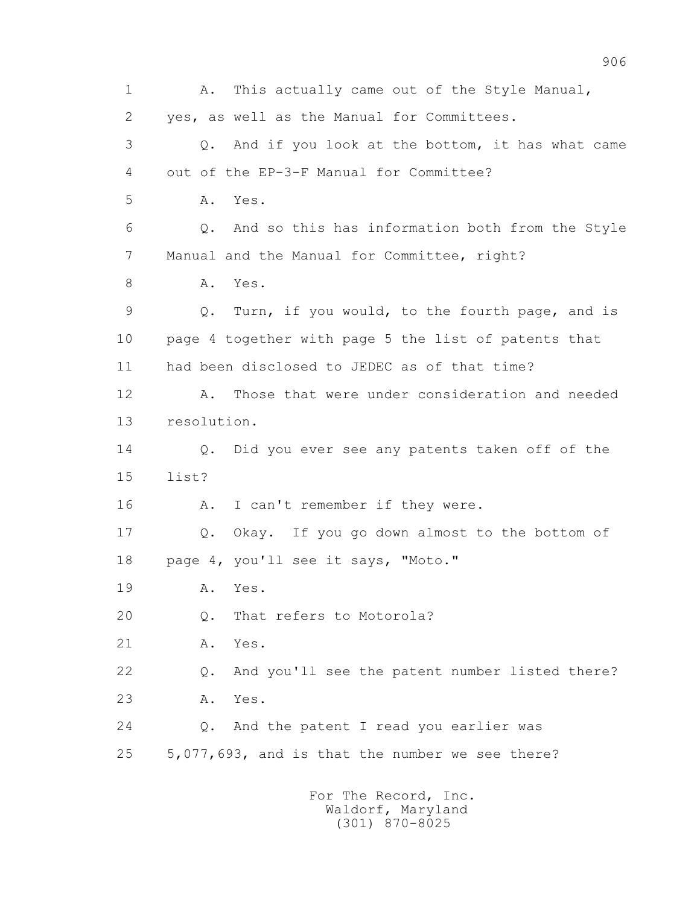1 A. This actually came out of the Style Manual, 2 yes, as well as the Manual for Committees. 3 Q. And if you look at the bottom, it has what came 4 out of the EP-3-F Manual for Committee? 5 A. Yes. 6 Q. And so this has information both from the Style 7 Manual and the Manual for Committee, right? 8 A. Yes. 9 Q. Turn, if you would, to the fourth page, and is 10 page 4 together with page 5 the list of patents that 11 had been disclosed to JEDEC as of that time? 12 A. Those that were under consideration and needed 13 resolution. 14 Q. Did you ever see any patents taken off of the 15 list? 16 A. I can't remember if they were. 17 Q. Okay. If you go down almost to the bottom of 18 page 4, you'll see it says, "Moto." 19 A. Yes. 20 Q. That refers to Motorola? 21 A. Yes. 22 Q. And you'll see the patent number listed there? 23 A. Yes. 24 Q. And the patent I read you earlier was 25 5,077,693, and is that the number we see there?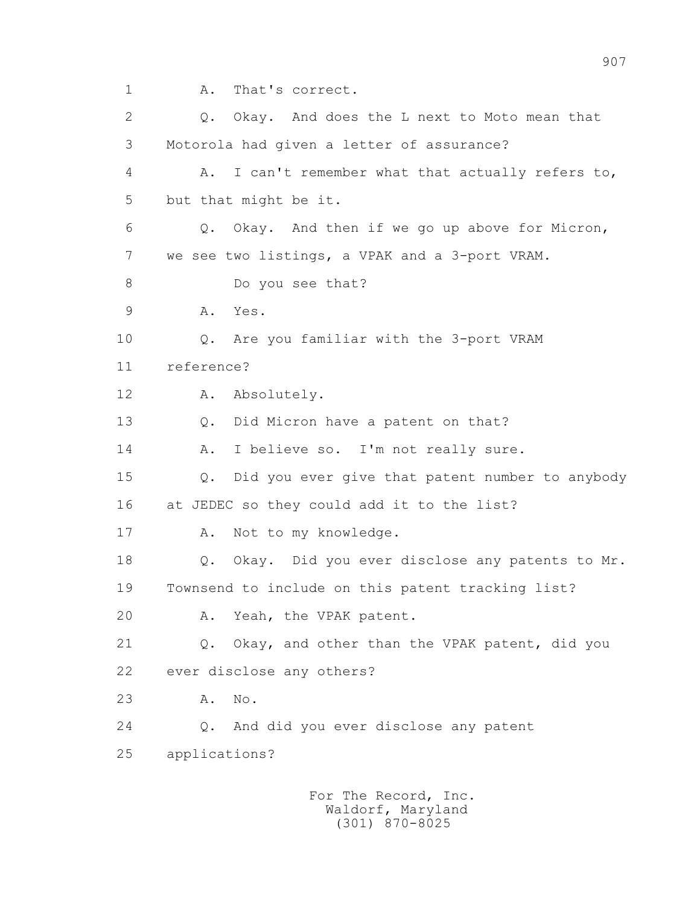1 A. That's correct.

 2 Q. Okay. And does the L next to Moto mean that 3 Motorola had given a letter of assurance? 4 A. I can't remember what that actually refers to, 5 but that might be it. 6 Q. Okay. And then if we go up above for Micron, 7 we see two listings, a VPAK and a 3-port VRAM. 8 Do you see that? 9 A. Yes. 10 Q. Are you familiar with the 3-port VRAM 11 reference? 12 A. Absolutely. 13 Q. Did Micron have a patent on that? 14 A. I believe so. I'm not really sure. 15 Q. Did you ever give that patent number to anybody 16 at JEDEC so they could add it to the list? 17 A. Not to my knowledge. 18 Q. Okay. Did you ever disclose any patents to Mr. 19 Townsend to include on this patent tracking list? 20 A. Yeah, the VPAK patent. 21 Q. Okay, and other than the VPAK patent, did you 22 ever disclose any others? 23 A. No. 24 Q. And did you ever disclose any patent 25 applications?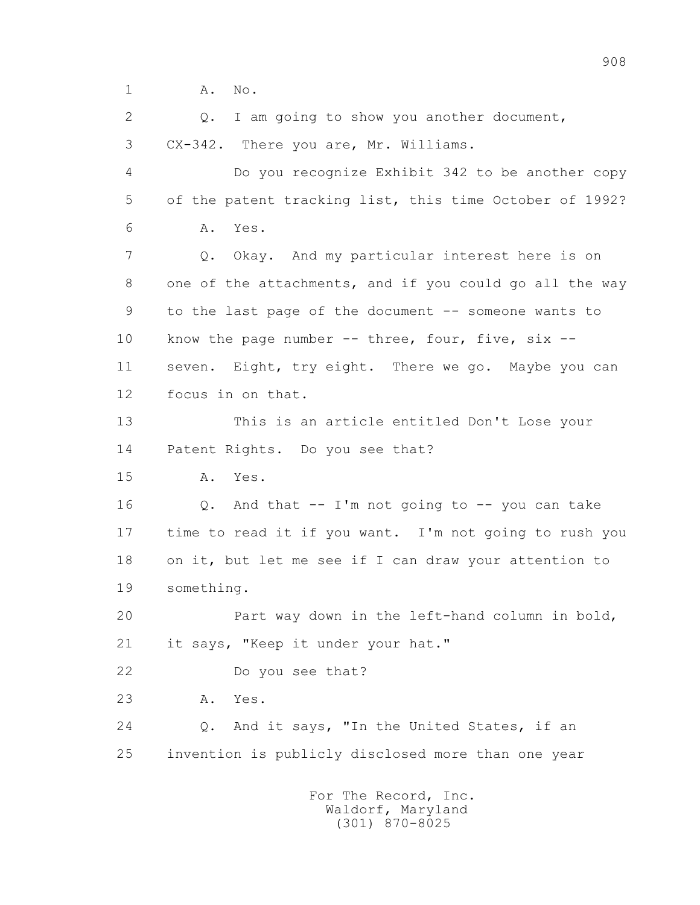1 **A.** No.

 2 Q. I am going to show you another document, 3 CX-342. There you are, Mr. Williams. 4 Do you recognize Exhibit 342 to be another copy 5 of the patent tracking list, this time October of 1992? 6 A. Yes. 7 Q. Okay. And my particular interest here is on 8 one of the attachments, and if you could go all the way 9 to the last page of the document -- someone wants to 10 know the page number -- three, four, five, six --11 seven. Eight, try eight. There we go. Maybe you can 12 focus in on that. 13 This is an article entitled Don't Lose your 14 Patent Rights. Do you see that? 15 A. Yes. 16 Q. And that -- I'm not going to -- you can take 17 time to read it if you want. I'm not going to rush you 18 on it, but let me see if I can draw your attention to 19 something. 20 Part way down in the left-hand column in bold, 21 it says, "Keep it under your hat." 22 Do you see that? 23 A. Yes. 24 Q. And it says, "In the United States, if an 25 invention is publicly disclosed more than one year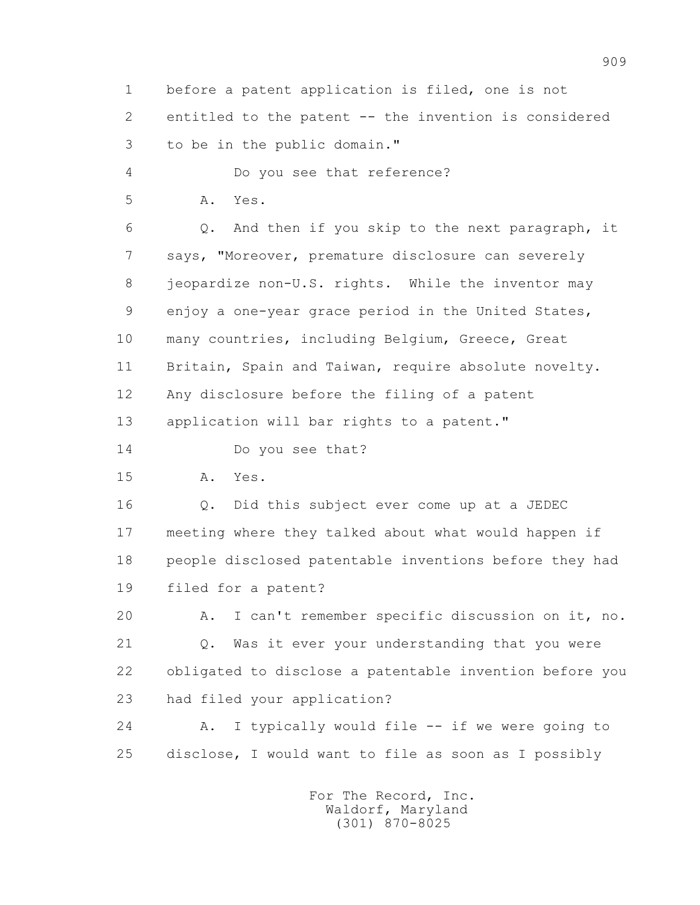1 before a patent application is filed, one is not 2 entitled to the patent -- the invention is considered 3 to be in the public domain."

4 Do you see that reference?

5 A. Yes.

 6 Q. And then if you skip to the next paragraph, it 7 says, "Moreover, premature disclosure can severely 8 jeopardize non-U.S. rights. While the inventor may 9 enjoy a one-year grace period in the United States, 10 many countries, including Belgium, Greece, Great 11 Britain, Spain and Taiwan, require absolute novelty. 12 Any disclosure before the filing of a patent 13 application will bar rights to a patent."

14 Do you see that?

15 A. Yes.

 16 Q. Did this subject ever come up at a JEDEC 17 meeting where they talked about what would happen if 18 people disclosed patentable inventions before they had 19 filed for a patent?

 20 A. I can't remember specific discussion on it, no. 21 Q. Was it ever your understanding that you were 22 obligated to disclose a patentable invention before you 23 had filed your application?

 24 A. I typically would file -- if we were going to 25 disclose, I would want to file as soon as I possibly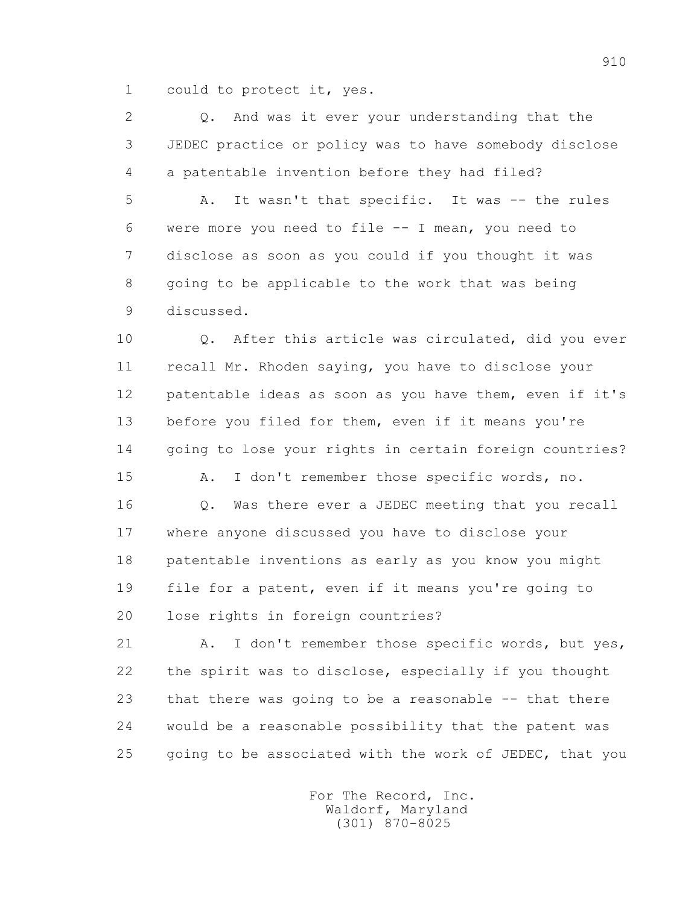1 could to protect it, yes.

 2 Q. And was it ever your understanding that the 3 JEDEC practice or policy was to have somebody disclose 4 a patentable invention before they had filed? 5 A. It wasn't that specific. It was -- the rules 6 were more you need to file -- I mean, you need to 7 disclose as soon as you could if you thought it was 8 going to be applicable to the work that was being

9 discussed.

 10 Q. After this article was circulated, did you ever 11 recall Mr. Rhoden saying, you have to disclose your 12 patentable ideas as soon as you have them, even if it's 13 before you filed for them, even if it means you're 14 going to lose your rights in certain foreign countries?

 15 A. I don't remember those specific words, no. 16 Q. Was there ever a JEDEC meeting that you recall 17 where anyone discussed you have to disclose your 18 patentable inventions as early as you know you might 19 file for a patent, even if it means you're going to 20 lose rights in foreign countries?

21 A. I don't remember those specific words, but yes, 22 the spirit was to disclose, especially if you thought 23 that there was going to be a reasonable -- that there 24 would be a reasonable possibility that the patent was 25 going to be associated with the work of JEDEC, that you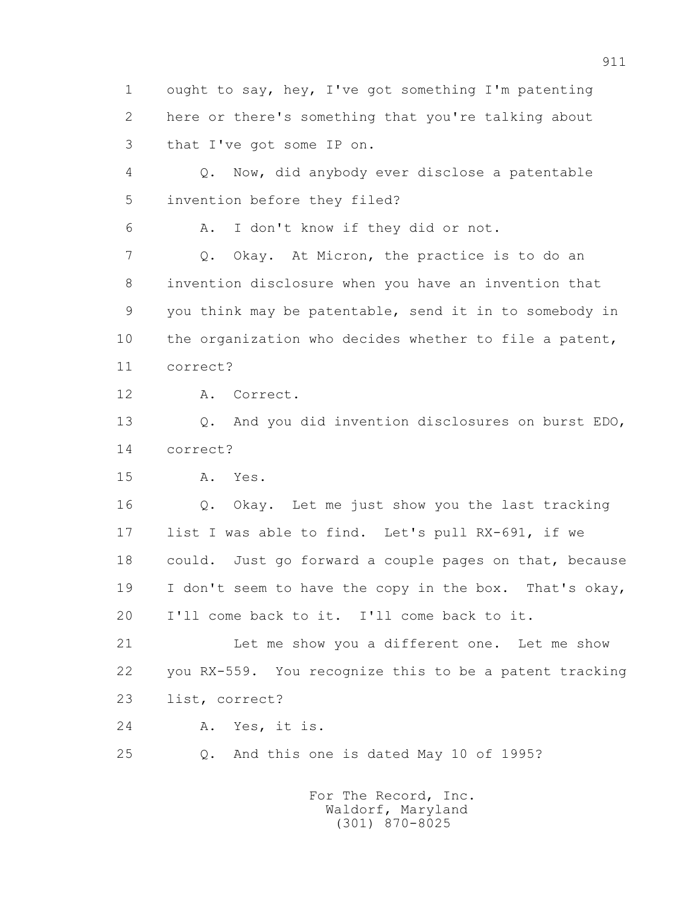1 ought to say, hey, I've got something I'm patenting 2 here or there's something that you're talking about 3 that I've got some IP on.

 4 Q. Now, did anybody ever disclose a patentable 5 invention before they filed?

6 A. I don't know if they did or not.

 7 Q. Okay. At Micron, the practice is to do an 8 invention disclosure when you have an invention that 9 you think may be patentable, send it in to somebody in 10 the organization who decides whether to file a patent, 11 correct?

12 A. Correct.

 13 Q. And you did invention disclosures on burst EDO, 14 correct?

15 A. Yes.

 16 Q. Okay. Let me just show you the last tracking 17 list I was able to find. Let's pull RX-691, if we 18 could. Just go forward a couple pages on that, because 19 I don't seem to have the copy in the box. That's okay, 20 I'll come back to it. I'll come back to it.

 21 Let me show you a different one. Let me show 22 you RX-559. You recognize this to be a patent tracking 23 list, correct?

24 A. Yes, it is.

25 Q. And this one is dated May 10 of 1995?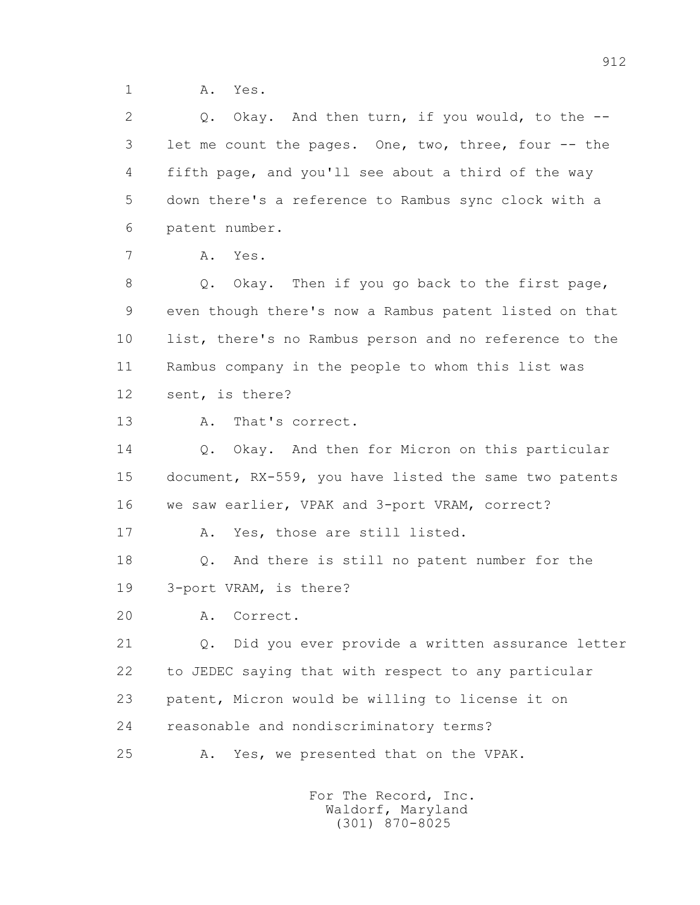1 A. Yes.

2 0. Okay. And then turn, if you would, to the -- 3 let me count the pages. One, two, three, four -- the 4 fifth page, and you'll see about a third of the way 5 down there's a reference to Rambus sync clock with a 6 patent number. 7 A. Yes. 8 Q. Okay. Then if you go back to the first page, 9 even though there's now a Rambus patent listed on that 10 list, there's no Rambus person and no reference to the 11 Rambus company in the people to whom this list was 12 sent, is there? 13 A. That's correct. 14 0. Okay. And then for Micron on this particular 15 document, RX-559, you have listed the same two patents 16 we saw earlier, VPAK and 3-port VRAM, correct? 17 A. Yes, those are still listed. 18 Q. And there is still no patent number for the 19 3-port VRAM, is there? 20 A. Correct. 21 Q. Did you ever provide a written assurance letter 22 to JEDEC saying that with respect to any particular 23 patent, Micron would be willing to license it on 24 reasonable and nondiscriminatory terms?

25 A. Yes, we presented that on the VPAK.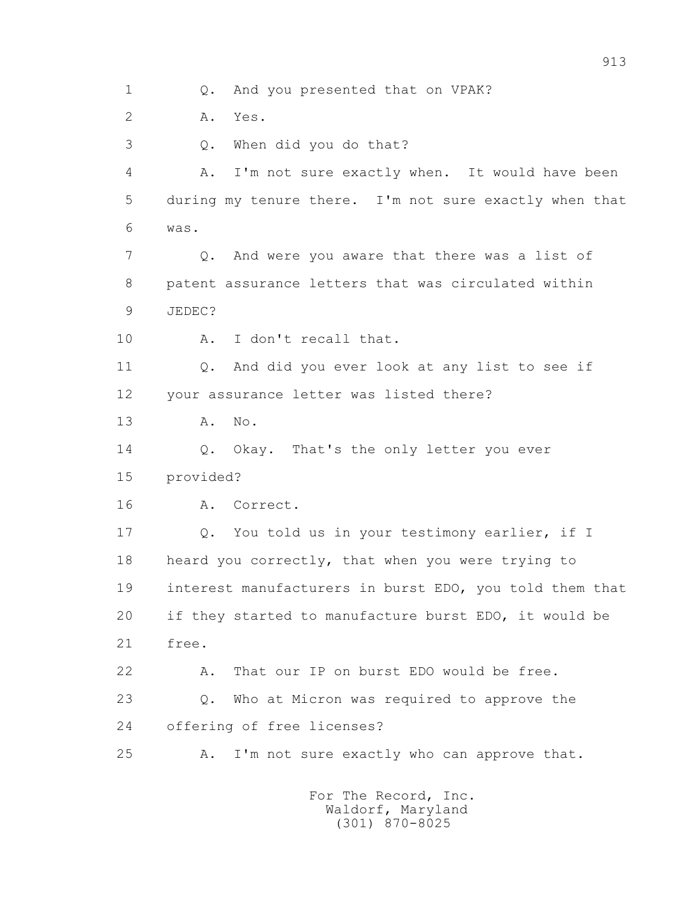1 Q. And you presented that on VPAK?

2 A. Yes.

3 Q. When did you do that?

 4 A. I'm not sure exactly when. It would have been 5 during my tenure there. I'm not sure exactly when that 6 was.

 7 Q. And were you aware that there was a list of 8 patent assurance letters that was circulated within 9 JEDEC?

10 A. I don't recall that.

 11 Q. And did you ever look at any list to see if 12 your assurance letter was listed there?

13 A. No.

14 0. Okay. That's the only letter you ever

15 provided?

16 A. Correct.

 17 Q. You told us in your testimony earlier, if I 18 heard you correctly, that when you were trying to 19 interest manufacturers in burst EDO, you told them that 20 if they started to manufacture burst EDO, it would be 21 free.

 22 A. That our IP on burst EDO would be free. 23 Q. Who at Micron was required to approve the

24 offering of free licenses?

25 A. I'm not sure exactly who can approve that.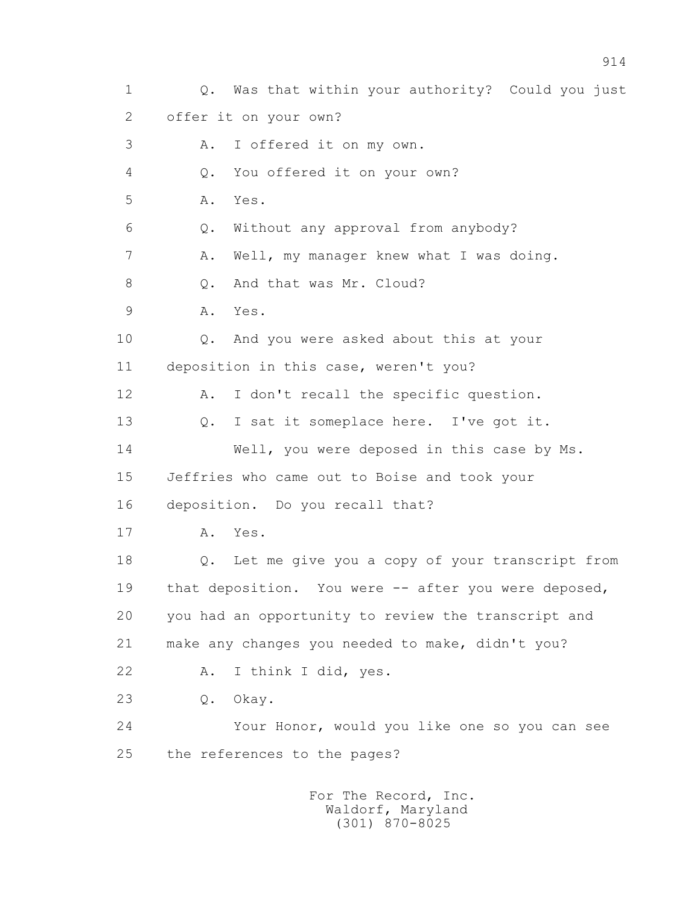1 Q. Was that within your authority? Could you just 2 offer it on your own? 3 A. I offered it on my own. 4 Q. You offered it on your own? 5 A. Yes. 6 Q. Without any approval from anybody? 7 A. Well, my manager knew what I was doing. 8 0. And that was Mr. Cloud? 9 A. Yes. 10 Q. And you were asked about this at your 11 deposition in this case, weren't you? 12 A. I don't recall the specific question. 13 0. I sat it someplace here. I've got it. 14 Well, you were deposed in this case by Ms. 15 Jeffries who came out to Boise and took your 16 deposition. Do you recall that? 17 A. Yes. 18 Q. Let me give you a copy of your transcript from 19 that deposition. You were -- after you were deposed, 20 you had an opportunity to review the transcript and 21 make any changes you needed to make, didn't you? 22 A. I think I did, yes. 23 Q. Okay. 24 Your Honor, would you like one so you can see 25 the references to the pages? For The Record, Inc.

 Waldorf, Maryland (301) 870-8025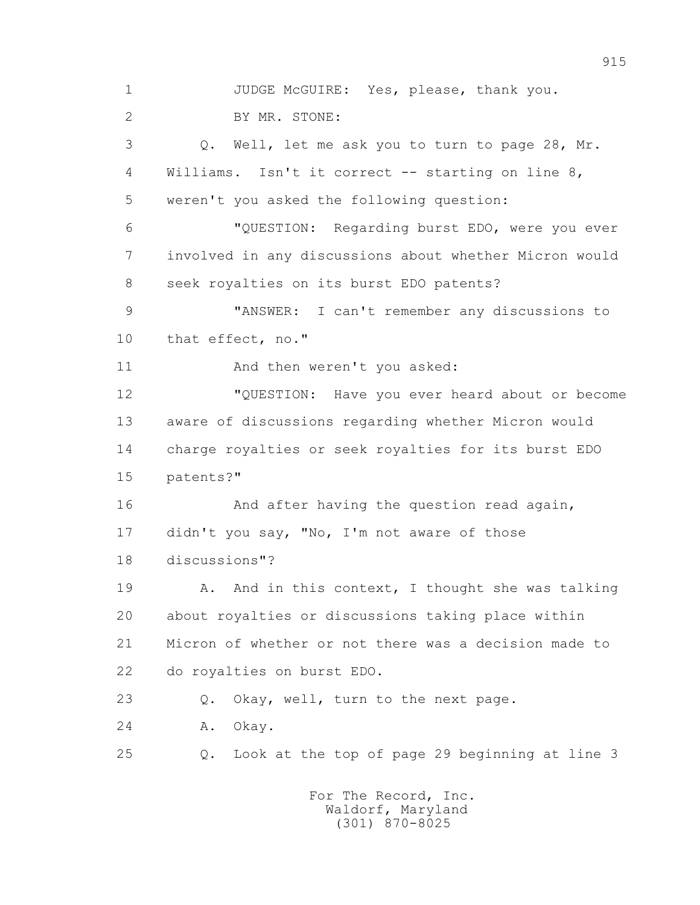1 JUDGE McGUIRE: Yes, please, thank you. 2 BY MR. STONE: 3 Q. Well, let me ask you to turn to page 28, Mr. 4 Williams. Isn't it correct -- starting on line 8, 5 weren't you asked the following question: 6 "QUESTION: Regarding burst EDO, were you ever 7 involved in any discussions about whether Micron would 8 seek royalties on its burst EDO patents? 9 "ANSWER: I can't remember any discussions to 10 that effect, no." 11 And then weren't you asked: 12 "QUESTION: Have you ever heard about or become 13 aware of discussions regarding whether Micron would 14 charge royalties or seek royalties for its burst EDO 15 patents?" 16 And after having the question read again, 17 didn't you say, "No, I'm not aware of those 18 discussions"? 19 A. And in this context, I thought she was talking 20 about royalties or discussions taking place within 21 Micron of whether or not there was a decision made to 22 do royalties on burst EDO. 23 Q. Okay, well, turn to the next page. 24 A. Okay. 25 Q. Look at the top of page 29 beginning at line 3 For The Record, Inc.

915

 Waldorf, Maryland (301) 870-8025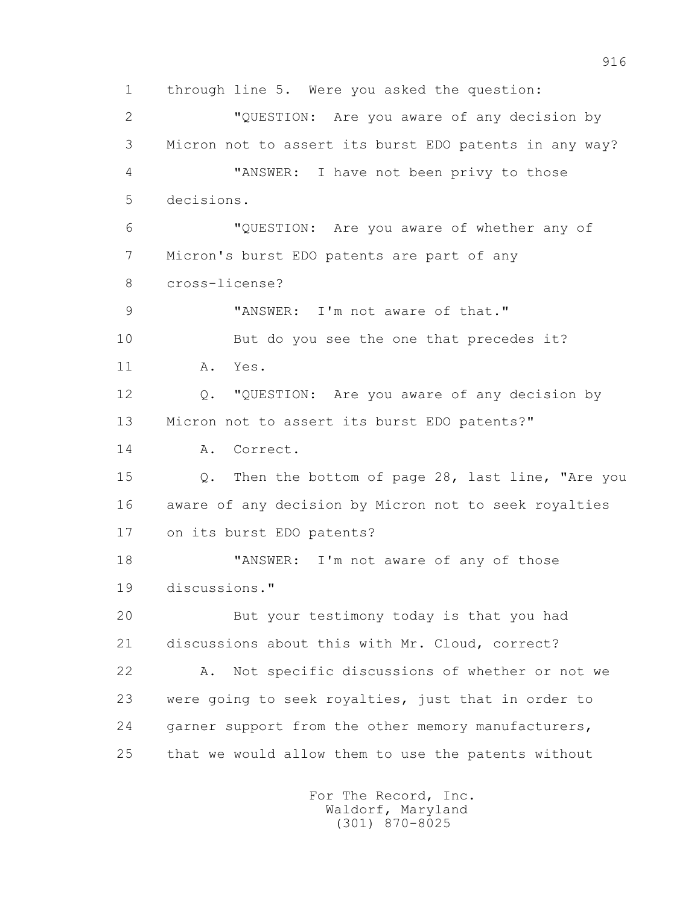1 through line 5. Were you asked the question: 2 "QUESTION: Are you aware of any decision by 3 Micron not to assert its burst EDO patents in any way? 4 "ANSWER: I have not been privy to those 5 decisions. 6 "QUESTION: Are you aware of whether any of 7 Micron's burst EDO patents are part of any 8 cross-license? 9 "ANSWER: I'm not aware of that." 10 But do you see the one that precedes it? 11 A. Yes. 12 Q. "QUESTION: Are you aware of any decision by 13 Micron not to assert its burst EDO patents?" 14 A. Correct. 15 Q. Then the bottom of page 28, last line, "Are you 16 aware of any decision by Micron not to seek royalties 17 on its burst EDO patents? 18 TANSWER: I'm not aware of any of those 19 discussions." 20 But your testimony today is that you had 21 discussions about this with Mr. Cloud, correct? 22 A. Not specific discussions of whether or not we 23 were going to seek royalties, just that in order to 24 garner support from the other memory manufacturers, 25 that we would allow them to use the patents without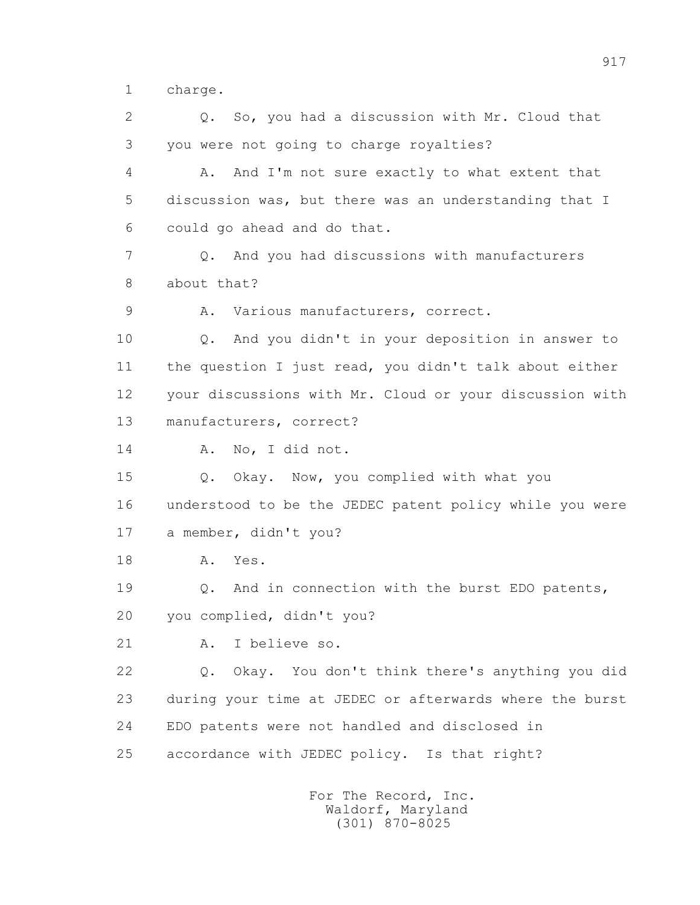1 charge.

 2 Q. So, you had a discussion with Mr. Cloud that 3 you were not going to charge royalties? 4 A. And I'm not sure exactly to what extent that 5 discussion was, but there was an understanding that I 6 could go ahead and do that. 7 Q. And you had discussions with manufacturers 8 about that? 9 A. Various manufacturers, correct. 10 Q. And you didn't in your deposition in answer to 11 the question I just read, you didn't talk about either 12 your discussions with Mr. Cloud or your discussion with 13 manufacturers, correct? 14 A. No, I did not. 15 Q. Okay. Now, you complied with what you 16 understood to be the JEDEC patent policy while you were 17 a member, didn't you? 18 A. Yes. 19 Q. And in connection with the burst EDO patents, 20 you complied, didn't you? 21 A. I believe so. 22 Q. Okay. You don't think there's anything you did 23 during your time at JEDEC or afterwards where the burst 24 EDO patents were not handled and disclosed in 25 accordance with JEDEC policy. Is that right? For The Record, Inc.

 Waldorf, Maryland (301) 870-8025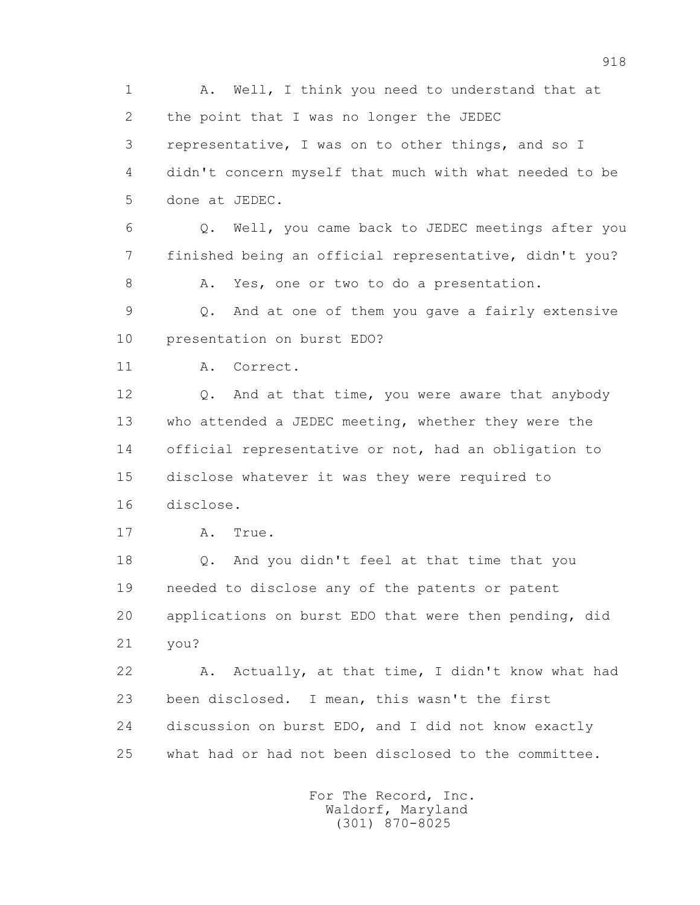1 A. Well, I think you need to understand that at 2 the point that I was no longer the JEDEC 3 representative, I was on to other things, and so I 4 didn't concern myself that much with what needed to be 5 done at JEDEC.

 6 Q. Well, you came back to JEDEC meetings after you 7 finished being an official representative, didn't you?

8 A. Yes, one or two to do a presentation.

 9 Q. And at one of them you gave a fairly extensive 10 presentation on burst EDO?

11 A. Correct.

12 Q. And at that time, you were aware that anybody 13 who attended a JEDEC meeting, whether they were the 14 official representative or not, had an obligation to 15 disclose whatever it was they were required to 16 disclose.

17 A. True.

 18 Q. And you didn't feel at that time that you 19 needed to disclose any of the patents or patent 20 applications on burst EDO that were then pending, did 21 you?

 22 A. Actually, at that time, I didn't know what had 23 been disclosed. I mean, this wasn't the first 24 discussion on burst EDO, and I did not know exactly 25 what had or had not been disclosed to the committee.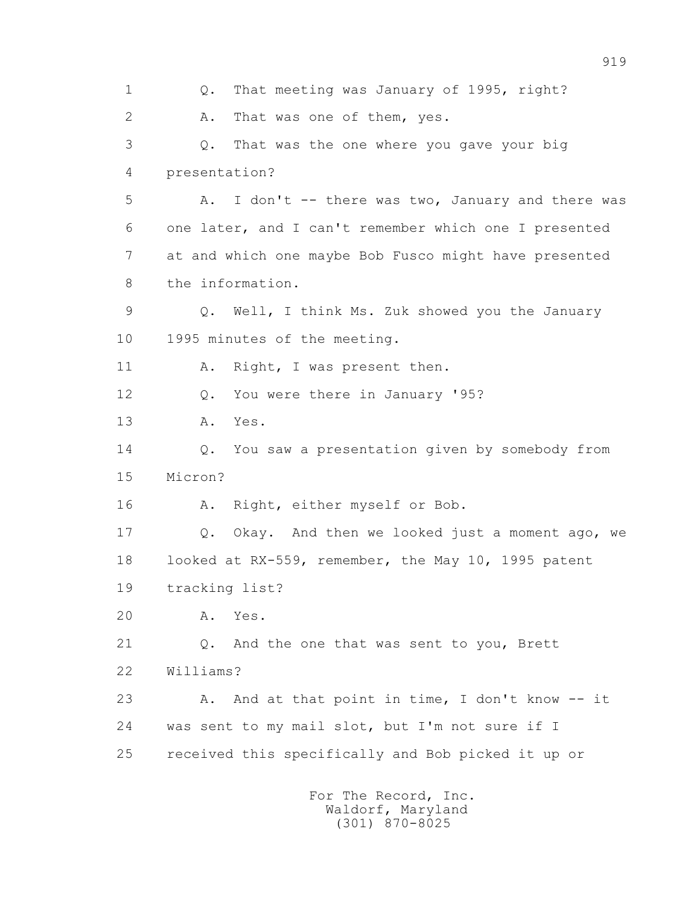1 Q. That meeting was January of 1995, right? 2 A. That was one of them, yes. 3 Q. That was the one where you gave your big 4 presentation? 5 A. I don't -- there was two, January and there was 6 one later, and I can't remember which one I presented 7 at and which one maybe Bob Fusco might have presented 8 the information. 9 Q. Well, I think Ms. Zuk showed you the January 10 1995 minutes of the meeting. 11 A. Right, I was present then. 12 Q. You were there in January '95? 13 A. Yes. 14 Q. You saw a presentation given by somebody from 15 Micron? 16 A. Right, either myself or Bob. 17 Q. Okay. And then we looked just a moment ago, we 18 looked at RX-559, remember, the May 10, 1995 patent 19 tracking list? 20 A. Yes. 21 Q. And the one that was sent to you, Brett 22 Williams? 23 A. And at that point in time, I don't know -- it 24 was sent to my mail slot, but I'm not sure if I 25 received this specifically and Bob picked it up or For The Record, Inc.

 Waldorf, Maryland (301) 870-8025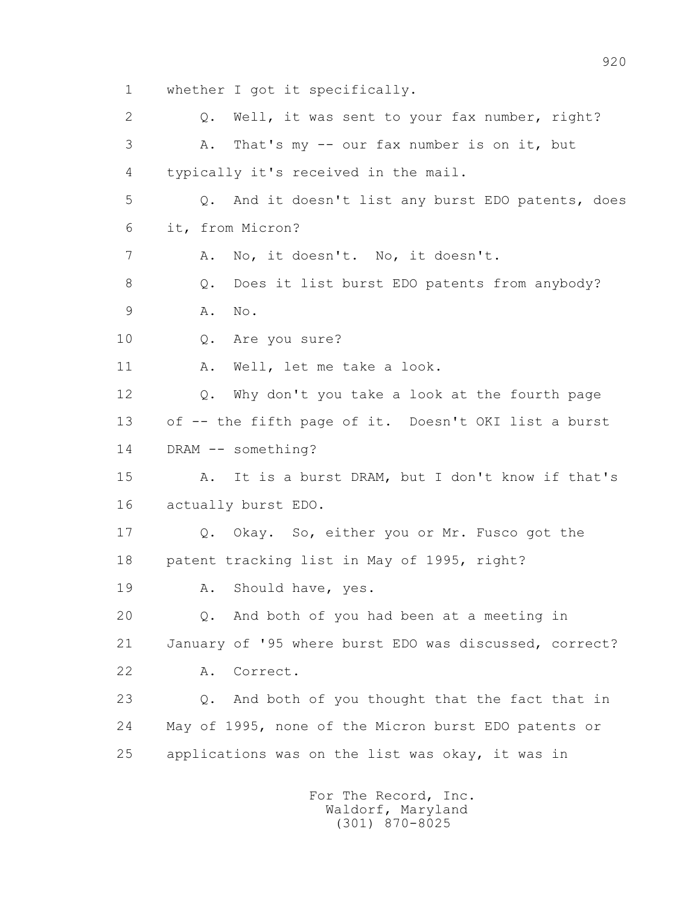1 whether I got it specifically. 2 Q. Well, it was sent to your fax number, right? 3 A. That's my -- our fax number is on it, but 4 typically it's received in the mail. 5 Q. And it doesn't list any burst EDO patents, does 6 it, from Micron? 7 A. No, it doesn't. No, it doesn't. 8 Q. Does it list burst EDO patents from anybody? 9 A. No. 10 Q. Are you sure? 11 A. Well, let me take a look. 12 Q. Why don't you take a look at the fourth page 13 of -- the fifth page of it. Doesn't OKI list a burst 14 DRAM -- something? 15 A. It is a burst DRAM, but I don't know if that's 16 actually burst EDO. 17 Q. Okay. So, either you or Mr. Fusco got the 18 patent tracking list in May of 1995, right? 19 A. Should have, yes. 20 Q. And both of you had been at a meeting in 21 January of '95 where burst EDO was discussed, correct? 22 A. Correct. 23 Q. And both of you thought that the fact that in 24 May of 1995, none of the Micron burst EDO patents or 25 applications was on the list was okay, it was in For The Record, Inc.

 Waldorf, Maryland (301) 870-8025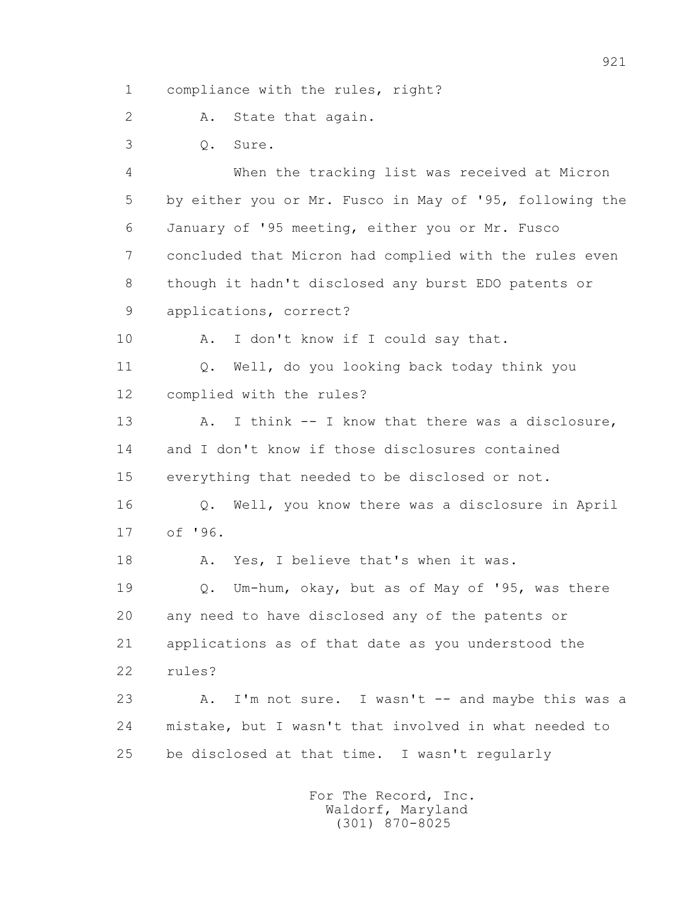1 compliance with the rules, right?

2 A. State that again.

3 Q. Sure.

 4 When the tracking list was received at Micron 5 by either you or Mr. Fusco in May of '95, following the 6 January of '95 meeting, either you or Mr. Fusco 7 concluded that Micron had complied with the rules even 8 though it hadn't disclosed any burst EDO patents or 9 applications, correct?

10 A. I don't know if I could say that.

 11 Q. Well, do you looking back today think you 12 complied with the rules?

13 A. I think -- I know that there was a disclosure, 14 and I don't know if those disclosures contained 15 everything that needed to be disclosed or not. 16 Q. Well, you know there was a disclosure in April

17 of '96.

18 A. Yes, I believe that's when it was.

 19 Q. Um-hum, okay, but as of May of '95, was there 20 any need to have disclosed any of the patents or 21 applications as of that date as you understood the 22 rules?

23 A. I'm not sure. I wasn't -- and maybe this was a 24 mistake, but I wasn't that involved in what needed to 25 be disclosed at that time. I wasn't regularly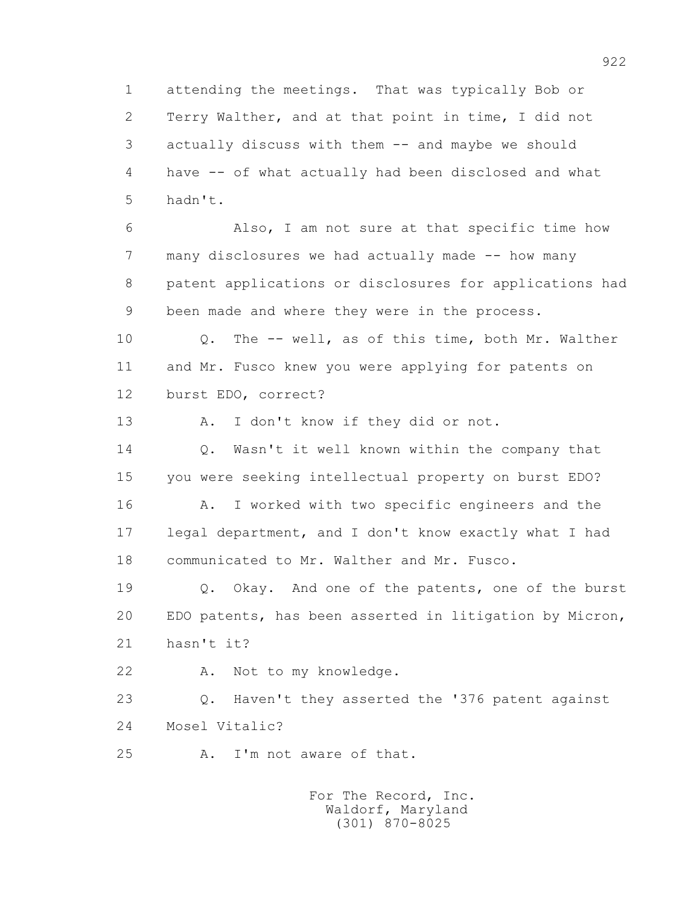1 attending the meetings. That was typically Bob or 2 Terry Walther, and at that point in time, I did not 3 actually discuss with them -- and maybe we should 4 have -- of what actually had been disclosed and what 5 hadn't.

 6 Also, I am not sure at that specific time how 7 many disclosures we had actually made -- how many 8 patent applications or disclosures for applications had 9 been made and where they were in the process.

 10 Q. The -- well, as of this time, both Mr. Walther 11 and Mr. Fusco knew you were applying for patents on 12 burst EDO, correct?

13 A. I don't know if they did or not.

 14 Q. Wasn't it well known within the company that 15 you were seeking intellectual property on burst EDO? 16 A. I worked with two specific engineers and the 17 legal department, and I don't know exactly what I had 18 communicated to Mr. Walther and Mr. Fusco.

 19 Q. Okay. And one of the patents, one of the burst 20 EDO patents, has been asserted in litigation by Micron, 21 hasn't it?

22 A. Not to my knowledge.

 23 Q. Haven't they asserted the '376 patent against 24 Mosel Vitalic?

25 A. I'm not aware of that.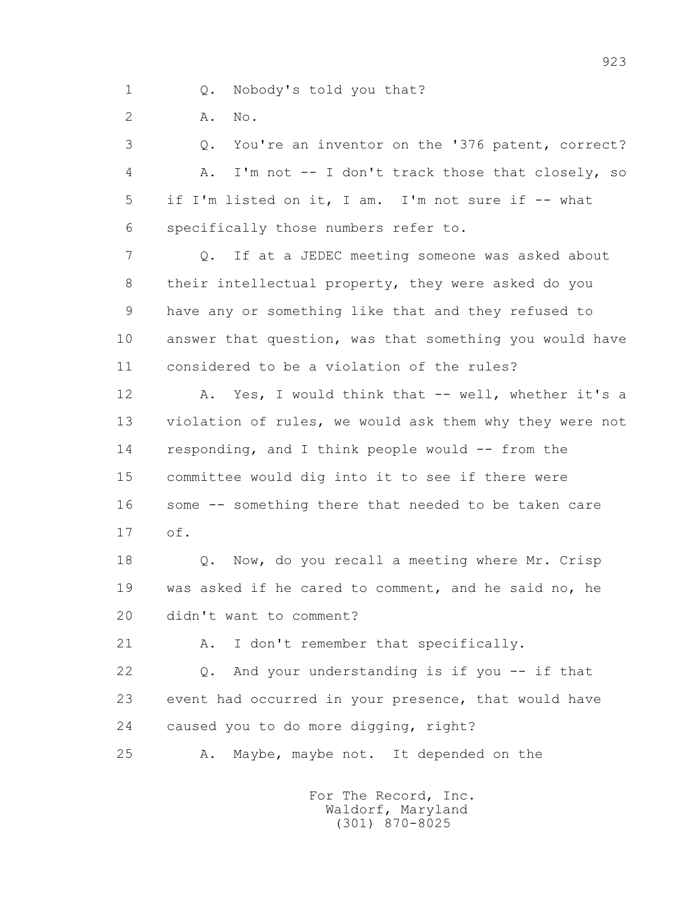1 Q. Nobody's told you that?

2 **A.** No.

 3 Q. You're an inventor on the '376 patent, correct? 4 A. I'm not -- I don't track those that closely, so 5 if I'm listed on it, I am. I'm not sure if -- what 6 specifically those numbers refer to.

 7 Q. If at a JEDEC meeting someone was asked about 8 their intellectual property, they were asked do you 9 have any or something like that and they refused to 10 answer that question, was that something you would have 11 considered to be a violation of the rules?

12 A. Yes, I would think that -- well, whether it's a 13 violation of rules, we would ask them why they were not 14 responding, and I think people would -- from the 15 committee would dig into it to see if there were 16 some -- something there that needed to be taken care 17 of.

 18 Q. Now, do you recall a meeting where Mr. Crisp 19 was asked if he cared to comment, and he said no, he 20 didn't want to comment?

21 A. I don't remember that specifically.

 22 Q. And your understanding is if you -- if that 23 event had occurred in your presence, that would have 24 caused you to do more digging, right?

25 A. Maybe, maybe not. It depended on the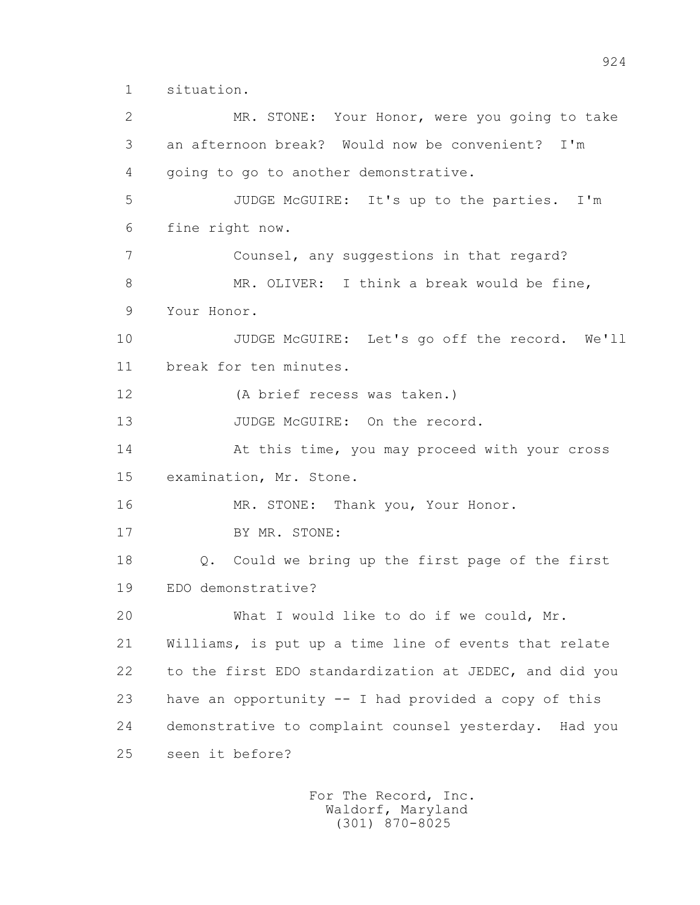1 situation.

 2 MR. STONE: Your Honor, were you going to take 3 an afternoon break? Would now be convenient? I'm 4 going to go to another demonstrative. 5 JUDGE McGUIRE: It's up to the parties. I'm 6 fine right now. 7 Counsel, any suggestions in that regard? 8 MR. OLIVER: I think a break would be fine, 9 Your Honor. 10 JUDGE McGUIRE: Let's go off the record. We'll 11 break for ten minutes. 12 (A brief recess was taken.) 13 JUDGE McGUIRE: On the record. 14 At this time, you may proceed with your cross 15 examination, Mr. Stone. 16 MR. STONE: Thank you, Your Honor. 17 BY MR. STONE: 18 Q. Could we bring up the first page of the first 19 EDO demonstrative? 20 What I would like to do if we could, Mr. 21 Williams, is put up a time line of events that relate 22 to the first EDO standardization at JEDEC, and did you 23 have an opportunity -- I had provided a copy of this 24 demonstrative to complaint counsel yesterday. Had you 25 seen it before?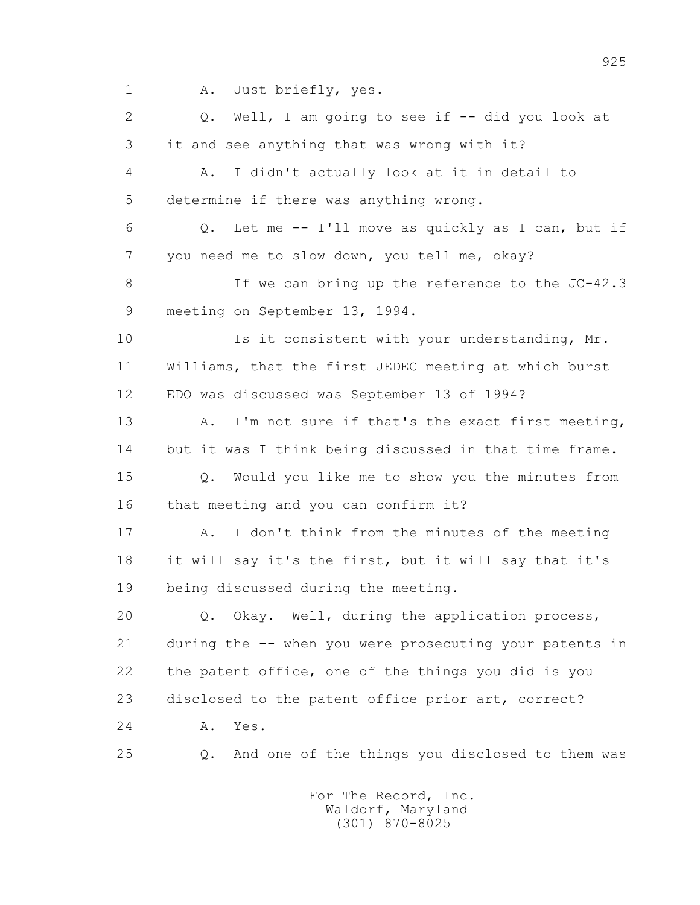1 A. Just briefly, yes.

 2 Q. Well, I am going to see if -- did you look at 3 it and see anything that was wrong with it?

 4 A. I didn't actually look at it in detail to 5 determine if there was anything wrong.

 6 Q. Let me -- I'll move as quickly as I can, but if 7 you need me to slow down, you tell me, okay?

 8 If we can bring up the reference to the JC-42.3 9 meeting on September 13, 1994.

10 Is it consistent with your understanding, Mr. 11 Williams, that the first JEDEC meeting at which burst 12 EDO was discussed was September 13 of 1994?

 13 A. I'm not sure if that's the exact first meeting, 14 but it was I think being discussed in that time frame.

 15 Q. Would you like me to show you the minutes from 16 that meeting and you can confirm it?

 17 A. I don't think from the minutes of the meeting 18 it will say it's the first, but it will say that it's 19 being discussed during the meeting.

 20 Q. Okay. Well, during the application process, 21 during the -- when you were prosecuting your patents in 22 the patent office, one of the things you did is you 23 disclosed to the patent office prior art, correct? 24 A. Yes.

25 Q. And one of the things you disclosed to them was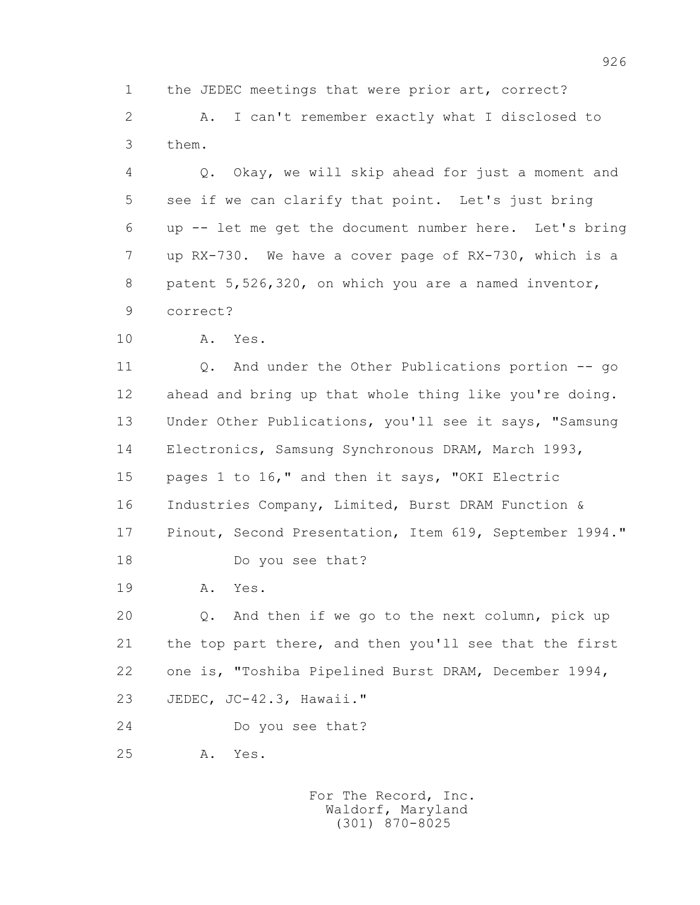1 the JEDEC meetings that were prior art, correct? 2 A. I can't remember exactly what I disclosed to 3 them.

 4 Q. Okay, we will skip ahead for just a moment and 5 see if we can clarify that point. Let's just bring 6 up -- let me get the document number here. Let's bring 7 up RX-730. We have a cover page of RX-730, which is a 8 patent 5,526,320, on which you are a named inventor, 9 correct?

10 A. Yes.

 11 Q. And under the Other Publications portion -- go 12 ahead and bring up that whole thing like you're doing. 13 Under Other Publications, you'll see it says, "Samsung 14 Electronics, Samsung Synchronous DRAM, March 1993, 15 pages 1 to 16," and then it says, "OKI Electric 16 Industries Company, Limited, Burst DRAM Function & 17 Pinout, Second Presentation, Item 619, September 1994." 18 Do you see that?

19 A. Yes.

 20 Q. And then if we go to the next column, pick up 21 the top part there, and then you'll see that the first 22 one is, "Toshiba Pipelined Burst DRAM, December 1994, 23 JEDEC, JC-42.3, Hawaii."

24 Do you see that?

25 A. Yes.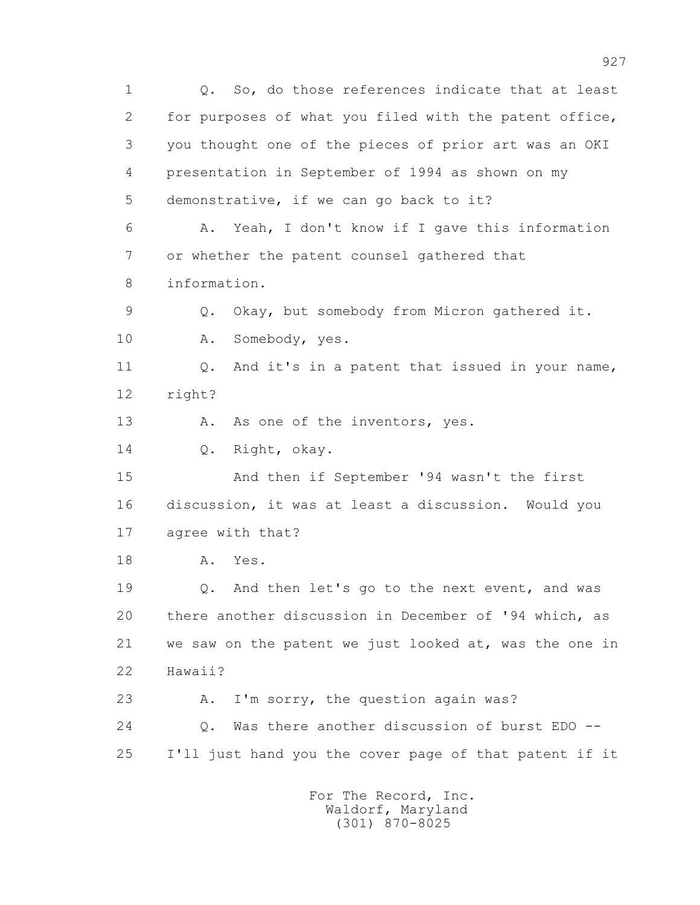1 Q. So, do those references indicate that at least 2 for purposes of what you filed with the patent office, 3 you thought one of the pieces of prior art was an OKI 4 presentation in September of 1994 as shown on my 5 demonstrative, if we can go back to it? 6 A. Yeah, I don't know if I gave this information 7 or whether the patent counsel gathered that 8 information. 9 Q. Okay, but somebody from Micron gathered it. 10 A. Somebody, yes. 11 Q. And it's in a patent that issued in your name, 12 right? 13 A. As one of the inventors, yes. 14 0. Right, okay. 15 And then if September '94 wasn't the first 16 discussion, it was at least a discussion. Would you 17 agree with that? 18 A. Yes. 19 Q. And then let's go to the next event, and was 20 there another discussion in December of '94 which, as 21 we saw on the patent we just looked at, was the one in 22 Hawaii? 23 A. I'm sorry, the question again was? 24 Q. Was there another discussion of burst EDO -- 25 I'll just hand you the cover page of that patent if it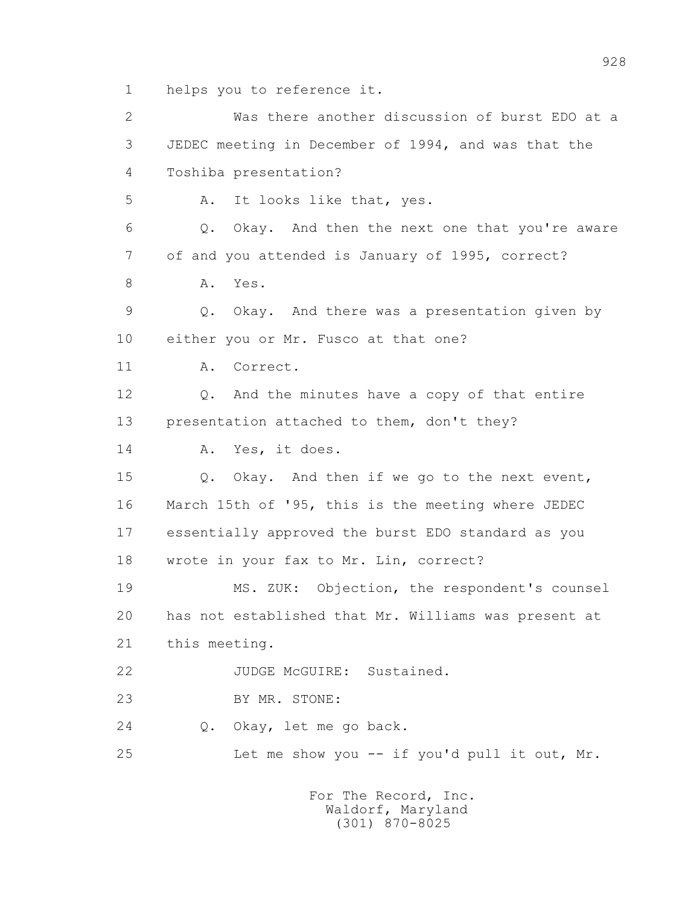1 helps you to reference it.

 2 Was there another discussion of burst EDO at a 3 JEDEC meeting in December of 1994, and was that the 4 Toshiba presentation? 5 A. It looks like that, yes. 6 Q. Okay. And then the next one that you're aware 7 of and you attended is January of 1995, correct? 8 A. Yes. 9 Q. Okay. And there was a presentation given by 10 either you or Mr. Fusco at that one? 11 A. Correct. 12 Q. And the minutes have a copy of that entire 13 presentation attached to them, don't they? 14 A. Yes, it does. 15 Q. Okay. And then if we go to the next event, 16 March 15th of '95, this is the meeting where JEDEC 17 essentially approved the burst EDO standard as you 18 wrote in your fax to Mr. Lin, correct? 19 MS. ZUK: Objection, the respondent's counsel 20 has not established that Mr. Williams was present at 21 this meeting. 22 JUDGE McGUIRE: Sustained. 23 BY MR. STONE: 24 Q. Okay, let me go back. 25 Let me show you -- if you'd pull it out, Mr.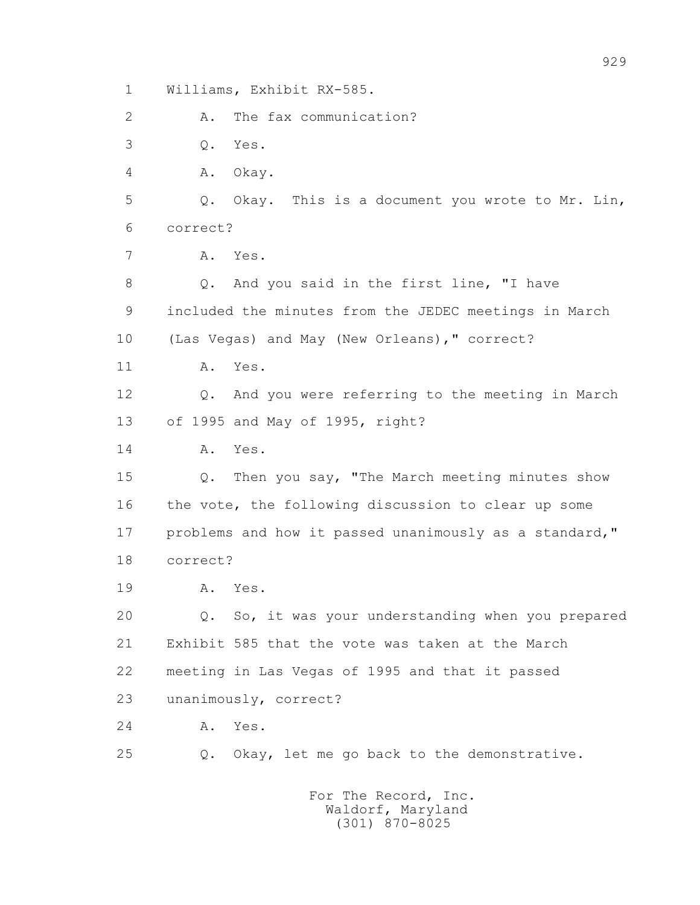1 Williams, Exhibit RX-585.

2 A. The fax communication?

3 Q. Yes.

4 A. Okay.

 5 Q. Okay. This is a document you wrote to Mr. Lin, 6 correct?

7 A. Yes.

 8 Q. And you said in the first line, "I have 9 included the minutes from the JEDEC meetings in March 10 (Las Vegas) and May (New Orleans)," correct?

11 A. Yes.

 12 Q. And you were referring to the meeting in March 13 of 1995 and May of 1995, right?

14 A. Yes.

 15 Q. Then you say, "The March meeting minutes show 16 the vote, the following discussion to clear up some 17 problems and how it passed unanimously as a standard," 18 correct?

19 A. Yes.

 20 Q. So, it was your understanding when you prepared 21 Exhibit 585 that the vote was taken at the March 22 meeting in Las Vegas of 1995 and that it passed 23 unanimously, correct?

24 A. Yes.

25 Q. Okay, let me go back to the demonstrative.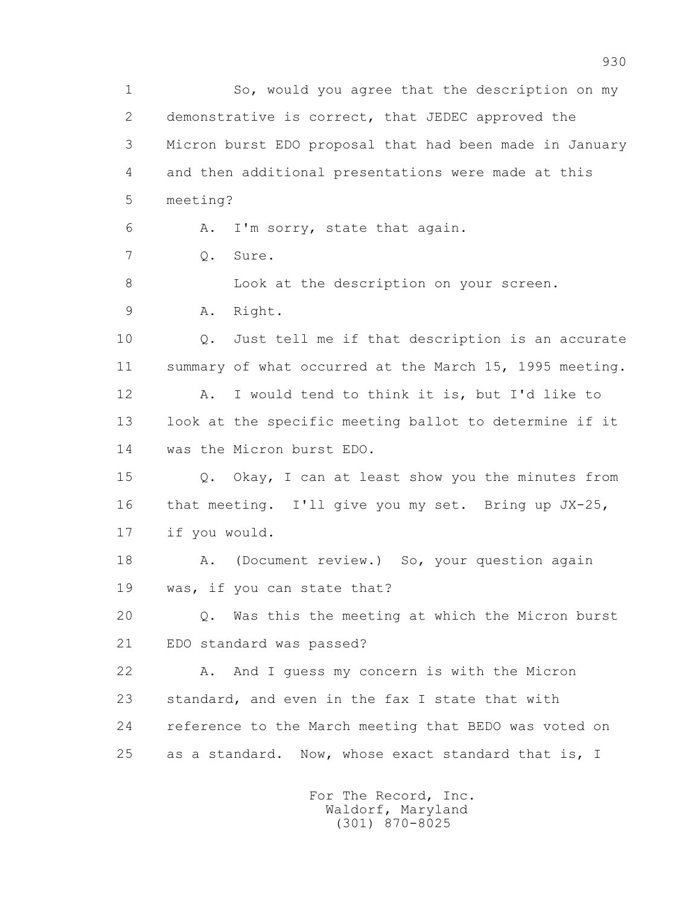1 So, would you agree that the description on my 2 demonstrative is correct, that JEDEC approved the 3 Micron burst EDO proposal that had been made in January 4 and then additional presentations were made at this 5 meeting? 6 A. I'm sorry, state that again. 7 Q. Sure. 8 Look at the description on your screen. 9 A. Right. 10 Q. Just tell me if that description is an accurate 11 summary of what occurred at the March 15, 1995 meeting. 12 A. I would tend to think it is, but I'd like to 13 look at the specific meeting ballot to determine if it 14 was the Micron burst EDO. 15 Q. Okay, I can at least show you the minutes from 16 that meeting. I'll give you my set. Bring up JX-25, 17 if you would. 18 A. (Document review.) So, your question again 19 was, if you can state that? 20 Q. Was this the meeting at which the Micron burst 21 EDO standard was passed? 22 A. And I guess my concern is with the Micron 23 standard, and even in the fax I state that with 24 reference to the March meeting that BEDO was voted on 25 as a standard. Now, whose exact standard that is, I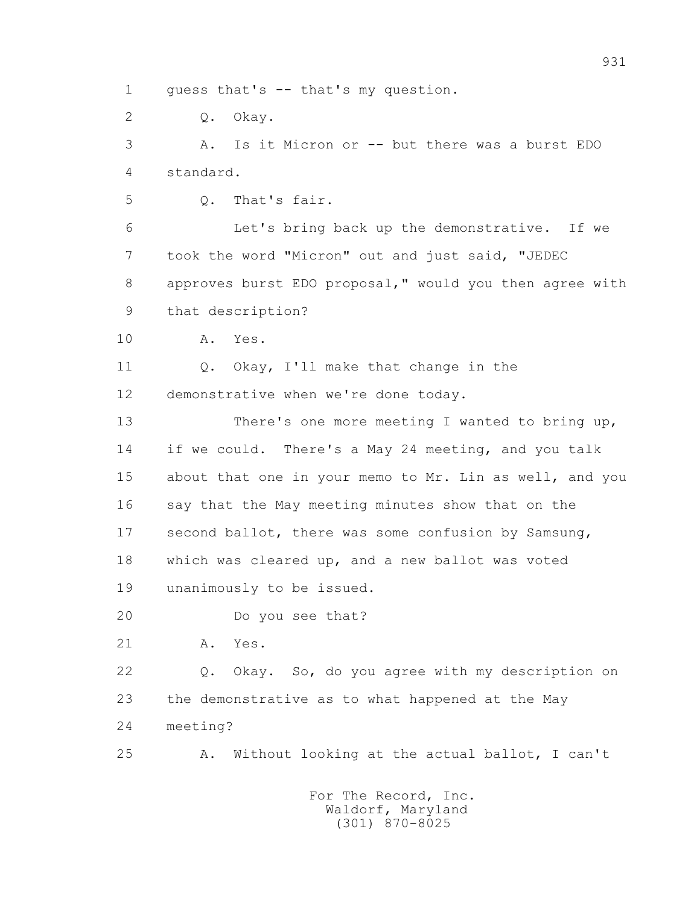1 guess that's -- that's my question.

2 Q. Okay.

 3 A. Is it Micron or -- but there was a burst EDO 4 standard.

5 Q. That's fair.

 6 Let's bring back up the demonstrative. If we 7 took the word "Micron" out and just said, "JEDEC 8 approves burst EDO proposal," would you then agree with 9 that description?

10 A. Yes.

11 0. Okay, I'll make that change in the 12 demonstrative when we're done today.

 13 There's one more meeting I wanted to bring up, 14 if we could. There's a May 24 meeting, and you talk 15 about that one in your memo to Mr. Lin as well, and you 16 say that the May meeting minutes show that on the 17 second ballot, there was some confusion by Samsung, 18 which was cleared up, and a new ballot was voted 19 unanimously to be issued.

20 Do you see that?

21 A. Yes.

 22 Q. Okay. So, do you agree with my description on 23 the demonstrative as to what happened at the May 24 meeting?

25 A. Without looking at the actual ballot, I can't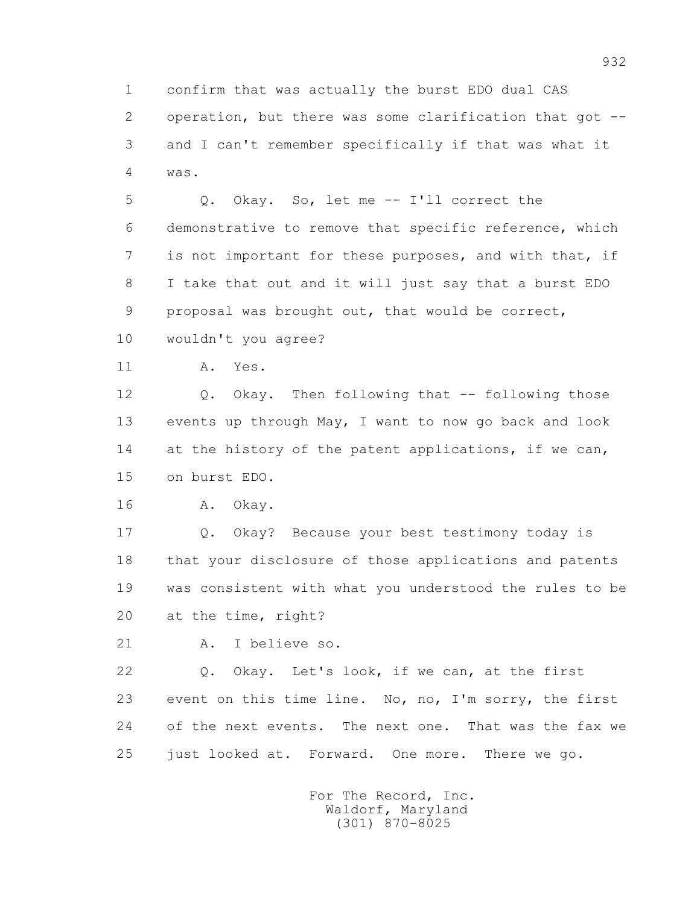1 confirm that was actually the burst EDO dual CAS 2 operation, but there was some clarification that got -- 3 and I can't remember specifically if that was what it 4 was.

 5 Q. Okay. So, let me -- I'll correct the 6 demonstrative to remove that specific reference, which 7 is not important for these purposes, and with that, if 8 I take that out and it will just say that a burst EDO 9 proposal was brought out, that would be correct,

10 wouldn't you agree?

11 A. Yes.

 12 Q. Okay. Then following that -- following those 13 events up through May, I want to now go back and look 14 at the history of the patent applications, if we can, 15 on burst EDO.

16 A. Okay.

 17 Q. Okay? Because your best testimony today is 18 that your disclosure of those applications and patents 19 was consistent with what you understood the rules to be 20 at the time, right?

21 A. I believe so.

 22 Q. Okay. Let's look, if we can, at the first 23 event on this time line. No, no, I'm sorry, the first 24 of the next events. The next one. That was the fax we 25 just looked at. Forward. One more. There we go.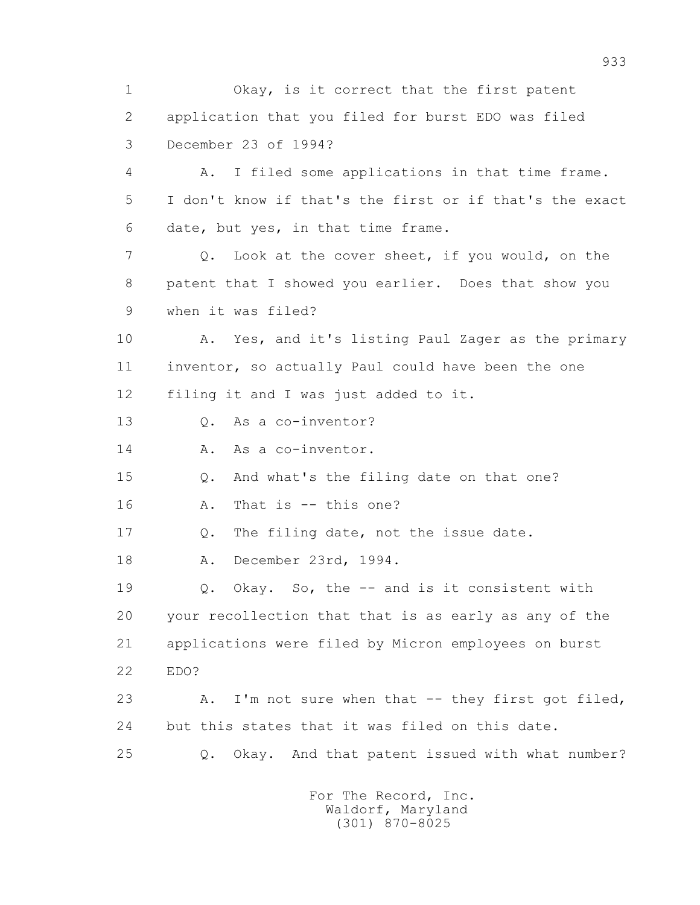1 Okay, is it correct that the first patent 2 application that you filed for burst EDO was filed 3 December 23 of 1994? 4 A. I filed some applications in that time frame. 5 I don't know if that's the first or if that's the exact 6 date, but yes, in that time frame. 7 Q. Look at the cover sheet, if you would, on the 8 patent that I showed you earlier. Does that show you 9 when it was filed? 10 A. Yes, and it's listing Paul Zager as the primary 11 inventor, so actually Paul could have been the one 12 filing it and I was just added to it. 13 Q. As a co-inventor? 14 A. As a co-inventor. 15 Q. And what's the filing date on that one? 16 A. That is -- this one? 17 Q. The filing date, not the issue date. 18 A. December 23rd, 1994. 19 Q. Okay. So, the -- and is it consistent with 20 your recollection that that is as early as any of the 21 applications were filed by Micron employees on burst 22 EDO? 23 A. I'm not sure when that -- they first got filed, 24 but this states that it was filed on this date. 25 Q. Okay. And that patent issued with what number?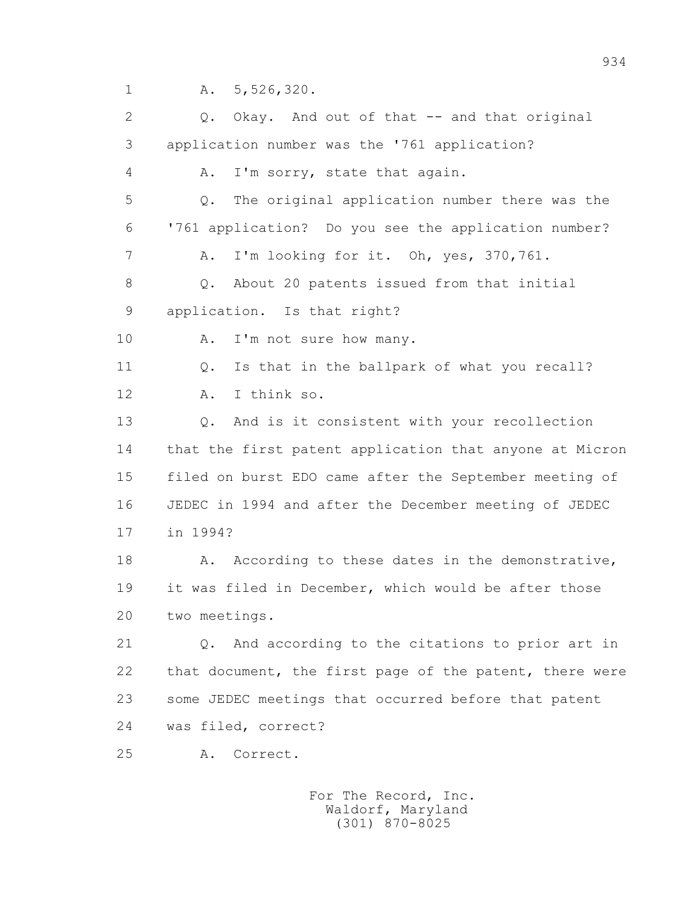1 A. 5,526,320.

 2 Q. Okay. And out of that -- and that original 3 application number was the '761 application? 4 A. I'm sorry, state that again. 5 Q. The original application number there was the 6 '761 application? Do you see the application number? 7 A. I'm looking for it. Oh, yes, 370,761. 8 Q. About 20 patents issued from that initial 9 application. Is that right? 10 A. I'm not sure how many. 11 0. Is that in the ballpark of what you recall? 12 A. I think so. 13 Q. And is it consistent with your recollection 14 that the first patent application that anyone at Micron 15 filed on burst EDO came after the September meeting of 16 JEDEC in 1994 and after the December meeting of JEDEC 17 in 1994? 18 A. According to these dates in the demonstrative, 19 it was filed in December, which would be after those 20 two meetings. 21 Q. And according to the citations to prior art in 22 that document, the first page of the patent, there were 23 some JEDEC meetings that occurred before that patent 24 was filed, correct? 25 A. Correct.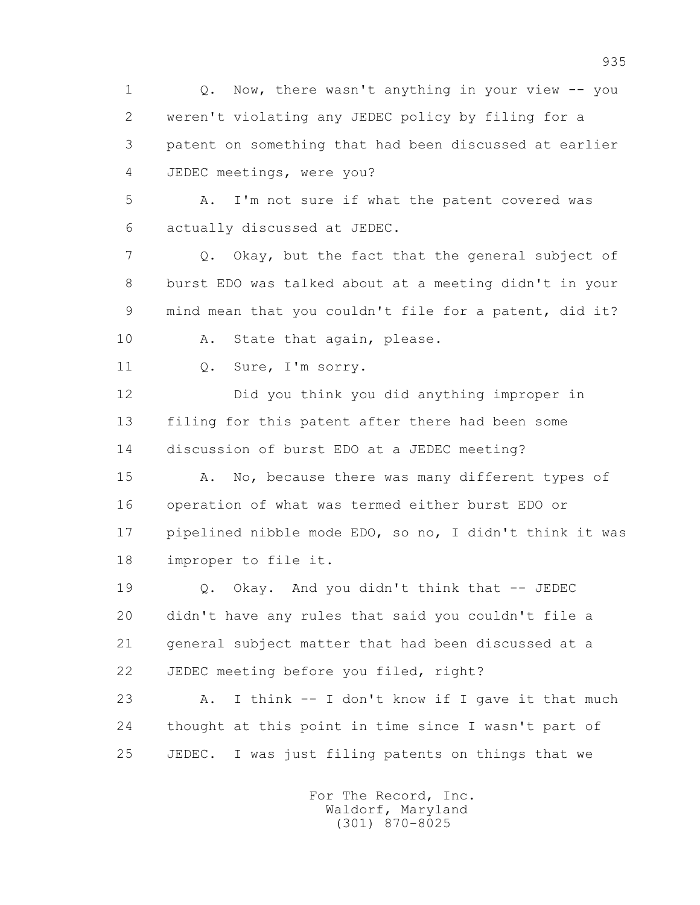1 Q. Now, there wasn't anything in your view -- you 2 weren't violating any JEDEC policy by filing for a 3 patent on something that had been discussed at earlier 4 JEDEC meetings, were you?

 5 A. I'm not sure if what the patent covered was 6 actually discussed at JEDEC.

 7 Q. Okay, but the fact that the general subject of 8 burst EDO was talked about at a meeting didn't in your 9 mind mean that you couldn't file for a patent, did it?

10 A. State that again, please.

11 Q. Sure, I'm sorry.

 12 Did you think you did anything improper in 13 filing for this patent after there had been some 14 discussion of burst EDO at a JEDEC meeting?

15 A. No, because there was many different types of 16 operation of what was termed either burst EDO or 17 pipelined nibble mode EDO, so no, I didn't think it was 18 improper to file it.

 19 Q. Okay. And you didn't think that -- JEDEC 20 didn't have any rules that said you couldn't file a 21 general subject matter that had been discussed at a 22 JEDEC meeting before you filed, right?

 23 A. I think -- I don't know if I gave it that much 24 thought at this point in time since I wasn't part of 25 JEDEC. I was just filing patents on things that we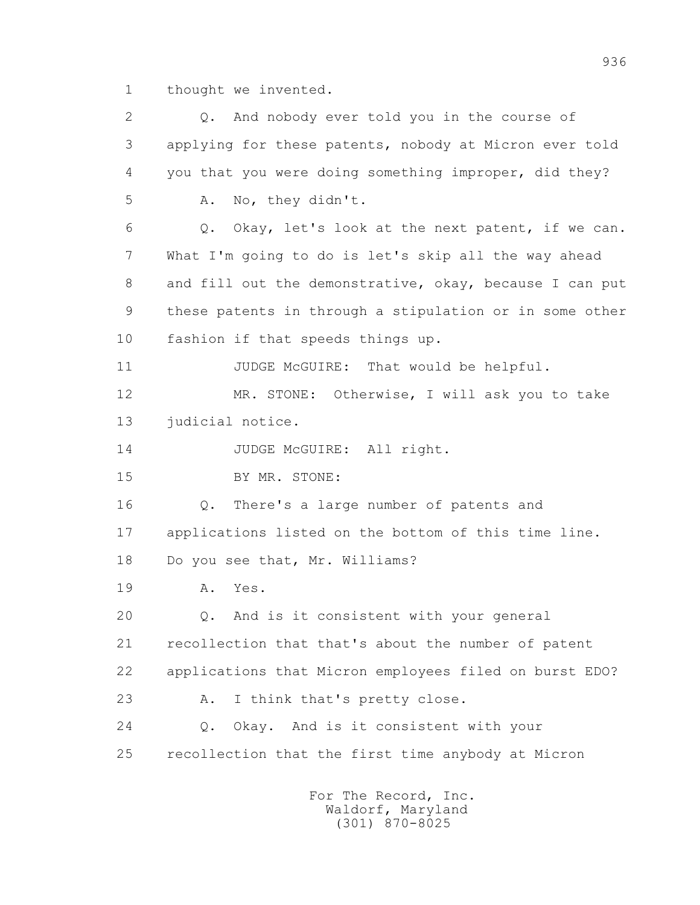1 thought we invented.

| 2  | And nobody ever told you in the course of<br>$Q$ .      |
|----|---------------------------------------------------------|
| 3  | applying for these patents, nobody at Micron ever told  |
| 4  | you that you were doing something improper, did they?   |
| 5  | No, they didn't.<br>Α.                                  |
| 6  | Okay, let's look at the next patent, if we can.<br>Q.   |
| 7  | What I'm going to do is let's skip all the way ahead    |
| 8  | and fill out the demonstrative, okay, because I can put |
| 9  | these patents in through a stipulation or in some other |
| 10 | fashion if that speeds things up.                       |
| 11 | JUDGE McGUIRE: That would be helpful.                   |
| 12 | MR. STONE: Otherwise, I will ask you to take            |
| 13 | judicial notice.                                        |
| 14 | JUDGE McGUIRE: All right.                               |
| 15 | BY MR. STONE:                                           |
| 16 | There's a large number of patents and<br>Q.             |
| 17 | applications listed on the bottom of this time line.    |
| 18 | Do you see that, Mr. Williams?                          |
| 19 | Yes.<br>Α.                                              |
| 20 | And is it consistent with your general<br>Q.            |
| 21 | recollection that that's about the number of patent     |
| 22 | applications that Micron employees filed on burst EDO?  |
| 23 | I think that's pretty close.<br>Α.                      |
| 24 | Okay. And is it consistent with your<br>$Q$ .           |
| 25 | recollection that the first time anybody at Micron      |
|    | For The Record, Inc.                                    |

Waldorf, Maryland (301) 870-8025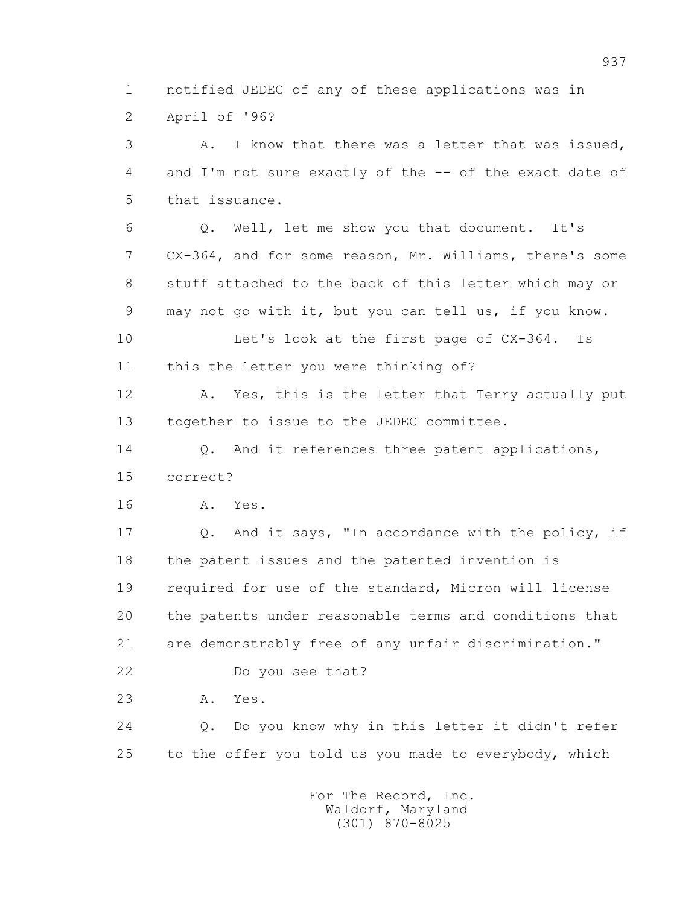1 notified JEDEC of any of these applications was in 2 April of '96?

 3 A. I know that there was a letter that was issued, 4 and I'm not sure exactly of the -- of the exact date of 5 that issuance.

 6 Q. Well, let me show you that document. It's 7 CX-364, and for some reason, Mr. Williams, there's some 8 stuff attached to the back of this letter which may or 9 may not go with it, but you can tell us, if you know.

 10 Let's look at the first page of CX-364. Is 11 this the letter you were thinking of?

12 A. Yes, this is the letter that Terry actually put 13 together to issue to the JEDEC committee.

14 0. And it references three patent applications, 15 correct?

16 A. Yes.

 17 Q. And it says, "In accordance with the policy, if 18 the patent issues and the patented invention is 19 required for use of the standard, Micron will license 20 the patents under reasonable terms and conditions that 21 are demonstrably free of any unfair discrimination."

22 Do you see that?

23 A. Yes.

 24 Q. Do you know why in this letter it didn't refer 25 to the offer you told us you made to everybody, which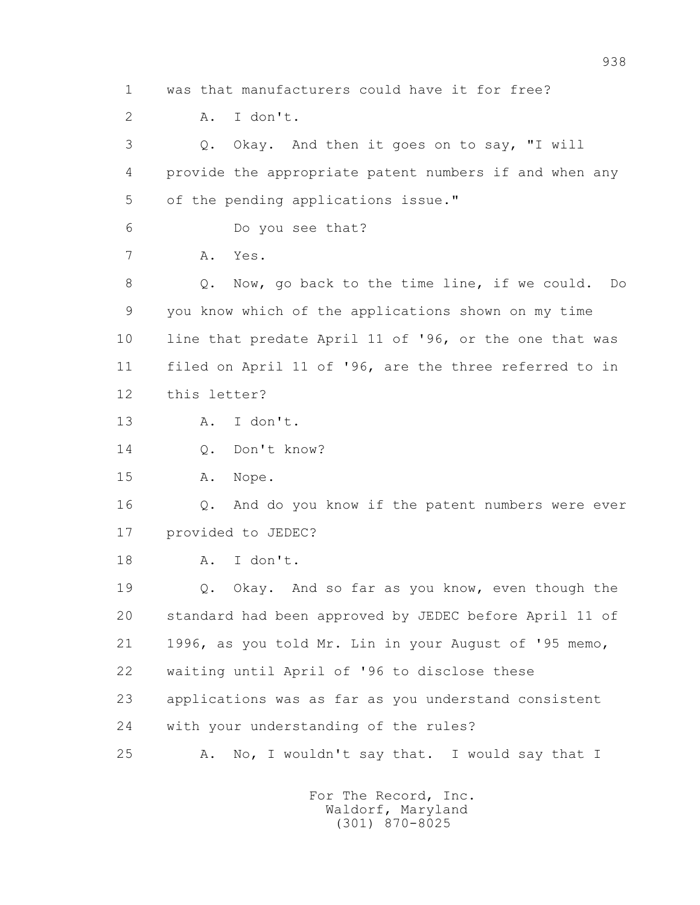1 was that manufacturers could have it for free?

2 A. I don't.

 3 Q. Okay. And then it goes on to say, "I will 4 provide the appropriate patent numbers if and when any 5 of the pending applications issue."

6 Do you see that?

7 A. Yes.

 8 Q. Now, go back to the time line, if we could. Do 9 you know which of the applications shown on my time 10 line that predate April 11 of '96, or the one that was 11 filed on April 11 of '96, are the three referred to in 12 this letter?

13 A. I don't.

14 Q. Don't know?

15 A. Nope.

 16 Q. And do you know if the patent numbers were ever 17 provided to JEDEC?

18 A. I don't.

 19 Q. Okay. And so far as you know, even though the 20 standard had been approved by JEDEC before April 11 of 21 1996, as you told Mr. Lin in your August of '95 memo, 22 waiting until April of '96 to disclose these 23 applications was as far as you understand consistent 24 with your understanding of the rules? 25 A. No, I wouldn't say that. I would say that I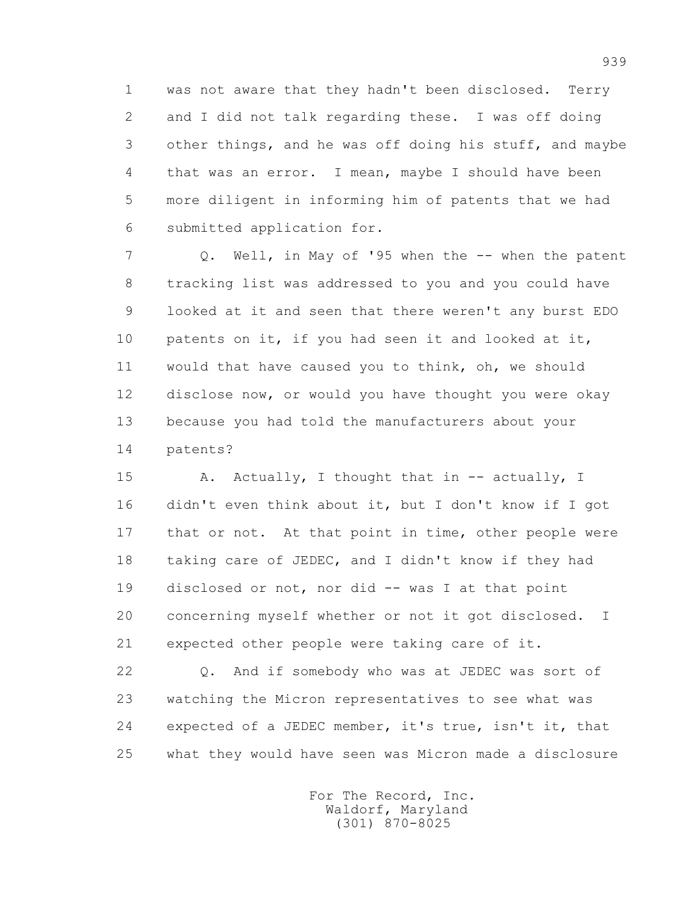1 was not aware that they hadn't been disclosed. Terry 2 and I did not talk regarding these. I was off doing 3 other things, and he was off doing his stuff, and maybe 4 that was an error. I mean, maybe I should have been 5 more diligent in informing him of patents that we had 6 submitted application for.

 7 Q. Well, in May of '95 when the -- when the patent 8 tracking list was addressed to you and you could have 9 looked at it and seen that there weren't any burst EDO 10 patents on it, if you had seen it and looked at it, 11 would that have caused you to think, oh, we should 12 disclose now, or would you have thought you were okay 13 because you had told the manufacturers about your 14 patents?

15 A. Actually, I thought that in -- actually, I 16 didn't even think about it, but I don't know if I got 17 that or not. At that point in time, other people were 18 taking care of JEDEC, and I didn't know if they had 19 disclosed or not, nor did -- was I at that point 20 concerning myself whether or not it got disclosed. I 21 expected other people were taking care of it.

 22 Q. And if somebody who was at JEDEC was sort of 23 watching the Micron representatives to see what was 24 expected of a JEDEC member, it's true, isn't it, that 25 what they would have seen was Micron made a disclosure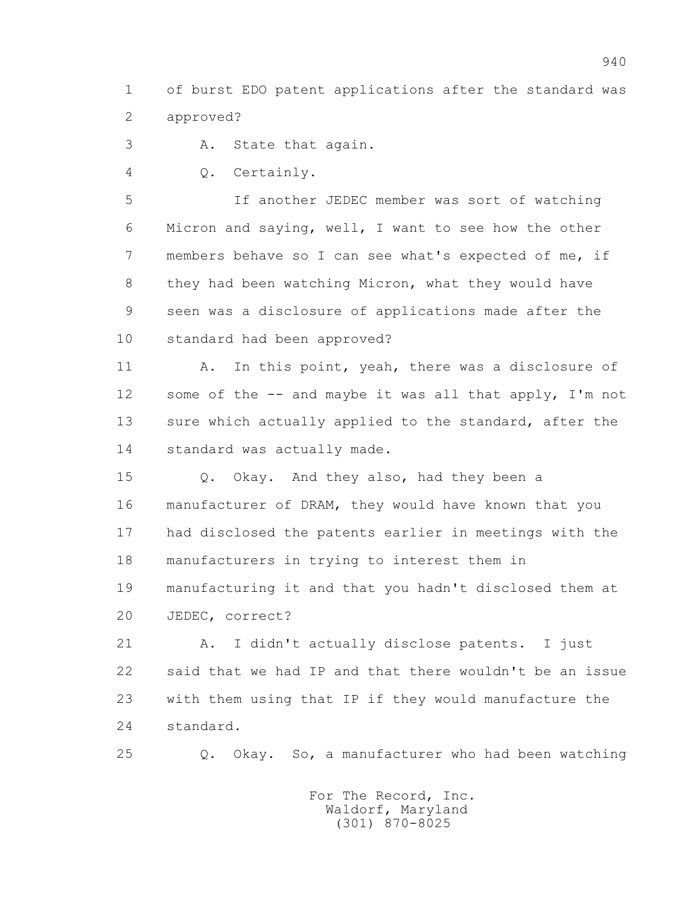1 of burst EDO patent applications after the standard was 2 approved?

3 A. State that again.

4 Q. Certainly.

 5 If another JEDEC member was sort of watching 6 Micron and saying, well, I want to see how the other 7 members behave so I can see what's expected of me, if 8 they had been watching Micron, what they would have 9 seen was a disclosure of applications made after the 10 standard had been approved?

11 A. In this point, yeah, there was a disclosure of 12 some of the -- and maybe it was all that apply, I'm not 13 sure which actually applied to the standard, after the 14 standard was actually made.

 15 Q. Okay. And they also, had they been a 16 manufacturer of DRAM, they would have known that you 17 had disclosed the patents earlier in meetings with the 18 manufacturers in trying to interest them in 19 manufacturing it and that you hadn't disclosed them at 20 JEDEC, correct?

 21 A. I didn't actually disclose patents. I just 22 said that we had IP and that there wouldn't be an issue 23 with them using that IP if they would manufacture the 24 standard.

25 Q. Okay. So, a manufacturer who had been watching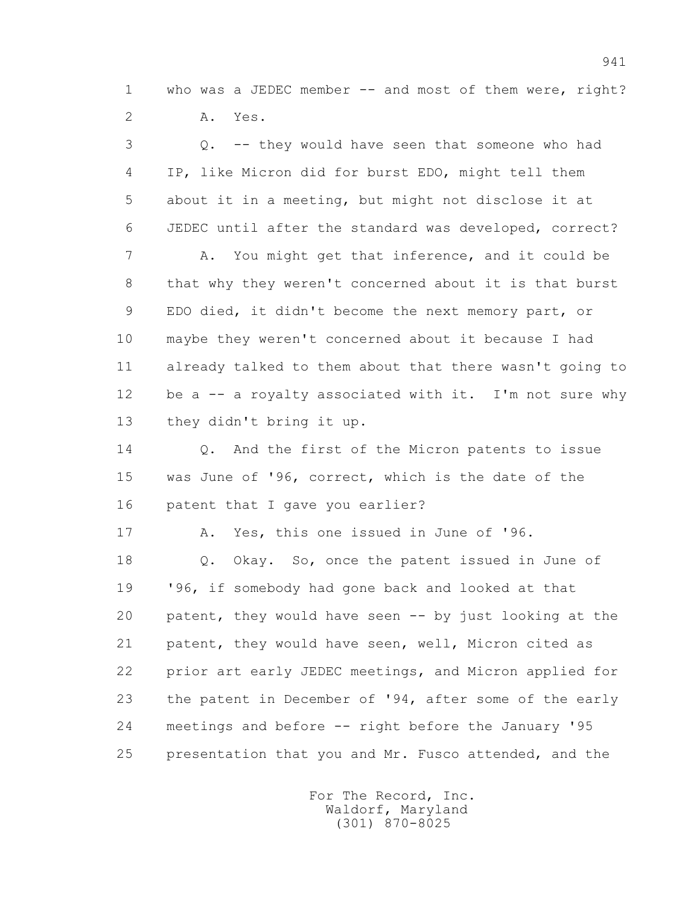1 who was a JEDEC member -- and most of them were, right? 2 A. Yes.

 3 Q. -- they would have seen that someone who had 4 IP, like Micron did for burst EDO, might tell them 5 about it in a meeting, but might not disclose it at 6 JEDEC until after the standard was developed, correct? 7 A. You might get that inference, and it could be 8 that why they weren't concerned about it is that burst 9 EDO died, it didn't become the next memory part, or 10 maybe they weren't concerned about it because I had 11 already talked to them about that there wasn't going to 12 be a -- a royalty associated with it. I'm not sure why 13 they didn't bring it up. 14 0. And the first of the Micron patents to issue 15 was June of '96, correct, which is the date of the 16 patent that I gave you earlier? 17 A. Yes, this one issued in June of '96. 18 Q. Okay. So, once the patent issued in June of 19 '96, if somebody had gone back and looked at that 20 patent, they would have seen -- by just looking at the 21 patent, they would have seen, well, Micron cited as 22 prior art early JEDEC meetings, and Micron applied for 23 the patent in December of '94, after some of the early 24 meetings and before -- right before the January '95 25 presentation that you and Mr. Fusco attended, and the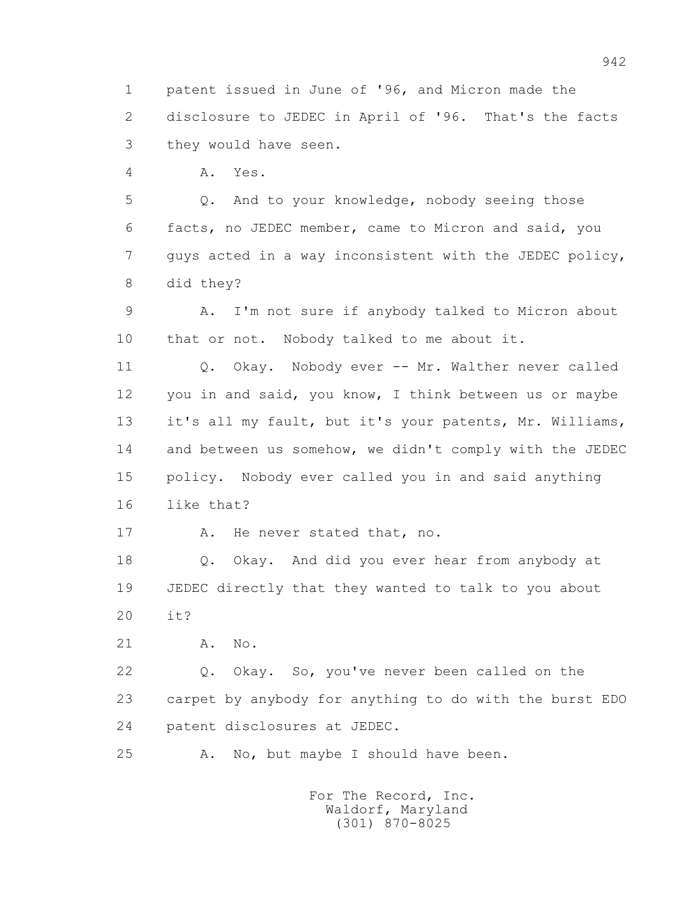1 patent issued in June of '96, and Micron made the 2 disclosure to JEDEC in April of '96. That's the facts 3 they would have seen.

4 A. Yes.

 5 Q. And to your knowledge, nobody seeing those 6 facts, no JEDEC member, came to Micron and said, you 7 guys acted in a way inconsistent with the JEDEC policy, 8 did they?

 9 A. I'm not sure if anybody talked to Micron about 10 that or not. Nobody talked to me about it.

 11 Q. Okay. Nobody ever -- Mr. Walther never called 12 you in and said, you know, I think between us or maybe 13 it's all my fault, but it's your patents, Mr. Williams, 14 and between us somehow, we didn't comply with the JEDEC 15 policy. Nobody ever called you in and said anything 16 like that?

17 A. He never stated that, no.

 18 Q. Okay. And did you ever hear from anybody at 19 JEDEC directly that they wanted to talk to you about 20 it?

21 A. No.

 22 Q. Okay. So, you've never been called on the 23 carpet by anybody for anything to do with the burst EDO 24 patent disclosures at JEDEC.

25 A. No, but maybe I should have been.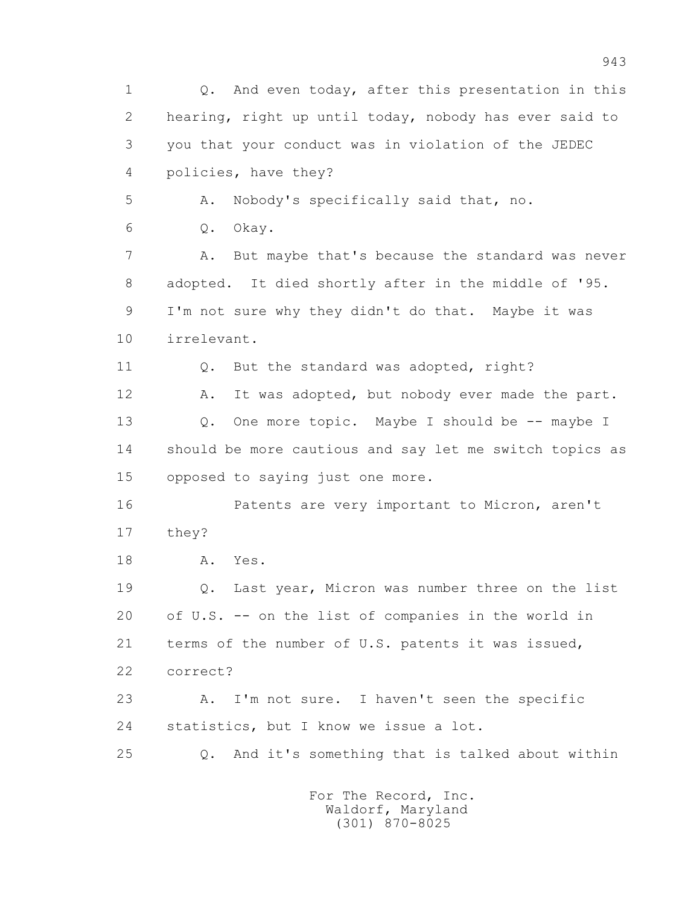1 Q. And even today, after this presentation in this 2 hearing, right up until today, nobody has ever said to 3 you that your conduct was in violation of the JEDEC 4 policies, have they? 5 A. Nobody's specifically said that, no. 6 Q. Okay. 7 A. But maybe that's because the standard was never 8 adopted. It died shortly after in the middle of '95. 9 I'm not sure why they didn't do that. Maybe it was 10 irrelevant. 11 0. But the standard was adopted, right? 12 A. It was adopted, but nobody ever made the part. 13 0. One more topic. Maybe I should be -- maybe I 14 should be more cautious and say let me switch topics as 15 opposed to saying just one more. 16 Patents are very important to Micron, aren't 17 they? 18 A. Yes. 19 Q. Last year, Micron was number three on the list 20 of U.S. -- on the list of companies in the world in 21 terms of the number of U.S. patents it was issued, 22 correct? 23 A. I'm not sure. I haven't seen the specific 24 statistics, but I know we issue a lot. 25 Q. And it's something that is talked about within For The Record, Inc. Waldorf, Maryland

(301) 870-8025

943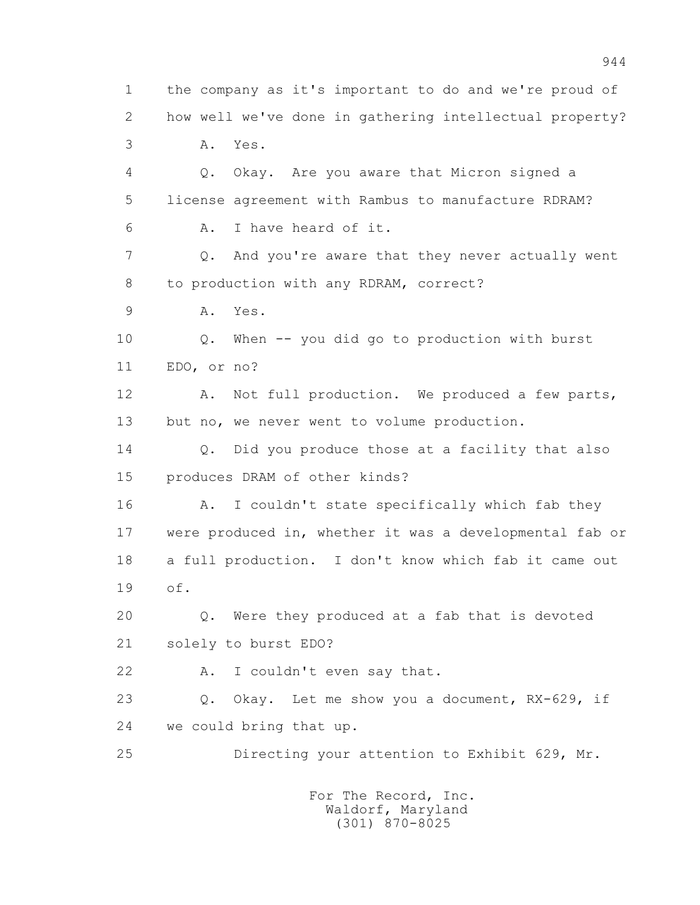1 the company as it's important to do and we're proud of 2 how well we've done in gathering intellectual property? 3 A. Yes. 4 Q. Okay. Are you aware that Micron signed a 5 license agreement with Rambus to manufacture RDRAM? 6 A. I have heard of it. 7 Q. And you're aware that they never actually went 8 to production with any RDRAM, correct? 9 A. Yes. 10 Q. When -- you did go to production with burst 11 EDO, or no? 12 A. Not full production. We produced a few parts, 13 but no, we never went to volume production. 14 0. Did you produce those at a facility that also 15 produces DRAM of other kinds? 16 A. I couldn't state specifically which fab they 17 were produced in, whether it was a developmental fab or 18 a full production. I don't know which fab it came out 19 of. 20 Q. Were they produced at a fab that is devoted 21 solely to burst EDO? 22 A. I couldn't even say that. 23 Q. Okay. Let me show you a document, RX-629, if 24 we could bring that up. 25 Directing your attention to Exhibit 629, Mr.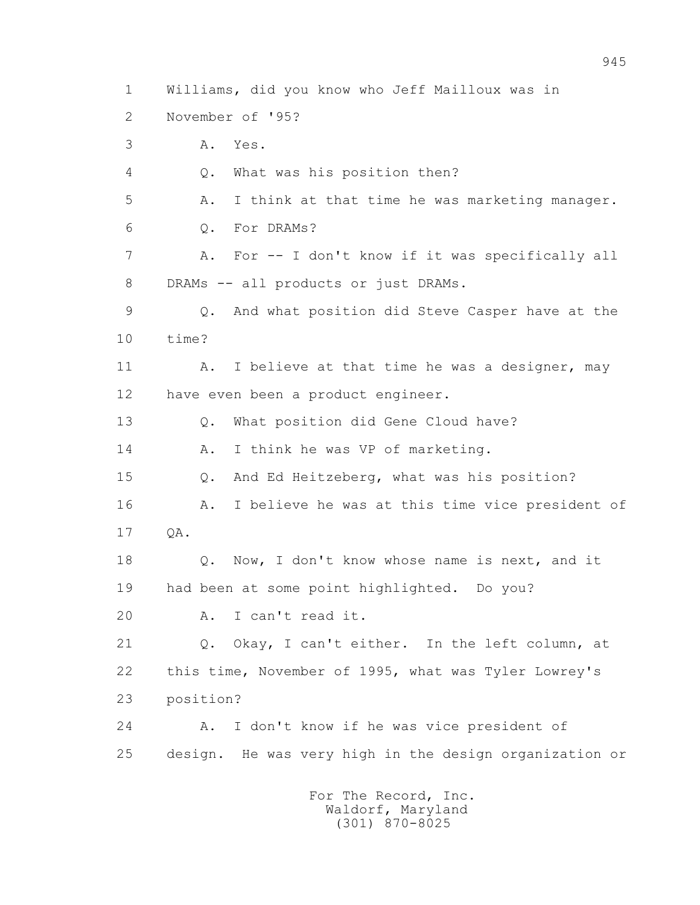1 Williams, did you know who Jeff Mailloux was in

- 2 November of '95?
- 3 A. Yes.
- 4 Q. What was his position then?
- 5 A. I think at that time he was marketing manager.
- 6 Q. For DRAMs?
- 7 A. For -- I don't know if it was specifically all 8 DRAMs -- all products or just DRAMs.
- 9 Q. And what position did Steve Casper have at the 10 time?
- 11 A. I believe at that time he was a designer, may 12 have even been a product engineer.
- 13 Q. What position did Gene Cloud have?
- 14 A. I think he was VP of marketing.
- 15 Q. And Ed Heitzeberg, what was his position?
- 16 A. I believe he was at this time vice president of
- 17 QA.
- 18 Q. Now, I don't know whose name is next, and it 19 had been at some point highlighted. Do you?
- 20 A. I can't read it.

 21 Q. Okay, I can't either. In the left column, at 22 this time, November of 1995, what was Tyler Lowrey's 23 position?

 24 A. I don't know if he was vice president of 25 design. He was very high in the design organization or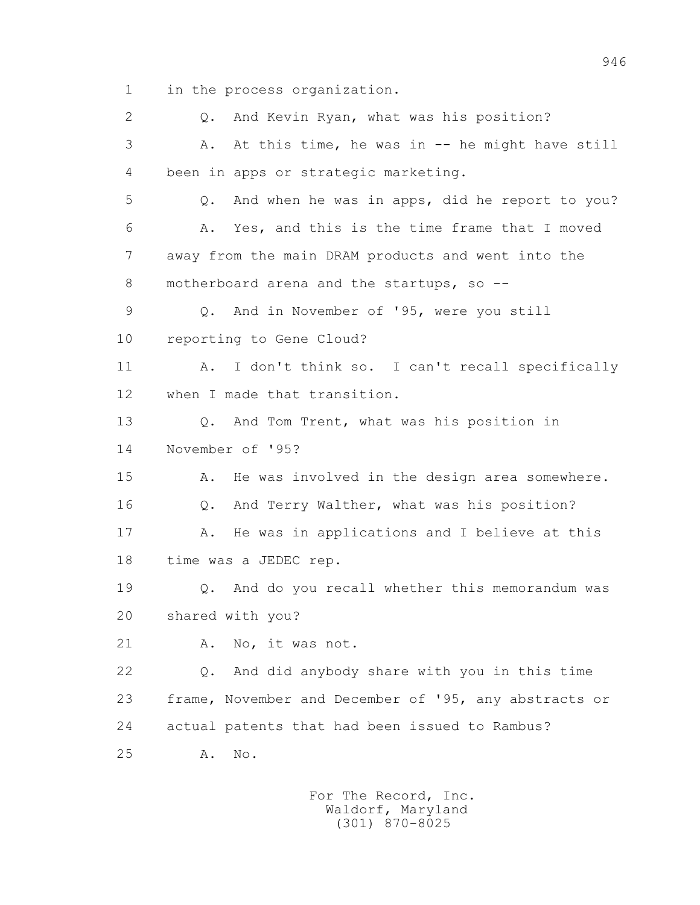1 in the process organization.

 2 Q. And Kevin Ryan, what was his position? 3 A. At this time, he was in -- he might have still 4 been in apps or strategic marketing. 5 Q. And when he was in apps, did he report to you? 6 A. Yes, and this is the time frame that I moved 7 away from the main DRAM products and went into the 8 motherboard arena and the startups, so -- 9 Q. And in November of '95, were you still 10 reporting to Gene Cloud? 11 A. I don't think so. I can't recall specifically 12 when I made that transition. 13 Q. And Tom Trent, what was his position in 14 November of '95? 15 A. He was involved in the design area somewhere. 16 Q. And Terry Walther, what was his position? 17 A. He was in applications and I believe at this 18 time was a JEDEC rep. 19 Q. And do you recall whether this memorandum was 20 shared with you? 21 A. No, it was not. 22 Q. And did anybody share with you in this time 23 frame, November and December of '95, any abstracts or 24 actual patents that had been issued to Rambus? 25 A. No.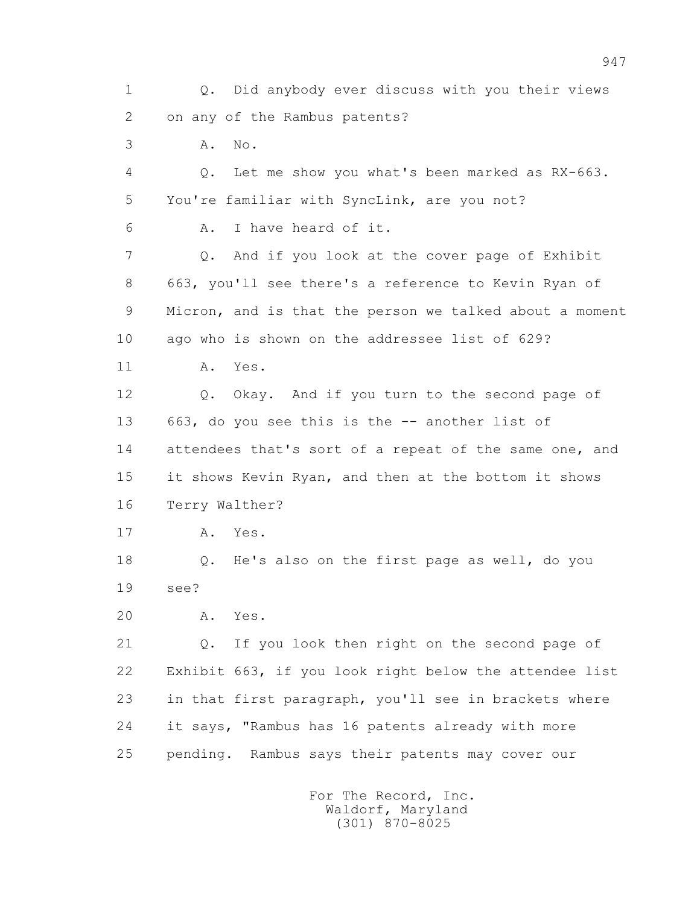1 Q. Did anybody ever discuss with you their views 2 on any of the Rambus patents? 3 A. No. 4 Q. Let me show you what's been marked as RX-663. 5 You're familiar with SyncLink, are you not? 6 A. I have heard of it. 7 Q. And if you look at the cover page of Exhibit 8 663, you'll see there's a reference to Kevin Ryan of 9 Micron, and is that the person we talked about a moment 10 ago who is shown on the addressee list of 629? 11 A. Yes. 12 Q. Okay. And if you turn to the second page of 13 663, do you see this is the -- another list of 14 attendees that's sort of a repeat of the same one, and 15 it shows Kevin Ryan, and then at the bottom it shows 16 Terry Walther? 17 A. Yes. 18 Q. He's also on the first page as well, do you 19 see? 20 A. Yes. 21 Q. If you look then right on the second page of 22 Exhibit 663, if you look right below the attendee list 23 in that first paragraph, you'll see in brackets where 24 it says, "Rambus has 16 patents already with more 25 pending. Rambus says their patents may cover our For The Record, Inc. Waldorf, Maryland (301) 870-8025

947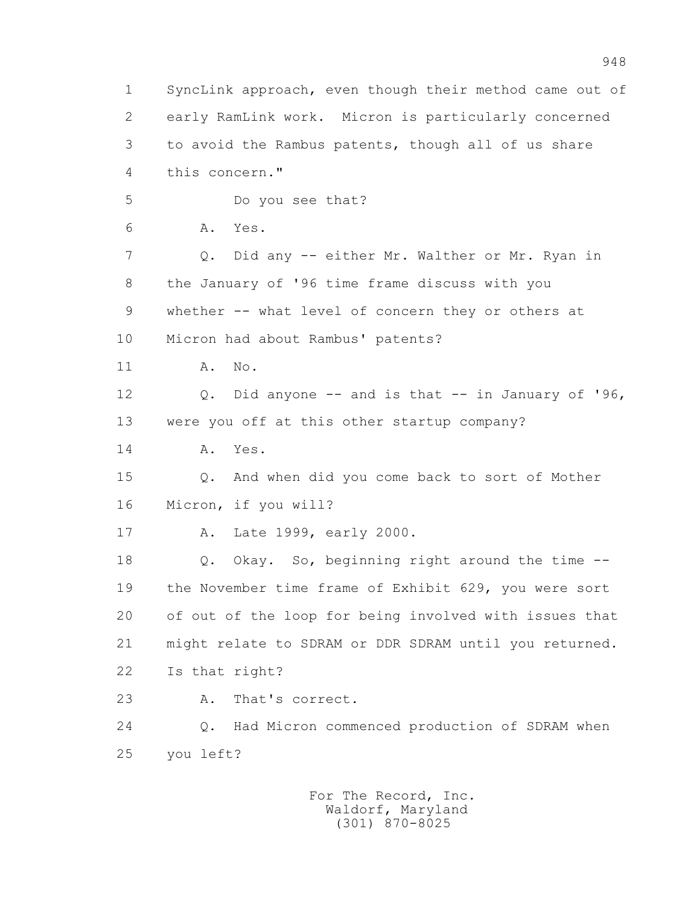1 SyncLink approach, even though their method came out of 2 early RamLink work. Micron is particularly concerned 3 to avoid the Rambus patents, though all of us share 4 this concern." 5 Do you see that? 6 A. Yes. 7 Q. Did any -- either Mr. Walther or Mr. Ryan in 8 the January of '96 time frame discuss with you 9 whether -- what level of concern they or others at 10 Micron had about Rambus' patents? 11 A. No. 12 Q. Did anyone -- and is that -- in January of '96, 13 were you off at this other startup company? 14 A. Yes. 15 Q. And when did you come back to sort of Mother 16 Micron, if you will? 17 A. Late 1999, early 2000. 18 Q. Okay. So, beginning right around the time -- 19 the November time frame of Exhibit 629, you were sort 20 of out of the loop for being involved with issues that 21 might relate to SDRAM or DDR SDRAM until you returned. 22 Is that right? 23 A. That's correct. 24 Q. Had Micron commenced production of SDRAM when 25 you left?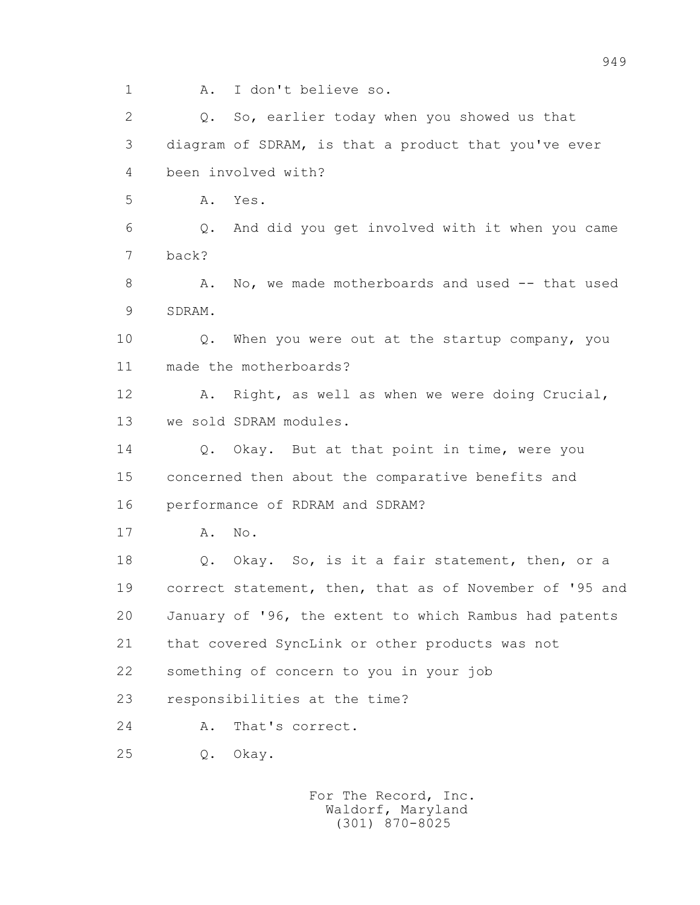1 A. I don't believe so. 2 Q. So, earlier today when you showed us that 3 diagram of SDRAM, is that a product that you've ever 4 been involved with? 5 A. Yes. 6 Q. And did you get involved with it when you came 7 back? 8 A. No, we made motherboards and used -- that used 9 SDRAM. 10 Q. When you were out at the startup company, you 11 made the motherboards? 12 A. Right, as well as when we were doing Crucial, 13 we sold SDRAM modules. 14 0. Okay. But at that point in time, were you 15 concerned then about the comparative benefits and 16 performance of RDRAM and SDRAM? 17 A. No. 18 Q. Okay. So, is it a fair statement, then, or a 19 correct statement, then, that as of November of '95 and 20 January of '96, the extent to which Rambus had patents 21 that covered SyncLink or other products was not 22 something of concern to you in your job 23 responsibilities at the time? 24 A. That's correct. 25 Q. Okay.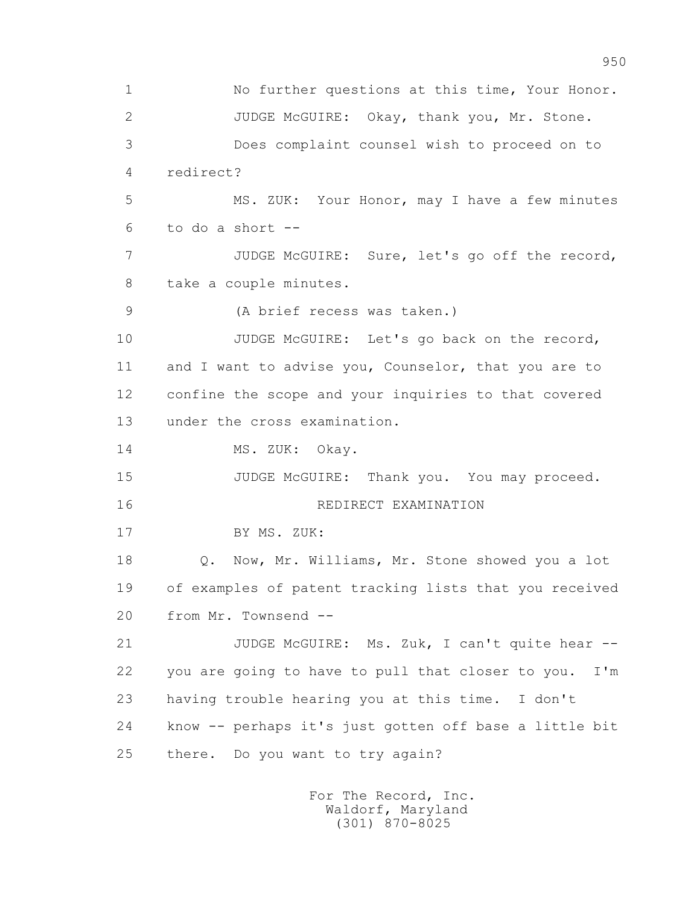1 No further questions at this time, Your Honor. 2 JUDGE McGUIRE: Okay, thank you, Mr. Stone. 3 Does complaint counsel wish to proceed on to 4 redirect? 5 MS. ZUK: Your Honor, may I have a few minutes 6 to do a short -- 7 JUDGE McGUIRE: Sure, let's go off the record, 8 take a couple minutes. 9 (A brief recess was taken.) 10 JUDGE McGUIRE: Let's go back on the record, 11 and I want to advise you, Counselor, that you are to 12 confine the scope and your inquiries to that covered 13 under the cross examination. 14 MS. ZUK: Okay. 15 JUDGE McGUIRE: Thank you. You may proceed. 16 REDIRECT EXAMINATION 17 BY MS. ZUK: 18 Q. Now, Mr. Williams, Mr. Stone showed you a lot 19 of examples of patent tracking lists that you received 20 from Mr. Townsend -- 21 JUDGE McGUIRE: Ms. Zuk, I can't quite hear -- 22 you are going to have to pull that closer to you. I'm 23 having trouble hearing you at this time. I don't 24 know -- perhaps it's just gotten off base a little bit 25 there. Do you want to try again?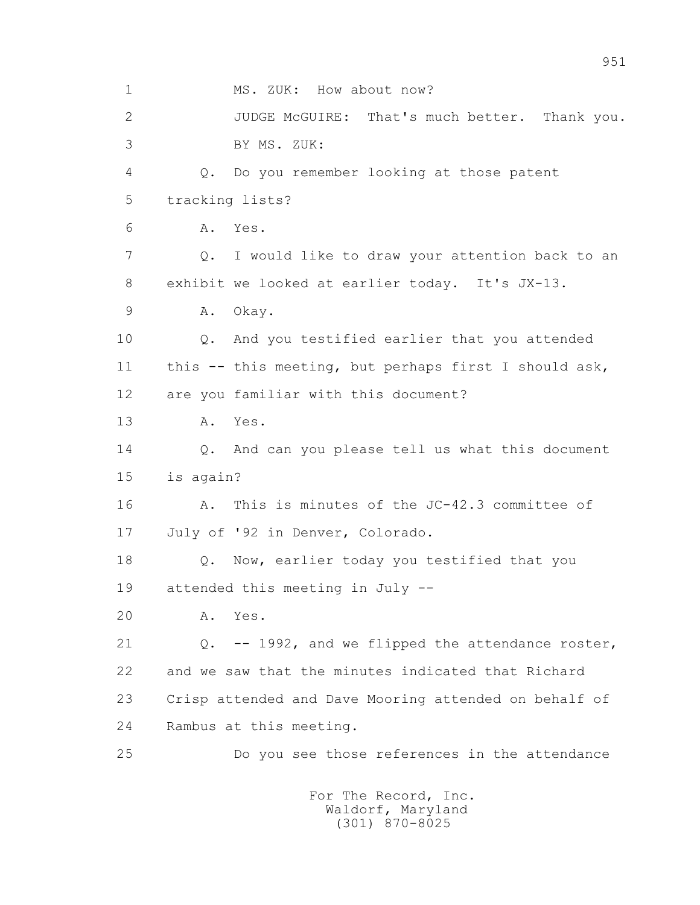1 MS. ZUK: How about now? 2 JUDGE McGUIRE: That's much better. Thank you. 3 BY MS. ZUK: 4 Q. Do you remember looking at those patent 5 tracking lists? 6 A. Yes. 7 Q. I would like to draw your attention back to an 8 exhibit we looked at earlier today. It's JX-13. 9 A. Okay. 10 Q. And you testified earlier that you attended 11 this -- this meeting, but perhaps first I should ask, 12 are you familiar with this document? 13 A. Yes. 14 Q. And can you please tell us what this document 15 is again? 16 A. This is minutes of the JC-42.3 committee of 17 July of '92 in Denver, Colorado. 18 Q. Now, earlier today you testified that you 19 attended this meeting in July -- 20 A. Yes. 21 Q. -- 1992, and we flipped the attendance roster, 22 and we saw that the minutes indicated that Richard 23 Crisp attended and Dave Mooring attended on behalf of 24 Rambus at this meeting. 25 Do you see those references in the attendance For The Record, Inc.

 Waldorf, Maryland (301) 870-8025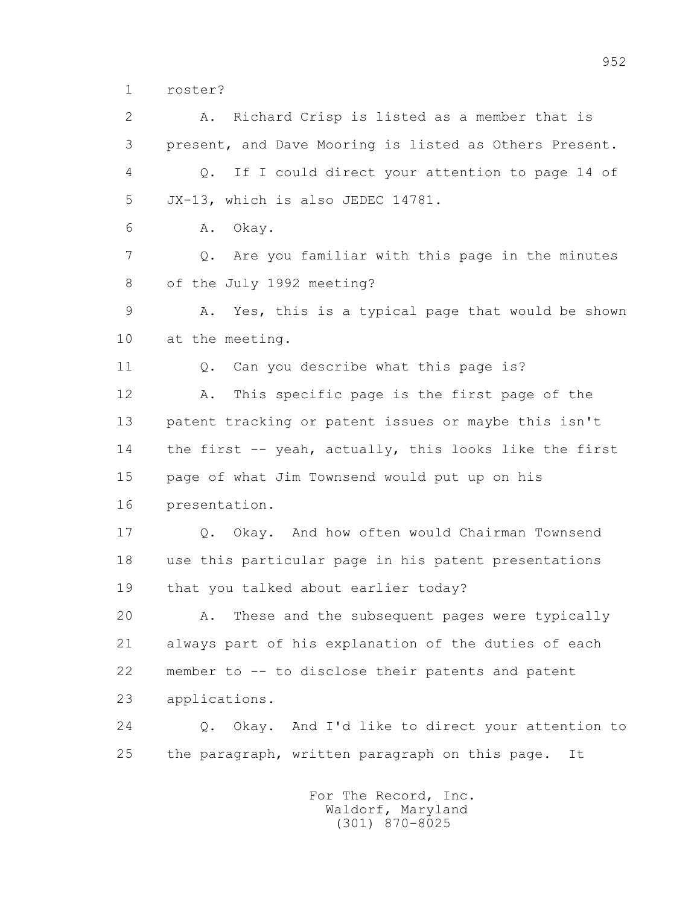1 roster?

 2 A. Richard Crisp is listed as a member that is 3 present, and Dave Mooring is listed as Others Present. 4 Q. If I could direct your attention to page 14 of 5 JX-13, which is also JEDEC 14781. 6 A. Okay. 7 Q. Are you familiar with this page in the minutes 8 of the July 1992 meeting? 9 A. Yes, this is a typical page that would be shown 10 at the meeting. 11 0. Can you describe what this page is? 12 A. This specific page is the first page of the 13 patent tracking or patent issues or maybe this isn't 14 the first -- yeah, actually, this looks like the first 15 page of what Jim Townsend would put up on his 16 presentation. 17 Q. Okay. And how often would Chairman Townsend 18 use this particular page in his patent presentations 19 that you talked about earlier today? 20 A. These and the subsequent pages were typically 21 always part of his explanation of the duties of each 22 member to -- to disclose their patents and patent 23 applications. 24 Q. Okay. And I'd like to direct your attention to 25 the paragraph, written paragraph on this page. It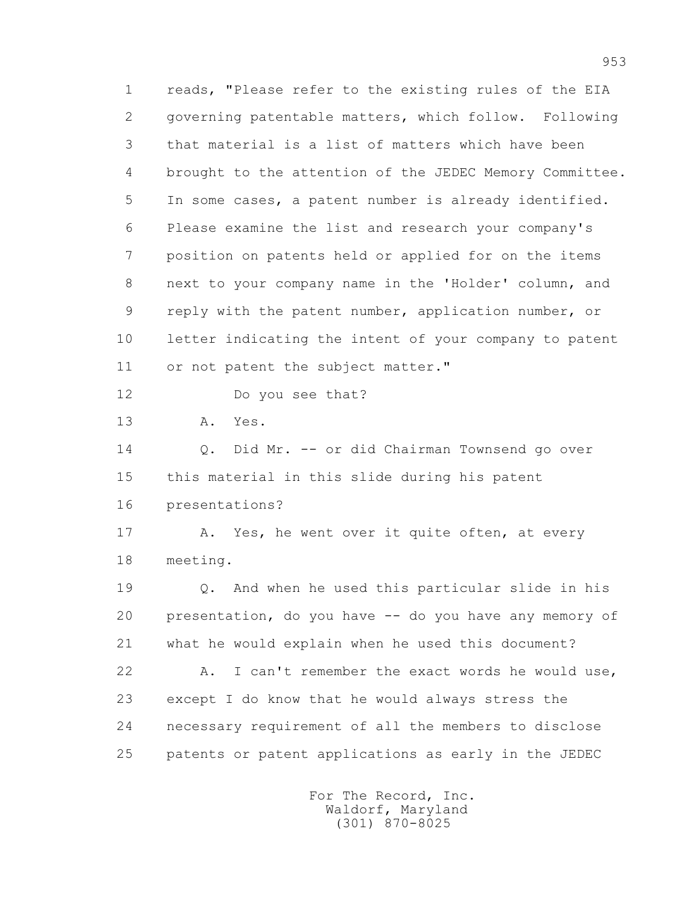1 reads, "Please refer to the existing rules of the EIA 2 governing patentable matters, which follow. Following 3 that material is a list of matters which have been 4 brought to the attention of the JEDEC Memory Committee. 5 In some cases, a patent number is already identified. 6 Please examine the list and research your company's 7 position on patents held or applied for on the items 8 next to your company name in the 'Holder' column, and 9 reply with the patent number, application number, or 10 letter indicating the intent of your company to patent 11 or not patent the subject matter."

12 Do you see that?

13 A. Yes.

 14 Q. Did Mr. -- or did Chairman Townsend go over 15 this material in this slide during his patent 16 presentations?

17 A. Yes, he went over it quite often, at every 18 meeting.

 19 Q. And when he used this particular slide in his 20 presentation, do you have -- do you have any memory of 21 what he would explain when he used this document? 22 A. I can't remember the exact words he would use, 23 except I do know that he would always stress the 24 necessary requirement of all the members to disclose 25 patents or patent applications as early in the JEDEC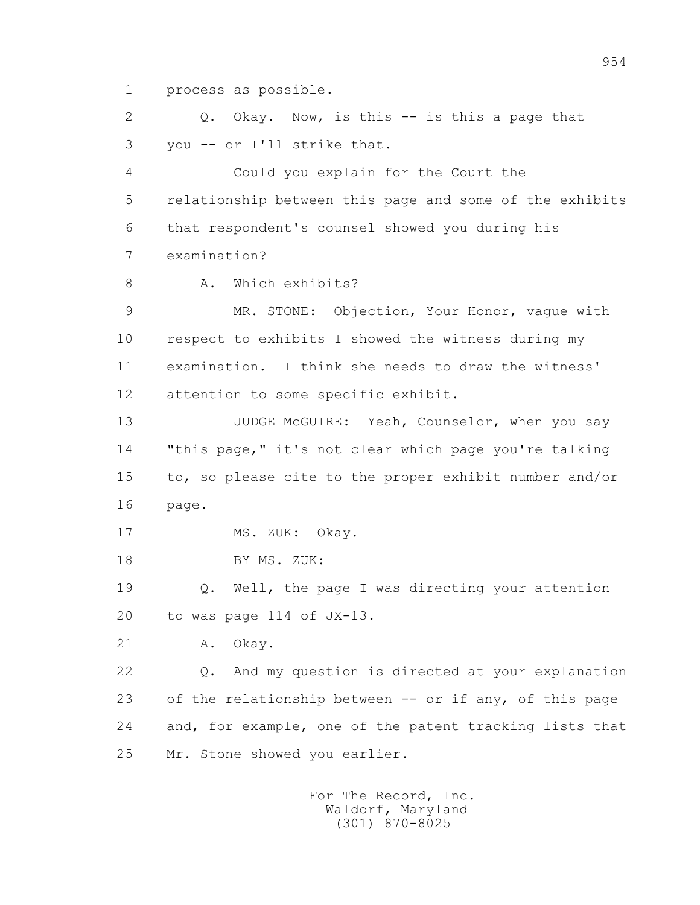1 process as possible.

 2 Q. Okay. Now, is this -- is this a page that 3 you -- or I'll strike that.

 4 Could you explain for the Court the 5 relationship between this page and some of the exhibits 6 that respondent's counsel showed you during his 7 examination?

8 A. Which exhibits?

 9 MR. STONE: Objection, Your Honor, vague with 10 respect to exhibits I showed the witness during my 11 examination. I think she needs to draw the witness' 12 attention to some specific exhibit.

13 JUDGE McGUIRE: Yeah, Counselor, when you say 14 "this page," it's not clear which page you're talking 15 to, so please cite to the proper exhibit number and/or 16 page.

17 MS. ZUK: Okay.

18 BY MS. ZUK:

 19 Q. Well, the page I was directing your attention 20 to was page 114 of JX-13.

21 A. Okay.

 22 Q. And my question is directed at your explanation 23 of the relationship between -- or if any, of this page 24 and, for example, one of the patent tracking lists that 25 Mr. Stone showed you earlier.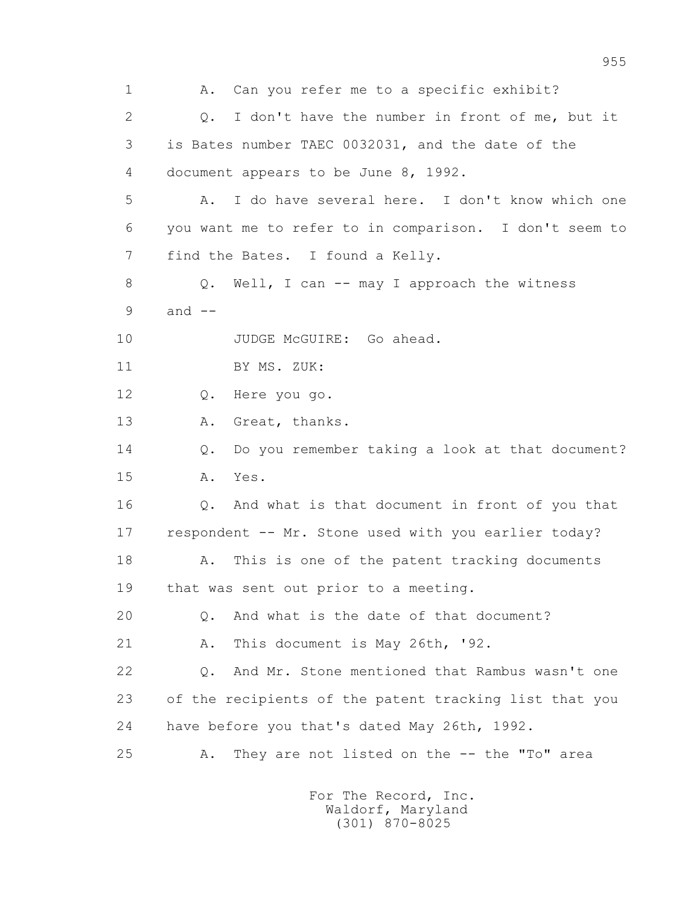1 A. Can you refer me to a specific exhibit? 2 Q. I don't have the number in front of me, but it 3 is Bates number TAEC 0032031, and the date of the 4 document appears to be June 8, 1992. 5 A. I do have several here. I don't know which one 6 you want me to refer to in comparison. I don't seem to 7 find the Bates. I found a Kelly. 8 Q. Well, I can -- may I approach the witness  $9$  and  $-$ 10 JUDGE McGUIRE: Go ahead. 11 BY MS. ZUK: 12 Q. Here you go. 13 A. Great, thanks. 14 Q. Do you remember taking a look at that document? 15 A. Yes. 16 Q. And what is that document in front of you that 17 respondent -- Mr. Stone used with you earlier today? 18 A. This is one of the patent tracking documents 19 that was sent out prior to a meeting. 20 Q. And what is the date of that document? 21 A. This document is May 26th, '92. 22 Q. And Mr. Stone mentioned that Rambus wasn't one 23 of the recipients of the patent tracking list that you 24 have before you that's dated May 26th, 1992. 25 A. They are not listed on the -- the "To" area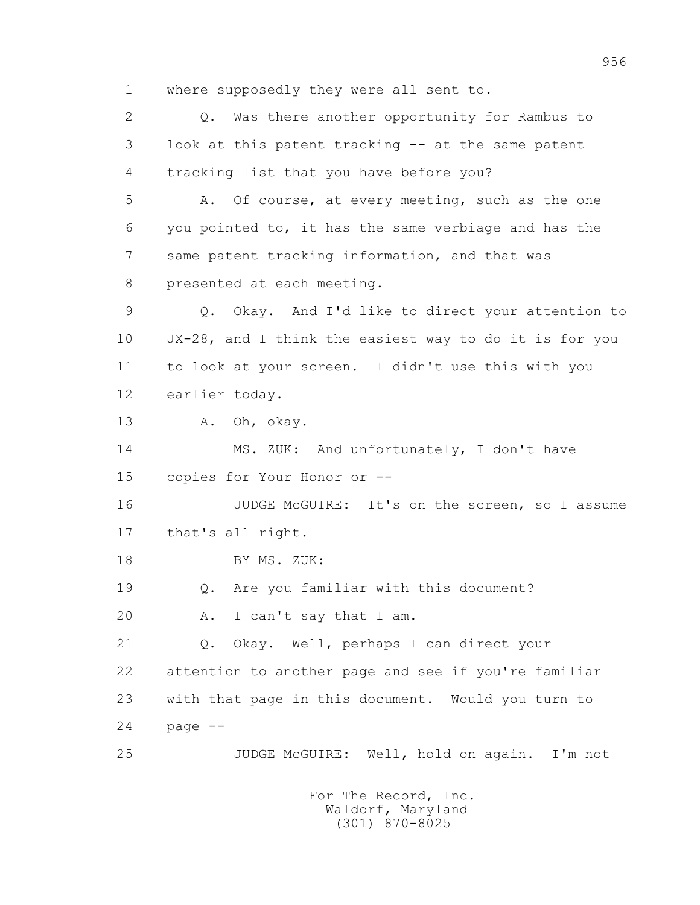1 where supposedly they were all sent to.

 2 Q. Was there another opportunity for Rambus to 3 look at this patent tracking -- at the same patent 4 tracking list that you have before you? 5 A. Of course, at every meeting, such as the one 6 you pointed to, it has the same verbiage and has the 7 same patent tracking information, and that was 8 presented at each meeting. 9 Q. Okay. And I'd like to direct your attention to 10 JX-28, and I think the easiest way to do it is for you 11 to look at your screen. I didn't use this with you 12 earlier today. 13 A. Oh, okay. 14 MS. ZUK: And unfortunately, I don't have 15 copies for Your Honor or -- 16 JUDGE McGUIRE: It's on the screen, so I assume 17 that's all right. 18 BY MS. ZUK: 19 Q. Are you familiar with this document? 20 A. I can't say that I am. 21 Q. Okay. Well, perhaps I can direct your 22 attention to another page and see if you're familiar 23 with that page in this document. Would you turn to  $24$  page  $-$ 25 JUDGE McGUIRE: Well, hold on again. I'm not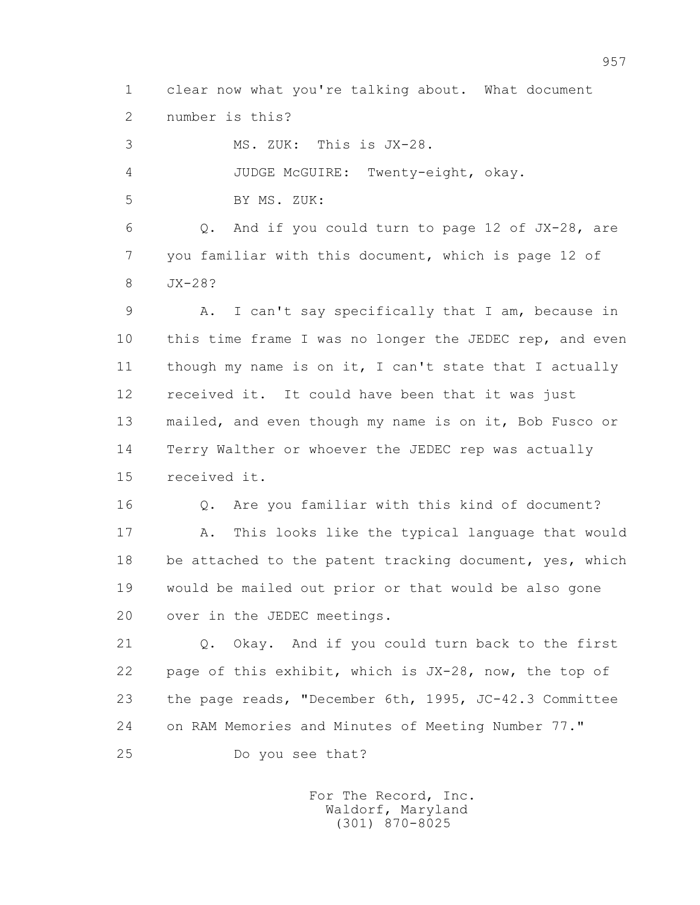1 clear now what you're talking about. What document 2 number is this?

 3 MS. ZUK: This is JX-28. 4 JUDGE McGUIRE: Twenty-eight, okay. 5 BY MS. ZUK: 6 Q. And if you could turn to page 12 of JX-28, are 7 you familiar with this document, which is page 12 of 8 JX-28? 9 A. I can't say specifically that I am, because in 10 this time frame I was no longer the JEDEC rep, and even 11 though my name is on it, I can't state that I actually 12 received it. It could have been that it was just 13 mailed, and even though my name is on it, Bob Fusco or 14 Terry Walther or whoever the JEDEC rep was actually 15 received it. 16 Q. Are you familiar with this kind of document? 17 A. This looks like the typical language that would 18 be attached to the patent tracking document, yes, which

 19 would be mailed out prior or that would be also gone 20 over in the JEDEC meetings.

 21 Q. Okay. And if you could turn back to the first 22 page of this exhibit, which is JX-28, now, the top of 23 the page reads, "December 6th, 1995, JC-42.3 Committee 24 on RAM Memories and Minutes of Meeting Number 77."

25 Do you see that?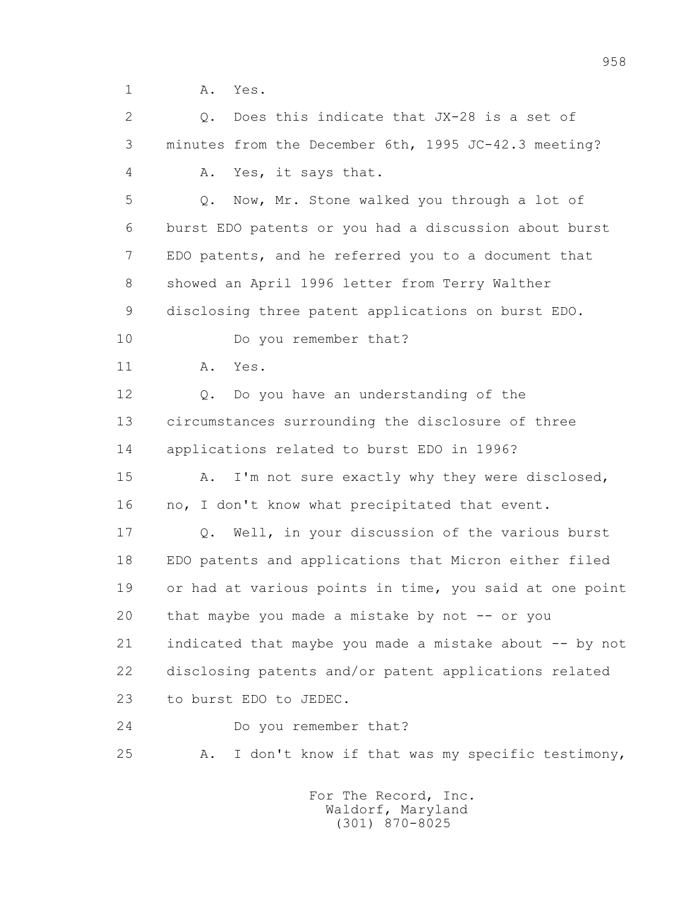1 A. Yes.

 2 Q. Does this indicate that JX-28 is a set of 3 minutes from the December 6th, 1995 JC-42.3 meeting? 4 A. Yes, it says that. 5 Q. Now, Mr. Stone walked you through a lot of 6 burst EDO patents or you had a discussion about burst 7 EDO patents, and he referred you to a document that 8 showed an April 1996 letter from Terry Walther 9 disclosing three patent applications on burst EDO. 10 Do you remember that? 11 A. Yes. 12 Q. Do you have an understanding of the 13 circumstances surrounding the disclosure of three 14 applications related to burst EDO in 1996? 15 A. I'm not sure exactly why they were disclosed, 16 no, I don't know what precipitated that event. 17 Q. Well, in your discussion of the various burst 18 EDO patents and applications that Micron either filed 19 or had at various points in time, you said at one point 20 that maybe you made a mistake by not -- or you 21 indicated that maybe you made a mistake about -- by not 22 disclosing patents and/or patent applications related 23 to burst EDO to JEDEC. 24 Do you remember that? 25 A. I don't know if that was my specific testimony,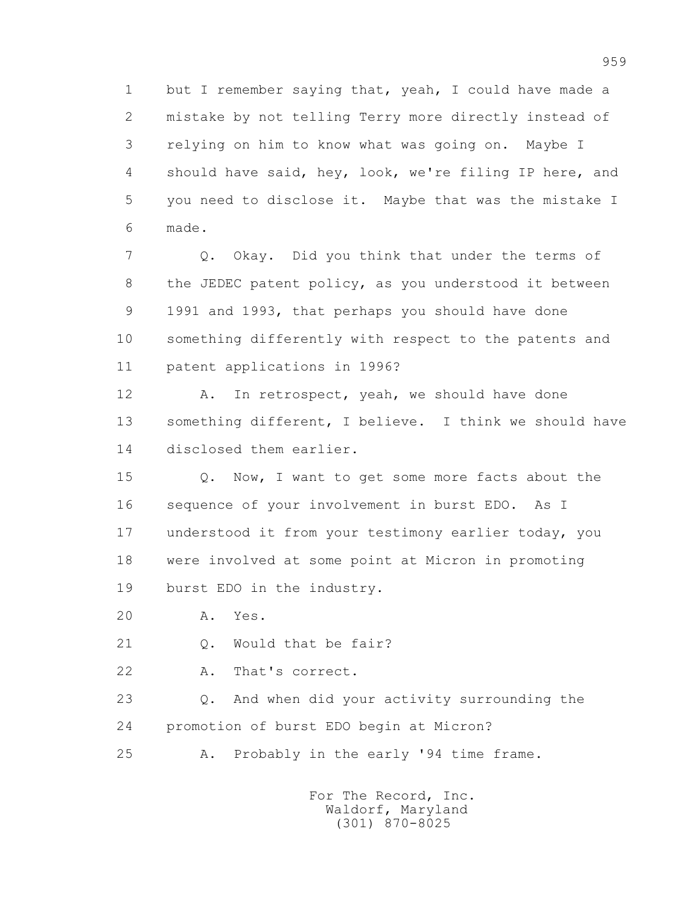1 but I remember saying that, yeah, I could have made a 2 mistake by not telling Terry more directly instead of 3 relying on him to know what was going on. Maybe I 4 should have said, hey, look, we're filing IP here, and 5 you need to disclose it. Maybe that was the mistake I 6 made.

 7 Q. Okay. Did you think that under the terms of 8 the JEDEC patent policy, as you understood it between 9 1991 and 1993, that perhaps you should have done 10 something differently with respect to the patents and 11 patent applications in 1996?

12 A. In retrospect, yeah, we should have done 13 something different, I believe. I think we should have 14 disclosed them earlier.

15 Q. Now, I want to get some more facts about the 16 sequence of your involvement in burst EDO. As I 17 understood it from your testimony earlier today, you 18 were involved at some point at Micron in promoting 19 burst EDO in the industry.

20 A. Yes.

21 Q. Would that be fair?

22 A. That's correct.

 23 Q. And when did your activity surrounding the 24 promotion of burst EDO begin at Micron?

25 A. Probably in the early '94 time frame.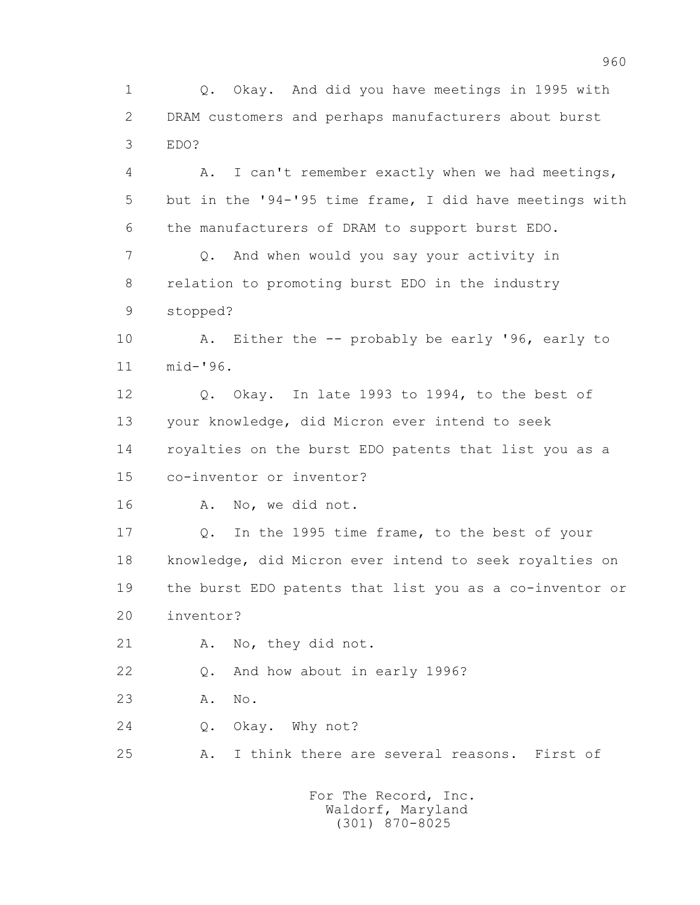1 Q. Okay. And did you have meetings in 1995 with 2 DRAM customers and perhaps manufacturers about burst 3 EDO?

 4 A. I can't remember exactly when we had meetings, 5 but in the '94-'95 time frame, I did have meetings with 6 the manufacturers of DRAM to support burst EDO. 7 Q. And when would you say your activity in 8 relation to promoting burst EDO in the industry 9 stopped?

 10 A. Either the -- probably be early '96, early to 11 mid-'96.

 12 Q. Okay. In late 1993 to 1994, to the best of 13 your knowledge, did Micron ever intend to seek 14 royalties on the burst EDO patents that list you as a 15 co-inventor or inventor?

16 A. No, we did not.

 17 Q. In the 1995 time frame, to the best of your 18 knowledge, did Micron ever intend to seek royalties on 19 the burst EDO patents that list you as a co-inventor or 20 inventor?

21 A. No, they did not.

22 Q. And how about in early 1996?

23 A. No.

24 0. Okay. Why not?

25 A. I think there are several reasons. First of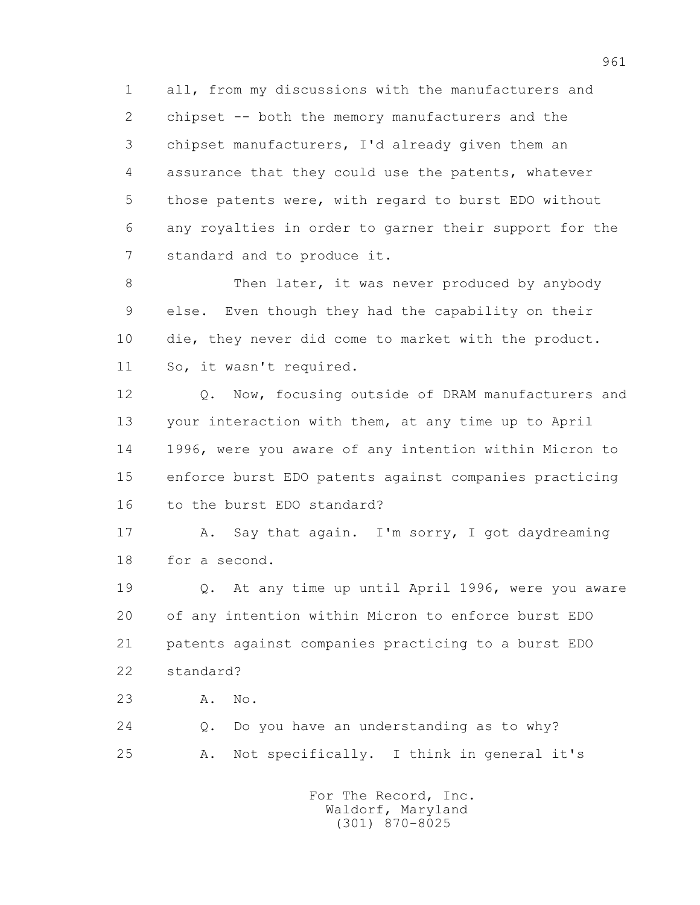1 all, from my discussions with the manufacturers and 2 chipset -- both the memory manufacturers and the 3 chipset manufacturers, I'd already given them an 4 assurance that they could use the patents, whatever 5 those patents were, with regard to burst EDO without 6 any royalties in order to garner their support for the 7 standard and to produce it.

8 Then later, it was never produced by anybody 9 else. Even though they had the capability on their 10 die, they never did come to market with the product. 11 So, it wasn't required.

 12 Q. Now, focusing outside of DRAM manufacturers and 13 your interaction with them, at any time up to April 14 1996, were you aware of any intention within Micron to 15 enforce burst EDO patents against companies practicing 16 to the burst EDO standard?

 17 A. Say that again. I'm sorry, I got daydreaming 18 for a second.

 19 Q. At any time up until April 1996, were you aware 20 of any intention within Micron to enforce burst EDO 21 patents against companies practicing to a burst EDO 22 standard?

23 A. No.

 24 Q. Do you have an understanding as to why? 25 A. Not specifically. I think in general it's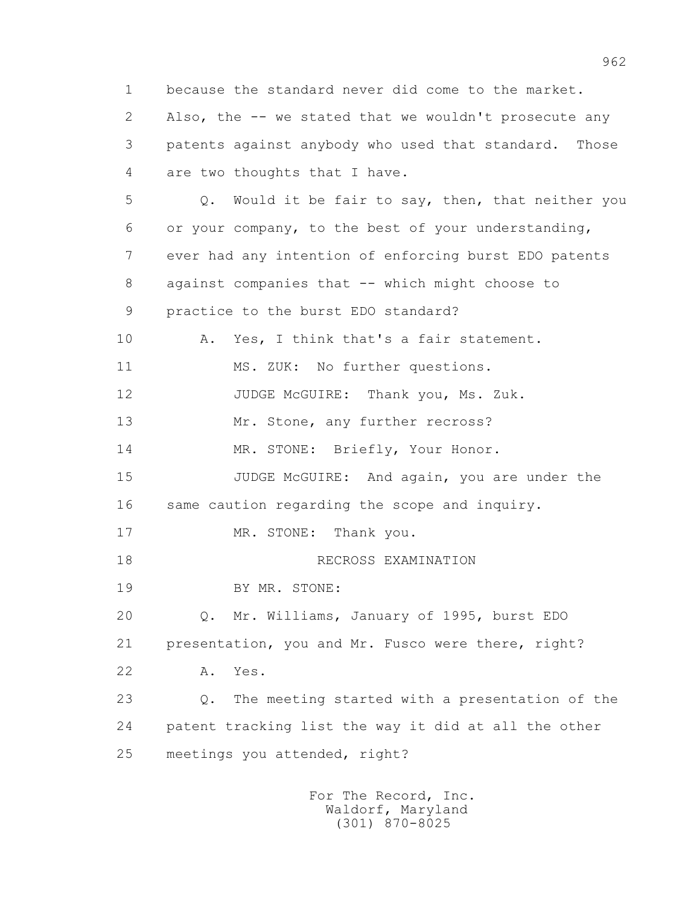1 because the standard never did come to the market. 2 Also, the -- we stated that we wouldn't prosecute any 3 patents against anybody who used that standard. Those 4 are two thoughts that I have. 5 Q. Would it be fair to say, then, that neither you 6 or your company, to the best of your understanding, 7 ever had any intention of enforcing burst EDO patents 8 against companies that -- which might choose to 9 practice to the burst EDO standard? 10 A. Yes, I think that's a fair statement. 11 MS. ZUK: No further questions. 12 JUDGE McGUIRE: Thank you, Ms. Zuk. 13 Mr. Stone, any further recross? 14 MR. STONE: Briefly, Your Honor. 15 JUDGE McGUIRE: And again, you are under the 16 same caution regarding the scope and inquiry. 17 MR. STONE: Thank you. 18 RECROSS EXAMINATION 19 BY MR. STONE: 20 Q. Mr. Williams, January of 1995, burst EDO 21 presentation, you and Mr. Fusco were there, right? 22 A. Yes. 23 Q. The meeting started with a presentation of the 24 patent tracking list the way it did at all the other 25 meetings you attended, right?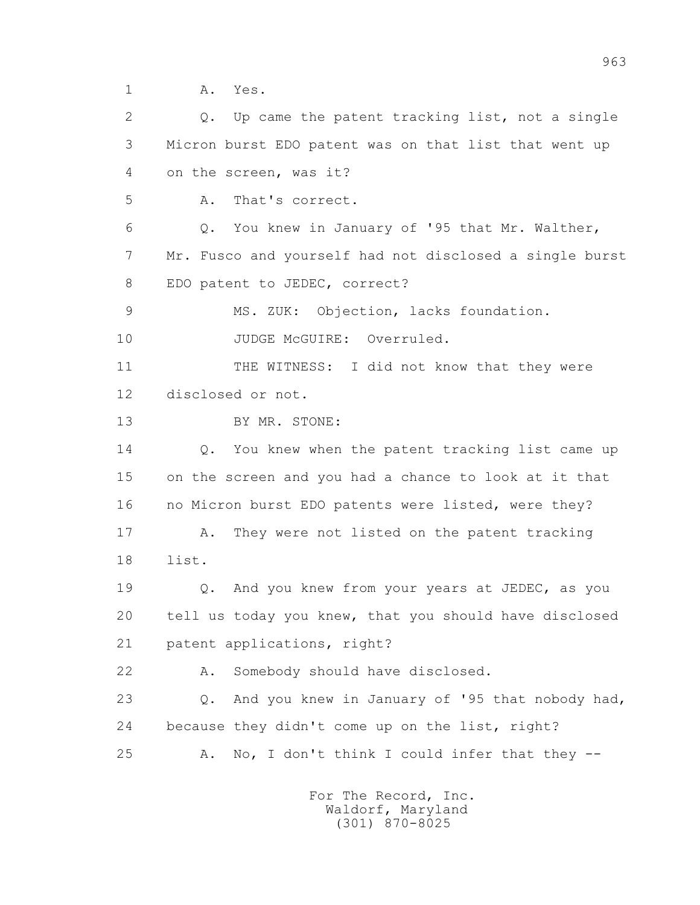1 A. Yes.

 2 Q. Up came the patent tracking list, not a single 3 Micron burst EDO patent was on that list that went up 4 on the screen, was it? 5 A. That's correct. 6 Q. You knew in January of '95 that Mr. Walther, 7 Mr. Fusco and yourself had not disclosed a single burst 8 EDO patent to JEDEC, correct? 9 MS. ZUK: Objection, lacks foundation. 10 JUDGE McGUIRE: Overruled. 11 THE WITNESS: I did not know that they were 12 disclosed or not. 13 BY MR. STONE: 14 Q. You knew when the patent tracking list came up 15 on the screen and you had a chance to look at it that 16 no Micron burst EDO patents were listed, were they? 17 A. They were not listed on the patent tracking 18 list. 19 Q. And you knew from your years at JEDEC, as you 20 tell us today you knew, that you should have disclosed 21 patent applications, right? 22 A. Somebody should have disclosed. 23 Q. And you knew in January of '95 that nobody had, 24 because they didn't come up on the list, right? 25 A. No, I don't think I could infer that they --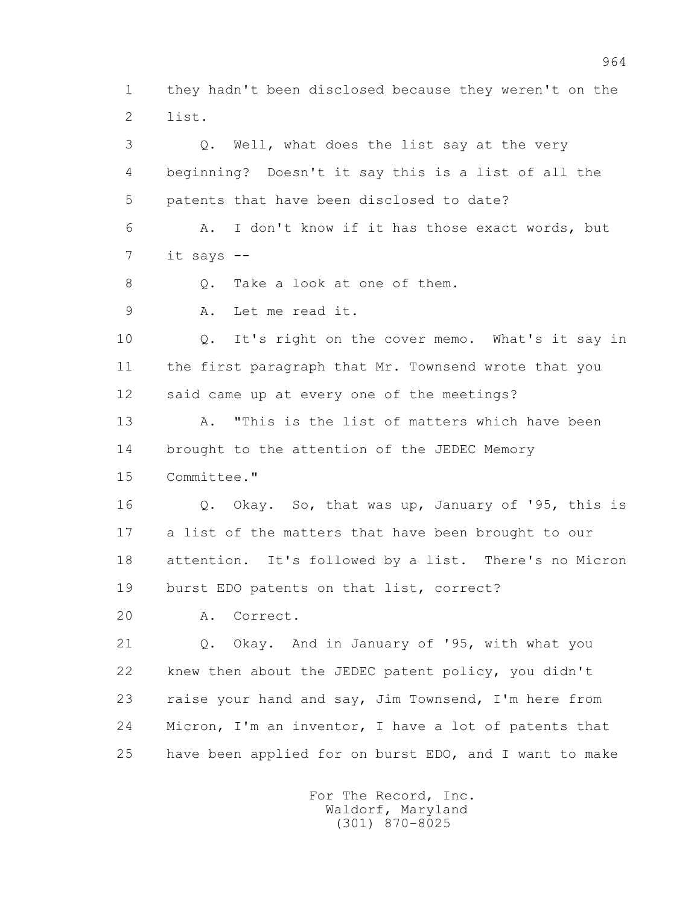1 they hadn't been disclosed because they weren't on the 2 list.

 3 Q. Well, what does the list say at the very 4 beginning? Doesn't it say this is a list of all the 5 patents that have been disclosed to date? 6 A. I don't know if it has those exact words, but 7 it says -- 8 0. Take a look at one of them. 9 A. Let me read it. 10 Q. It's right on the cover memo. What's it say in 11 the first paragraph that Mr. Townsend wrote that you 12 said came up at every one of the meetings? 13 A. "This is the list of matters which have been 14 brought to the attention of the JEDEC Memory 15 Committee." 16 Q. Okay. So, that was up, January of '95, this is 17 a list of the matters that have been brought to our 18 attention. It's followed by a list. There's no Micron 19 burst EDO patents on that list, correct? 20 A. Correct. 21 Q. Okay. And in January of '95, with what you 22 knew then about the JEDEC patent policy, you didn't 23 raise your hand and say, Jim Townsend, I'm here from 24 Micron, I'm an inventor, I have a lot of patents that 25 have been applied for on burst EDO, and I want to make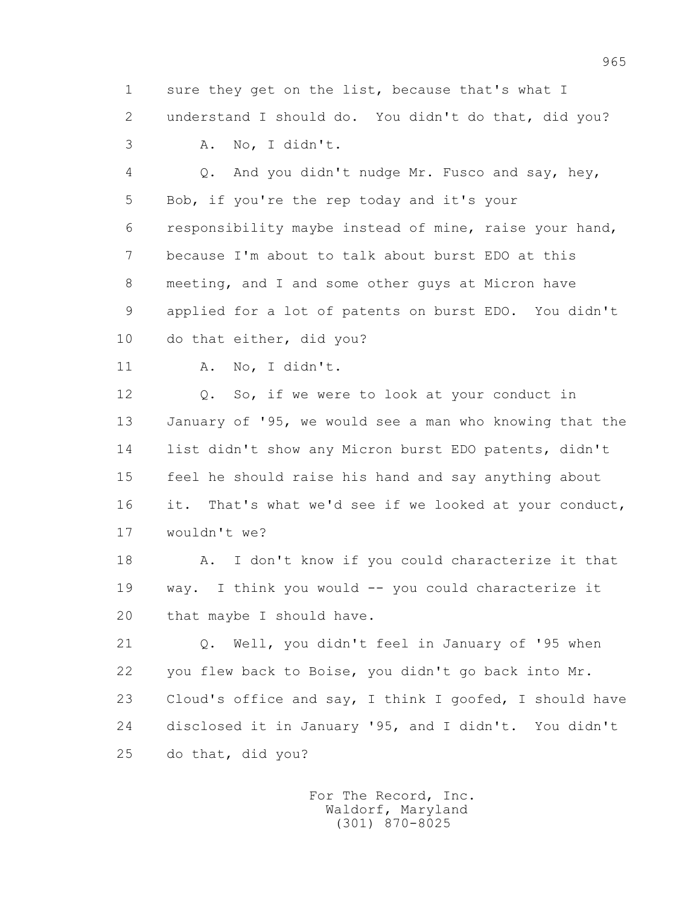1 sure they get on the list, because that's what I 2 understand I should do. You didn't do that, did you? 3 A. No, I didn't.

 4 Q. And you didn't nudge Mr. Fusco and say, hey, 5 Bob, if you're the rep today and it's your 6 responsibility maybe instead of mine, raise your hand, 7 because I'm about to talk about burst EDO at this 8 meeting, and I and some other guys at Micron have 9 applied for a lot of patents on burst EDO. You didn't 10 do that either, did you?

11 A. No, I didn't.

 12 Q. So, if we were to look at your conduct in 13 January of '95, we would see a man who knowing that the 14 list didn't show any Micron burst EDO patents, didn't 15 feel he should raise his hand and say anything about 16 it. That's what we'd see if we looked at your conduct, 17 wouldn't we?

 18 A. I don't know if you could characterize it that 19 way. I think you would -- you could characterize it 20 that maybe I should have.

 21 Q. Well, you didn't feel in January of '95 when 22 you flew back to Boise, you didn't go back into Mr. 23 Cloud's office and say, I think I goofed, I should have 24 disclosed it in January '95, and I didn't. You didn't 25 do that, did you?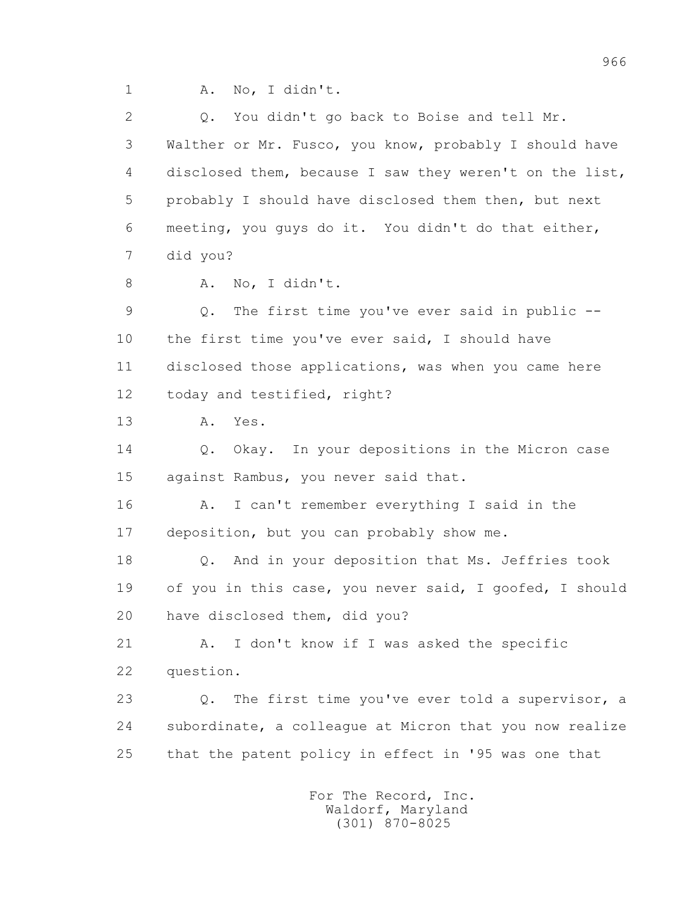1 A. No, I didn't.

2 0. You didn't go back to Boise and tell Mr. 3 Walther or Mr. Fusco, you know, probably I should have 4 disclosed them, because I saw they weren't on the list, 5 probably I should have disclosed them then, but next 6 meeting, you guys do it. You didn't do that either, 7 did you? 8 A. No, I didn't. 9 Q. The first time you've ever said in public -- 10 the first time you've ever said, I should have 11 disclosed those applications, was when you came here 12 today and testified, right? 13 A. Yes. 14 0. Okay. In your depositions in the Micron case 15 against Rambus, you never said that. 16 A. I can't remember everything I said in the 17 deposition, but you can probably show me. 18 Q. And in your deposition that Ms. Jeffries took 19 of you in this case, you never said, I goofed, I should 20 have disclosed them, did you? 21 A. I don't know if I was asked the specific 22 question. 23 Q. The first time you've ever told a supervisor, a 24 subordinate, a colleague at Micron that you now realize 25 that the patent policy in effect in '95 was one that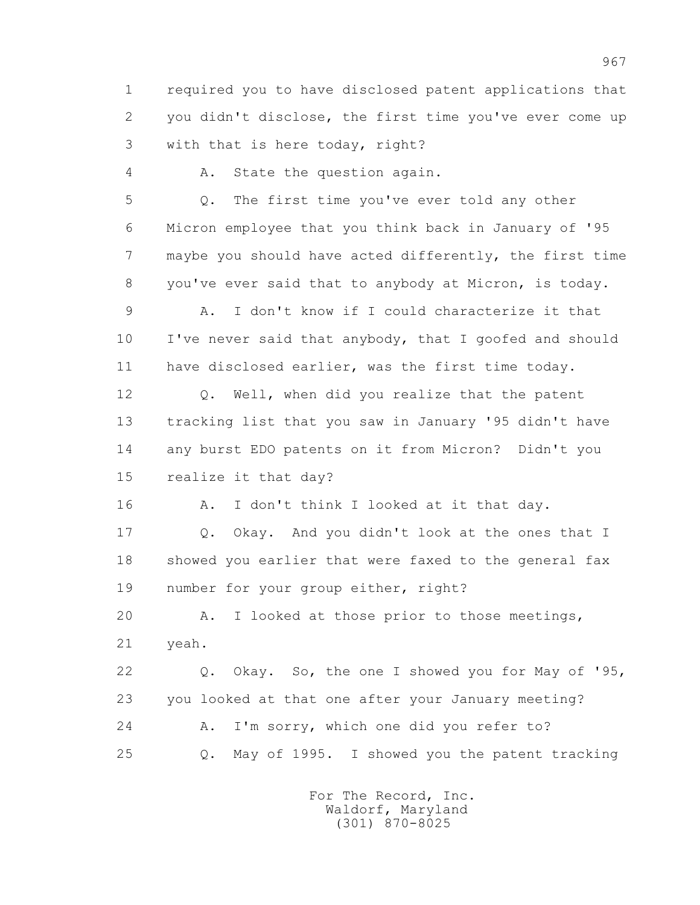1 required you to have disclosed patent applications that 2 you didn't disclose, the first time you've ever come up 3 with that is here today, right?

4 A. State the question again.

 5 Q. The first time you've ever told any other 6 Micron employee that you think back in January of '95 7 maybe you should have acted differently, the first time 8 you've ever said that to anybody at Micron, is today.

 9 A. I don't know if I could characterize it that 10 I've never said that anybody, that I goofed and should 11 have disclosed earlier, was the first time today.

 12 Q. Well, when did you realize that the patent 13 tracking list that you saw in January '95 didn't have 14 any burst EDO patents on it from Micron? Didn't you 15 realize it that day?

16 A. I don't think I looked at it that day.

 17 Q. Okay. And you didn't look at the ones that I 18 showed you earlier that were faxed to the general fax 19 number for your group either, right?

 20 A. I looked at those prior to those meetings, 21 yeah.

 22 Q. Okay. So, the one I showed you for May of '95, 23 you looked at that one after your January meeting? 24 A. I'm sorry, which one did you refer to? 25 Q. May of 1995. I showed you the patent tracking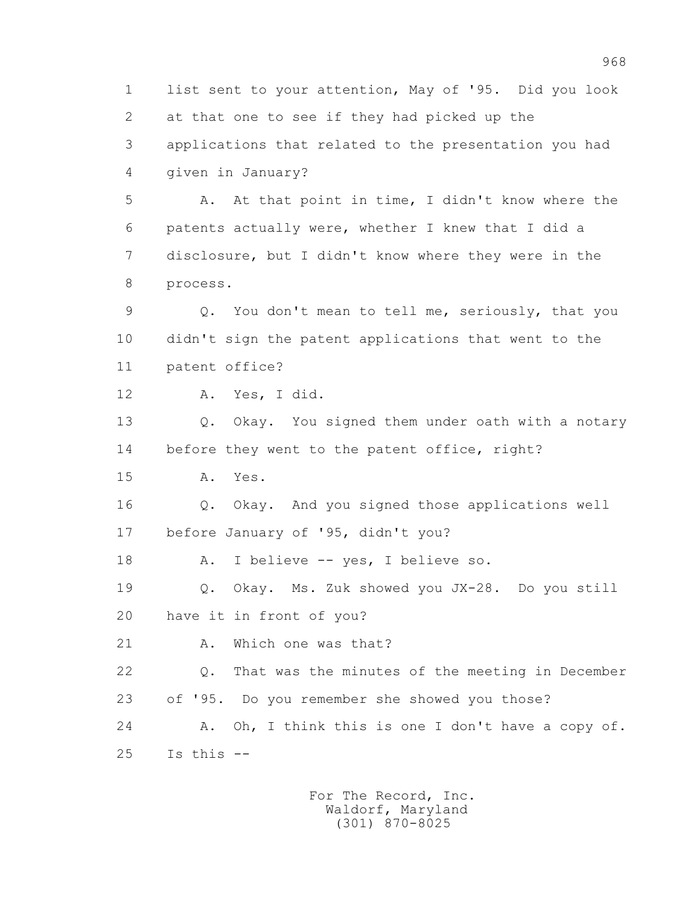1 list sent to your attention, May of '95. Did you look 2 at that one to see if they had picked up the 3 applications that related to the presentation you had 4 given in January? 5 A. At that point in time, I didn't know where the 6 patents actually were, whether I knew that I did a 7 disclosure, but I didn't know where they were in the 8 process. 9 Q. You don't mean to tell me, seriously, that you 10 didn't sign the patent applications that went to the 11 patent office? 12 A. Yes, I did. 13 Q. Okay. You signed them under oath with a notary 14 before they went to the patent office, right? 15 A. Yes. 16 Q. Okay. And you signed those applications well 17 before January of '95, didn't you? 18 A. I believe -- yes, I believe so. 19 Q. Okay. Ms. Zuk showed you JX-28. Do you still 20 have it in front of you? 21 A. Which one was that? 22 Q. That was the minutes of the meeting in December 23 of '95. Do you remember she showed you those? 24 A. Oh, I think this is one I don't have a copy of.  $25$  Is this  $-$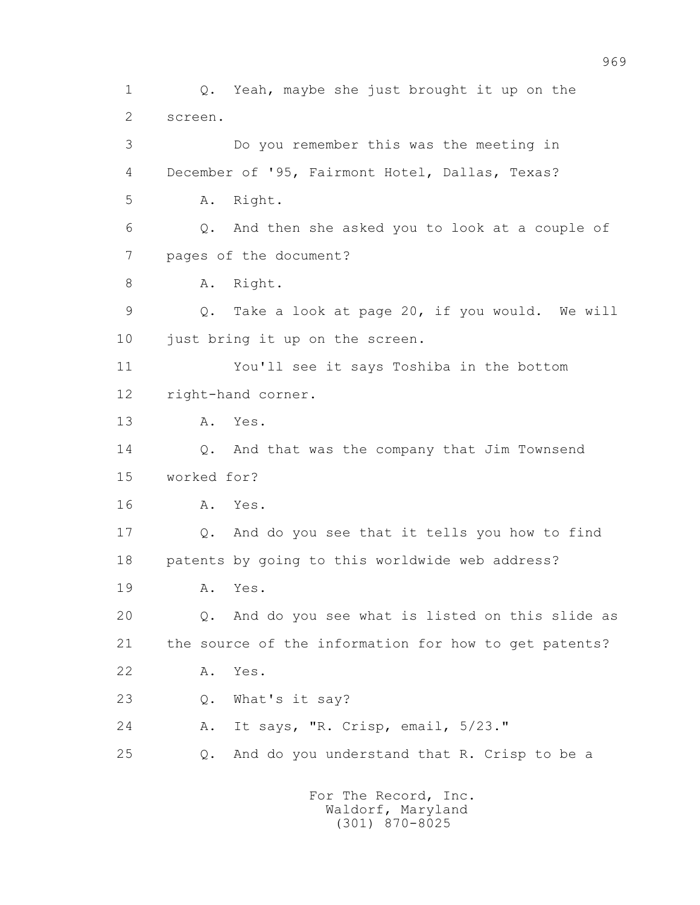1 Q. Yeah, maybe she just brought it up on the 2 screen. 3 Do you remember this was the meeting in 4 December of '95, Fairmont Hotel, Dallas, Texas? 5 A. Right. 6 Q. And then she asked you to look at a couple of 7 pages of the document? 8 A. Right. 9 Q. Take a look at page 20, if you would. We will 10 just bring it up on the screen. 11 You'll see it says Toshiba in the bottom 12 right-hand corner. 13 A. Yes. 14 Q. And that was the company that Jim Townsend 15 worked for? 16 A. Yes. 17 Q. And do you see that it tells you how to find 18 patents by going to this worldwide web address? 19 A. Yes. 20 Q. And do you see what is listed on this slide as 21 the source of the information for how to get patents? 22 A. Yes. 23 Q. What's it say? 24 A. It says, "R. Crisp, email, 5/23." 25 Q. And do you understand that R. Crisp to be a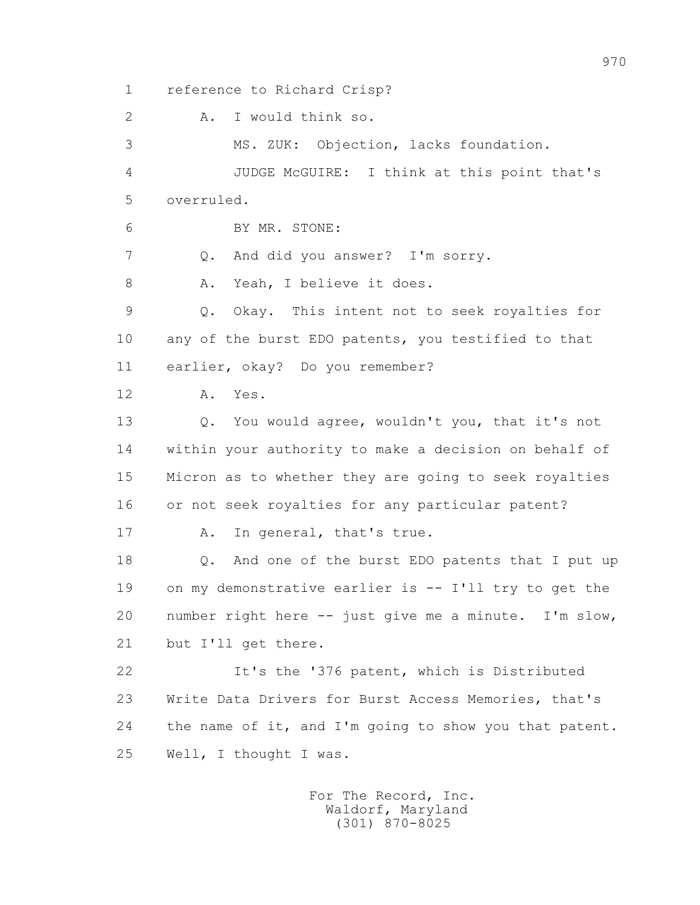1 reference to Richard Crisp?

2 A. I would think so.

 3 MS. ZUK: Objection, lacks foundation. 4 JUDGE McGUIRE: I think at this point that's 5 overruled. 6 BY MR. STONE: 7 Q. And did you answer? I'm sorry. 8 A. Yeah, I believe it does. 9 Q. Okay. This intent not to seek royalties for 10 any of the burst EDO patents, you testified to that 11 earlier, okay? Do you remember? 12 A. Yes.

 13 Q. You would agree, wouldn't you, that it's not 14 within your authority to make a decision on behalf of 15 Micron as to whether they are going to seek royalties 16 or not seek royalties for any particular patent?

17 A. In general, that's true.

 18 Q. And one of the burst EDO patents that I put up 19 on my demonstrative earlier is -- I'll try to get the 20 number right here -- just give me a minute. I'm slow, 21 but I'll get there.

 22 It's the '376 patent, which is Distributed 23 Write Data Drivers for Burst Access Memories, that's 24 the name of it, and I'm going to show you that patent. 25 Well, I thought I was.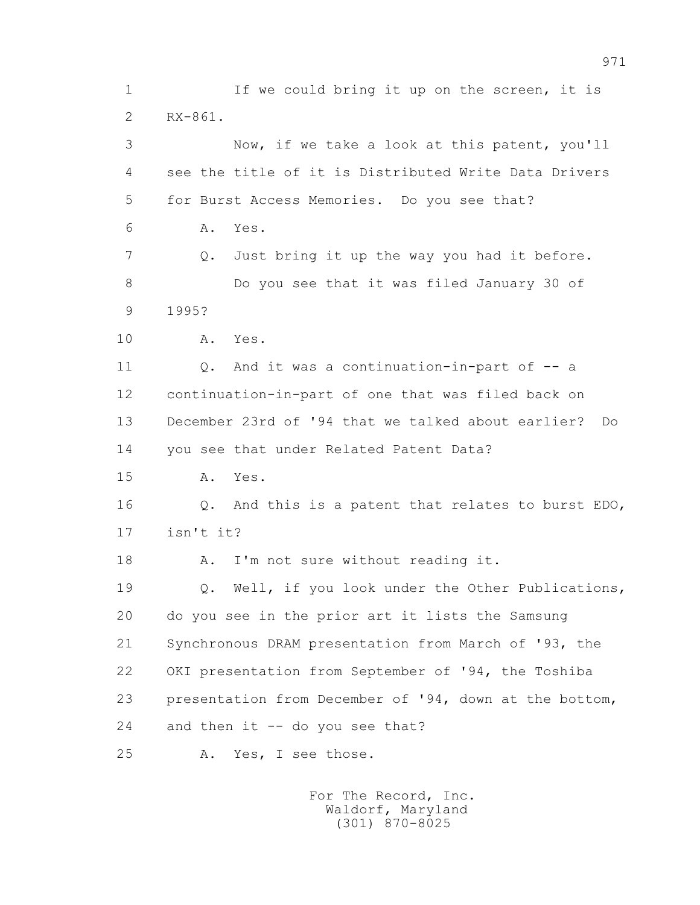1 If we could bring it up on the screen, it is 2 RX-861. 3 Now, if we take a look at this patent, you'll 4 see the title of it is Distributed Write Data Drivers 5 for Burst Access Memories. Do you see that? 6 A. Yes. 7 Q. Just bring it up the way you had it before. 8 Do you see that it was filed January 30 of 9 1995? 10 A. Yes. 11 Q. And it was a continuation-in-part of -- a 12 continuation-in-part of one that was filed back on 13 December 23rd of '94 that we talked about earlier? Do 14 you see that under Related Patent Data? 15 A. Yes. 16 Q. And this is a patent that relates to burst EDO, 17 isn't it? 18 A. I'm not sure without reading it. 19 0. Well, if you look under the Other Publications, 20 do you see in the prior art it lists the Samsung 21 Synchronous DRAM presentation from March of '93, the 22 OKI presentation from September of '94, the Toshiba 23 presentation from December of '94, down at the bottom, 24 and then it -- do you see that? 25 A. Yes, I see those.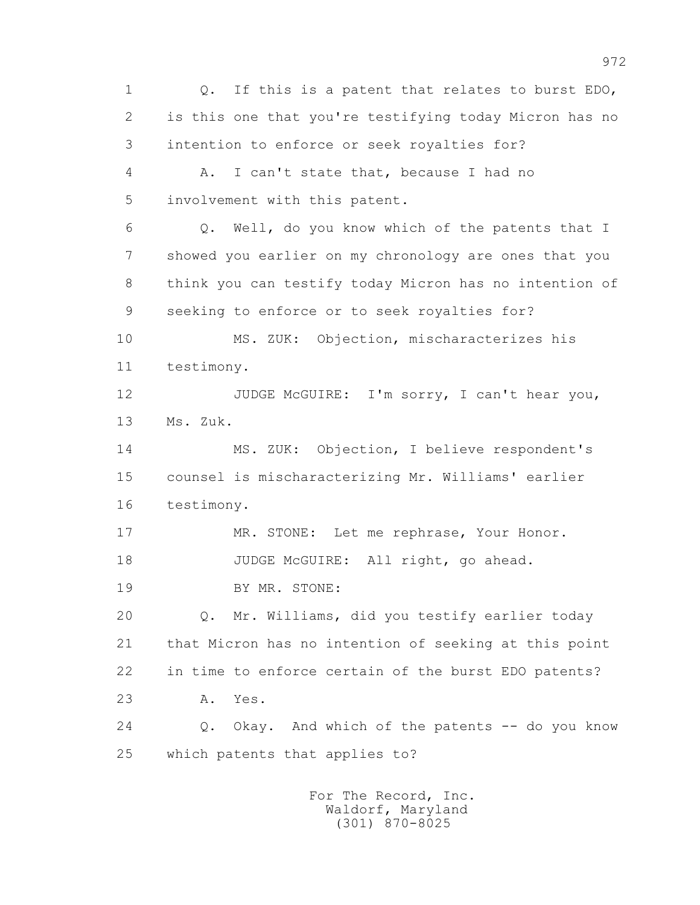1 Q. If this is a patent that relates to burst EDO, 2 is this one that you're testifying today Micron has no 3 intention to enforce or seek royalties for? 4 A. I can't state that, because I had no 5 involvement with this patent. 6 Q. Well, do you know which of the patents that I 7 showed you earlier on my chronology are ones that you 8 think you can testify today Micron has no intention of 9 seeking to enforce or to seek royalties for? 10 MS. ZUK: Objection, mischaracterizes his 11 testimony. 12 JUDGE McGUIRE: I'm sorry, I can't hear you, 13 Ms. Zuk. 14 MS. ZUK: Objection, I believe respondent's 15 counsel is mischaracterizing Mr. Williams' earlier 16 testimony. 17 MR. STONE: Let me rephrase, Your Honor. 18 JUDGE McGUIRE: All right, go ahead. 19 BY MR. STONE: 20 Q. Mr. Williams, did you testify earlier today 21 that Micron has no intention of seeking at this point 22 in time to enforce certain of the burst EDO patents? 23 A. Yes. 24 Q. Okay. And which of the patents -- do you know 25 which patents that applies to?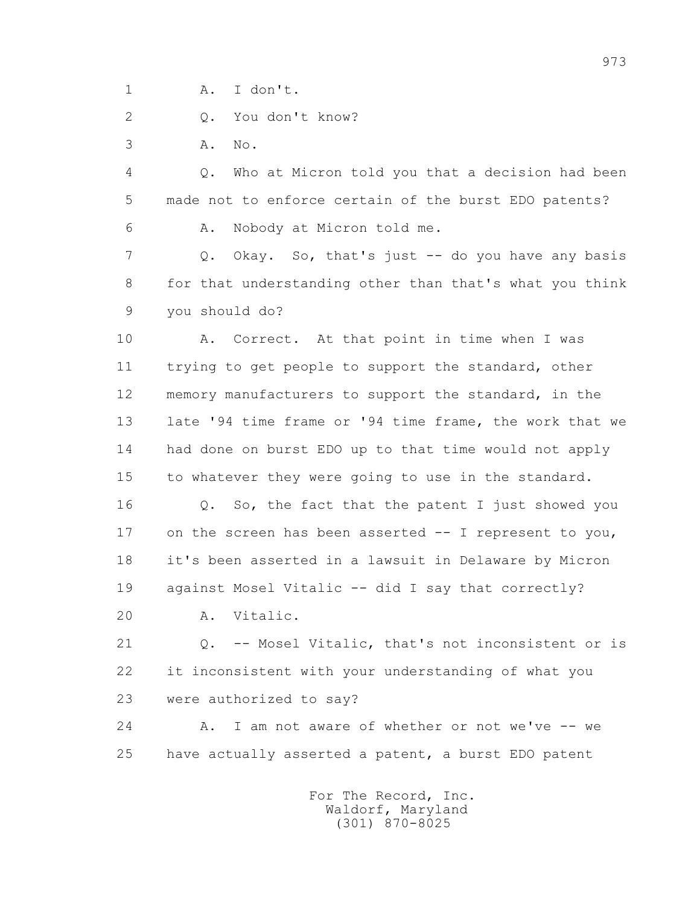1 A. I don't.

2 Q. You don't know?

3 A. No.

 4 Q. Who at Micron told you that a decision had been 5 made not to enforce certain of the burst EDO patents?

6 A. Nobody at Micron told me.

 7 Q. Okay. So, that's just -- do you have any basis 8 for that understanding other than that's what you think 9 you should do?

 10 A. Correct. At that point in time when I was 11 trying to get people to support the standard, other 12 memory manufacturers to support the standard, in the 13 late '94 time frame or '94 time frame, the work that we 14 had done on burst EDO up to that time would not apply 15 to whatever they were going to use in the standard.

 16 Q. So, the fact that the patent I just showed you 17 on the screen has been asserted -- I represent to you, 18 it's been asserted in a lawsuit in Delaware by Micron 19 against Mosel Vitalic -- did I say that correctly?

20 A. Vitalic.

 21 Q. -- Mosel Vitalic, that's not inconsistent or is 22 it inconsistent with your understanding of what you 23 were authorized to say?

24 A. I am not aware of whether or not we've -- we 25 have actually asserted a patent, a burst EDO patent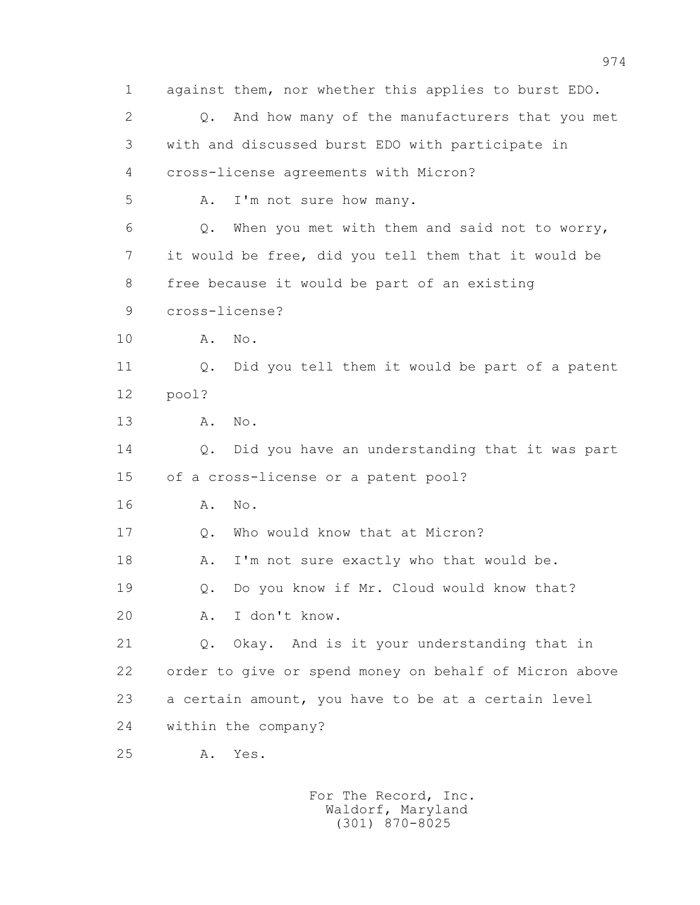1 against them, nor whether this applies to burst EDO. 2 Q. And how many of the manufacturers that you met 3 with and discussed burst EDO with participate in 4 cross-license agreements with Micron? 5 A. I'm not sure how many. 6 Q. When you met with them and said not to worry, 7 it would be free, did you tell them that it would be 8 free because it would be part of an existing 9 cross-license? 10 A. No. 11 Q. Did you tell them it would be part of a patent 12 pool? 13 A. No. 14 Q. Did you have an understanding that it was part 15 of a cross-license or a patent pool? 16 A. No. 17 Q. Who would know that at Micron? 18 A. I'm not sure exactly who that would be. 19 Q. Do you know if Mr. Cloud would know that? 20 A. I don't know. 21 Q. Okay. And is it your understanding that in 22 order to give or spend money on behalf of Micron above 23 a certain amount, you have to be at a certain level 24 within the company? 25 A. Yes.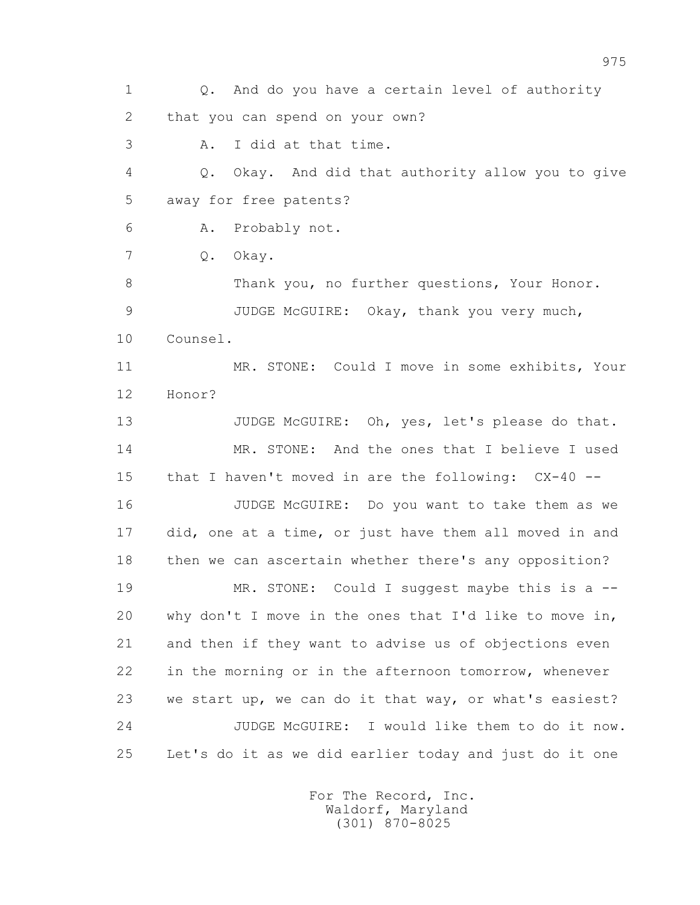1 Q. And do you have a certain level of authority 2 that you can spend on your own? 3 A. I did at that time. 4 Q. Okay. And did that authority allow you to give 5 away for free patents? 6 A. Probably not. 7 Q. Okay. 8 Thank you, no further questions, Your Honor. 9 JUDGE McGUIRE: Okay, thank you very much, 10 Counsel. 11 MR. STONE: Could I move in some exhibits, Your 12 Honor? 13 JUDGE McGUIRE: Oh, yes, let's please do that. 14 MR. STONE: And the ones that I believe I used 15 that I haven't moved in are the following: CX-40 -- 16 JUDGE McGUIRE: Do you want to take them as we 17 did, one at a time, or just have them all moved in and 18 then we can ascertain whether there's any opposition? 19 MR. STONE: Could I suggest maybe this is a -- 20 why don't I move in the ones that I'd like to move in, 21 and then if they want to advise us of objections even 22 in the morning or in the afternoon tomorrow, whenever 23 we start up, we can do it that way, or what's easiest? 24 JUDGE McGUIRE: I would like them to do it now. 25 Let's do it as we did earlier today and just do it one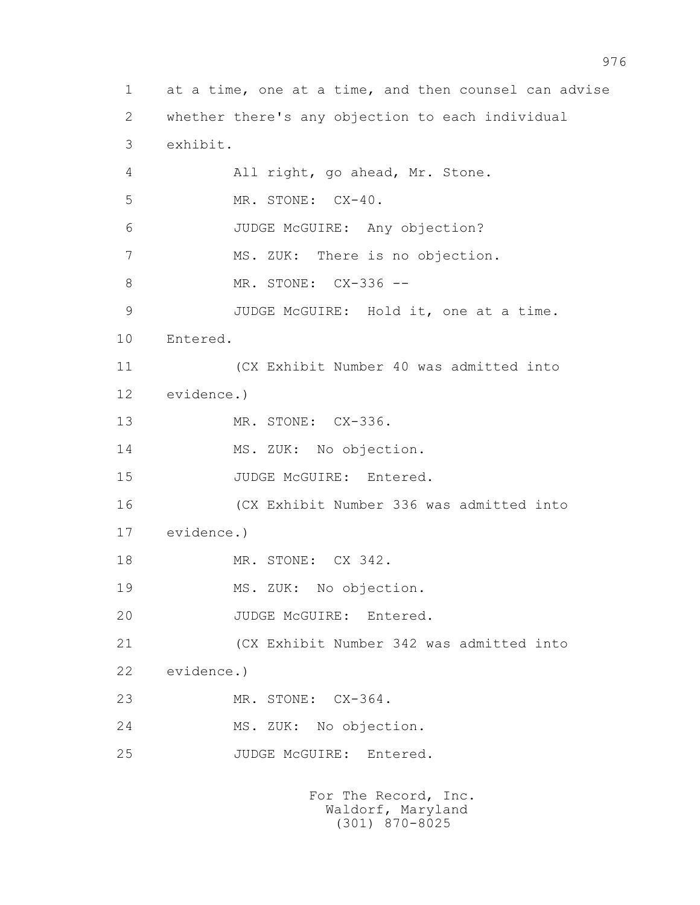1 at a time, one at a time, and then counsel can advise 2 whether there's any objection to each individual 3 exhibit. 4 All right, go ahead, Mr. Stone. 5 MR. STONE: CX-40. 6 JUDGE McGUIRE: Any objection? 7 MS. ZUK: There is no objection. 8 MR. STONE: CX-336 -- 9 JUDGE McGUIRE: Hold it, one at a time. 10 Entered. 11 (CX Exhibit Number 40 was admitted into 12 evidence.) 13 MR. STONE: CX-336. 14 MS. ZUK: No objection. 15 JUDGE McGUIRE: Entered. 16 (CX Exhibit Number 336 was admitted into 17 evidence.) 18 MR. STONE: CX 342. 19 MS. ZUK: No objection. 20 JUDGE McGUIRE: Entered. 21 (CX Exhibit Number 342 was admitted into 22 evidence.) 23 MR. STONE: CX-364. 24 MS. ZUK: No objection. 25 JUDGE McGUIRE: Entered.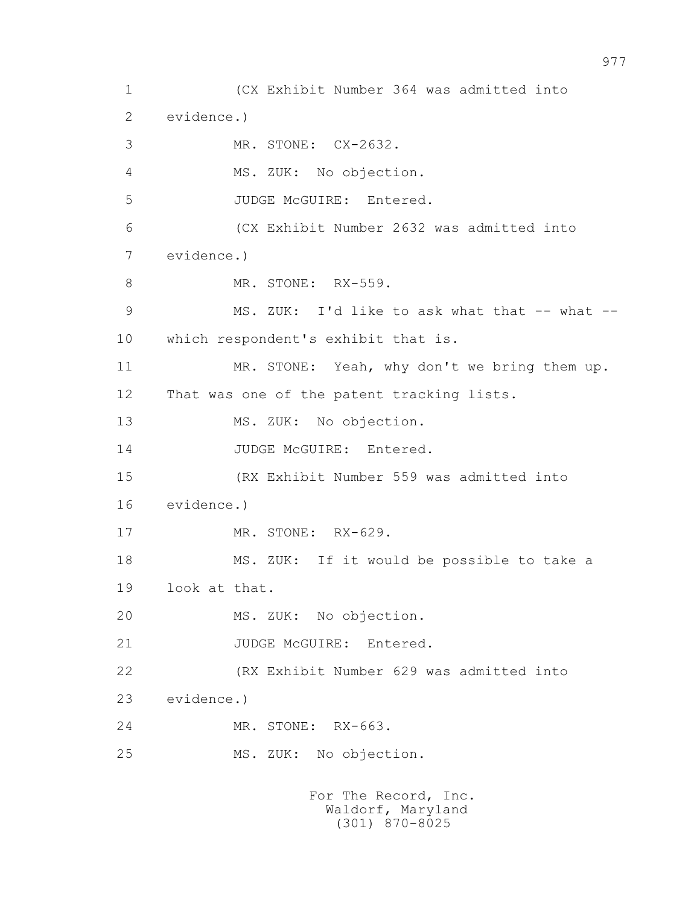1 (CX Exhibit Number 364 was admitted into 2 evidence.) 3 MR. STONE: CX-2632. 4 MS. ZUK: No objection. 5 JUDGE McGUIRE: Entered. 6 (CX Exhibit Number 2632 was admitted into 7 evidence.) 8 MR. STONE: RX-559. 9 MS. ZUK: I'd like to ask what that -- what -- 10 which respondent's exhibit that is. 11 MR. STONE: Yeah, why don't we bring them up. 12 That was one of the patent tracking lists. 13 MS. ZUK: No objection. 14 JUDGE McGUIRE: Entered. 15 (RX Exhibit Number 559 was admitted into 16 evidence.) 17 MR. STONE: RX-629. 18 MS. ZUK: If it would be possible to take a 19 look at that. 20 MS. ZUK: No objection. 21 JUDGE McGUIRE: Entered. 22 (RX Exhibit Number 629 was admitted into 23 evidence.) 24 MR. STONE: RX-663. 25 MS. ZUK: No objection. For The Record, Inc.

 Waldorf, Maryland (301) 870-8025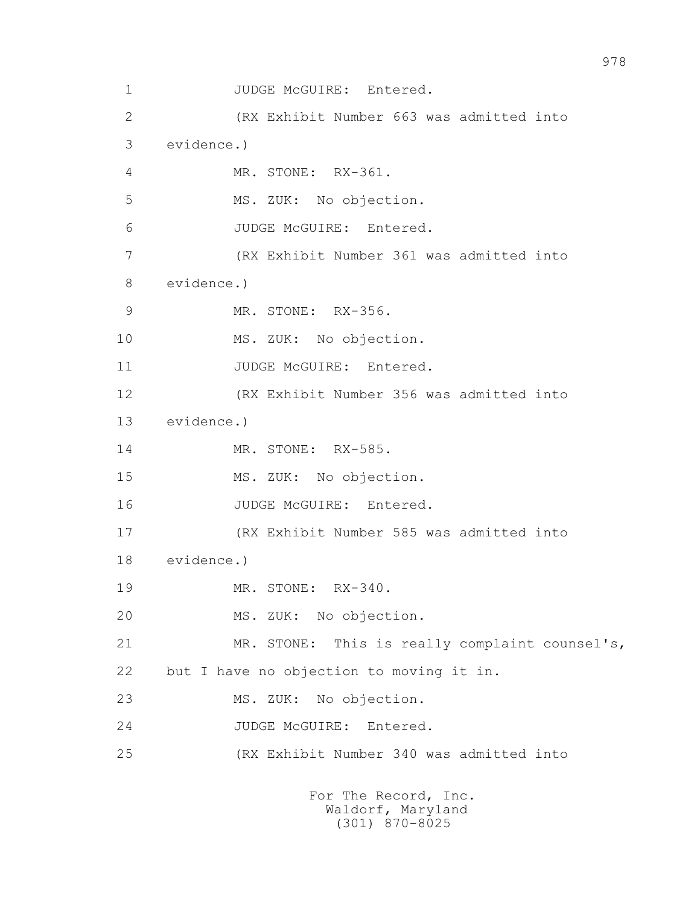1 JUDGE McGUIRE: Entered. 2 (RX Exhibit Number 663 was admitted into 3 evidence.) 4 MR. STONE: RX-361. 5 MS. ZUK: No objection. 6 JUDGE McGUIRE: Entered. 7 (RX Exhibit Number 361 was admitted into 8 evidence.) 9 MR. STONE: RX-356. 10 MS. ZUK: No objection. 11 JUDGE McGUIRE: Entered. 12 (RX Exhibit Number 356 was admitted into 13 evidence.) 14 MR. STONE: RX-585. 15 MS. ZUK: No objection. 16 JUDGE McGUIRE: Entered. 17 (RX Exhibit Number 585 was admitted into 18 evidence.) 19 MR. STONE: RX-340. 20 MS. ZUK: No objection. 21 MR. STONE: This is really complaint counsel's, 22 but I have no objection to moving it in. 23 MS. ZUK: No objection. 24 JUDGE McGUIRE: Entered. 25 (RX Exhibit Number 340 was admitted into For The Record, Inc.

 Waldorf, Maryland (301) 870-8025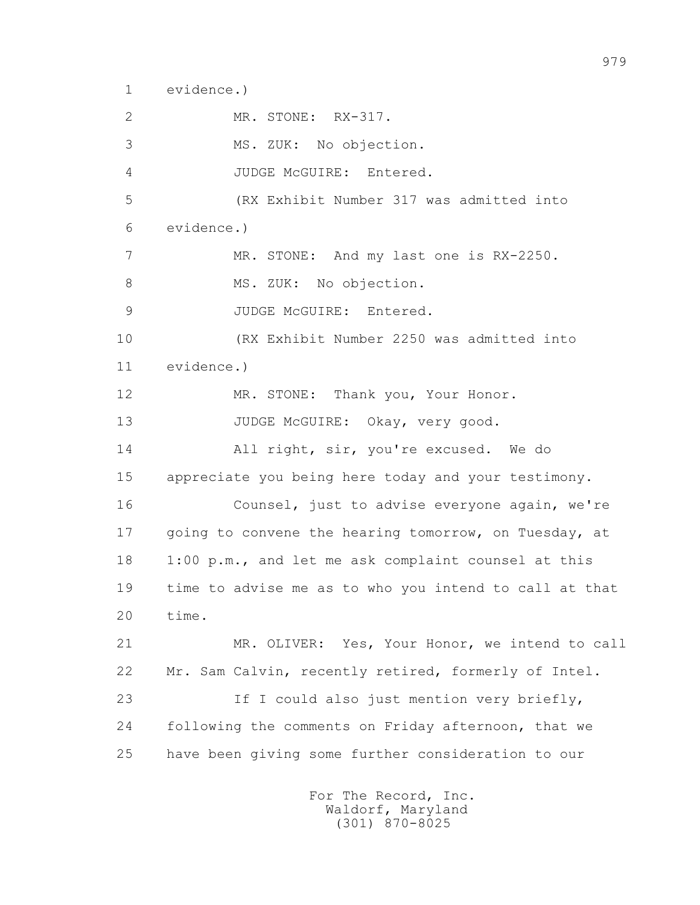1 evidence.)

 2 MR. STONE: RX-317. 3 MS. ZUK: No objection. 4 JUDGE McGUIRE: Entered. 5 (RX Exhibit Number 317 was admitted into 6 evidence.) 7 MR. STONE: And my last one is RX-2250. 8 MS. ZUK: No objection. 9 JUDGE McGUIRE: Entered. 10 (RX Exhibit Number 2250 was admitted into 11 evidence.) 12 MR. STONE: Thank you, Your Honor. 13 JUDGE McGUIRE: Okay, very good. 14 All right, sir, you're excused. We do 15 appreciate you being here today and your testimony. 16 Counsel, just to advise everyone again, we're 17 going to convene the hearing tomorrow, on Tuesday, at 18 1:00 p.m., and let me ask complaint counsel at this 19 time to advise me as to who you intend to call at that 20 time. 21 MR. OLIVER: Yes, Your Honor, we intend to call 22 Mr. Sam Calvin, recently retired, formerly of Intel. 23 If I could also just mention very briefly, 24 following the comments on Friday afternoon, that we 25 have been giving some further consideration to our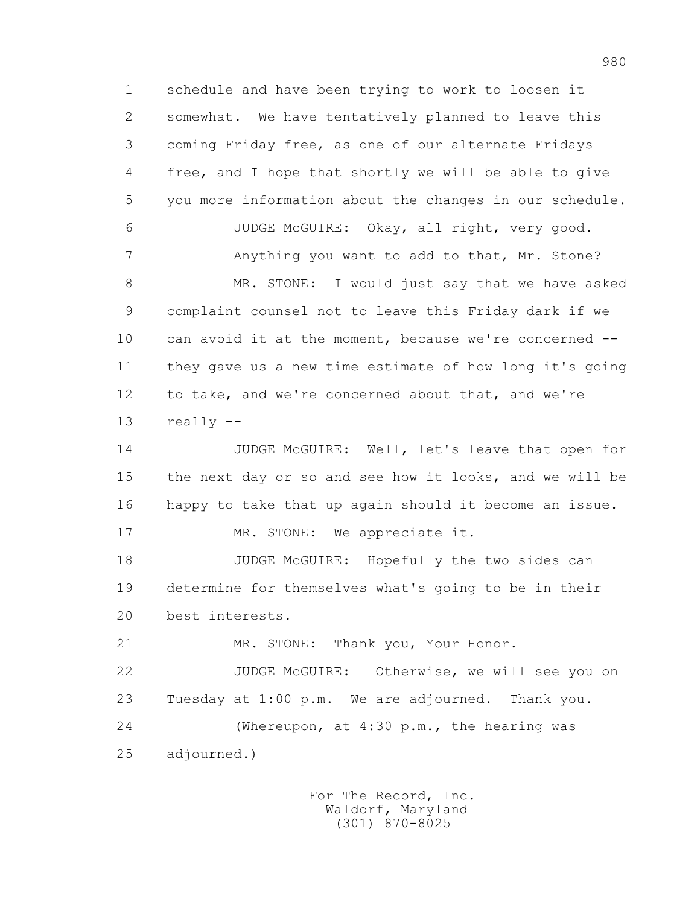1 schedule and have been trying to work to loosen it 2 somewhat. We have tentatively planned to leave this 3 coming Friday free, as one of our alternate Fridays 4 free, and I hope that shortly we will be able to give 5 you more information about the changes in our schedule. 6 JUDGE McGUIRE: Okay, all right, very good. 7 Anything you want to add to that, Mr. Stone? 8 MR. STONE: I would just say that we have asked 9 complaint counsel not to leave this Friday dark if we 10 can avoid it at the moment, because we're concerned -- 11 they gave us a new time estimate of how long it's going 12 to take, and we're concerned about that, and we're 13 really -- 14 JUDGE McGUIRE: Well, let's leave that open for 15 the next day or so and see how it looks, and we will be 16 happy to take that up again should it become an issue. 17 MR. STONE: We appreciate it. 18 JUDGE McGUIRE: Hopefully the two sides can 19 determine for themselves what's going to be in their 20 best interests. 21 MR. STONE: Thank you, Your Honor. 22 JUDGE McGUIRE: Otherwise, we will see you on 23 Tuesday at 1:00 p.m. We are adjourned. Thank you. 24 (Whereupon, at 4:30 p.m., the hearing was 25 adjourned.)